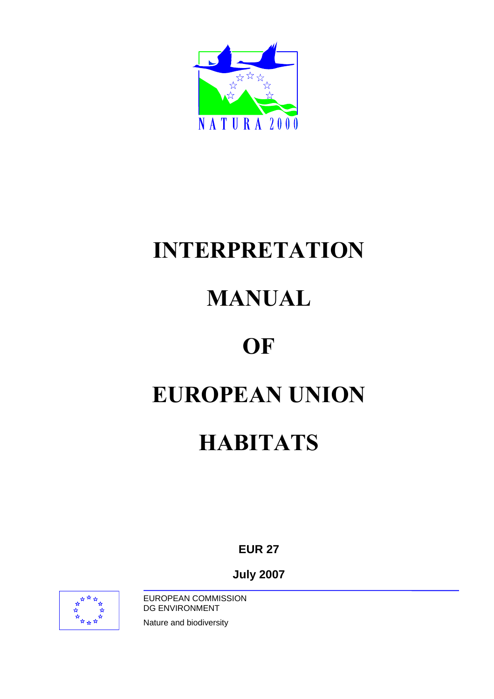

# **INTERPRETATION**

# **MANUAL**

# **OF**

# **EUROPEAN UNION**

# **HABITATS**

**EUR 27** 

**July 2007**



EUROPEAN COMMISSION DG ENVIRONMENT

Nature and biodiversity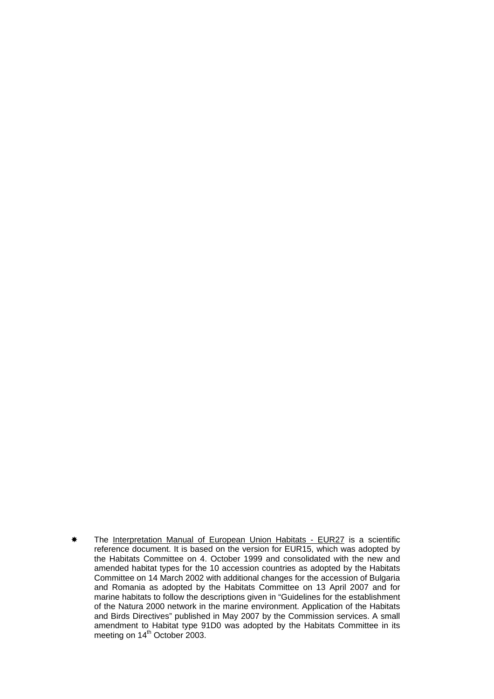The Interpretation Manual of European Union Habitats - EUR27 is a scientific reference document. It is based on the version for EUR15, which was adopted by the Habitats Committee on 4. October 1999 and consolidated with the new and amended habitat types for the 10 accession countries as adopted by the Habitats Committee on 14 March 2002 with additional changes for the accession of Bulgaria and Romania as adopted by the Habitats Committee on 13 April 2007 and for marine habitats to follow the descriptions given in "Guidelines for the establishment of the Natura 2000 network in the marine environment. Application of the Habitats and Birds Directives" published in May 2007 by the Commission services. A small amendment to Habitat type 91D0 was adopted by the Habitats Committee in its meeting on 14<sup>th</sup> October 2003.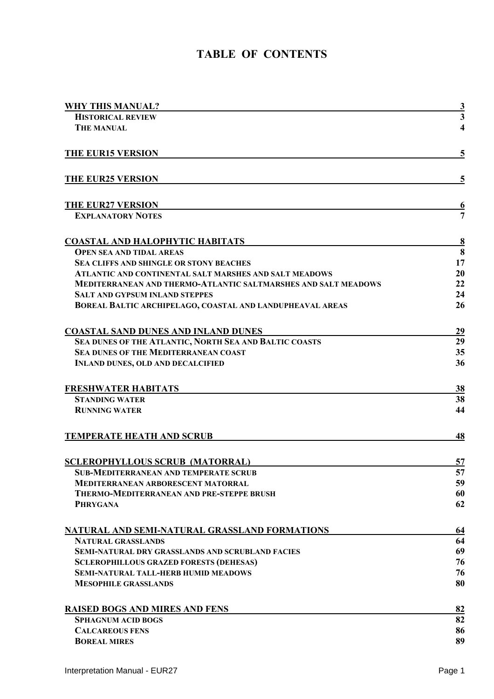### **TABLE OF CONTENTS**

| <b>WHY THIS MANUAL?</b>                                               | $\overline{\mathbf{3}}$ |
|-----------------------------------------------------------------------|-------------------------|
| <b>HISTORICAL REVIEW</b>                                              | 3                       |
| <b>THE MANUAL</b>                                                     | 4                       |
| <b>THE EUR15 VERSION</b>                                              | 5                       |
| <b>THE EUR25 VERSION</b>                                              | 5                       |
| <b>THE EUR27 VERSION</b>                                              | 6                       |
| <b>EXPLANATORY NOTES</b>                                              | 7                       |
| <b>COASTAL AND HALOPHYTIC HABITATS</b>                                | 8                       |
| <b>OPEN SEA AND TIDAL AREAS</b>                                       | 8                       |
| <b>SEA CLIFFS AND SHINGLE OR STONY BEACHES</b>                        | 17                      |
| <b>ATLANTIC AND CONTINENTAL SALT MARSHES AND SALT MEADOWS</b>         | 20                      |
| <b>MEDITERRANEAN AND THERMO-ATLANTIC SALTMARSHES AND SALT MEADOWS</b> | 22                      |
| <b>SALT AND GYPSUM INLAND STEPPES</b>                                 | 24                      |
| BOREAL BALTIC ARCHIPELAGO, COASTAL AND LANDUPHEAVAL AREAS             | 26                      |
| <b>COASTAL SAND DUNES AND INLAND DUNES</b>                            | 29                      |
| SEA DUNES OF THE ATLANTIC, NORTH SEA AND BALTIC COASTS                | 29                      |
| <b>SEA DUNES OF THE MEDITERRANEAN COAST</b>                           | 35                      |
| <b>INLAND DUNES, OLD AND DECALCIFIED</b>                              | 36                      |
| <b>FRESHWATER HABITATS</b>                                            | 38                      |
| <b>STANDING WATER</b>                                                 | 38                      |
| <b>RUNNING WATER</b>                                                  | 44                      |
| <b>TEMPERATE HEATH AND SCRUB</b>                                      | 48                      |
| <b>SCLEROPHYLLOUS SCRUB (MATORRAL)</b>                                | 57                      |
| <b>SUB-MEDITERRANEAN AND TEMPERATE SCRUB</b>                          | 57                      |
| <b>MEDITERRANEAN ARBORESCENT MATORRAL</b>                             | 59                      |
| THERMO-MEDITERRANEAN AND PRE-STEPPE BRUSH                             | 60                      |
| <b>PHRYGANA</b>                                                       | 62                      |
| NATURAL AND SEMI-NATURAL GRASSLAND FORMATIONS                         | 64                      |
| <b>NATURAL GRASSLANDS</b>                                             | 64                      |
| <b>SEMI-NATURAL DRY GRASSLANDS AND SCRUBLAND FACIES</b>               | 69                      |
| <b>SCLEROPHILLOUS GRAZED FORESTS (DEHESAS)</b>                        | 76                      |
| <b>SEMI-NATURAL TALL-HERB HUMID MEADOWS</b>                           | 76                      |
| <b>MESOPHILE GRASSLANDS</b>                                           | 80                      |
| <b>RAISED BOGS AND MIRES AND FENS</b>                                 | 82                      |
| <b>SPHAGNUM ACID BOGS</b>                                             | 82                      |
| <b>CALCAREOUS FENS</b>                                                | 86                      |
| <b>BOREAL MIRES</b>                                                   | 89                      |
|                                                                       |                         |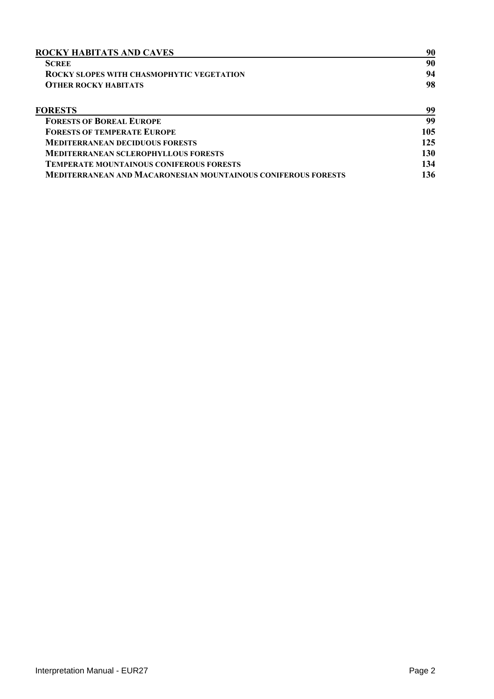| <b>ROCKY HABITATS AND CAVES</b>           | 90 |
|-------------------------------------------|----|
| <b>SCREE</b>                              | 90 |
| ROCKY SLOPES WITH CHASMOPHYTIC VEGETATION | 94 |
| <b>OTHER ROCKY HABITATS</b>               | 98 |
| <b>FORESTS</b>                            | 99 |
| <b>FODESTS OF RODEAL FUDOPE</b>           | 99 |

| <b>FORESTS OF BOREAL EUROPE</b>                                      | 99  |
|----------------------------------------------------------------------|-----|
| <b>FORESTS OF TEMPERATE EUROPE</b>                                   | 105 |
| <b>MEDITERRANEAN DECIDUOUS FORESTS</b>                               | 125 |
| <b>MEDITERRANEAN SCLEROPHYLLOUS FORESTS</b>                          | 130 |
| <b>TEMPERATE MOUNTAINOUS CONIFEROUS FORESTS</b>                      | 134 |
| <b>MEDITERRANEAN AND MACARONESIAN MOUNTAINOUS CONIFEROUS FORESTS</b> | 136 |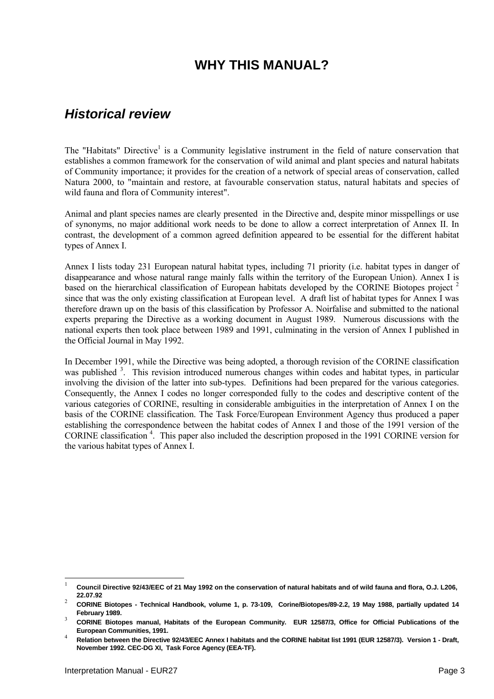# **WHY THIS MANUAL?**

# *Historical review*

The "Habitats" Directive<sup>1</sup> is a Community legislative instrument in the field of nature conservation that establishes a common framework for the conservation of wild animal and plant species and natural habitats of Community importance; it provides for the creation of a network of special areas of conservation, called Natura 2000, to "maintain and restore, at favourable conservation status, natural habitats and species of wild fauna and flora of Community interest".

Animal and plant species names are clearly presented in the Directive and, despite minor misspellings or use of synonyms, no major additional work needs to be done to allow a correct interpretation of Annex II. In contrast, the development of a common agreed definition appeared to be essential for the different habitat types of Annex I.

Annex I lists today 231 European natural habitat types, including 71 priority (i.e. habitat types in danger of disappearance and whose natural range mainly falls within the territory of the European Union). Annex I is based on the hierarchical classification of European habitats developed by the CORINE Biotopes project <sup>2</sup> since that was the only existing classification at European level. A draft list of habitat types for Annex I was therefore drawn up on the basis of this classification by Professor A. Noirfalise and submitted to the national experts preparing the Directive as a working document in August 1989. Numerous discussions with the national experts then took place between 1989 and 1991, culminating in the version of Annex I published in the Official Journal in May 1992.

In December 1991, while the Directive was being adopted, a thorough revision of the CORINE classification was published <sup>3</sup>. This revision introduced numerous changes within codes and habitat types, in particular involving the division of the latter into sub-types. Definitions had been prepared for the various categories. Consequently, the Annex I codes no longer corresponded fully to the codes and descriptive content of the various categories of CORINE, resulting in considerable ambiguities in the interpretation of Annex I on the basis of the CORINE classification. The Task Force/European Environment Agency thus produced a paper establishing the correspondence between the habitat codes of Annex I and those of the 1991 version of the CORINE classification<sup>4</sup>. This paper also included the description proposed in the 1991 CORINE version for the various habitat types of Annex I.

 $\overline{\phantom{a}}$ 

<sup>1</sup> **Council Directive 92/43/EEC of 21 May 1992 on the conservation of natural habitats and of wild fauna and flora, O.J. L206, 22.07.92** <sup>2</sup> **CORINE Biotopes - Technical Handbook, volume 1, p. 73-109, Corine/Biotopes/89-2.2, 19 May 1988, partially updated 14** 

February 1989.

**CORINE Biotopes manual, Habitats of the European Community. EUR 12587/3, Office for Official Publications of the European Communities, 1991.** 

**Relation between the Directive 92/43/EEC Annex I habitats and the CORINE habitat list 1991 (EUR 12587/3). Version 1 - Draft, November 1992. CEC-DG XI, Task Force Agency (EEA-TF).**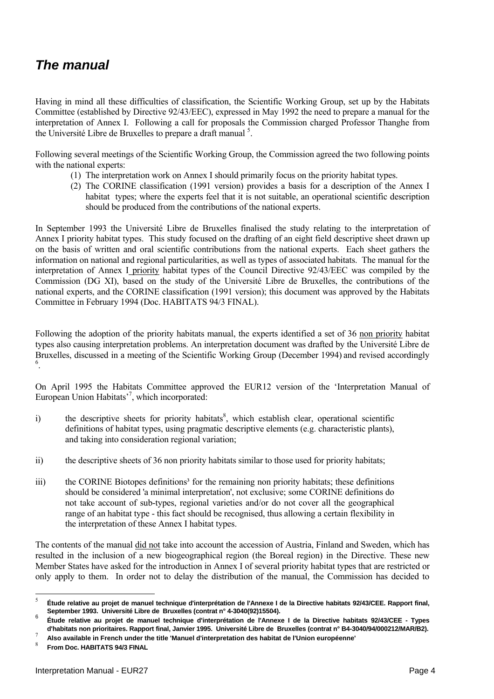# *The manual*

Having in mind all these difficulties of classification, the Scientific Working Group, set up by the Habitats Committee (established by Directive 92/43/EEC), expressed in May 1992 the need to prepare a manual for the interpretation of Annex I. Following a call for proposals the Commission charged Professor Thanghe from the Université Libre de Bruxelles to prepare a draft manual  $5$ .

Following several meetings of the Scientific Working Group, the Commission agreed the two following points with the national experts:

- (1) The interpretation work on Annex I should primarily focus on the priority habitat types.
- (2) The CORINE classification (1991 version) provides a basis for a description of the Annex I habitat types; where the experts feel that it is not suitable, an operational scientific description should be produced from the contributions of the national experts.

In September 1993 the Université Libre de Bruxelles finalised the study relating to the interpretation of Annex I priority habitat types. This study focused on the drafting of an eight field descriptive sheet drawn up on the basis of written and oral scientific contributions from the national experts. Each sheet gathers the information on national and regional particularities, as well as types of associated habitats. The manual for the interpretation of Annex I priority habitat types of the Council Directive 92/43/EEC was compiled by the Commission (DG XI), based on the study of the Université Libre de Bruxelles, the contributions of the national experts, and the CORINE classification (1991 version); this document was approved by the Habitats Committee in February 1994 (Doc. HABITATS 94/3 FINAL).

Following the adoption of the priority habitats manual, the experts identified a set of 36 non priority habitat types also causing interpretation problems. An interpretation document was drafted by the Université Libre de Bruxelles, discussed in a meeting of the Scientific Working Group (December 1994) and revised accordingly 6 .

On April 1995 the Habitats Committee approved the EUR12 version of the 'Interpretation Manual of European Union Habitats'<sup>7</sup>, which incorporated:

- i) the descriptive sheets for priority habitats<sup>8</sup>, which establish clear, operational scientific definitions of habitat types, using pragmatic descriptive elements (e.g. characteristic plants), and taking into consideration regional variation;
- ii) the descriptive sheets of 36 non priority habitats similar to those used for priority habitats;
- iii) the CORINE Biotopes definitions<sup>3</sup> for the remaining non priority habitats; these definitions should be considered 'a minimal interpretation', not exclusive; some CORINE definitions do not take account of sub-types, regional varieties and/or do not cover all the geographical range of an habitat type - this fact should be recognised, thus allowing a certain flexibility in the interpretation of these Annex I habitat types.

The contents of the manual did not take into account the accession of Austria, Finland and Sweden, which has resulted in the inclusion of a new biogeographical region (the Boreal region) in the Directive. These new Member States have asked for the introduction in Annex I of several priority habitat types that are restricted or only apply to them. In order not to delay the distribution of the manual, the Commission has decided to

 $\overline{5}$ <sup>5</sup> **Étude relative au projet de manuel technique d'interprétation de l'Annexe I de la Directive habitats 92/43/CEE. Rapport final, September 1993. Université Libre de Bruxelles (contrat n° 4-3040(92)15504).** <sup>6</sup> **Étude relative au projet de manuel technique d'interprétation de l'Annexe I de la Directive habitats 92/43/CEE - Types** 

d'habitats non prioritaires. Rapport final, Janvier 1995. Université Libre de Bruxelles (contrat n° B4-3040/94/000212/MAR/B2).<br>Also available in French under the title 'Manuel d'interpretation des habitat de l'Union europé

**From Doc. HABITATS 94/3 FINAL**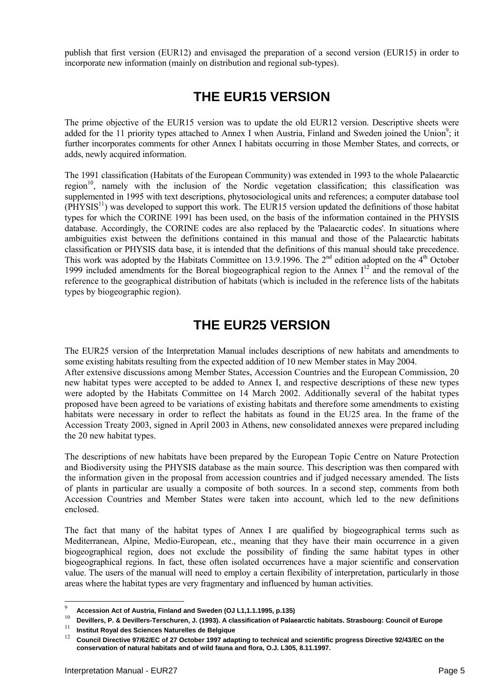publish that first version (EUR12) and envisaged the preparation of a second version (EUR15) in order to incorporate new information (mainly on distribution and regional sub-types).

# **THE EUR15 VERSION**

The prime objective of the EUR15 version was to update the old EUR12 version. Descriptive sheets were added for the 11 priority types attached to Annex I when Austria, Finland and Sweden joined the Union<sup>9</sup>; it further incorporates comments for other Annex I habitats occurring in those Member States, and corrects, or adds, newly acquired information.

The 1991 classification (Habitats of the European Community) was extended in 1993 to the whole Palaearctic region<sup>10</sup>, namely with the inclusion of the Nordic vegetation classification; this classification was supplemented in 1995 with text descriptions, phytosociological units and references; a computer database tool  $(PHYSIS<sup>11</sup>)$  was developed to support this work. The EUR15 version updated the definitions of those habitat types for which the CORINE 1991 has been used, on the basis of the information contained in the PHYSIS database. Accordingly, the CORINE codes are also replaced by the 'Palaearctic codes'. In situations where ambiguities exist between the definitions contained in this manual and those of the Palaearctic habitats classification or PHYSIS data base, it is intended that the definitions of this manual should take precedence. This work was adopted by the Habitats Committee on 13.9.1996. The  $2^{nd}$  edition adopted on the  $4^{th}$  October 1999 included amendments for the Boreal biogeographical region to the Annex  $I<sup>12</sup>$  and the removal of the reference to the geographical distribution of habitats (which is included in the reference lists of the habitats types by biogeographic region).

# **THE EUR25 VERSION**

The EUR25 version of the Interpretation Manual includes descriptions of new habitats and amendments to some existing habitats resulting from the expected addition of 10 new Member states in May 2004. After extensive discussions among Member States, Accession Countries and the European Commission, 20 new habitat types were accepted to be added to Annex I, and respective descriptions of these new types were adopted by the Habitats Committee on 14 March 2002. Additionally several of the habitat types proposed have been agreed to be variations of existing habitats and therefore some amendments to existing habitats were necessary in order to reflect the habitats as found in the EU25 area. In the frame of the Accession Treaty 2003, signed in April 2003 in Athens, new consolidated annexes were prepared including the 20 new habitat types.

The descriptions of new habitats have been prepared by the European Topic Centre on Nature Protection and Biodiversity using the PHYSIS database as the main source. This description was then compared with the information given in the proposal from accession countries and if judged necessary amended. The lists of plants in particular are usually a composite of both sources. In a second step, comments from both Accession Countries and Member States were taken into account, which led to the new definitions enclosed.

The fact that many of the habitat types of Annex I are qualified by biogeographical terms such as Mediterranean, Alpine, Medio-European, etc., meaning that they have their main occurrence in a given biogeographical region, does not exclude the possibility of finding the same habitat types in other biogeographical regions. In fact, these often isolated occurrences have a major scientific and conservation value. The users of the manual will need to employ a certain flexibility of interpretation, particularly in those areas where the habitat types are very fragmentary and influenced by human activities.

 $\overline{a}$ 

<sup>9</sup> **Accession Act of Austria, Finland and Sweden (OJ L1,1.1.1995, p.135)**

<sup>10</sup> **Devillers, P. & Devillers-Terschuren, J. (1993). A classification of Palaearctic habitats. Strasbourg: Council of Europe**

<sup>11</sup> **Institut Royal des Sciences Naturelles de Belgique**

<sup>&</sup>lt;sup>12</sup> Council Directive 97/62/EC of 27 October 1997 adapting to technical and scientific progress Directive 92/43/EC on the **conservation of natural habitats and of wild fauna and flora, O.J. L305, 8.11.1997.**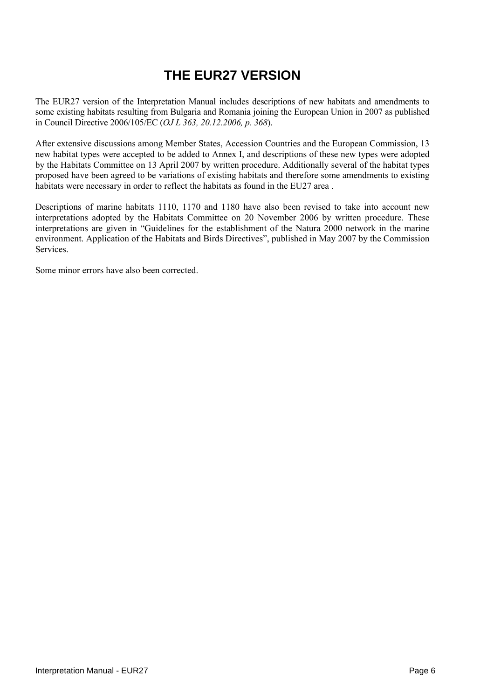# **THE EUR27 VERSION**

The EUR27 version of the Interpretation Manual includes descriptions of new habitats and amendments to some existing habitats resulting from Bulgaria and Romania joining the European Union in 2007 as published in Council Directive 2006/105/EC (*OJ L 363, 20.12.2006, p. 368*).

After extensive discussions among Member States, Accession Countries and the European Commission, 13 new habitat types were accepted to be added to Annex I, and descriptions of these new types were adopted by the Habitats Committee on 13 April 2007 by written procedure. Additionally several of the habitat types proposed have been agreed to be variations of existing habitats and therefore some amendments to existing habitats were necessary in order to reflect the habitats as found in the EU27 area .

Descriptions of marine habitats 1110, 1170 and 1180 have also been revised to take into account new interpretations adopted by the Habitats Committee on 20 November 2006 by written procedure. These interpretations are given in "Guidelines for the establishment of the Natura 2000 network in the marine environment. Application of the Habitats and Birds Directives", published in May 2007 by the Commission **Services** 

Some minor errors have also been corrected.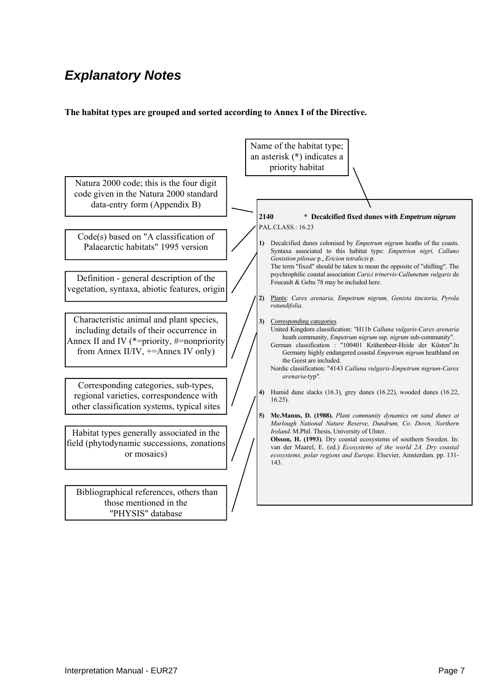# *Explanatory Notes*

#### **The habitat types are grouped and sorted according to Annex I of the Directive.**

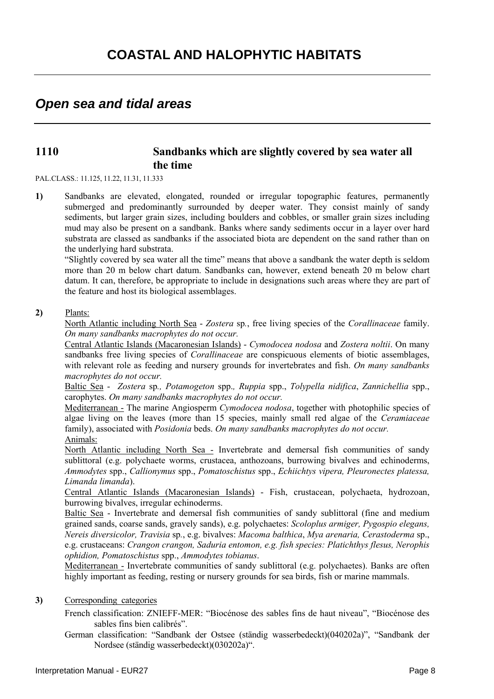## *Open sea and tidal areas*

#### **1110 Sandbanks which are slightly covered by sea water all the time**

PAL.CLASS.: 11.125, 11.22, 11.31, 11.333

**1)** Sandbanks are elevated, elongated, rounded or irregular topographic features, permanently submerged and predominantly surrounded by deeper water. They consist mainly of sandy sediments, but larger grain sizes, including boulders and cobbles, or smaller grain sizes including mud may also be present on a sandbank. Banks where sandy sediments occur in a layer over hard substrata are classed as sandbanks if the associated biota are dependent on the sand rather than on the underlying hard substrata.

"Slightly covered by sea water all the time" means that above a sandbank the water depth is seldom more than 20 m below chart datum. Sandbanks can, however, extend beneath 20 m below chart datum. It can, therefore, be appropriate to include in designations such areas where they are part of the feature and host its biological assemblages.

#### **2)** Plants:

North Atlantic including North Sea - *Zostera* sp*.*, free living species of the *Corallinaceae* family. *On many sandbanks macrophytes do not occur.* 

Central Atlantic Islands (Macaronesian Islands) - *Cymodocea nodosa* and *Zostera noltii*. On many sandbanks free living species of *Corallinaceae* are conspicuous elements of biotic assemblages, with relevant role as feeding and nursery grounds for invertebrates and fish. *On many sandbanks macrophytes do not occur.* 

Baltic Sea - *Zostera* sp*., Potamogeton* spp.*, Ruppia* spp., *Tolypella nidifica*, *Zannichellia* spp., carophytes. *On many sandbanks macrophytes do not occur.*

Mediterranean - The marine Angiosperm *Cymodocea nodosa*, together with photophilic species of algae living on the leaves (more than 15 species, mainly small red algae of the *Ceramiaceae* family), associated with *Posidonia* beds. *On many sandbanks macrophytes do not occur.* Animals:

North Atlantic including North Sea - Invertebrate and demersal fish communities of sandy sublittoral (e.g. polychaete worms, crustacea, anthozoans, burrowing bivalves and echinoderms, *Ammodytes* spp., *Callionymus* spp., *Pomatoschistus* spp., *Echiichtys vipera, Pleuronectes platessa, Limanda limanda*).

Central Atlantic Islands (Macaronesian Islands) - Fish, crustacean, polychaeta, hydrozoan, burrowing bivalves, irregular echinoderms.

Baltic Sea - Invertebrate and demersal fish communities of sandy sublittoral (fine and medium grained sands, coarse sands, gravely sands), e.g. polychaetes: *Scoloplus armiger, Pygospio elegans, Nereis diversicolor, Travisia* sp*.*, e.g. bivalves: *Macoma balthica*, *Mya arenaria, Cerastoderma* sp., e.g. crustaceans: *Crangon crangon, Saduria entomon, e.g. fish species: Platichthys flesus, Nerophis ophidion, Pomatoschistus* spp., *Ammodytes tobianus*.

Mediterranean - Invertebrate communities of sandy sublittoral (e.g. polychaetes). Banks are often highly important as feeding, resting or nursery grounds for sea birds, fish or marine mammals.

#### **3)** Corresponding categories

French classification: ZNIEFF-MER: "Biocénose des sables fins de haut niveau", "Biocénose des sables fins bien calibrés".

German classification: "Sandbank der Ostsee (ständig wasserbedeckt)(040202a)", "Sandbank der Nordsee (ständig wasserbedeckt)(030202a)".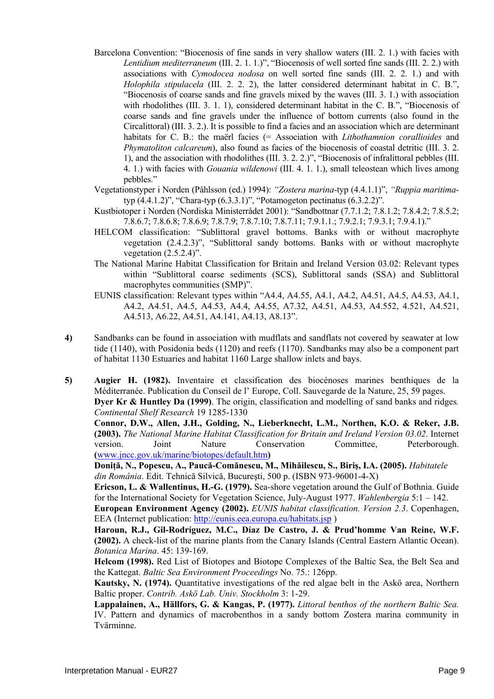- Barcelona Convention: "Biocenosis of fine sands in very shallow waters (III. 2. 1.) with facies with *Lentidium mediterraneum* (III. 2. 1. 1.)", "Biocenosis of well sorted fine sands (III. 2. 2.) with associations with *Cymodocea nodosa* on well sorted fine sands (III. 2. 2. 1.) and with *Holophila stipulacela* (III. 2. 2. 2), the latter considered determinant habitat in C. B.", "Biocenosis of coarse sands and fine gravels mixed by the waves (III. 3. 1.) with association with rhodolithes (III. 3. 1. 1), considered determinant habitat in the C. B.", "Biocenosis of coarse sands and fine gravels under the influence of bottom currents (also found in the Circalittoral) (III. 3. 2.). It is possible to find a facies and an association which are determinant habitats for C. B.: the maërl facies (= Association with *Lithothamnion corallioides* and *Phymatoliton calcareum*), also found as facies of the biocenosis of coastal detritic (III. 3. 2. 1), and the association with rhodolithes (III. 3. 2. 2.)", "Biocenosis of infralittoral pebbles (III. 4. 1.) with facies with *Gouania wildenowi* (III. 4. 1. 1.), small teleostean which lives among pebbles."
- Vegetationstyper i Norden (Påhlsson (ed.) 1994): *"Zostera marina*-typ (4.4.1.1)", *"Ruppia maritima*typ (4.4.1.2)", "Chara-typ (6.3.3.1)", "Potamogeton pectinatus (6.3.2.2)".
- Kustbiotoper i Norden (Nordiska Ministerrådet 2001): "Sandbottnar (7.7.1.2; 7.8.1.2; 7.8.4.2; 7.8.5.2; 7.8.6.7; 7.8.6.8; 7.8.6.9; 7.8.7.9; 7.8.7.10; 7.8.7.11; 7.9.1.1.; 7.9.2.1; 7.9.3.1; 7.9.4.1)."
- HELCOM classification: "Sublittoral gravel bottoms. Banks with or without macrophyte vegetation (2.4.2.3)", "Sublittoral sandy bottoms. Banks with or without macrophyte vegetation  $(2.5.2.4)$ ".
- The National Marine Habitat Classification for Britain and Ireland Version 03.02: Relevant types within "Sublittoral coarse sediments (SCS), Sublittoral sands (SSA) and Sublittoral macrophytes communities (SMP)".
- EUNIS classification: Relevant types within "A4.4, A4.55, A4.1, A4.2, A4.51, A4.5, A4.53, A4.1, A4.2, A4.51, A4.5, A4.53, A4.4, A4.55, A7.32, A4.51, A4.53, A4.552, 4.521, A4.521, A4.513, A6.22, A4.51, A4.141, A4.13, A8.13".
- **4)** Sandbanks can be found in association with mudflats and sandflats not covered by seawater at low tide (1140), with Posidonia beds (1120) and reefs (1170). Sandbanks may also be a component part of habitat 1130 Estuaries and habitat 1160 Large shallow inlets and bays.

**5) Augier H. (1982).** Inventaire et classification des biocénoses marines benthiques de la Méditerranée. Publication du Conseil de l' Europe, Coll. Sauvegarde de la Nature, 25, 59 pages. **Dyer Kr & Huntley Da (1999)**. The origin, classification and modelling of sand banks and ridges*. Continental Shelf Research* 19 1285-1330

**Connor, D.W., Allen, J.H., Golding, N., Lieberknecht, L.M., Northen, K.O. & Reker, J.B. (2003).** *The National Marine Habitat Classification for Britain and Ireland Version 03.02*. Internet version. Joint Nature Conservation Committee, Peterborough. **(**www.jncc.gov.uk/marine/biotopes/default.htm**)**

**Doniţă, N., Popescu, A., Paucă-Comănescu, M., Mihăilescu, S., Biriş, I.A. (2005).** *Habitatele din România*. Edit. Tehnică Silvică, Bucureşti, 500 p. (ISBN 973-96001-4-X)

**Ericson, L. & Wallentinus, H.-G. (1979).** Sea-shore vegetation around the Gulf of Bothnia. Guide for the International Society for Vegetation Science, July-August 1977. *Wahlenbergia* 5:1 – 142.

**European Environment Agency (2002).** *EUNIS habitat classification. Version 2.3*. Copenhagen, EEA (Internet publication: http://eunis.eea.europa.eu/habitats.jsp )

**Haroun, R.J., Gil-Rodríguez, M.C., Díaz De Castro, J. & Prud'homme Van Reine, W.F. (2002).** A check-list of the marine plants from the Canary Islands (Central Eastern Atlantic Ocean). *Botanica Marina*. 45: 139-169.

**Helcom (1998).** Red List of Biotopes and Biotope Complexes of the Baltic Sea, the Belt Sea and the Kattegat. *Baltic Sea Environment Proceedings* No. 75.: 126pp.

**Kautsky, N. (1974).** Quantitative investigations of the red algae belt in the Askö area, Northern Baltic proper. *Contrib. Askö Lab. Univ. Stockholm* 3: 1-29.

**Lappalainen, A., Hällfors, G. & Kangas, P. (1977).** *Littoral benthos of the northern Baltic Sea.* IV. Pattern and dynamics of macrobenthos in a sandy bottom Zostera marina community in Tvärminne.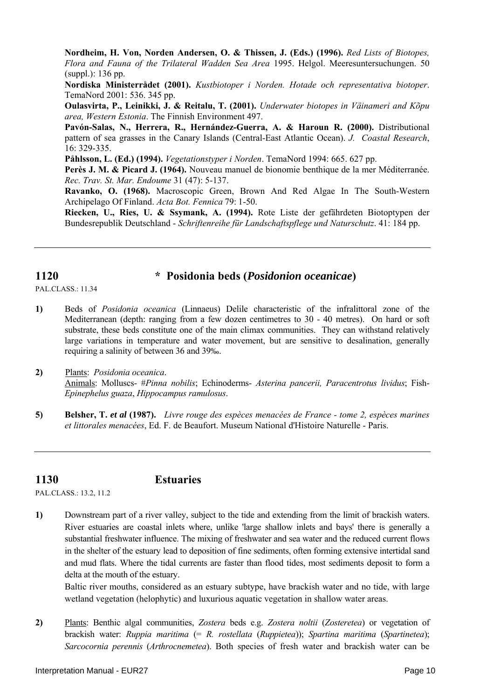**Nordheim, H. Von, Norden Andersen, O. & Thissen, J. (Eds.) (1996).** *Red Lists of Biotopes, Flora and Fauna of the Trilateral Wadden Sea Area* 1995. Helgol. Meeresuntersuchungen. 50 (suppl.): 136 pp.

**Nordiska Ministerrådet (2001).** *Kustbiotoper i Norden. Hotade och representativa biotoper*. TemaNord 2001: 536. 345 pp.

**Oulasvirta, P., Leinikki, J. & Reitalu, T. (2001).** *Underwater biotopes in Väinameri and Kõpu area, Western Estonia*. The Finnish Environment 497.

**Pavón-Salas, N., Herrera, R., Hernández-Guerra, A. & Haroun R. (2000).** Distributional pattern of sea grasses in the Canary Islands (Central-East Atlantic Ocean). *J. Coastal Research*, 16: 329-335.

**Påhlsson, L. (Ed.) (1994).** *Vegetationstyper i Norden*. TemaNord 1994: 665. 627 pp.

**Perès J. M. & Picard J. (1964).** Nouveau manuel de bionomie benthique de la mer Méditerranée. *Rec. Trav. St. Mar. Endoume* 31 (47): 5-137.

**Ravanko, O. (1968).** Macroscopic Green, Brown And Red Algae In The South-Western Archipelago Of Finland. *Acta Bot. Fennica* 79: 1-50.

**Riecken, U., Ries, U. & Ssymank, A. (1994).** Rote Liste der gefährdeten Biotoptypen der Bundesrepublik Deutschland - *Schriftenreihe für Landschaftspflege und Naturschutz*. 41: 184 pp.

#### **1120 \* Posidonia beds (***Posidonion oceanicae***)**

PAL.CLASS.: 11.34

- **1)** Beds of *Posidonia oceanica* (Linnaeus) Delile characteristic of the infralittoral zone of the Mediterranean (depth: ranging from a few dozen centimetres to 30 - 40 metres). On hard or soft substrate, these beds constitute one of the main climax communities. They can withstand relatively large variations in temperature and water movement, but are sensitive to desalination, generally requiring a salinity of between 36 and 39‰.
- **2)** Plants: *Posidonia oceanica*. Animals: Molluscs- #*Pinna nobilis*; Echinoderms- *Asterina pancerii, Paracentrotus lividus*; Fish-*Epinephelus guaza*, *Hippocampus ramulosus*.
- **5) Belsher, T.** *et al* **(1987).** *Livre rouge des espèces menacées de France tome 2, espèces marines et littorales menacées*, Ed. F. de Beaufort. Museum National d'Histoire Naturelle - Paris.

### **1130 Estuaries**

PAL.CLASS.: 13.2, 11.2

**1)** Downstream part of a river valley, subject to the tide and extending from the limit of brackish waters. River estuaries are coastal inlets where, unlike 'large shallow inlets and bays' there is generally a substantial freshwater influence. The mixing of freshwater and sea water and the reduced current flows in the shelter of the estuary lead to deposition of fine sediments, often forming extensive intertidal sand and mud flats. Where the tidal currents are faster than flood tides, most sediments deposit to form a delta at the mouth of the estuary.

Baltic river mouths, considered as an estuary subtype, have brackish water and no tide, with large wetland vegetation (helophytic) and luxurious aquatic vegetation in shallow water areas.

**2)** Plants: Benthic algal communities, *Zostera* beds e.g. *Zostera noltii* (*Zosteretea*) or vegetation of brackish water: *Ruppia maritima* (= *R. rostellata* (*Ruppietea*)); *Spartina maritima* (*Spartinetea*); *Sarcocornia perennis* (*Arthrocnemetea*). Both species of fresh water and brackish water can be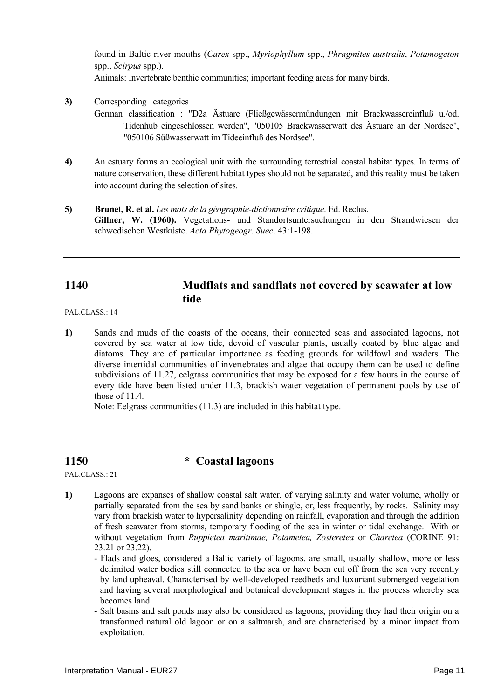found in Baltic river mouths (*Carex* spp., *Myriophyllum* spp., *Phragmites australis*, *Potamogeton* spp., *Scirpus* spp.).

Animals: Invertebrate benthic communities; important feeding areas for many birds.

- **3)** Corresponding categories
	- German classification : "D2a Ästuare (Fließgewässermündungen mit Brackwassereinfluß u./od. Tidenhub eingeschlossen werden", "050105 Brackwasserwatt des Ästuare an der Nordsee", "050106 Süßwasserwatt im Tideeinfluß des Nordsee".
- **4)** An estuary forms an ecological unit with the surrounding terrestrial coastal habitat types. In terms of nature conservation, these different habitat types should not be separated, and this reality must be taken into account during the selection of sites.
- **5) Brunet, R. et al.** *Les mots de la géographie-dictionnaire critique*. Ed. Reclus. **Gillner, W. (1960).** Vegetations- und Standortsuntersuchungen in den Strandwiesen der schwedischen Westküste. *Acta Phytogeogr. Suec*. 43:1-198.

#### **1140 Mudflats and sandflats not covered by seawater at low tide**

PAL.CLASS.: 14

**1)** Sands and muds of the coasts of the oceans, their connected seas and associated lagoons, not covered by sea water at low tide, devoid of vascular plants, usually coated by blue algae and diatoms. They are of particular importance as feeding grounds for wildfowl and waders. The diverse intertidal communities of invertebrates and algae that occupy them can be used to define subdivisions of 11.27, eelgrass communities that may be exposed for a few hours in the course of every tide have been listed under 11.3, brackish water vegetation of permanent pools by use of those of 11.4.

Note: Eelgrass communities (11.3) are included in this habitat type.

# **1150 \* Coastal lagoons**

PAL.CLASS.: 21

- **1)** Lagoons are expanses of shallow coastal salt water, of varying salinity and water volume, wholly or partially separated from the sea by sand banks or shingle, or, less frequently, by rocks. Salinity may vary from brackish water to hypersalinity depending on rainfall, evaporation and through the addition of fresh seawater from storms, temporary flooding of the sea in winter or tidal exchange. With or without vegetation from *Ruppietea maritimae, Potametea, Zosteretea* or *Charetea* (CORINE 91: 23.21 or 23.22).
	- Flads and gloes, considered a Baltic variety of lagoons, are small, usually shallow, more or less delimited water bodies still connected to the sea or have been cut off from the sea very recently by land upheaval. Characterised by well-developed reedbeds and luxuriant submerged vegetation and having several morphological and botanical development stages in the process whereby sea becomes land.
	- Salt basins and salt ponds may also be considered as lagoons, providing they had their origin on a transformed natural old lagoon or on a saltmarsh, and are characterised by a minor impact from exploitation.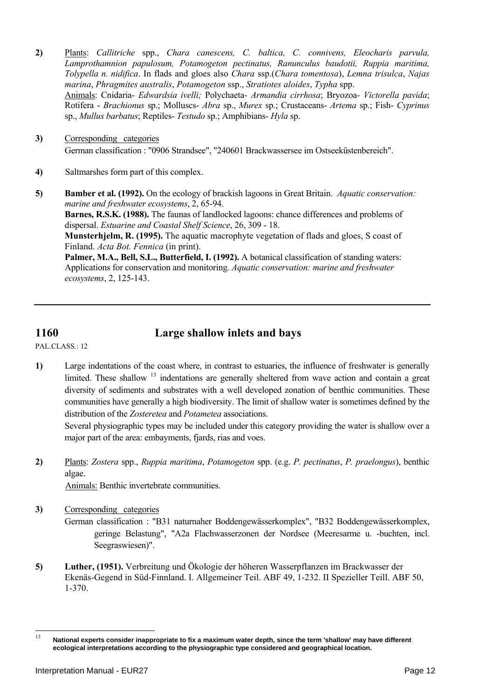- **2)** Plants: *Callitriche* spp., *Chara canescens, C. baltica, C. connivens, Eleocharis parvula, Lamprothamnion papulosum, Potamogeton pectinatus, Ranunculus baudotii, Ruppia maritima, Tolypella n. nidifica*. In flads and gloes also *Chara* ssp.(*Chara tomentosa*), *Lemna trisulca*, *Najas marina*, *Phragmites australis*, *Potamogeton* ssp., *Stratiotes aloides*, *Typha* spp. Animals: Cnidaria- *Edwardsia ivelli;* Polychaeta- *Armandia cirrhosa*; Bryozoa- *Victorella pavida*; Rotifera - *Brachionus* sp.; Molluscs- *Abra* sp., *Murex* sp.; Crustaceans- *Artema* sp.; Fish- *Cyprinus*  sp., *Mullus barbatus*; Reptiles- *Testudo* sp.; Amphibians- *Hyla* sp.
- **3)** Corresponding categories German classification : "0906 Strandsee", "240601 Brackwassersee im Ostseeküstenbereich".
- **4)** Saltmarshes form part of this complex.
- **5) Bamber et al. (1992).** On the ecology of brackish lagoons in Great Britain. *Aquatic conservation: marine and freshwater ecosystems*, 2, 65-94. **Barnes, R.S.K. (1988).** The faunas of landlocked lagoons: chance differences and problems of dispersal. *Estuarine and Coastal Shelf Science*, 26, 309 - 18. **Munsterhjelm, R. (1995).** The aquatic macrophyte vegetation of flads and gloes, S coast of Finland. *Acta Bot. Fennica* (in print). **Palmer, M.A., Bell, S.L., Butterfield, I. (1992).** A botanical classification of standing waters: Applications for conservation and monitoring. *Aquatic conservation: marine and freshwater ecosystems*, 2, 125-143.

# **1160 Large shallow inlets and bays**

PAL.CLASS.: 12

**1)** Large indentations of the coast where, in contrast to estuaries, the influence of freshwater is generally limited. These shallow <sup>13</sup> indentations are generally sheltered from wave action and contain a great diversity of sediments and substrates with a well developed zonation of benthic communities. These communities have generally a high biodiversity. The limit of shallow water is sometimes defined by the distribution of the *Zosteretea* and *Potametea* associations.

 Several physiographic types may be included under this category providing the water is shallow over a major part of the area: embayments, fjards, rias and voes.

**2)** Plants: *Zostera* spp., *Ruppia maritima*, *Potamogeton* spp. (e.g. *P. pectinatus*, *P. praelongus*), benthic algae.

Animals: Benthic invertebrate communities.

- **3)** Corresponding categories
	- German classification : "B31 naturnaher Boddengewässerkomplex", "B32 Boddengewässerkomplex, geringe Belastung", "A2a Flachwasserzonen der Nordsee (Meeresarme u. -buchten, incl. Seegraswiesen)".
- **5) Luther, (1951).** Verbreitung und Ökologie der höheren Wasserpflanzen im Brackwasser der Ekenäs-Gegend in Süd-Finnland. I. Allgemeiner Teil. ABF 49, 1-232. II Spezieller Teill. ABF 50, 1-370.

<sup>13</sup> <sup>13</sup> **National experts consider inappropriate to fix a maximum water depth, since the term 'shallow' may have different ecological interpretations according to the physiographic type considered and geographical location.**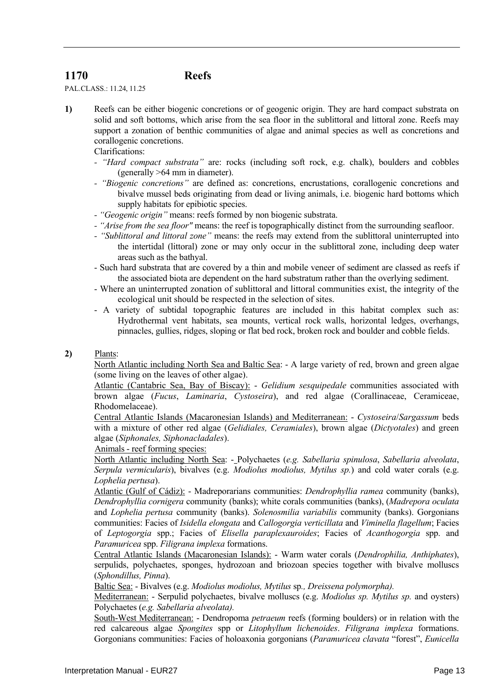# **1170 Reefs**

PAL.CLASS.: 11.24, 11.25

**1)** Reefs can be either biogenic concretions or of geogenic origin. They are hard compact substrata on solid and soft bottoms, which arise from the sea floor in the sublittoral and littoral zone. Reefs may support a zonation of benthic communities of algae and animal species as well as concretions and corallogenic concretions.

Clarifications:

- *"Hard compact substrata"* are: rocks (including soft rock, e.g. chalk), boulders and cobbles (generally >64 mm in diameter).
- *"Biogenic concretions"* are defined as: concretions, encrustations, corallogenic concretions and bivalve mussel beds originating from dead or living animals, i.e. biogenic hard bottoms which supply habitats for epibiotic species.
- *"Geogenic origin"* means: reefs formed by non biogenic substrata.
- *"Arise from the sea floor"* means: the reef is topographically distinct from the surrounding seafloor.
- *"Sublittoral and littoral zone"* means: the reefs may extend from the sublittoral uninterrupted into the intertidal (littoral) zone or may only occur in the sublittoral zone, including deep water areas such as the bathyal.
- Such hard substrata that are covered by a thin and mobile veneer of sediment are classed as reefs if the associated biota are dependent on the hard substratum rather than the overlying sediment.
- Where an uninterrupted zonation of sublittoral and littoral communities exist, the integrity of the ecological unit should be respected in the selection of sites.
- A variety of subtidal topographic features are included in this habitat complex such as: Hydrothermal vent habitats, sea mounts, vertical rock walls, horizontal ledges, overhangs, pinnacles, gullies, ridges, sloping or flat bed rock, broken rock and boulder and cobble fields.

#### **2)** Plants:

North Atlantic including North Sea and Baltic Sea: - A large variety of red, brown and green algae (some living on the leaves of other algae).

Atlantic (Cantabric Sea, Bay of Biscay): - *Gelidium sesquipedale* communities associated with brown algae (*Fucus*, *Laminaria*, *Cystoseira*), and red algae (Corallinaceae, Ceramiceae, Rhodomelaceae).

Central Atlantic Islands (Macaronesian Islands) and Mediterranean: - *Cystoseira*/*Sargassum* beds with a mixture of other red algae (*Gelidiales, Ceramiales*), brown algae (*Dictyotales*) and green algae (*Siphonales, Siphonacladales*).

Animals - reef forming species:

North Atlantic including North Sea: - Polychaetes (*e.g. Sabellaria spinulosa*, *Sabellaria alveolata*, *Serpula vermicularis*), bivalves (e.g. *Modiolus modiolus, Mytilus sp.*) and cold water corals (e.g. *Lophelia pertusa*).

Atlantic (Gulf of Cádiz): - Madreporarians communities: *Dendrophyllia ramea* community (banks), *Dendrophyllia cornigera* community (banks); white corals communities (banks), (*Madrepora oculata* and *Lophelia pertusa* community (banks). *Solenosmilia variabilis* community (banks). Gorgonians communities: Facies of *Isidella elongata* and *Callogorgia verticillata* and *Viminella flagellum*; Facies of *Leptogorgia* spp.; Facies of *Elisella paraplexauroides*; Facies of *Acanthogorgia* spp. and *Paramuricea* spp. *Filigrana implexa* formations.

Central Atlantic Islands (Macaronesian Islands): - Warm water corals (*Dendrophilia, Anthiphates*), serpulids, polychaetes, sponges, hydrozoan and briozoan species together with bivalve molluscs (*Sphondillus, Pinna*).

Baltic Sea: - Bivalves (e.g. *Modiolus modiolus, Mytilus* sp*., Dreissena polymorpha).* 

Mediterranean: - Serpulid polychaetes, bivalve molluscs (e.g. *Modiolus sp. Mytilus sp.* and oysters) Polychaetes (*e.g. Sabellaria alveolata).*

South-West Mediterranean: - Dendropoma *petraeum* reefs (forming boulders) or in relation with the red calcareous algae *Spongites* spp or *Litophyllum lichenoides*. *Filigrana implexa* formations. Gorgonians communities: Facies of holoaxonia gorgonians (*Paramuricea clavata* "forest", *Eunicella*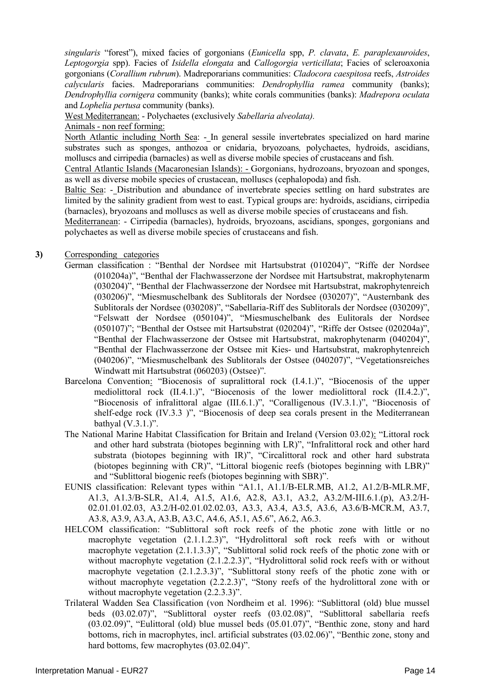*singularis* "forest"), mixed facies of gorgonians (*Eunicella* spp, *P. clavata*, *E. paraplexauroides*, *Leptogorgia* spp). Facies of *Isidella elongata* and *Callogorgia verticillata*; Facies of scleroaxonia gorgonians (*Corallium rubrum*). Madreporarians communities: *Cladocora caespitosa* reefs, *Astroides calycularis* facies. Madreporarians communities: *Dendrophyllia ramea* community (banks); *Dendrophyllia cornigera* community (banks); white corals communities (banks): *Madrepora oculata* and *Lophelia pertusa* community (banks).

West Mediterranean: - Polychaetes (exclusively *Sabellaria alveolata).*

Animals - non reef forming:

North Atlantic including North Sea: - In general sessile invertebrates specialized on hard marine substrates such as sponges, anthozoa or cnidaria, bryozoans*,* polychaetes, hydroids, ascidians, molluscs and cirripedia (barnacles) as well as diverse mobile species of crustaceans and fish.

Central Atlantic Islands (Macaronesian Islands): - Gorgonians, hydrozoans, bryozoan and sponges, as well as diverse mobile species of crustacean, molluscs (cephalopoda) and fish.

Baltic Sea: - Distribution and abundance of invertebrate species settling on hard substrates are limited by the salinity gradient from west to east. Typical groups are: hydroids, ascidians, cirripedia (barnacles), bryozoans and molluscs as well as diverse mobile species of crustaceans and fish.

Mediterranean: - Cirripedia (barnacles), hydroids, bryozoans, ascidians, sponges, gorgonians and polychaetes as well as diverse mobile species of crustaceans and fish.

#### **3)** Corresponding categories

- German classification : "Benthal der Nordsee mit Hartsubstrat (010204)", "Riffe der Nordsee (010204a)", "Benthal der Flachwasserzone der Nordsee mit Hartsubstrat, makrophytenarm (030204)", "Benthal der Flachwasserzone der Nordsee mit Hartsubstrat, makrophytenreich (030206)", "Miesmuschelbank des Sublitorals der Nordsee (030207)", "Austernbank des Sublitorals der Nordsee (030208)", "Sabellaria-Riff des Sublitorals der Nordsee (030209)", "Felswatt der Nordsee (050104)", "Miesmuschelbank des Eulitorals der Nordsee (050107)"; "Benthal der Ostsee mit Hartsubstrat (020204)", "Riffe der Ostsee (020204a)", "Benthal der Flachwasserzone der Ostsee mit Hartsubstrat, makrophytenarm (040204)", "Benthal der Flachwasserzone der Ostsee mit Kies- und Hartsubstrat, makrophytenreich (040206)", "Miesmuschelbank des Sublitorals der Ostsee (040207)", "Vegetationsreiches Windwatt mit Hartsubstrat (060203) (Ostsee)".
- Barcelona Convention: "Biocenosis of supralittoral rock (I.4.1.)", "Biocenosis of the upper mediolittoral rock (II.4.1.)", "Biocenosis of the lower mediolittoral rock (II.4.2.)", "Biocenosis of infralittoral algae (III.6.1.)", "Coralligenous (IV.3.1.)", "Biocenosis of shelf-edge rock (IV.3.3 )", "Biocenosis of deep sea corals present in the Mediterranean bathyal  $(V.3.1.)$ ".
- The National Marine Habitat Classification for Britain and Ireland (Version 03.02): "Littoral rock and other hard substrata (biotopes beginning with LR)", "Infralittoral rock and other hard substrata (biotopes beginning with IR)", "Circalittoral rock and other hard substrata (biotopes beginning with CR)", "Littoral biogenic reefs (biotopes beginning with LBR)" and "Sublittoral biogenic reefs (biotopes beginning with SBR)".
- EUNIS classification: Relevant types within "A1.1, A1.1/B-ELR.MB, A1.2, A1.2/B-MLR.MF, A1.3, A1.3/B-SLR, A1.4, A1.5, A1.6, A2.8, A3.1, A3.2, A3.2/M-III.6.1.(p), A3.2/H-02.01.01.02.03, A3.2/H-02.01.02.02.03, A3.3, A3.4, A3.5, A3.6, A3.6/B-MCR.M, A3.7, A3.8, A3.9, A3.A, A3.B, A3.C, A4.6, A5.1, A5.6", A6.2, A6.3.
- HELCOM classification: "Sublittoral soft rock reefs of the photic zone with little or no macrophyte vegetation (2.1.1.2.3)", "Hydrolittoral soft rock reefs with or without macrophyte vegetation (2.1.1.3.3)", "Sublittoral solid rock reefs of the photic zone with or without macrophyte vegetation  $(2.1.2.2.3)$ ", "Hydrolittoral solid rock reefs with or without macrophyte vegetation (2.1.2.3.3)", "Sublittoral stony reefs of the photic zone with or without macrophyte vegetation  $(2.2.2.3)$ ", "Stony reefs of the hydrolittoral zone with or without macrophyte vegetation  $(2.2.3.3)$ ".
- Trilateral Wadden Sea Classification (von Nordheim et al. 1996): "Sublittoral (old) blue mussel beds (03.02.07)", "Sublittoral oyster reefs (03.02.08)", "Sublittoral sabellaria reefs (03.02.09)", "Eulittoral (old) blue mussel beds (05.01.07)", "Benthic zone, stony and hard bottoms, rich in macrophytes, incl. artificial substrates (03.02.06)", "Benthic zone, stony and hard bottoms, few macrophytes  $(03.02.04)$ ".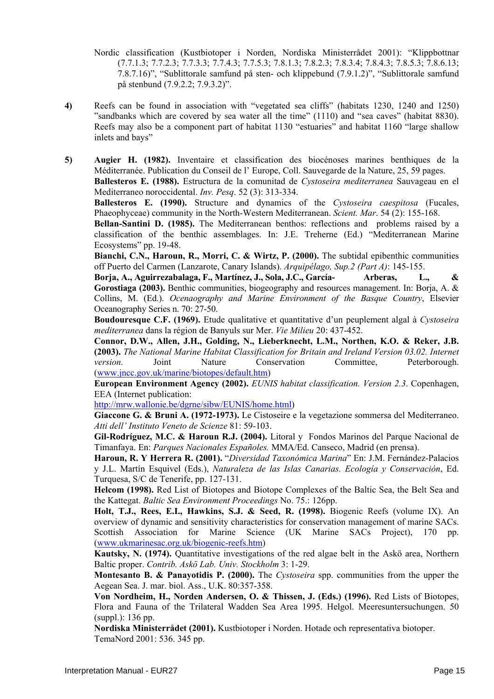Nordic classification (Kustbiotoper i Norden, Nordiska Ministerrådet 2001): "Klippbottnar (7.7.1.3; 7.7.2.3; 7.7.3.3; 7.7.4.3; 7.7.5.3; 7.8.1.3; 7.8.2.3; 7.8.3.4; 7.8.4.3; 7.8.5.3; 7.8.6.13; 7.8.7.16)", "Sublittorale samfund på sten- och klippebund (7.9.1.2)", "Sublittorale samfund på stenbund (7.9.2.2; 7.9.3.2)".

**4)** Reefs can be found in association with "vegetated sea cliffs" (habitats 1230, 1240 and 1250) "sandbanks which are covered by sea water all the time" (1110) and "sea caves" (habitat 8830). Reefs may also be a component part of habitat 1130 "estuaries" and habitat 1160 "large shallow inlets and bays"

**5) Augier H. (1982).** Inventaire et classification des biocénoses marines benthiques de la Méditerranée. Publication du Conseil de l' Europe, Coll. Sauvegarde de la Nature, 25, 59 pages. **Ballesteros E. (1988).** Estructura de la comunitad de *Cystoseira mediterranea* Sauvageau en el Mediterraneo noroccidental. *Inv. Pesq*. 52 (3): 313-334.

**Ballesteros E. (1990).** Structure and dynamics of the *Cystoseira caespitosa* (Fucales, Phaeophyceae) community in the North-Western Mediterranean. *Scient. Mar*. 54 (2): 155-168.

**Bellan-Santini D. (1985).** The Mediterranean benthos: reflections and problems raised by a classification of the benthic assemblages. In: J.E. Treherne (Ed.) "Mediterranean Marine Ecosystems" pp. 19-48.

**Bianchi, C.N., Haroun, R., Morri, C. & Wirtz, P. (2000).** The subtidal epibenthic communities off Puerto del Carmen (Lanzarote, Canary Islands). *Arquipélago, Sup.2 (Part A)*: 145-155.

**Borja, A., Aguirrezabalaga, F., Martínez, J., Sola, J.C., García- Arberas, L., & Gorostiaga (2003).** Benthic communities, biogeography and resources management. In: Borja, A. & Collins, M. (Ed.). *Ocenaography and Marine Environment of the Basque Country*, Elsevier Oceanography Series n. 70: 27-50.

**Boudouresque C.F. (1969).** Etude qualitative et quantitative d'un peuplement algal à *Cystoseira mediterranea* dans la région de Banyuls sur Mer. *Vie Milieu* 20: 437-452.

**Connor, D.W., Allen, J.H., Golding, N., Lieberknecht, L.M., Northen, K.O. & Reker, J.B. (2003).** *The National Marine Habitat Classification for Britain and Ireland Version 03.02. Internet version.* Joint Nature Conservation Committee, Peterborough. (www.jncc.gov.uk/marine/biotopes/default.htm)

**European Environment Agency (2002).** *EUNIS habitat classification. Version 2.3*. Copenhagen, EEA (Internet publication:

http://mrw.wallonie.be/dgrne/sibw/EUNIS/home.html)

**Giaccone G. & Bruni A. (1972-1973).** Le Cistoseire e la vegetazione sommersa del Mediterraneo. *Atti dell' Instituto Veneto de Scienze* 81: 59-103.

**Gil-Rodríguez, M.C. & Haroun R.J. (2004).** Litoral y Fondos Marinos del Parque Nacional de Timanfaya. En: *Parques Nacionales Españoles.* MMA/Ed. Canseco, Madrid (en prensa).

**Haroun, R. Y Herrera R. (2001).** "*Diversidad Taxonómica Marina*" En: J.M. Fernández-Palacios y J.L. Martín Esquivel (Eds.), *Naturaleza de las Islas Canarias. Ecología y Conservación*, Ed. Turquesa, S/C de Tenerife, pp. 127-131.

**Helcom (1998).** Red List of Biotopes and Biotope Complexes of the Baltic Sea, the Belt Sea and the Kattegat. *Baltic Sea Environment Proceedings* No. 75.: 126pp.

**Holt, T.J., Rees, E.I., Hawkins, S.J. & Seed, R. (1998).** Biogenic Reefs (volume IX). An overview of dynamic and sensitivity characteristics for conservation management of marine SACs. Scottish Association for Marine Science (UK Marine SACs Project), 170 pp. (www.ukmarinesac.org.uk/biogenic-reefs.htm)

**Kautsky, N. (1974).** Quantitative investigations of the red algae belt in the Askö area, Northern Baltic proper. *Contrib. Askö Lab. Univ. Stockholm* 3: 1-29.

**Montesanto B. & Panayotidis P. (2000).** The *Cystoseira* spp. communities from the upper the Aegean Sea. J. mar. biol. Ass., U.K. 80:357-358.

**Von Nordheim, H., Norden Andersen, O. & Thissen, J. (Eds.) (1996).** Red Lists of Biotopes, Flora and Fauna of the Trilateral Wadden Sea Area 1995. Helgol. Meeresuntersuchungen. 50 (suppl.): 136 pp.

**Nordiska Ministerrådet (2001).** Kustbiotoper i Norden. Hotade och representativa biotoper. TemaNord 2001: 536. 345 pp.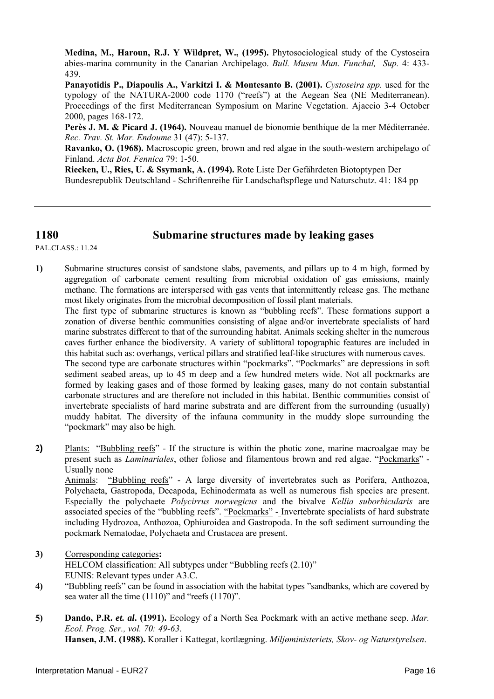**Medina, M., Haroun, R.J. Y Wildpret, W., (1995).** Phytosociological study of the Cystoseira abies-marina community in the Canarian Archipelago. *Bull. Museu Mun. Funchal, Sup.* 4: 433- 439.

**Panayotidis P., Diapoulis A., Varkitzi I. & Montesanto B. (2001).** *Cystoseira spp.* used for the typology of the NATURA-2000 code 1170 ("reefs") at the Aegean Sea (NE Mediterranean). Proceedings of the first Mediterranean Symposium on Marine Vegetation. Ajaccio 3-4 October 2000, pages 168-172.

**Perès J. M. & Picard J. (1964).** Nouveau manuel de bionomie benthique de la mer Méditerranée. *Rec. Trav. St. Mar. Endoume* 31 (47): 5-137.

**Ravanko, O. (1968).** Macroscopic green, brown and red algae in the south-western archipelago of Finland. *Acta Bot. Fennica* 79: 1-50.

**Riecken, U., Ries, U. & Ssymank, A. (1994).** Rote Liste Der Gefährdeten Biotoptypen Der Bundesrepublik Deutschland - Schriftenreihe für Landschaftspflege und Naturschutz. 41: 184 pp

### **1180 Submarine structures made by leaking gases**

PAL.CLASS.: 11.24

**1)** Submarine structures consist of sandstone slabs, pavements, and pillars up to 4 m high, formed by aggregation of carbonate cement resulting from microbial oxidation of gas emissions, mainly methane. The formations are interspersed with gas vents that intermittently release gas. The methane most likely originates from the microbial decomposition of fossil plant materials.

 The first type of submarine structures is known as "bubbling reefs". These formations support a zonation of diverse benthic communities consisting of algae and/or invertebrate specialists of hard marine substrates different to that of the surrounding habitat. Animals seeking shelter in the numerous caves further enhance the biodiversity. A variety of sublittoral topographic features are included in this habitat such as: overhangs, vertical pillars and stratified leaf-like structures with numerous caves.

The second type are carbonate structures within "pockmarks". "Pockmarks" are depressions in soft sediment seabed areas, up to 45 m deep and a few hundred meters wide. Not all pockmarks are formed by leaking gases and of those formed by leaking gases, many do not contain substantial carbonate structures and are therefore not included in this habitat. Benthic communities consist of invertebrate specialists of hard marine substrata and are different from the surrounding (usually) muddy habitat. The diversity of the infauna community in the muddy slope surrounding the "pockmark" may also be high.

**2)** Plants: "Bubbling reefs" - If the structure is within the photic zone, marine macroalgae may be present such as *Laminariales*, other foliose and filamentous brown and red algae. "Pockmarks" - Usually none

Animals: "Bubbling reefs" - A large diversity of invertebrates such as Porifera, Anthozoa, Polychaeta, Gastropoda, Decapoda, Echinodermata as well as numerous fish species are present. Especially the polychaete *Polycirrus norwegicus* and the bivalve *Kellia suborbicularis* are associated species of the "bubbling reefs". "Pockmarks" - Invertebrate specialists of hard substrate including Hydrozoa, Anthozoa, Ophiuroidea and Gastropoda. In the soft sediment surrounding the pockmark Nematodae, Polychaeta and Crustacea are present.

**3)** Corresponding categories**:**  HELCOM classification: All subtypes under "Bubbling reefs (2.10)" EUNIS: Relevant types under A3.C.

- **4)** "Bubbling reefs" can be found in association with the habitat types "sandbanks, which are covered by sea water all the time (1110)" and "reefs (1170)".
- **5) Dando, P.R.** *et. al***. (1991).** Ecology of a North Sea Pockmark with an active methane seep. *Mar. Ecol. Prog. Ser., vol. 70: 49-63*. **Hansen, J.M. (1988).** Koraller i Kattegat, kortlægning. *Miljøministeriets, Skov- og Naturstyrelsen*.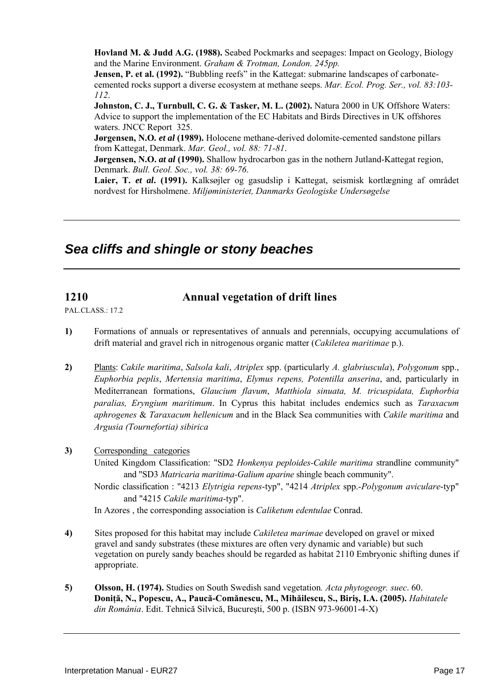**Hovland M. & Judd A.G. (1988).** Seabed Pockmarks and seepages: Impact on Geology, Biology and the Marine Environment. *Graham & Trotman, London. 245pp.* 

**Jensen, P. et al. (1992).** "Bubbling reefs" in the Kattegat: submarine landscapes of carbonatecemented rocks support a diverse ecosystem at methane seeps. *Mar. Ecol. Prog. Ser., vol. 83:103- 112*.

**Johnston, C. J., Turnbull, C. G. & Tasker, M. L. (2002).** Natura 2000 in UK Offshore Waters: Advice to support the implementation of the EC Habitats and Birds Directives in UK offshores waters. JNCC Report 325.

**Jørgensen, N.O***. et al* **(1989).** Holocene methane-derived dolomite-cemented sandstone pillars from Kattegat, Denmark. *Mar. Geol., vol. 88: 71-81*.

**Jørgensen, N.O.** *at al* (1990). Shallow hydrocarbon gas in the nothern Jutland-Kattegat region, Denmark. *Bull. Geol. Soc., vol. 38: 69-76*.

Laier, T. *et al.* (1991). Kalksøjler og gasudslip i Kattegat, seismisk kortlægning af området nordvest for Hirsholmene. *Miljøministeriet, Danmarks Geologiske Undersøgelse*

## *Sea cliffs and shingle or stony beaches*

#### **1210 Annual vegetation of drift lines**

PAL.CLASS $\cdot$  17.2.

- **1)** Formations of annuals or representatives of annuals and perennials, occupying accumulations of drift material and gravel rich in nitrogenous organic matter (*Cakiletea maritimae* p.).
- **2)** Plants: *Cakile maritima*, *Salsola kali*, *Atriplex* spp. (particularly *A. glabriuscula*), *Polygonum* spp., *Euphorbia peplis*, *Mertensia maritima*, *Elymus repens, Potentilla anserina*, and, particularly in Mediterranean formations, *Glaucium flavum*, *Matthiola sinuata, M. tricuspidata, Euphorbia paralias, Eryngium maritimum*. In Cyprus this habitat includes endemics such as *Taraxacum aphrogenes* & *Taraxacum hellenicum* and in the Black Sea communities with *Cakile maritima* and *Argusia (Tournefortia) sibirica*
- **3)** Corresponding categories

United Kingdom Classification: "SD2 *Honkenya peploides-Cakile maritima* strandline community" and "SD3 *Matricaria maritima-Galium aparine* shingle beach community".

Nordic classification : "4213 *Elytrigia repens*-typ", "4214 *Atriplex* spp.-*Polygonum aviculare*-typ" and "4215 *Cakile maritima*-typ".

In Azores , the corresponding association is *Caliketum edentulae* Conrad.

- **4)** Sites proposed for this habitat may include *Cakiletea marimae* developed on gravel or mixed gravel and sandy substrates (these mixtures are often very dynamic and variable) but such vegetation on purely sandy beaches should be regarded as habitat 2110 Embryonic shifting dunes if appropriate.
- **5) Olsson, H. (1974).** Studies on South Swedish sand vegetation*. Acta phytogeogr. suec*. 60. **Doniţă, N., Popescu, A., Paucă-Comănescu, M., Mihăilescu, S., Biriş, I.A. (2005).** *Habitatele din România*. Edit. Tehnică Silvică, Bucureşti, 500 p. (ISBN 973-96001-4-X)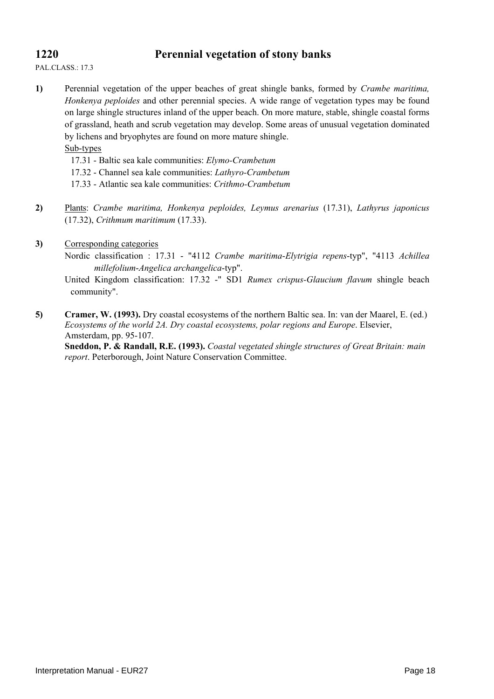#### **1220 Perennial vegetation of stony banks**

PAL.CLASS.: 17.3

**1)** Perennial vegetation of the upper beaches of great shingle banks, formed by *Crambe maritima, Honkenya peploides* and other perennial species. A wide range of vegetation types may be found on large shingle structures inland of the upper beach. On more mature, stable, shingle coastal forms of grassland, heath and scrub vegetation may develop. Some areas of unusual vegetation dominated by lichens and bryophytes are found on more mature shingle.

Sub-types

- 17.31 Baltic sea kale communities: *Elymo-Crambetum*
- 17.32 Channel sea kale communities: *Lathyro-Crambetum*
- 17.33 Atlantic sea kale communities: *Crithmo-Crambetum*
- **2)** Plants: *Crambe maritima, Honkenya peploides, Leymus arenarius* (17.31), *Lathyrus japonicus* (17.32), *Crithmum maritimum* (17.33).
- **3)** Corresponding categories
	- Nordic classification : 17.31 "4112 *Crambe maritima*-*Elytrigia repens*-typ", "4113 *Achillea millefolium*-*Angelica archangelica*-typ".

United Kingdom classification: 17.32 -" SD1 *Rumex crispus-Glaucium flavum* shingle beach community".

**5) Cramer, W. (1993).** Dry coastal ecosystems of the northern Baltic sea. In: van der Maarel, E. (ed.) *Ecosystems of the world 2A. Dry coastal ecosystems, polar regions and Europe*. Elsevier, Amsterdam, pp. 95-107.

**Sneddon, P. & Randall, R.E. (1993).** *Coastal vegetated shingle structures of Great Britain: main report*. Peterborough, Joint Nature Conservation Committee.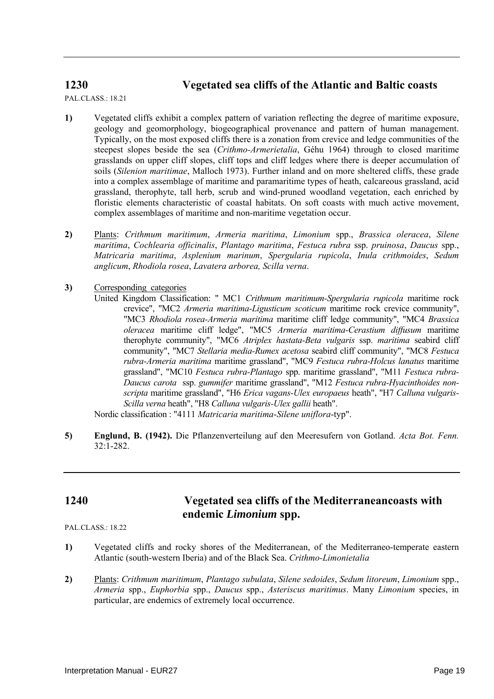#### **1230 Vegetated sea cliffs of the Atlantic and Baltic coasts**

PAL.CLASS.: 18.21

- **1)** Vegetated cliffs exhibit a complex pattern of variation reflecting the degree of maritime exposure, geology and geomorphology, biogeographical provenance and pattern of human management. Typically, on the most exposed cliffs there is a zonation from crevice and ledge communities of the steepest slopes beside the sea (*Crithmo-Armerietalia*, Géhu 1964) through to closed maritime grasslands on upper cliff slopes, cliff tops and cliff ledges where there is deeper accumulation of soils (*Silenion maritimae*, Malloch 1973). Further inland and on more sheltered cliffs, these grade into a complex assemblage of maritime and paramaritime types of heath, calcareous grassland, acid grassland, therophyte, tall herb, scrub and wind-pruned woodland vegetation, each enriched by floristic elements characteristic of coastal habitats. On soft coasts with much active movement, complex assemblages of maritime and non-maritime vegetation occur.
- **2)** Plants: *Crithmum maritimum*, *Armeria maritima*, *Limonium* spp., *Brassica oleracea*, *Silene maritima*, *Cochlearia officinalis*, *Plantago maritima*, *Festuca rubra* ssp. *pruinosa*, *Daucus* spp., *Matricaria maritima*, *Asplenium marinum*, *Spergularia rupicola*, *Inula crithmoides*, *Sedum anglicum*, *Rhodiola rosea*, *Lavatera arborea, Scilla verna*.
- **3)** Corresponding categories
	- United Kingdom Classification: " MC1 *Crithmum maritimum-Spergularia rupicola* maritime rock crevice", "MC2 *Armeria maritima-Ligusticum scoticum* maritime rock crevice community", "MC3 *Rhodiola rosea-Armeria maritima* maritime cliff ledge community", "MC4 *Brassica oleracea* maritime cliff ledge", "MC5 *Armeria maritima-Cerastium diffusum* maritime therophyte community", "MC6 *Atriplex hastata-Beta vulgaris* ssp. *maritima* seabird cliff community", "MC7 *Stellaria media-Rumex acetosa* seabird cliff community", "MC8 *Festuca rubra-Armeria maritima* maritime grassland", "MC9 *Festuca rubra-Holcus lanatus* maritime grassland", "MC10 *Festuca rubra-Plantago* spp. maritime grassland", "M11 *Festuca rubra-Daucus carota* ssp. *gummifer* maritime grassland", "M12 *Festuca rubra-Hyacinthoides nonscripta* maritime grassland", "H6 *Erica vagans-Ulex europaeus* heath", "H7 *Calluna vulgaris-Scilla verna* heath", "H8 *Calluna vulgaris-Ulex gallii* heath".

Nordic classification : "4111 *Matricaria maritima*-*Silene uniflora*-typ".

**5) Englund, B. (1942).** Die Pflanzenverteilung auf den Meeresufern von Gotland. *Acta Bot. Fenn.* 32:1-282.

#### **1240 Vegetated sea cliffs of the Mediterraneancoasts with endemic** *Limonium* **spp.**

PAL.CLASS.: 18.22

- **1)** Vegetated cliffs and rocky shores of the Mediterranean, of the Mediterraneo-temperate eastern Atlantic (south-western Iberia) and of the Black Sea. *Crithmo-Limonietalia*
- **2)** Plants: *Crithmum maritimum*, *Plantago subulata*, *Silene sedoides*, *Sedum litoreum*, *Limonium* spp., *Armeria* spp., *Euphorbia* spp., *Daucus* spp., *Asteriscus maritimus*. Many *Limonium* species, in particular, are endemics of extremely local occurrence.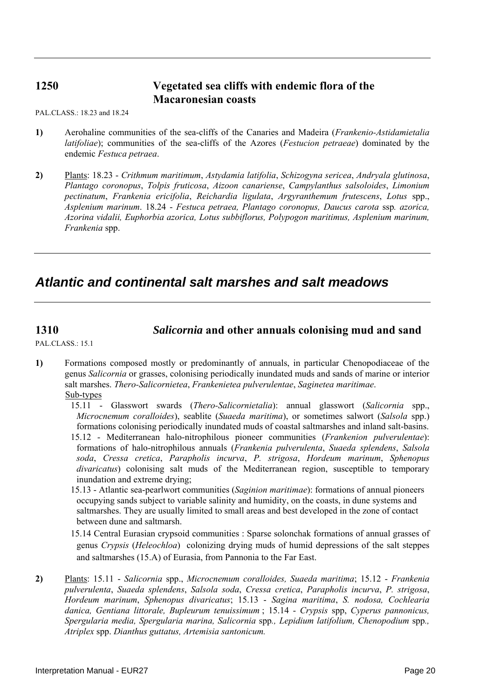#### **1250 Vegetated sea cliffs with endemic flora of the Macaronesian coasts**

PAL.CLASS : 18.23 and 18.24

- **1)** Aerohaline communities of the sea-cliffs of the Canaries and Madeira (*Frankenio-Astidamietalia latifoliae*); communities of the sea-cliffs of the Azores (*Festucion petraeae*) dominated by the endemic *Festuca petraea*.
- **2)** Plants: 18.23 *Crithmum maritimum*, *Astydamia latifolia*, *Schizogyna sericea*, *Andryala glutinosa*, *Plantago coronopus*, *Tolpis fruticosa*, *Aizoon canariense*, *Campylanthus salsoloides*, *Limonium pectinatum*, *Frankenia ericifolia*, *Reichardia ligulata*, *Argyranthemum frutescens*, *Lotus* spp., *Asplenium marinum*. 18.24 - *Festuca petraea, Plantago coronopus, Daucus carota* ssp*. azorica, Azorina vidalii, Euphorbia azorica, Lotus subbiflorus, Polypogon maritimus, Asplenium marinum, Frankenia* spp.

### *Atlantic and continental salt marshes and salt meadows*

#### **1310** *Salicornia* **and other annuals colonising mud and sand**

PAL.CLASS.: 15.1

- **1)** Formations composed mostly or predominantly of annuals, in particular Chenopodiaceae of the genus *Salicornia* or grasses, colonising periodically inundated muds and sands of marine or interior salt marshes. *Thero-Salicornietea*, *Frankenietea pulverulentae*, *Saginetea maritimae*. Sub-types
	- 15.11 Glasswort swards (*Thero-Salicornietalia*): annual glasswort (*Salicornia* spp., *Microcnemum coralloides*), seablite (*Suaeda maritima*), or sometimes salwort (*Salsola* spp.) formations colonising periodically inundated muds of coastal saltmarshes and inland salt-basins.
	- 15.12 Mediterranean halo-nitrophilous pioneer communities (*Frankenion pulverulentae*): formations of halo-nitrophilous annuals (*Frankenia pulverulenta*, *Suaeda splendens*, *Salsola soda*, *Cressa cretica*, *Parapholis incurva*, *P. strigosa*, *Hordeum marinum*, *Sphenopus divaricatus*) colonising salt muds of the Mediterranean region, susceptible to temporary inundation and extreme drying;
	- 15.13 Atlantic sea-pearlwort communities (*Saginion maritimae*): formations of annual pioneers occupying sands subject to variable salinity and humidity, on the coasts, in dune systems and saltmarshes. They are usually limited to small areas and best developed in the zone of contact between dune and saltmarsh.
	- 15.14 Central Eurasian crypsoid communities : Sparse solonchak formations of annual grasses of genus *Crypsis* (*Heleochloa*) colonizing drying muds of humid depressions of the salt steppes and saltmarshes (15.A) of Eurasia, from Pannonia to the Far East.
- **2)** Plants: 15.11 *Salicornia* spp., *Microcnemum coralloides, Suaeda maritima*; 15.12 *Frankenia pulverulenta*, *Suaeda splendens*, *Salsola soda*, *Cressa cretica*, *Parapholis incurva*, *P. strigosa*, *Hordeum marinum*, *Sphenopus divaricatus*; 15.13 - *Sagina maritima*, *S. nodosa, Cochlearia danica, Gentiana littorale, Bupleurum tenuissimum* ; 15.14 - *Crypsis* spp, *Cyperus pannonicus, Spergularia media, Spergularia marina, Salicornia* spp*., Lepidium latifolium, Chenopodium* spp*., Atriplex* spp. *Dianthus guttatus, Artemisia santonicum.*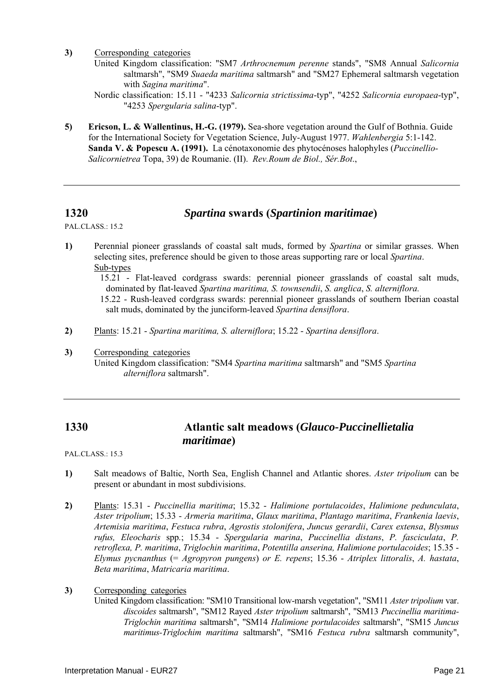**3)** Corresponding categories

United Kingdom classification: "SM7 *Arthrocnemum perenne* stands", "SM8 Annual *Salicornia* saltmarsh", "SM9 *Suaeda maritima* saltmarsh" and "SM27 Ephemeral saltmarsh vegetation with *Sagina maritima*".

**5) Ericson, L. & Wallentinus, H.-G. (1979).** Sea-shore vegetation around the Gulf of Bothnia. Guide for the International Society for Vegetation Science, July-August 1977. *Wahlenbergia* 5:1-142. **Sanda V. & Popescu A. (1991).** La cénotaxonomie des phytocénoses halophyles (*Puccinellio-Salicornietrea* Topa, 39) de Roumanie. (II). *Rev.Roum de Biol., Sér.Bot*.,

#### **1320** *Spartina* **swards (***Spartinion maritimae***)**

PAL.CLASS.: 15.2

**1)** Perennial pioneer grasslands of coastal salt muds, formed by *Spartina* or similar grasses. When selecting sites, preference should be given to those areas supporting rare or local *Spartina*. Sub-types

15.21 - Flat-leaved cordgrass swards: perennial pioneer grasslands of coastal salt muds, dominated by flat-leaved *Spartina maritima, S. townsendii*, *S. anglica*, *S. alterniflora.* 

15.22 - Rush-leaved cordgrass swards: perennial pioneer grasslands of southern Iberian coastal salt muds, dominated by the junciform-leaved *Spartina densiflora*.

- **2)** Plants: 15.21 *Spartina maritima, S. alterniflora*; 15.22 *Spartina densiflora*.
- **3)** Corresponding categories United Kingdom classification: "SM4 *Spartina maritima* saltmarsh" and "SM5 *Spartina alterniflora* saltmarsh".

#### **1330 Atlantic salt meadows (***Glauco-Puccinellietalia maritimae***)**

PAL.CLASS.: 15.3

- **1)** Salt meadows of Baltic, North Sea, English Channel and Atlantic shores. *Aster tripolium* can be present or abundant in most subdivisions.
- **2)** Plants: 15.31 *Puccinellia maritima*; 15.32 *Halimione portulacoides*, *Halimione pedunculata*, *Aster tripolium*; 15.33 - *Armeria maritima*, *Glaux maritima*, *Plantago maritima*, *Frankenia laevis*, *Artemisia maritima*, *Festuca rubra*, *Agrostis stolonifera*, *Juncus gerardii*, *Carex extensa*, *Blysmus rufus, Eleocharis* spp*.*; 15.34 - *Spergularia marina*, *Puccinellia distans*, *P. fasciculata*, *P. retroflexa, P. maritima*, *Triglochin maritima*, *Potentilla anserina, Halimione portulacoides*; 15.35 - *Elymus pycnanthus* (= *Agropyron pungens*) *or E. repens*; 15.36 - *Atriplex littoralis*, *A. hastata*, *Beta maritima*, *Matricaria maritima*.
- **3)** Corresponding categories
	- United Kingdom classification: "SM10 Transitional low-marsh vegetation", "SM11 *Aster tripolium* var. *discoides* saltmarsh", "SM12 Rayed *Aster tripolium* saltmarsh", "SM13 *Puccinellia maritima-Triglochin maritima* saltmarsh", "SM14 *Halimione portulacoides* saltmarsh", "SM15 *Juncus maritimus-Triglochim maritima* saltmarsh", "SM16 *Festuca rubra* saltmarsh community",

Nordic classification: 15.11 - "4233 *Salicornia strictissima*-typ", "4252 *Salicornia europaea*-typ", "4253 *Spergularia salina*-typ".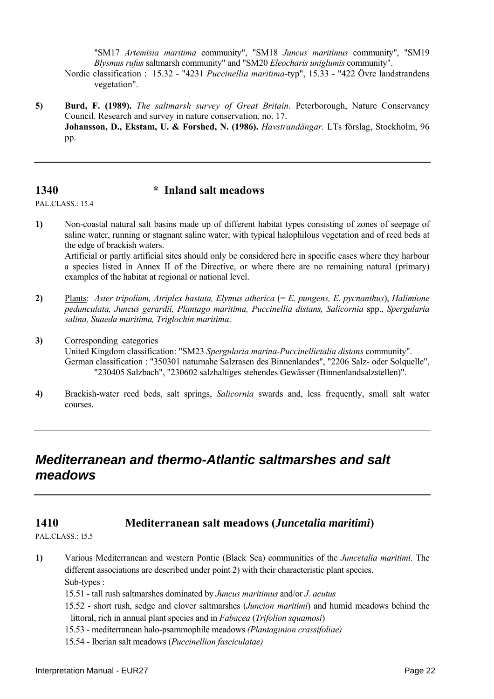"SM17 *Artemisia maritima* community", "SM18 *Juncus maritimus* community", "SM19 *Blysmus rufus* saltmarsh community" and "SM20 *Eleocharis uniglumis* community".

Nordic classification : 15.32 - "4231 *Puccinellia maritima*-typ", 15.33 - "422 Övre landstrandens vegetation".

**5) Burd, F. (1989).** *The saltmarsh survey of Great Britain*. Peterborough, Nature Conservancy Council. Research and survey in nature conservation, no. 17. **Johansson, D., Ekstam, U. & Forshed, N. (1986).** *Havstrandängar.* LTs förslag, Stockholm, 96 pp.

#### **1340 \* Inland salt meadows**

PAL.CLASS.: 15.4

**1)** Non-coastal natural salt basins made up of different habitat types consisting of zones of seepage of saline water, running or stagnant saline water, with typical halophilous vegetation and of reed beds at the edge of brackish waters. Artificial or partly artificial sites should only be considered here in specific cases where they harbour

a species listed in Annex II of the Directive, or where there are no remaining natural (primary) examples of the habitat at regional or national level.

- **2)** Plants: *Aster tripolium, Atriplex hastata, Elymus atherica* (= *E. pungens, E. pycnanthus*), *Halimione pedunculata, Juncus gerardii, Plantago maritima, Puccinellia distans, Salicornia* spp., *Spergularia salina, Suaeda maritima, Triglochin maritima*.
- **3)** Corresponding categories United Kingdom classification: "SM23 *Spergularia marina-Puccinellietalia distans* community". German classification : "350301 naturnahe Salzrasen des Binnenlandes", "2206 Salz- oder Solquelle", "230405 Salzbach", "230602 salzhaltiges stehendes Gewässer (Binnenlandsalzstellen)".
- **4)** Brackish-water reed beds, salt springs, *Salicornia* swards and, less frequently, small salt water courses.

# *Mediterranean and thermo-Atlantic saltmarshes and salt meadows*

#### **1410 Mediterranean salt meadows (***Juncetalia maritimi***)**

PAL.CLASS.: 15.5

- **1)** Various Mediterranean and western Pontic (Black Sea) communities of the *Juncetalia maritimi*. The different associations are described under point 2) with their characteristic plant species. Sub-types :
	- 15.51 tall rush saltmarshes dominated by *Juncus maritimus* and/or *J. acutus*
	- 15.52 short rush, sedge and clover saltmarshes (*Juncion maritimi*) and humid meadows behind the littoral, rich in annual plant species and in *Fabacea* (*Trifolion squamosi*)
	- 15.53 mediterranean halo-psammophile meadows *(Plantaginion crassifoliae)*
	- 15.54 Iberian salt meadows (*Puccinellion fasciculatae)*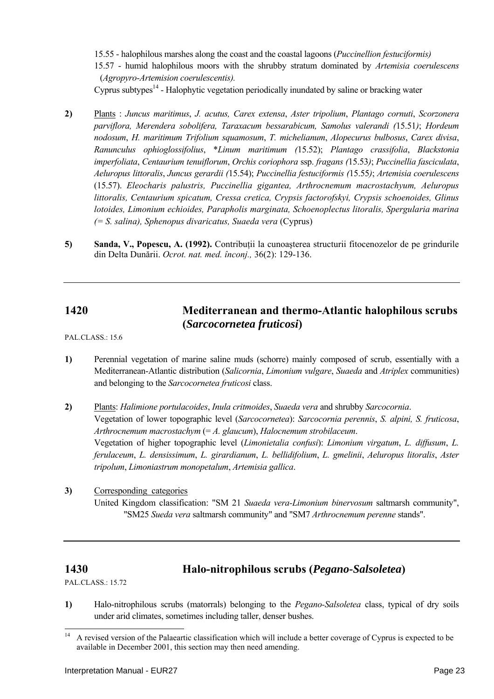15.55 - halophilous marshes along the coast and the coastal lagoons (*Puccinellion festuciformis)* 15.57 - humid halophilous moors with the shrubby stratum dominated by *Artemisia coerulescens* (*Agropyro-Artemision coerulescentis).* 

Cyprus subtypes<sup> $14$ </sup> - Halophytic vegetation periodically inundated by saline or bracking water

- **2)** Plants : *Juncus maritimus*, *J. acutus, Carex extensa*, *Aster tripolium*, *Plantago cornuti*, *Scorzonera parviflora, Merendera sobolifera, Taraxacum bessarabicum, Samolus valerandi (*15.51*)*; *Hordeum nodosum*, *H. maritimum Trifolium squamosum*, *T. michelianum*, *Alopecurus bulbosus*, *Carex divisa*, *Ranunculus ophioglossifolius*, \**Linum maritimum (*15.52); *Plantago crassifolia*, *Blackstonia imperfoliata*, *Centaurium tenuiflorum*, *Orchis coriophora* ssp. *fragans (*15.53*)*; *Puccinellia fasciculata*, *Aeluropus littoralis*, *Juncus gerardii (*15.54); *Puccinellia festuciformis (*15.55*)*; *Artemisia coerulescens* (15.57). *Eleocharis palustris, Puccinellia gigantea, Arthrocnemum macrostachyum, Aeluropus littoralis, Centaurium spicatum, Cressa cretica, Crypsis factorofskyi, Crypsis schoenoides, Glinus lotoides, Limonium echioides, Parapholis marginata, Schoenoplectus litoralis, Spergularia marina (= S. salina), Sphenopus divaricatus, Suaeda vera* (Cyprus)
- **5) Sanda, V., Popescu, A. (1992).** Contributii la cunoasterea structurii fitocenozelor de pe grindurile din Delta Dunării. *Ocrot. nat. med. înconj.,* 36(2): 129-136.

#### **1420 Mediterranean and thermo-Atlantic halophilous scrubs (***Sarcocornetea fruticosi***)**

PAL.CLASS.: 15.6

- **1)** Perennial vegetation of marine saline muds (schorre) mainly composed of scrub, essentially with a Mediterranean-Atlantic distribution (*Salicornia*, *Limonium vulgare*, *Suaeda* and *Atriplex* communities) and belonging to the *Sarcocornetea fruticosi* class.
- **2)** Plants: *Halimione portulacoides*, *Inula critmoides*, *Suaeda vera* and shrubby *Sarcocornia*. Vegetation of lower topographic level (*Sarcocornetea*): *Sarcocornia perennis*, *S. alpini, S. fruticosa*, *Arthrocnemum macrostachym* (= *A. glaucum*), *Halocnemum strobilaceum*. Vegetation of higher topographic level (*Limonietalia confusi*): *Limonium virgatum*, *L. diffusum*, *L. ferulaceum*, *L. densissimum*, *L. girardianum*, *L. bellidifolium*, *L. gmelinii*, *Aeluropus litoralis*, *Aster tripolum*, *Limoniastrum monopetalum*, *Artemisia gallica*.
- **3)** Corresponding categories United Kingdom classification: "SM 21 *Suaeda vera-Limonium binervosum* saltmarsh community", "SM25 *Sueda vera* saltmarsh community" and "SM7 *Arthrocnemum perenne* stands".

#### **1430 Halo-nitrophilous scrubs (***Pegano-Salsoletea***)**

PAL.CLASS.: 15.72

**1)** Halo-nitrophilous scrubs (matorrals) belonging to the *Pegano-Salsoletea* class, typical of dry soils under arid climates, sometimes including taller, denser bushes.

 $14\,$ A revised version of the Palaeartic classification which will include a better coverage of Cyprus is expected to be available in December 2001, this section may then need amending.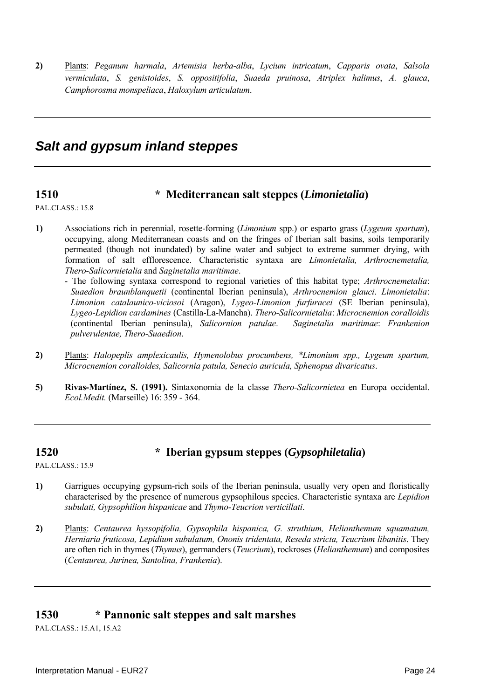**2)** Plants: *Peganum harmala*, *Artemisia herba-alba*, *Lycium intricatum*, *Capparis ovata*, *Salsola vermiculata*, *S. genistoides*, *S. oppositifolia*, *Suaeda pruinosa*, *Atriplex halimus*, *A. glauca*, *Camphorosma monspeliaca*, *Haloxylum articulatum*.

## *Salt and gypsum inland steppes*

#### **1510 \* Mediterranean salt steppes (***Limonietalia***)**

PAL.CLASS.: 15.8

**1)** Associations rich in perennial, rosette-forming (*Limonium* spp.) or esparto grass (*Lygeum spartum*), occupying, along Mediterranean coasts and on the fringes of Iberian salt basins, soils temporarily permeated (though not inundated) by saline water and subject to extreme summer drying, with formation of salt efflorescence. Characteristic syntaxa are *Limonietalia, Arthrocnemetalia, Thero-Salicornietalia* and *Saginetalia maritimae*.

- The following syntaxa correspond to regional varieties of this habitat type; *Arthrocnemetalia*: *Suaedion braunblanquetii* (continental Iberian peninsula), *Arthrocnemion glauci*. *Limonietalia*: *Limonion catalaunico-viciosoi* (Aragon), *Lygeo-Limonion furfuracei* (SE Iberian peninsula), *Lygeo-Lepidion cardamines* (Castilla-La-Mancha). *Thero-Salicornietalia*: *Microcnemion coralloidis* (continental Iberian peninsula), *Salicornion patulae*. *Saginetalia maritimae*: *Frankenion pulverulentae, Thero-Suaedion*.

- **2)** Plants: *Halopeplis amplexicaulis, Hymenolobus procumbens, \*Limonium spp., Lygeum spartum, Microcnemion coralloides, Salicornia patula, Senecio auricula, Sphenopus divaricatus*.
- **5) Rivas-Martínez, S. (1991).** Sintaxonomia de la classe *Thero-Salicornietea* en Europa occidental. *Ecol.Medit.* (Marseille) 16: 359 - 364.

#### **1520 \* Iberian gypsum steppes (***Gypsophiletalia***)**

PAL.CLASS.: 15.9

- **1)** Garrigues occupying gypsum-rich soils of the Iberian peninsula, usually very open and floristically characterised by the presence of numerous gypsophilous species. Characteristic syntaxa are *Lepidion subulati, Gypsophilion hispanicae* and *Thymo-Teucrion verticillati*.
- **2)** Plants: *Centaurea hyssopifolia, Gypsophila hispanica, G. struthium, Helianthemum squamatum, Herniaria fruticosa, Lepidium subulatum, Ononis tridentata, Reseda stricta, Teucrium libanitis*. They are often rich in thymes (*Thymus*), germanders (*Teucrium*), rockroses (*Helianthemum*) and composites (*Centaurea, Jurinea, Santolina, Frankenia*).

#### **1530 \* Pannonic salt steppes and salt marshes**

PAL.CLASS.: 15.A1, 15.A2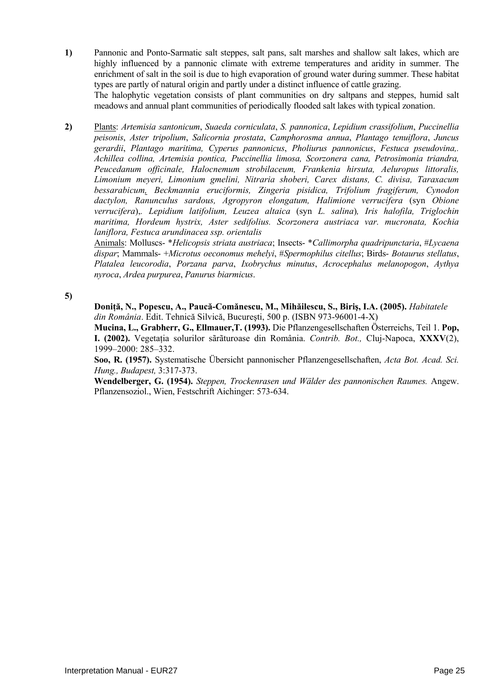**1)** Pannonic and Ponto-Sarmatic salt steppes, salt pans, salt marshes and shallow salt lakes, which are highly influenced by a pannonic climate with extreme temperatures and aridity in summer. The enrichment of salt in the soil is due to high evaporation of ground water during summer. These habitat types are partly of natural origin and partly under a distinct influence of cattle grazing.

 The halophytic vegetation consists of plant communities on dry saltpans and steppes, humid salt meadows and annual plant communities of periodically flooded salt lakes with typical zonation.

**2)** Plants: *Artemisia santonicum*, *Suaeda corniculata*, *S. pannonica*, *Lepidium crassifolium*, *Puccinellia peisonis*, *Aster tripolium*, *Salicornia prostata*, *Camphorosma annua*, *Plantago tenuiflora*, *Juncus gerardii*, *Plantago maritima, Cyperus pannonicus*, *Pholiurus pannonicus*, *Festuca pseudovina,. Achillea collina, Artemisia pontica, Puccinellia limosa, Scorzonera cana, Petrosimonia triandra, Peucedanum officinale, Halocnemum strobilaceum, Frankenia hirsuta, Aeluropus littoralis, Limonium meyeri, Limonium gmelini, Nitraria shoberi, Carex distans, C. divisa, Taraxacum bessarabicum, Beckmannia eruciformis, Zingeria pisidica, Trifolium fragiferum, Cynodon dactylon, Ranunculus sardous, Agropyron elongatum, Halimione verrucifera* (syn *Obione verrucifera*),*. Lepidium latifolium, Leuzea altaica* (syn *L. salina*)*, Iris halofila, Triglochin maritima, Hordeum hystrix, Aster sedifolius. Scorzonera austriaca var. mucronata, Kochia laniflora, Festuca arundinacea ssp. orientalis*

 Animals: Molluscs- \**Helicopsis striata austriaca*; Insects- \**Callimorpha quadripunctaria*, #*Lycaena dispar*; Mammals- +*Microtus oeconomus mehelyi*, #*Spermophilus citellus*; Birds- *Botaurus stellatus*, *Platalea leucorodia*, *Porzana parva*, *Ixobrychus minutus*, *Acrocephalus melanopogon*, *Aythya nyroca*, *Ardea purpurea*, *Panurus biarmicus*.

**5)**

**Doniţă, N., Popescu, A., Paucă-Comănescu, M., Mihăilescu, S., Biriş, I.A. (2005).** *Habitatele din România*. Edit. Tehnică Silvică, Bucureşti, 500 p. (ISBN 973-96001-4-X)

**Mucina, L., Grabherr, G., Ellmauer,T. (1993).** Die Pflanzengesellschaften Österreichs, Teil 1. **Pop, I.** (2002). Vegetatia solurilor sãrãturoase din România. *Contrib. Bot.*, Cluj-Napoca, **XXXV**(2), 1999–2000: 285–332.

**Soo, R. (1957).** Systematische Übersicht pannonischer Pflanzengesellschaften, *Acta Bot. Acad. Sci. Hung., Budapest,* 3:317-373.

**Wendelberger, G. (1954).** *Steppen, Trockenrasen und Wälder des pannonischen Raumes.* Angew. Pflanzensoziol., Wien, Festschrift Aichinger: 573-634.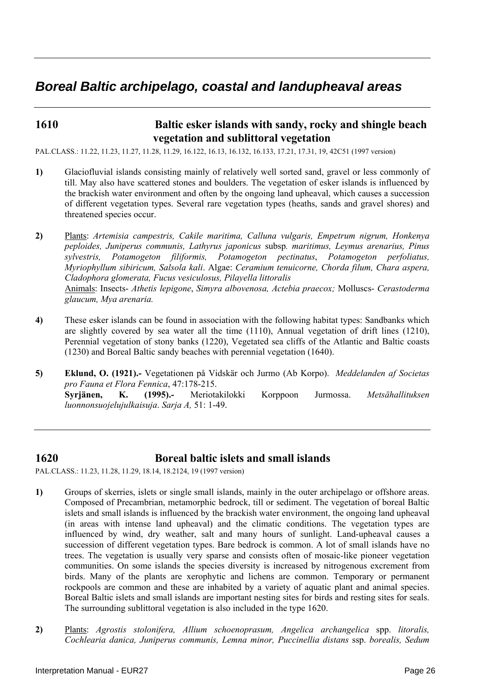# *Boreal Baltic archipelago, coastal and landupheaval areas*

#### **1610 Baltic esker islands with sandy, rocky and shingle beach vegetation and sublittoral vegetation**

PAL.CLASS.: 11.22, 11.23, 11.27, 11.28, 11.29, 16.122, 16.13, 16.132, 16.133, 17.21, 17.31, 19, 42C51 (1997 version)

- **1)** Glaciofluvial islands consisting mainly of relatively well sorted sand, gravel or less commonly of till. May also have scattered stones and boulders. The vegetation of esker islands is influenced by the brackish water environment and often by the ongoing land upheaval, which causes a succession of different vegetation types. Several rare vegetation types (heaths, sands and gravel shores) and threatened species occur.
- **2)** Plants: *Artemisia campestris, Cakile maritima, Calluna vulgaris, Empetrum nigrum, Honkenya peploides, Juniperus communis, Lathyrus japonicus* subsp*. maritimus, Leymus arenarius, Pinus sylvestris, Potamogeton filiformis, Potamogeton pectinatus*, *Potamogeton perfoliatus, Myriophyllum sibiricum, Salsola kali*. Algae: *Ceramium tenuicorne, Chorda filum, Chara aspera, Cladophora glomerata, Fucus vesiculosus, Pilayella littoralis* Animals: Insects- *Athetis lepigone*, *Simyra albovenosa, Actebia praecox;* Molluscs- *Cerastoderma glaucum, Mya arenaria.*
- **4)** These esker islands can be found in association with the following habitat types: Sandbanks which are slightly covered by sea water all the time (1110), Annual vegetation of drift lines (1210), Perennial vegetation of stony banks (1220), Vegetated sea cliffs of the Atlantic and Baltic coasts (1230) and Boreal Baltic sandy beaches with perennial vegetation (1640).
- **5) Eklund, O. (1921).-** Vegetationen på Vidskär och Jurmo (Ab Korpo). *Meddelanden af Societas pro Fauna et Flora Fennica*, 47:178-215. **Syrjänen, K. (1995).-** Meriotakilokki Korppoon Jurmossa. *Metsähallituksen luonnonsuojelujulkaisuja*. *Sarja A,* 51: 1-49.

#### **1620 Boreal baltic islets and small islands**

PAL.CLASS.: 11.23, 11.28, 11.29, 18.14, 18.2124, 19 (1997 version)

- **1)** Groups of skerries, islets or single small islands, mainly in the outer archipelago or offshore areas. Composed of Precambrian, metamorphic bedrock, till or sediment. The vegetation of boreal Baltic islets and small islands is influenced by the brackish water environment, the ongoing land upheaval (in areas with intense land upheaval) and the climatic conditions. The vegetation types are influenced by wind, dry weather, salt and many hours of sunlight. Land-upheaval causes a succession of different vegetation types. Bare bedrock is common. A lot of small islands have no trees. The vegetation is usually very sparse and consists often of mosaic-like pioneer vegetation communities. On some islands the species diversity is increased by nitrogenous excrement from birds. Many of the plants are xerophytic and lichens are common. Temporary or permanent rockpools are common and these are inhabited by a variety of aquatic plant and animal species. Boreal Baltic islets and small islands are important nesting sites for birds and resting sites for seals. The surrounding sublittoral vegetation is also included in the type 1620.
- **2)** Plants: *Agrostis stolonifera, Allium schoenoprasum, Angelica archangelica* spp. *litoralis, Cochlearia danica, Juniperus communis, Lemna minor, Puccinellia distans* ssp. *borealis, Sedum*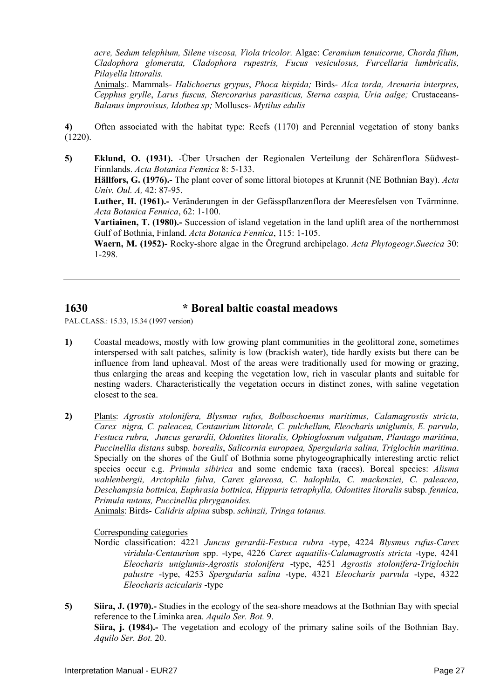*acre, Sedum telephium, Silene viscosa, Viola tricolor.* Algae: *Ceramium tenuicorne, Chorda filum, Cladophora glomerata, Cladophora rupestris, Fucus vesiculosus, Furcellaria lumbricalis, Pilayella littoralis.*

 Animals:. Mammals- *Halichoerus grypus*, *Phoca hispida;* Birds- *Alca torda, Arenaria interpres, Cepphus grylle*, *Larus fuscus, Stercorarius parasiticus, Sterna caspia, Uria aalge;* Crustaceans-*Balanus improvisus, Idothea sp;* Molluscs- *Mytilus edulis*

**4)** Often associated with the habitat type: Reefs (1170) and Perennial vegetation of stony banks (1220).

**5) Eklund, O. (1931).** -Über Ursachen der Regionalen Verteilung der Schärenflora Südwest-Finnlands. *Acta Botanica Fennica* 8: 5-133.

**Hällfors, G. (1976).-** The plant cover of some littoral biotopes at Krunnit (NE Bothnian Bay). *Acta Univ. Oul. A,* 42: 87-95.

**Luther, H. (1961).-** Veränderungen in der Gefässpflanzenflora der Meeresfelsen von Tvärminne. *Acta Botanica Fennica*, 62: 1-100.

**Vartiainen, T. (1980).-** Succession of island vegetation in the land uplift area of the northernmost Gulf of Bothnia, Finland. *Acta Botanica Fennica*, 115: 1-105.

**Waern, M. (1952)-** Rocky-shore algae in the Öregrund archipelago. *Acta Phytogeogr.Suecica* 30: 1-298.

#### **1630 \* Boreal baltic coastal meadows**

PAL.CLASS.: 15.33, 15.34 (1997 version)

- **1)** Coastal meadows, mostly with low growing plant communities in the geolittoral zone, sometimes interspersed with salt patches, salinity is low (brackish water), tide hardly exists but there can be influence from land upheaval. Most of the areas were traditionally used for mowing or grazing, thus enlarging the areas and keeping the vegetation low, rich in vascular plants and suitable for nesting waders. Characteristically the vegetation occurs in distinct zones, with saline vegetation closest to the sea.
- **2)** Plants: *Agrostis stolonifera, Blysmus rufus, Bolboschoenus maritimus, Calamagrostis stricta, Carex nigra, C. paleacea, Centaurium littorale, C. pulchellum, Eleocharis uniglumis, E. parvula, Festuca rubra, Juncus gerardii, Odontites litoralis, Ophioglossum vulgatum*, *Plantago maritima, Puccinellia distans* subsp*. borealis*, *Salicornia europaea, Spergularia salina, Triglochin maritima*. Specially on the shores of the Gulf of Bothnia some phytogeographically interesting arctic relict species occur e.g. *Primula sibirica* and some endemic taxa (races). Boreal species: *Alisma wahlenbergii, Arctophila fulva, Carex glareosa, C. halophila, C. mackenziei, C. paleacea, Deschampsia bottnica, Euphrasia bottnica, Hippuris tetraphylla, Odontites litoralis* subsp*. fennica, Primula nutans, Puccinellia phryganoides.*

Animals: Birds- *Calidris alpina* subsp. *schinzii, Tringa totanus.*

Corresponding categories

- Nordic classification: 4221 *Juncus gerardii-Festuca rubra* -type, 4224 *Blysmus rufus-Carex viridula-Centaurium* spp. -type, 4226 *Carex aquatilis-Calamagrostis stricta* -type, 4241 *Eleocharis uniglumis-Agrostis stolonifera* -type, 4251 *Agrostis stolonifera-Triglochin palustre* -type, 4253 *Spergularia salina* -type, 4321 *Eleocharis parvula* -type, 4322 *Eleocharis acicularis* -type
- **5) Siira, J. (1970).-** Studies in the ecology of the sea-shore meadows at the Bothnian Bay with special reference to the Liminka area. *Aquilo Ser. Bot.* 9. **Siira, j. (1984).-** The vegetation and ecology of the primary saline soils of the Bothnian Bay. *Aquilo Ser. Bot.* 20.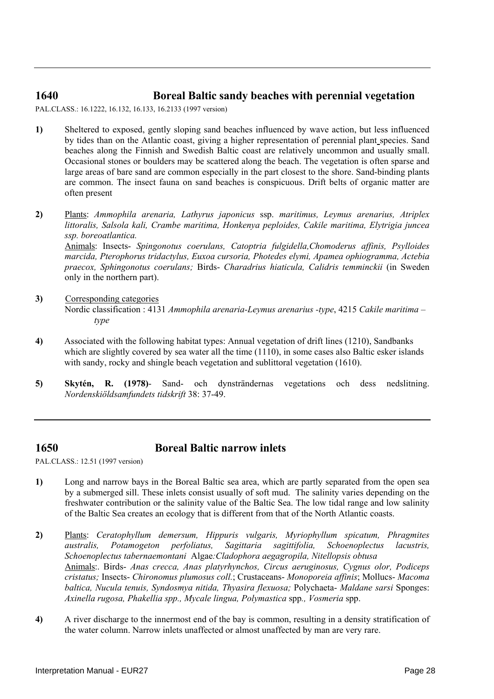#### **1640 Boreal Baltic sandy beaches with perennial vegetation**

PAL.CLASS.: 16.1222, 16.132, 16.133, 16.2133 (1997 version)

- **1)** Sheltered to exposed, gently sloping sand beaches influenced by wave action, but less influenced by tides than on the Atlantic coast, giving a higher representation of perennial plant species. Sand beaches along the Finnish and Swedish Baltic coast are relatively uncommon and usually small. Occasional stones or boulders may be scattered along the beach. The vegetation is often sparse and large areas of bare sand are common especially in the part closest to the shore. Sand-binding plants are common. The insect fauna on sand beaches is conspicuous. Drift belts of organic matter are often present
- **2)** Plants: *Ammophila arenaria, Lathyrus japonicus* ssp. *maritimus, Leymus arenarius, Atriplex littoralis, Salsola kali, Crambe maritima, Honkenya peploides, Cakile maritima, Elytrigia juncea ssp. boreoatlantica.*

 Animals: Insects- *Spingonotus coerulans, Catoptria fulgidella,Chomoderus affinis, Psylloides marcida, Pterophorus tridactylus, Euxoa cursoria, Photedes elymi, Apamea ophiogramma, Actebia praecox, Sphingonotus coerulans;* Birds- *Charadrius hiaticula, Calidris temminckii* (in Sweden only in the northern part).

- **3)** Corresponding categories Nordic classification : 4131 *Ammophila arenaria-Leymus arenarius -type*, 4215 *Cakile maritima – type*
- **4)** Associated with the following habitat types: Annual vegetation of drift lines (1210), Sandbanks which are slightly covered by sea water all the time (1110), in some cases also Baltic esker islands with sandy, rocky and shingle beach vegetation and sublittoral vegetation (1610).
- **5) Skytén, R. (1978)** Sand- och dynsträndernas vegetations och dess nedslitning. *Nordenskiöldsamfundets tidskrift* 38: 37-49.

## **1650 Boreal Baltic narrow inlets**

PAL.CLASS.: 12.51 (1997 version)

- **1)** Long and narrow bays in the Boreal Baltic sea area, which are partly separated from the open sea by a submerged sill. These inlets consist usually of soft mud. The salinity varies depending on the freshwater contribution or the salinity value of the Baltic Sea. The low tidal range and low salinity of the Baltic Sea creates an ecology that is different from that of the North Atlantic coasts.
- **2)** Plants: *Ceratophyllum demersum, Hippuris vulgaris, Myriophyllum spicatum, Phragmites australis, Potamogeton perfoliatus, Sagittaria sagittifolia, Schoenoplectus lacustris, Schoenoplectus tabernaemontani* Algae*:Cladophora aegagropila, Nitellopsis obtusa* Animals:. Birds- *Anas crecca, Anas platyrhynchos, Circus aeruginosus, Cygnus olor, Podiceps cristatus;* Insects- *Chironomus plumosus coll.*; Crustaceans- *Monoporeia affinis*; Mollucs- *Macoma baltica, Nucula tenuis, Syndosmya nitida, Thyasira flexuosa;* Polychaeta- *Maldane sarsi* Sponges: *Axinella rugosa, Phakellia spp., Mycale lingua, Polymastica* spp*., Vosmeria* spp.
- **4)** A river discharge to the innermost end of the bay is common, resulting in a density stratification of the water column. Narrow inlets unaffected or almost unaffected by man are very rare.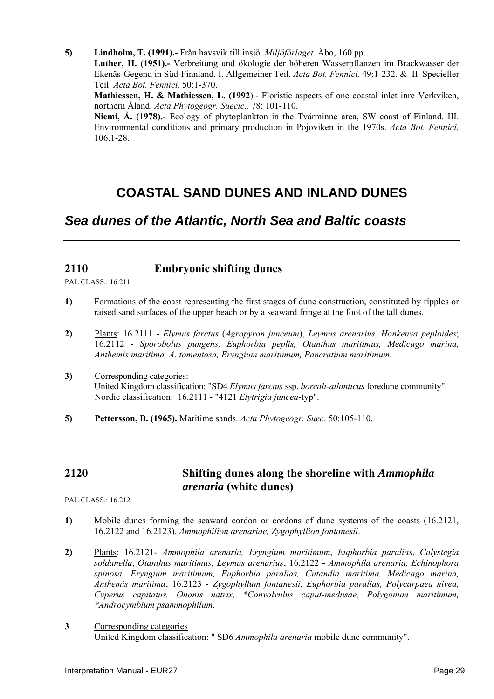**5) Lindholm, T. (1991).-** Från havsvik till insjö. *Miljöförlaget.* Åbo, 160 pp. **Luther, H. (1951).-** Verbreitung und ökologie der höheren Wasserpflanzen im Brackwasser der Ekenäs-Gegend in Süd-Finnland. I. Allgemeiner Teil. *Acta Bot. Fennici,* 49:1-232. & II. Specieller Teil. *Acta Bot. Fennici,* 50:1-370. **Mathiessen, H. & Mathiessen, L. (1992**).- Floristic aspects of one coastal inlet inre Verkviken, northern Åland. *Acta Phytogeogr. Suecic.,* 78: 101-110. **Niemi, Å. (1978).-** Ecology of phytoplankton in the Tvärminne area, SW coast of Finland. III. Environmental conditions and primary production in Pojoviken in the 1970s. *Acta Bot. Fennici,*

# **COASTAL SAND DUNES AND INLAND DUNES**

# *Sea dunes of the Atlantic, North Sea and Baltic coasts*

#### **2110 Embryonic shifting dunes**

PAL.CLASS.: 16.211

 $106:1-28$ 

- **1)** Formations of the coast representing the first stages of dune construction, constituted by ripples or raised sand surfaces of the upper beach or by a seaward fringe at the foot of the tall dunes.
- **2)** Plants: 16.2111 *Elymus farctus* (*Agropyron junceum*), *Leymus arenarius, Honkenya peploides*; 16.2112 - *Sporobolus pungens, Euphorbia peplis, Otanthus maritimus, Medicago marina, Anthemis maritima, A. tomentosa, Eryngium maritimum, Pancratium maritimum*.
- **3)** Corresponding categories: United Kingdom classification: "SD4 *Elymus farctus* ssp. *boreali-atlanticus* foredune community". Nordic classification: 16.2111 - "4121 *Elytrigia juncea*-typ".
- **5) Pettersson, B. (1965).** Maritime sands. *Acta Phytogeogr. Suec*. 50:105-110.

#### **2120 Shifting dunes along the shoreline with** *Ammophila arenaria* **(white dunes)**

PAL.CLASS.: 16.212

- **1)** Mobile dunes forming the seaward cordon or cordons of dune systems of the coasts (16.2121, 16.2122 and 16.2123). *Ammophilion arenariae, Zygophyllion fontanesii*.
- **2)** Plants: 16.2121- *Ammophila arenaria, Eryngium maritimum*, *Euphorbia paralias*, *Calystegia soldanella*, *Otanthus maritimus, Leymus arenarius*; 16.2122 - *Ammophila arenaria, Echinophora spinosa, Eryngium maritimum, Euphorbia paralias, Cutandia maritima, Medicago marina, Anthemis maritima*; 16.2123 - *Zygophyllum fontanesii, Euphorbia paralias, Polycarpaea nivea, Cyperus capitatus, Ononis natrix, \*Convolvulus caput-medusae, Polygonum maritimum, \*Androcymbium psammophilum*.
- **3** Corresponding categories United Kingdom classification: " SD6 *Ammophila arenaria* mobile dune community".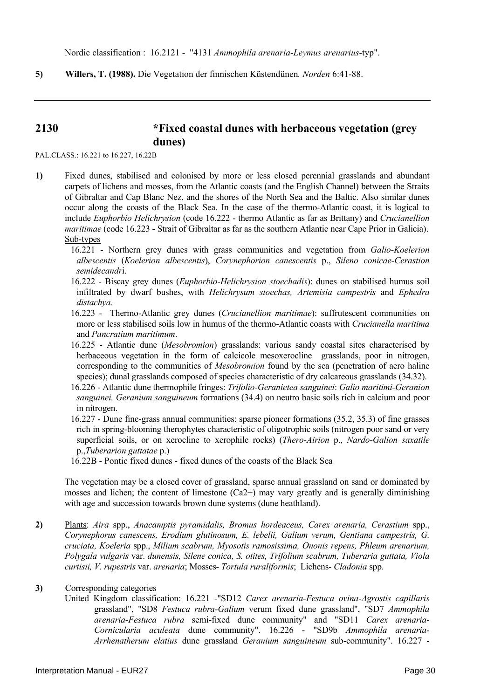**5) Willers, T. (1988).** Die Vegetation der finnischen Küstendünen*. Norden* 6:41-88.

#### **2130 \*Fixed coastal dunes with herbaceous vegetation (grey dunes)**

PAL.CLASS.: 16.221 to 16.227, 16.22B

- **1)** Fixed dunes, stabilised and colonised by more or less closed perennial grasslands and abundant carpets of lichens and mosses, from the Atlantic coasts (and the English Channel) between the Straits of Gibraltar and Cap Blanc Nez, and the shores of the North Sea and the Baltic. Also similar dunes occur along the coasts of the Black Sea. In the case of the thermo-Atlantic coast, it is logical to include *Euphorbio Helichrysion* (code 16.222 - thermo Atlantic as far as Brittany) and *Crucianellion maritimae* (code 16.223 - Strait of Gibraltar as far as the southern Atlantic near Cape Prior in Galicia). Sub-types
	- 16.221 Northern grey dunes with grass communities and vegetation from *Galio-Koelerion albescentis* (*Koelerion albescentis*), *Corynephorion canescentis* p., *Sileno conicae-Cerastion semidecandr*i.
	- 16.222 Biscay grey dunes (*Euphorbio-Helichrysion stoechadis*): dunes on stabilised humus soil infiltrated by dwarf bushes, with *Helichrysum stoechas, Artemisia campestris* and *Ephedra distachya*.
	- 16.223 Thermo-Atlantic grey dunes (*Crucianellion maritimae*): suffrutescent communities on more or less stabilised soils low in humus of the thermo-Atlantic coasts with *Crucianella maritima* and *Pancratium maritimum*.
	- 16.225 Atlantic dune (*Mesobromion*) grasslands: various sandy coastal sites characterised by herbaceous vegetation in the form of calcicole mesoxerocline grasslands, poor in nitrogen, corresponding to the communities of *Mesobromion* found by the sea (penetration of aero haline species); dunal grasslands composed of species characteristic of dry calcareous grasslands (34.32).
	- 16.226 Atlantic dune thermophile fringes: *Trifolio-Geranietea sanguinei*: *Galio maritimi-Geranion sanguinei, Geranium sanguineum* formations (34.4) on neutro basic soils rich in calcium and poor in nitrogen.
	- 16.227 Dune fine-grass annual communities: sparse pioneer formations (35.2, 35.3) of fine grasses rich in spring-blooming therophytes characteristic of oligotrophic soils (nitrogen poor sand or very superficial soils, or on xerocline to xerophile rocks) (*Thero-Airion* p., *Nardo-Galion saxatile* p.,*Tuberarion guttatae* p.)

16.22B - Pontic fixed dunes - fixed dunes of the coasts of the Black Sea

The vegetation may be a closed cover of grassland, sparse annual grassland on sand or dominated by mosses and lichen; the content of limestone (Ca2+) may vary greatly and is generally diminishing with age and succession towards brown dune systems (dune heathland).

**2)** Plants: *Aira* spp., *Anacamptis pyramidalis, Bromus hordeaceus, Carex arenaria, Cerastium* spp., *Corynephorus canescens, Erodium glutinosum, E. lebelii, Galium verum, Gentiana campestris, G. cruciata, Koeleria* spp., *Milium scabrum, Myosotis ramosissima, Ononis repens, Phleum arenarium, Polygala vulgaris* var. *dunensis, Silene conica, S. otites, Trifolium scabrum, Tuberaria guttata, Viola curtisii, V. rupestris* var. *arenaria*; Mosses- *Tortula ruraliformis*; Lichens- *Cladonia* spp.

#### **3)** Corresponding categories

United Kingdom classification: 16.221 -"SD12 *Carex arenaria-Festuca ovina-Agrostis capillaris* grassland", "SD8 *Festuca rubra-Galium* verum fixed dune grassland", "SD7 *Ammophila arenaria-Festuca rubra* semi-fixed dune community" and "SD11 *Carex arenaria-Cornicularia aculeata* dune community". 16.226 - "SD9b *Ammophila arenaria-Arrhenatherum elatius* dune grassland *Geranium sanguineum* sub-community". 16.227 -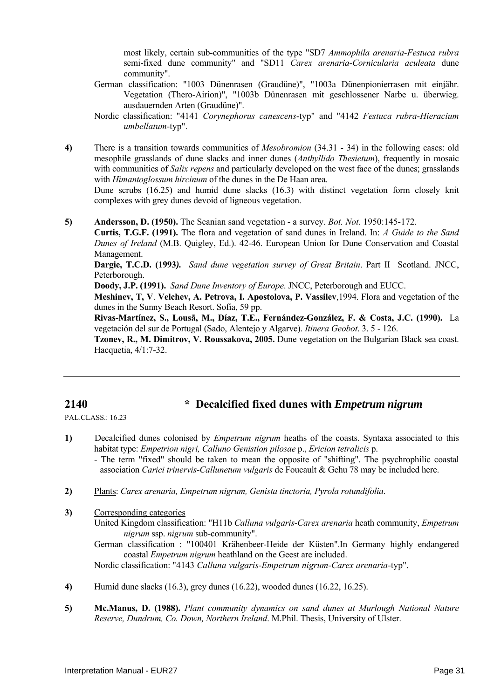most likely, certain sub-communities of the type "SD7 *Ammophila arenaria-Festuca rubra* semi-fixed dune community" and "SD11 *Carex arenaria-Cornicularia aculeata* dune community".

German classification: "1003 Dünenrasen (Graudüne)", "1003a Dünenpionierrasen mit einjähr. Vegetation (Thero-Airion)", "1003b Dünenrasen mit geschlossener Narbe u. überwieg. ausdauernden Arten (Graudüne)".

Nordic classification: "4141 *Corynephorus canescens*-typ" and "4142 *Festuca rubra*-*Hieracium umbellatum*-typ".

**4)** There is a transition towards communities of *Mesobromion* (34.31 - 34) in the following cases: old mesophile grasslands of dune slacks and inner dunes (*Anthyllido Thesietum*), frequently in mosaic with communities of *Salix repens* and particularly developed on the west face of the dunes; grasslands with *Himantoglossum hircinum* of the dunes in the De Haan area.

 Dune scrubs (16.25) and humid dune slacks (16.3) with distinct vegetation form closely knit complexes with grey dunes devoid of ligneous vegetation.

**5) Andersson, D. (1950).** The Scanian sand vegetation - a survey. *Bot. Not*. 1950:145-172.

**Curtis, T.G.F. (1991).** The flora and vegetation of sand dunes in Ireland. In: *A Guide to the Sand Dunes of Ireland* (M.B. Quigley, Ed.). 42-46. European Union for Dune Conservation and Coastal Management.

**Dargie, T.C.D. (1993***). Sand dune vegetation survey of Great Britain*. Part II Scotland. JNCC, Peterborough.

**Doody, J.P. (1991).** *Sand Dune Inventory of Europe*. JNCC, Peterborough and EUCC.

**Meshinev, T, V**. **Velchev, A. Petrova, I. Apostolova, P. Vassilev**,1994. Flora and vegetation of the dunes in the Sunny Beach Resort. Sofia, 59 pp.

**Rivas-Martínez, S., Lousã, M., Díaz, T.E., Fernández-González, F. & Costa, J.C. (1990).** La vegetación del sur de Portugal (Sado, Alentejo y Algarve). *Itinera Geobot*. 3. 5 - 126.

**Tzonev, R., M. Dimitrov, V. Roussakova, 2005.** Dune vegetation on the Bulgarian Black sea coast. Hacquetia, 4/1:7-32.

# **2140 \* Decalcified fixed dunes with** *Empetrum nigrum*

PAL.CLASS.: 16.23

**1)** Decalcified dunes colonised by *Empetrum nigrum* heaths of the coasts. Syntaxa associated to this habitat type: *Empetrion nigri, Calluno Genistion pilosae* p., *Ericion tetralicis* p.

- The term "fixed" should be taken to mean the opposite of "shifting". The psychrophilic coastal association *Carici trinervis-Callunetum vulgaris* de Foucault & Gehu 78 may be included here.

- **2)** Plants: *Carex arenaria, Empetrum nigrum, Genista tinctoria, Pyrola rotundifolia*.
- **3)** Corresponding categories

United Kingdom classification: "H11b *Calluna vulgaris-Carex arenaria* heath community, *Empetrum nigrum* ssp. *nigrum* sub-community".

German classification : "100401 Krähenbeer-Heide der Küsten".In Germany highly endangered coastal *Empetrum nigrum* heathland on the Geest are included.

Nordic classification: "4143 *Calluna vulgaris*-*Empetrum nigrum*-*Carex arenaria*-typ".

- **4)** Humid dune slacks (16.3), grey dunes (16.22), wooded dunes (16.22, 16.25).
- **5) Mc.Manus, D. (1988).** *Plant community dynamics on sand dunes at Murlough National Nature Reserve, Dundrum, Co. Down, Northern Ireland*. M.Phil. Thesis, University of Ulster.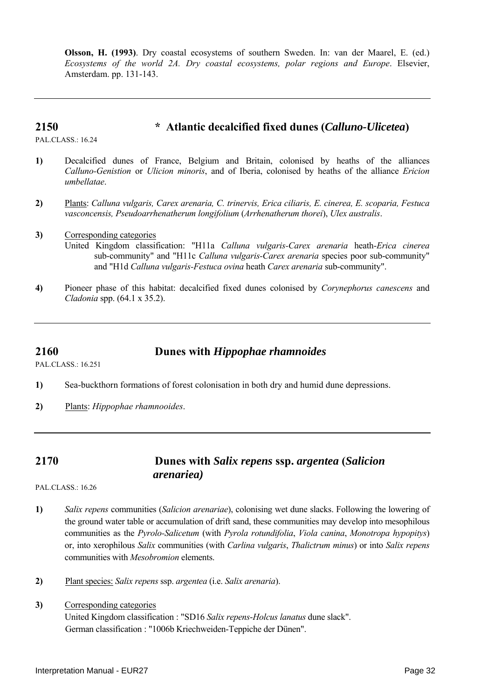**Olsson, H. (1993)**. Dry coastal ecosystems of southern Sweden. In: van der Maarel, E. (ed.) *Ecosystems of the world 2A. Dry coastal ecosystems, polar regions and Europe*. Elsevier, Amsterdam. pp. 131-143.

#### **2150 \* Atlantic decalcified fixed dunes (***Calluno-Ulicetea***)**

PAL.CLASS.: 16.24

- **1)** Decalcified dunes of France, Belgium and Britain, colonised by heaths of the alliances *Calluno-Genistion* or *Ulicion minoris*, and of Iberia, colonised by heaths of the alliance *Ericion umbellatae*.
- **2)** Plants: *Calluna vulgaris, Carex arenaria, C. trinervis, Erica ciliaris, E. cinerea, E. scoparia, Festuca vasconcensis, Pseudoarrhenatherum longifolium* (*Arrhenatherum thorei*), *Ulex australis*.
- **3)** Corresponding categories United Kingdom classification: "H11a *Calluna vulgaris-Carex arenaria* heath-*Erica cinerea* sub-community" and "H11c *Calluna vulgaris-Carex arenaria* species poor sub-community" and "H1d *Calluna vulgaris-Festuca ovina* heath *Carex arenaria* sub-community".
- **4)** Pioneer phase of this habitat: decalcified fixed dunes colonised by *Corynephorus canescens* and *Cladonia* spp. (64.1 x 35.2).

#### **2160 Dunes with** *Hippophae rhamnoides*

PAL.CLASS.: 16.251

- **1)** Sea-buckthorn formations of forest colonisation in both dry and humid dune depressions.
- **2)** Plants: *Hippophae rhamnooides*.

#### **2170 Dunes with** *Salix repens* **ssp.** *argentea* **(***Salicion arenariea)*

PAL.CLASS.: 16.26

- **1)** *Salix repens* communities (*Salicion arenariae*), colonising wet dune slacks. Following the lowering of the ground water table or accumulation of drift sand, these communities may develop into mesophilous communities as the *Pyrolo-Salicetum* (with *Pyrola rotundifolia*, *Viola canina*, *Monotropa hypopitys*) or, into xerophilous *Salix* communities (with *Carlina vulgaris*, *Thalictrum minus*) or into *Salix repens* communities with *Mesobromion* elements.
- **2)** Plant species: *Salix repens* ssp. *argentea* (i.e. *Salix arenaria*).
- **3)** Corresponding categories United Kingdom classification : "SD16 *Salix repens*-*Holcus lanatus* dune slack". German classification : "1006b Kriechweiden-Teppiche der Dünen".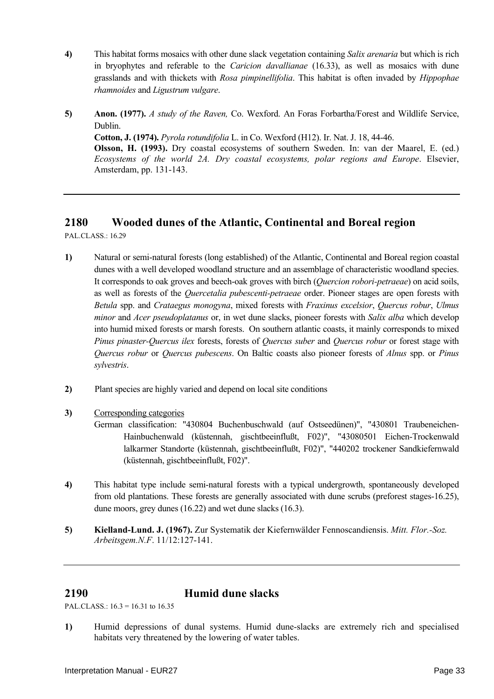- **4)** This habitat forms mosaics with other dune slack vegetation containing *Salix arenaria* but which is rich in bryophytes and referable to the *Caricion davallianae* (16.33), as well as mosaics with dune grasslands and with thickets with *Rosa pimpinellifolia*. This habitat is often invaded by *Hippophae rhamnoides* and *Ligustrum vulgare*.
- **5) Anon. (1977).** *A study of the Raven,* Co. Wexford. An Foras Forbartha/Forest and Wildlife Service, Dublin.

**Cotton, J. (1974).** *Pyrola rotundifolia* L. in Co. Wexford (H12). Ir. Nat. J. 18, 44-46. **Olsson, H. (1993).** Dry coastal ecosystems of southern Sweden. In: van der Maarel, E. (ed.) *Ecosystems of the world 2A. Dry coastal ecosystems, polar regions and Europe*. Elsevier, Amsterdam, pp. 131-143.

#### **2180 Wooded dunes of the Atlantic, Continental and Boreal region**

PAL.CLASS.: 16.29

- **1)** Natural or semi-natural forests (long established) of the Atlantic, Continental and Boreal region coastal dunes with a well developed woodland structure and an assemblage of characteristic woodland species. It corresponds to oak groves and beech-oak groves with birch (*Quercion robori-petraeae*) on acid soils, as well as forests of the *Quercetalia pubescenti-petraeae* order. Pioneer stages are open forests with *Betula* spp. and *Crataegus monogyna*, mixed forests with *Fraxinus excelsior*, *Quercus robur*, *Ulmus minor* and *Acer pseudoplatanus* or, in wet dune slacks, pioneer forests with *Salix alba* which develop into humid mixed forests or marsh forests. On southern atlantic coasts, it mainly corresponds to mixed *Pinus pinaster-Quercus ilex* forests, forests of *Quercus suber* and *Quercus robur* or forest stage with *Quercus robur* or *Quercus pubescens*. On Baltic coasts also pioneer forests of *Alnus* spp. or *Pinus sylvestris*.
- **2)** Plant species are highly varied and depend on local site conditions

#### **3)** Corresponding categories

- German classification: "430804 Buchenbuschwald (auf Ostseedünen)", "430801 Traubeneichen-Hainbuchenwald (küstennah, gischtbeeinflußt, F02)", "43080501 Eichen-Trockenwald lalkarmer Standorte (küstennah, gischtbeeinflußt, F02)", "440202 trockener Sandkiefernwald (küstennah, gischtbeeinflußt, F02)".
- **4)** This habitat type include semi-natural forests with a typical undergrowth, spontaneously developed from old plantations. These forests are generally associated with dune scrubs (preforest stages-16.25), dune moors, grey dunes (16.22) and wet dune slacks (16.3).
- **5) Kielland-Lund. J. (1967).** Zur Systematik der Kiefernwälder Fennoscandiensis. *Mitt. Flor.-Soz. Arbeitsgem.N.F*. 11/12:127-141.

#### **2190 Humid dune slacks**

PAL.CLASS  $\cdot$  16.3 = 16.31 to 16.35

**1)** Humid depressions of dunal systems. Humid dune-slacks are extremely rich and specialised habitats very threatened by the lowering of water tables.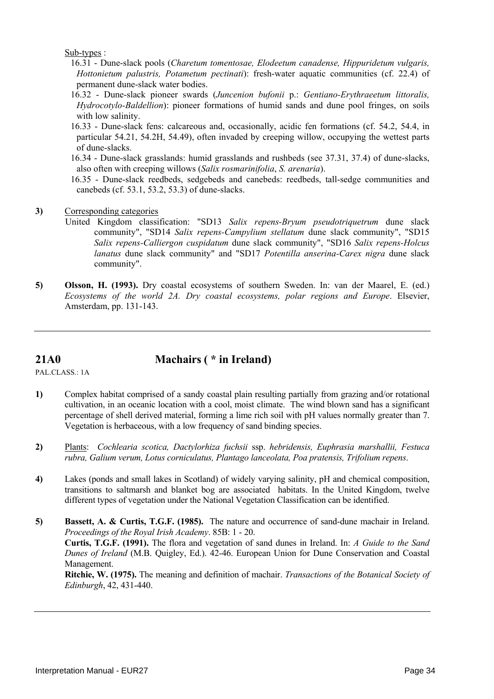Sub-types :

- 16.31 Dune-slack pools (*Charetum tomentosae, Elodeetum canadense, Hippuridetum vulgaris, Hottonietum palustris, Potametum pectinati*): fresh-water aquatic communities (cf. 22.4) of permanent dune-slack water bodies.
- 16.32 Dune-slack pioneer swards (*Juncenion bufonii* p.: *Gentiano-Erythraeetum littoralis, Hydrocotylo-Baldellion*): pioneer formations of humid sands and dune pool fringes, on soils with low salinity.
- 16.33 Dune-slack fens: calcareous and, occasionally, acidic fen formations (cf. 54.2, 54.4, in particular 54.21, 54.2H, 54.49), often invaded by creeping willow, occupying the wettest parts of dune-slacks.
- 16.34 Dune-slack grasslands: humid grasslands and rushbeds (see 37.31, 37.4) of dune-slacks, also often with creeping willows (*Salix rosmarinifolia*, *S. arenaria*).

16.35 - Dune-slack reedbeds, sedgebeds and canebeds: reedbeds, tall-sedge communities and canebeds (cf. 53.1, 53.2, 53.3) of dune-slacks.

#### **3)** Corresponding categories

- United Kingdom classification: "SD13 *Salix repens-Bryum pseudotriquetrum* dune slack community", "SD14 *Salix repens-Campylium stellatum* dune slack community", "SD15 *Salix repens-Calliergon cuspidatum* dune slack community", "SD16 *Salix repens-Holcus lanatus* dune slack community" and "SD17 *Potentilla anserina-Carex nigra* dune slack community".
- **5) Olsson, H. (1993).** Dry coastal ecosystems of southern Sweden. In: van der Maarel, E. (ed.) *Ecosystems of the world 2A. Dry coastal ecosystems, polar regions and Europe*. Elsevier, Amsterdam, pp. 131-143.

# **21A0 Machairs ( \* in Ireland)**

PAL.CLASS.: 1A

- **1)** Complex habitat comprised of a sandy coastal plain resulting partially from grazing and/or rotational cultivation, in an oceanic location with a cool, moist climate. The wind blown sand has a significant percentage of shell derived material, forming a lime rich soil with pH values normally greater than 7. Vegetation is herbaceous, with a low frequency of sand binding species.
- **2)** Plants: *Cochlearia scotica, Dactylorhiza fuchsii* ssp. *hebridensis, Euphrasia marshallii, Festuca rubra, Galium verum, Lotus corniculatus, Plantago lanceolata, Poa pratensis, Trifolium repens*.
- **4)** Lakes (ponds and small lakes in Scotland) of widely varying salinity, pH and chemical composition, transitions to saltmarsh and blanket bog are associated habitats. In the United Kingdom, twelve different types of vegetation under the National Vegetation Classification can be identified.
- **5) Bassett, A. & Curtis, T.G.F. (1985).** The nature and occurrence of sand-dune machair in Ireland. *Proceedings of the Royal Irish Academy*. 85B: 1 - 20. **Curtis, T.G.F. (1991).** The flora and vegetation of sand dunes in Ireland. In: *A Guide to the Sand Dunes of Ireland* (M.B. Quigley, Ed.). 42-46. European Union for Dune Conservation and Coastal Management. **Ritchie, W. (1975).** The meaning and definition of machair. *Transactions of the Botanical Society of Edinburgh*, 42, 431-440.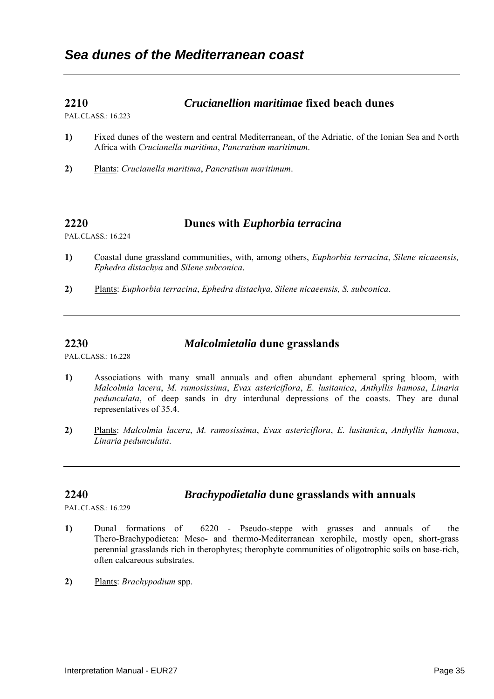## **2210** *Crucianellion maritimae* **fixed beach dunes**

PAL.CLASS.: 16.223

- **1)** Fixed dunes of the western and central Mediterranean, of the Adriatic, of the Ionian Sea and North Africa with *Crucianella maritima*, *Pancratium maritimum*.
- **2)** Plants: *Crucianella maritima*, *Pancratium maritimum*.

## **2220 Dunes with** *Euphorbia terracina*

PAL.CLASS.: 16.224

- **1)** Coastal dune grassland communities, with, among others, *Euphorbia terracina*, *Silene nicaeensis, Ephedra distachya* and *Silene subconica*.
- **2)** Plants: *Euphorbia terracina*, *Ephedra distachya, Silene nicaeensis, S. subconica*.

## **2230** *Malcolmietalia* **dune grasslands**

PAL.CLASS.: 16.228

- **1)** Associations with many small annuals and often abundant ephemeral spring bloom, with *Malcolmia lacera*, *M. ramosissima*, *Evax astericiflora*, *E. lusitanica*, *Anthyllis hamosa*, *Linaria pedunculata*, of deep sands in dry interdunal depressions of the coasts. They are dunal representatives of 35.4.
- **2)** Plants: *Malcolmia lacera*, *M. ramosissima*, *Evax astericiflora*, *E. lusitanica*, *Anthyllis hamosa*, *Linaria pedunculata*.

## **2240** *Brachypodietalia* **dune grasslands with annuals**

PAL.CLASS.: 16.229

- **1)** Dunal formations of 6220 Pseudo-steppe with grasses and annuals of the Thero-Brachypodietea: Meso- and thermo-Mediterranean xerophile, mostly open, short-grass perennial grasslands rich in therophytes; therophyte communities of oligotrophic soils on base-rich, often calcareous substrates.
- **2)** Plants: *Brachypodium* spp.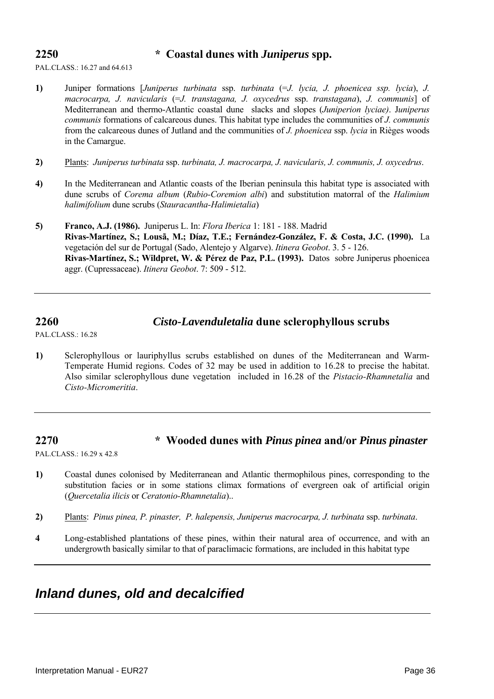## **2250 \* Coastal dunes with** *Juniperus* **spp.**

PAL.CLASS.: 16.27 and 64.613

- **1)** Juniper formations [*Juniperus turbinata* ssp. *turbinata* (=*J. lycia, J. phoenicea ssp. lycia*), *J. macrocarpa, J. navicularis* (=*J. transtagana, J. oxycedrus* ssp. *transtagana*), *J. communis*] of Mediterranean and thermo-Atlantic coastal dune slacks and slopes (*Juniperion lyciae)*. J*uniperus communis* formations of calcareous dunes. This habitat type includes the communities of *J. communis* from the calcareous dunes of Jutland and the communities of *J. phoenicea* ssp. *lycia* in Rièges woods in the Camargue.
- **2)** Plants: *Juniperus turbinata* ssp. *turbinata, J. macrocarpa, J. navicularis, J. communis, J. oxycedrus*.
- **4)** In the Mediterranean and Atlantic coasts of the Iberian peninsula this habitat type is associated with dune scrubs of *Corema album* (*Rubio-Coremion albi*) and substitution matorral of the *Halimium halimifolium* dune scrubs (*Stauracantha-Halimietalia*)
- **5) Franco, A.J. (1986).** Juniperus L. In: *Flora Iberica* 1: 181 188. Madrid **Rivas-Martínez, S.; Lousã, M.; Díaz, T.E.; Fernández-González, F. & Costa, J.C. (1990).** La vegetación del sur de Portugal (Sado, Alentejo y Algarve). *Itinera Geobot*. 3. 5 - 126. **Rivas-Martínez, S.; Wildpret, W. & Pérez de Paz, P.L. (1993).** Datos sobre Juniperus phoenicea aggr. (Cupressaceae). *Itinera Geobot*. 7: 509 - 512.

## **2260** *Cisto-Lavenduletalia* **dune sclerophyllous scrubs**

PAL.CLASS.: 16.28

**1)** Sclerophyllous or lauriphyllus scrubs established on dunes of the Mediterranean and Warm-Temperate Humid regions. Codes of 32 may be used in addition to 16.28 to precise the habitat. Also similar sclerophyllous dune vegetation included in 16.28 of the *Pistacio-Rhamnetalia* and *Cisto-Micromeritia*.

# **2270 \* Wooded dunes with** *Pinus pinea* **and/or** *Pinus pinaster*

PAL.CLASS.: 16.29 x 42.8

- **1)** Coastal dunes colonised by Mediterranean and Atlantic thermophilous pines, corresponding to the substitution facies or in some stations climax formations of evergreen oak of artificial origin (*Quercetalia ilicis* or *Ceratonio-Rhamnetalia*)..
- **2)** Plants: *Pinus pinea, P. pinaster, P. halepensis, Juniperus macrocarpa, J. turbinata* ssp. *turbinata*.
- **4** Long-established plantations of these pines, within their natural area of occurrence, and with an undergrowth basically similar to that of paraclimacic formations, are included in this habitat type

# *Inland dunes, old and decalcified*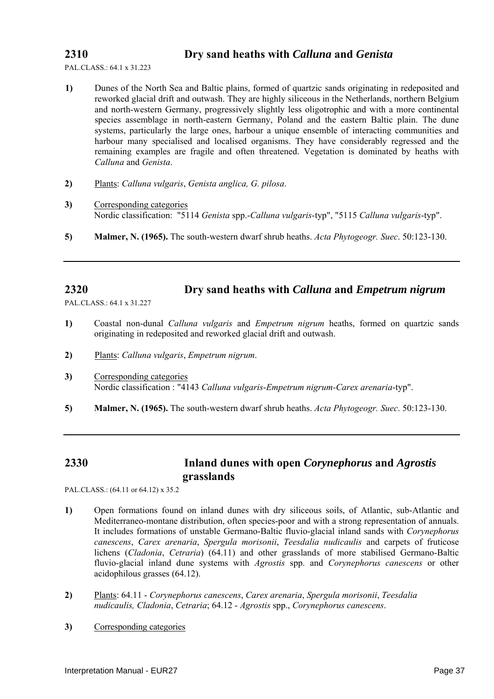## **2310 Dry sand heaths with** *Calluna* **and** *Genista*

PAL.CLASS.: 64.1 x 31.223

- **1)** Dunes of the North Sea and Baltic plains, formed of quartzic sands originating in redeposited and reworked glacial drift and outwash. They are highly siliceous in the Netherlands, northern Belgium and north-western Germany, progressively slightly less oligotrophic and with a more continental species assemblage in north-eastern Germany, Poland and the eastern Baltic plain. The dune systems, particularly the large ones, harbour a unique ensemble of interacting communities and harbour many specialised and localised organisms. They have considerably regressed and the remaining examples are fragile and often threatened. Vegetation is dominated by heaths with *Calluna* and *Genista*.
- **2)** Plants: *Calluna vulgaris*, *Genista anglica, G. pilosa*.
- **3)** Corresponding categories Nordic classification: "5114 *Genista* spp.-*Calluna vulgaris*-typ", "5115 *Calluna vulgaris*-typ".
- **5) Malmer, N. (1965).** The south-western dwarf shrub heaths. *Acta Phytogeogr. Suec*. 50:123-130.

# **2320 Dry sand heaths with** *Calluna* **and** *Empetrum nigrum*

PAL.CLASS.: 64.1 x 31.227

- **1)** Coastal non-dunal *Calluna vulgaris* and *Empetrum nigrum* heaths, formed on quartzic sands originating in redeposited and reworked glacial drift and outwash.
- **2)** Plants: *Calluna vulgaris*, *Empetrum nigrum*.
- **3)** Corresponding categories Nordic classification : "4143 *Calluna vulgaris*-*Empetrum nigrum-Carex arenaria*-typ".
- **5) Malmer, N. (1965).** The south-western dwarf shrub heaths. *Acta Phytogeogr. Suec*. 50:123-130.

## **2330 Inland dunes with open** *Corynephorus* **and** *Agrostis*  **grasslands**

PAL.CLASS.: (64.11 or 64.12) x 35.2

- **1)** Open formations found on inland dunes with dry siliceous soils, of Atlantic, sub-Atlantic and Mediterraneo-montane distribution, often species-poor and with a strong representation of annuals. It includes formations of unstable Germano-Baltic fluvio-glacial inland sands with *Corynephorus canescens*, *Carex arenaria*, *Spergula morisonii*, *Teesdalia nudicaulis* and carpets of fruticose lichens (*Cladonia*, *Cetraria*) (64.11) and other grasslands of more stabilised Germano-Baltic fluvio-glacial inland dune systems with *Agrostis* spp. and *Corynephorus canescens* or other acidophilous grasses (64.12).
- **2)** Plants: 64.11 *Corynephorus canescens*, *Carex arenaria*, *Spergula morisonii*, *Teesdalia nudicaulis, Cladonia*, *Cetraria*; 64.12 - *Agrostis* spp., *Corynephorus canescens*.
- **3)** Corresponding categories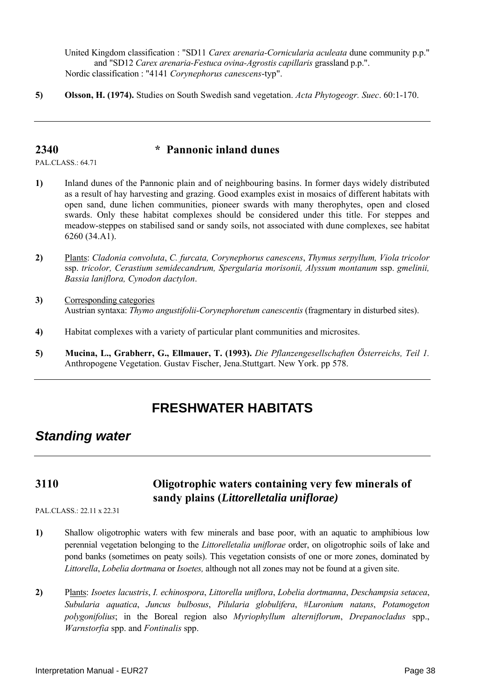United Kingdom classification : "SD11 *Carex arenaria-Cornicularia aculeata* dune community p.p." and "SD12 *Carex arenaria-Festuca ovina-Agrostis capillaris* grassland p.p.". Nordic classification : "4141 *Corynephorus canescens*-typ".

**5) Olsson, H. (1974).** Studies on South Swedish sand vegetation. *Acta Phytogeogr. Suec*. 60:1-170.

## **2340 \* Pannonic inland dunes**

PAL.CLASS.: 64.71

- **1)** Inland dunes of the Pannonic plain and of neighbouring basins. In former days widely distributed as a result of hay harvesting and grazing. Good examples exist in mosaics of different habitats with open sand, dune lichen communities, pioneer swards with many therophytes, open and closed swards. Only these habitat complexes should be considered under this title. For steppes and meadow-steppes on stabilised sand or sandy soils, not associated with dune complexes, see habitat 6260 (34.A1).
- **2)** Plants: *Cladonia convoluta*, *C. furcata, Corynephorus canescens*, *Thymus serpyllum, Viola tricolor*  ssp. *tricolor, Cerastium semidecandrum, Spergularia morisonii, Alyssum montanum* ssp. *gmelinii, Bassia laniflora, Cynodon dactylon*.
- **3)** Corresponding categories Austrian syntaxa: *Thymo angustifolii-Corynephoretum canescentis* (fragmentary in disturbed sites).
- **4)** Habitat complexes with a variety of particular plant communities and microsites.
- **5) Mucina, L., Grabherr, G., Ellmauer, T. (1993).** *Die Pflanzengesellschaften Österreichs, Teil 1.* Anthropogene Vegetation. Gustav Fischer, Jena.Stuttgart. New York. pp 578.

# **FRESHWATER HABITATS**

# *Standing water*

## **3110 Oligotrophic waters containing very few minerals of sandy plains (***Littorelletalia uniflorae)*

PAL.CLASS.: 22.11 x 22.31

- **1)** Shallow oligotrophic waters with few minerals and base poor, with an aquatic to amphibious low perennial vegetation belonging to the *Littorelletalia uniflorae* order, on oligotrophic soils of lake and pond banks (sometimes on peaty soils). This vegetation consists of one or more zones, dominated by *Littorella*, *Lobelia dortmana* or *Isoetes,* although not all zones may not be found at a given site.
- **2)** Plants: *Isoetes lacustris*, *I. echinospora*, *Littorella uniflora*, *Lobelia dortmanna*, *Deschampsia setacea*, *Subularia aquatica*, *Juncus bulbosus*, *Pilularia globulifera*, #*Luronium natans*, *Potamogeton polygonifolius*; in the Boreal region also *Myriophyllum alterniflorum*, *Drepanocladus* spp., *Warnstorfia* spp. and *Fontinalis* spp.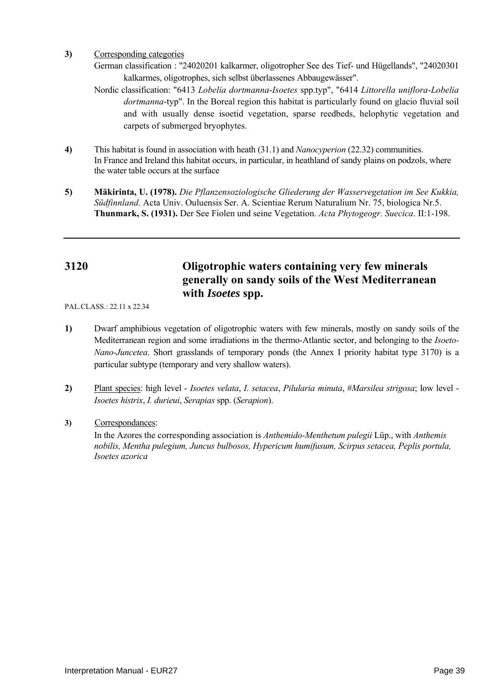- **3)** Corresponding categories
	- German classification : "24020201 kalkarmer, oligotropher See des Tief- und Hügellands", "24020301 kalkarmes, oligotrophes, sich selbst überlassenes Abbaugewässer".
	- Nordic classification: "6413 *Lobelia dortmanna*-*Isoetes* spp.typ", "6414 *Littorella uniflora*-*Lobelia dortmanna*-typ". In the Boreal region this habitat is particularly found on glacio fluvial soil and with usually dense isoetid vegetation, sparse reedbeds, helophytic vegetation and carpets of submerged bryophytes.
- **4)** This habitat is found in association with heath (31.1) and *Nanocyperion* (22.32) communities. In France and Ireland this habitat occurs, in particular, in heathland of sandy plains on podzols, where the water table occurs at the surface
- **5) Mäkirinta, U. (1978).** *Die Pflanzensoziologische Gliederung der Wasservegetation im See Kukkia, Südfinnland*. Acta Univ. Ouluensis Ser. A. Scientiae Rerum Naturalium Nr. 75, biologica Nr.5. **Thunmark, S. (1931).** Der See Fiolen und seine Vegetation. *Acta Phytogeogr. Suecica*. II:1-198.

## **3120 Oligotrophic waters containing very few minerals generally on sandy soils of the West Mediterranean with** *Isoetes* **spp.**

PAL.CLASS.: 22.11 x 22.34

- **1)** Dwarf amphibious vegetation of oligotrophic waters with few minerals, mostly on sandy soils of the Mediterranean region and some irradiations in the thermo-Atlantic sector, and belonging to the *Isoeto-Nano-Juncetea*. Short grasslands of temporary ponds (the Annex I priority habitat type 3170) is a particular subtype (temporary and very shallow waters).
- **2)** Plant species: high level *Isoetes velata*, *I. setacea*, *Pilularia minuta*, #*Marsilea strigosa*; low level *Isoetes histrix*, *I. durieui*, *Serapias* spp. (*Serapion*).
- **3)** Correspondances:

In the Azores the corresponding association is *Anthemido-Menthetum pulegii* Lüp., with *Anthemis nobilis, Mentha pulegium, Juncus bulbosos, Hypericum humifusum, Scirpus setacea, Peplis portula, Isoetes azorica*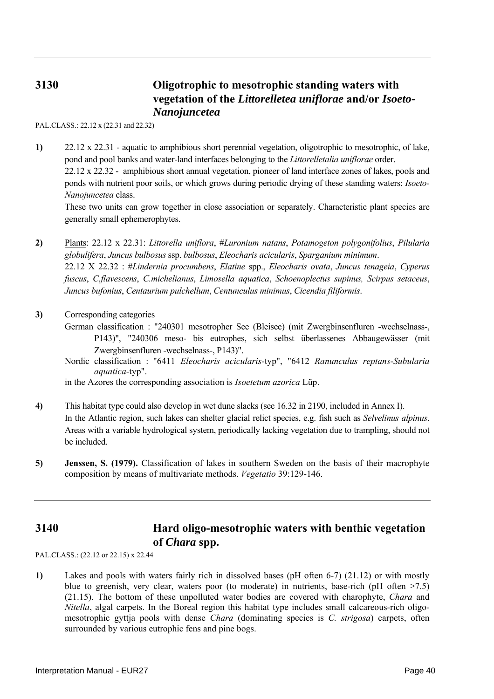## **3130 Oligotrophic to mesotrophic standing waters with vegetation of the** *Littorelletea uniflorae* **and/or** *Isoeto-Nanojuncetea*

PAL.CLASS.: 22.12 x (22.31 and 22.32)

**1)** 22.12 x 22.31 - aquatic to amphibious short perennial vegetation, oligotrophic to mesotrophic, of lake, pond and pool banks and water-land interfaces belonging to the *Littorelletalia uniflorae* order. 22.12 x 22.32 - amphibious short annual vegetation, pioneer of land interface zones of lakes, pools and ponds with nutrient poor soils, or which grows during periodic drying of these standing waters: *Isoeto-Nanojuncetea* class.

 These two units can grow together in close association or separately. Characteristic plant species are generally small ephemerophytes.

**2)** Plants: 22.12 x 22.31: *Littorella uniflora*, #*Luronium natans*, *Potamogeton polygonifolius*, *Pilularia globulifera*, *Juncus bulbosus* ssp. *bulbosus*, *Eleocharis acicularis*, *Sparganium minimum*. 22.12 X 22.32 : #*Lindernia procumbens*, *Elatine* spp., *Eleocharis ovata*, *Juncus tenageia*, *Cyperus fuscus*, *C.flavescens*, *C.michelianus*, *Limosella aquatica*, *Schoenoplectus supinus, Scirpus setaceus*, *Juncus bufonius*, *Centaurium pulchellum*, *Centunculus minimus*, *Cicendia filiformis*.

- **3)** Corresponding categories
	- German classification : "240301 mesotropher See (Bleisee) (mit Zwergbinsenfluren -wechselnass-, P143)", "240306 meso- bis eutrophes, sich selbst überlassenes Abbaugewässer (mit Zwergbinsenfluren -wechselnass-, P143)".
	- Nordic classification : "6411 *Eleocharis acicularis*-typ", "6412 *Ranunculus reptans*-*Subularia aquatica*-typ".

in the Azores the corresponding association is *Isoetetum azorica* Lüp.

- **4)** This habitat type could also develop in wet dune slacks (see 16.32 in 2190, included in Annex I). In the Atlantic region, such lakes can shelter glacial relict species, e.g. fish such as *Selvelinus alpinus*. Areas with a variable hydrological system, periodically lacking vegetation due to trampling, should not be included.
- **5) Jenssen, S. (1979).** Classification of lakes in southern Sweden on the basis of their macrophyte composition by means of multivariate methods. *Vegetatio* 39:129-146.

## **3140 Hard oligo-mesotrophic waters with benthic vegetation of** *Chara* **spp.**

PAL.CLASS.: (22.12 or 22.15) x 22.44

**1)** Lakes and pools with waters fairly rich in dissolved bases (pH often 6-7) (21.12) or with mostly blue to greenish, very clear, waters poor (to moderate) in nutrients, base-rich (pH often >7.5) (21.15). The bottom of these unpolluted water bodies are covered with charophyte, *Chara* and *Nitella*, algal carpets. In the Boreal region this habitat type includes small calcareous-rich oligomesotrophic gyttja pools with dense *Chara* (dominating species is *C. strigosa*) carpets, often surrounded by various eutrophic fens and pine bogs.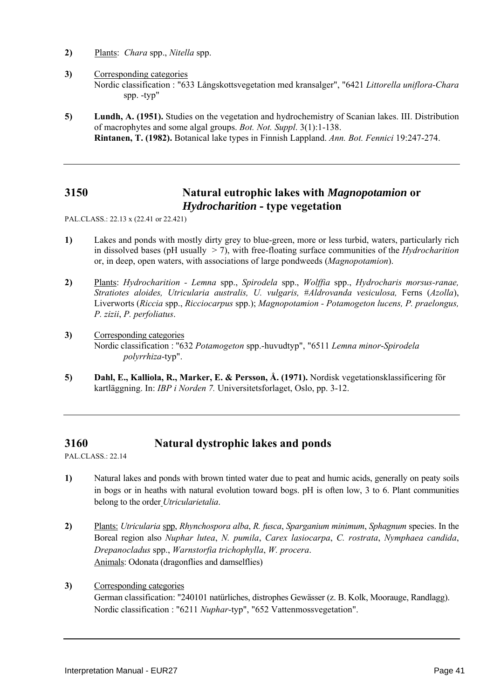- **2)** Plants: *Chara* spp., *Nitella* spp.
- **3)** Corresponding categories Nordic classification : "633 Långskottsvegetation med kransalger", "6421 *Littorella uniflora-Chara* spp. -typ"
- **5) Lundh, A. (1951).** Studies on the vegetation and hydrochemistry of Scanian lakes. III. Distribution of macrophytes and some algal groups. *Bot. Not. Suppl*. 3(1):1-138. **Rintanen, T. (1982).** Botanical lake types in Finnish Lappland. *Ann. Bot. Fennici* 19:247-274.

## **3150 Natural eutrophic lakes with** *Magnopotamion* **or**  *Hydrocharition* **- type vegetation**

PAL.CLASS.: 22.13 x (22.41 or 22.421)

- **1)** Lakes and ponds with mostly dirty grey to blue-green, more or less turbid, waters, particularly rich in dissolved bases (pH usually > 7), with free-floating surface communities of the *Hydrocharition*  or, in deep, open waters, with associations of large pondweeds (*Magnopotamion*).
- **2)** Plants: *Hydrocharition Lemna* spp., *Spirodela* spp., *Wolffia* spp., *Hydrocharis morsus-ranae, Stratiotes aloides, Utricularia australis, U. vulgaris,* #*Aldrovanda vesiculosa,* Ferns (*Azolla*), Liverworts (*Riccia* spp., *Ricciocarpus* spp.); *Magnopotamion - Potamogeton lucens, P. praelongus, P. zizii*, *P. perfoliatus*.
- **3)** Corresponding categories Nordic classification : "632 *Potamogeton* spp.-huvudtyp", "6511 *Lemna minor*-*Spirodela polyrrhiza*-typ".
- **5) Dahl, E., Kalliola, R., Marker, E. & Persson, Å. (1971).** Nordisk vegetationsklassificering för kartläggning. In: *IBP i Norden 7.* Universitetsforlaget, Oslo, pp. 3-12.

## **3160 Natural dystrophic lakes and ponds**

PAL.CLASS.: 22.14

- **1)** Natural lakes and ponds with brown tinted water due to peat and humic acids, generally on peaty soils in bogs or in heaths with natural evolution toward bogs. pH is often low, 3 to 6. Plant communities belong to the order *Utricularietalia*.
- **2)** Plants: *Utricularia* spp, *Rhynchospora alba*, *R. fusca*, *Sparganium minimum*, *Sphagnum* species. In the Boreal region also *Nuphar lutea*, *N. pumila*, *Carex lasiocarpa*, *C. rostrata*, *Nymphaea candida*, *Drepanocladus* spp., *Warnstorfia trichophylla*, *W. procera*. Animals: Odonata (dragonflies and damselflies)

### **3)** Corresponding categories German classification: "240101 natürliches, distrophes Gewässer (z. B. Kolk, Moorauge, Randlagg). Nordic classification : "6211 *Nuphar*-typ", "652 Vattenmossvegetation".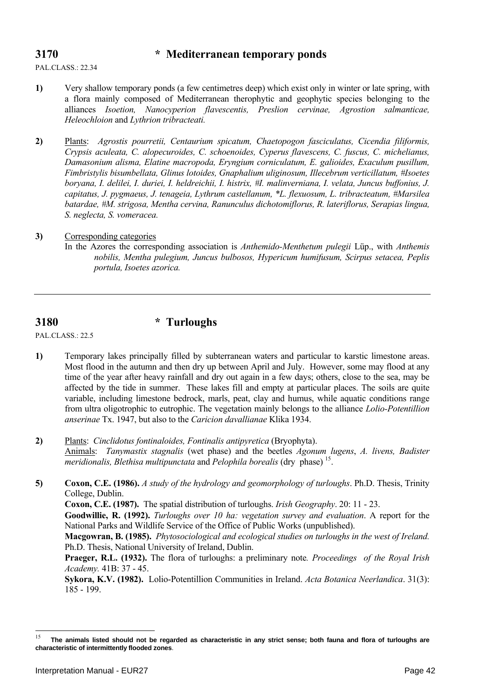## **3170 \* Mediterranean temporary ponds**

- PAL.CLASS.: 22.34
- **1)** Very shallow temporary ponds (a few centimetres deep) which exist only in winter or late spring, with a flora mainly composed of Mediterranean therophytic and geophytic species belonging to the alliances *Isoetion, Nanocyperion flavescentis, Preslion cervinae, Agrostion salmanticae, Heleochloion* and *Lythrion tribracteati.*
- **2)** Plants: *Agrostis pourretii, Centaurium spicatum, Chaetopogon fasciculatus, Cicendia filiformis, Crypsis aculeata, C. alopecuroides, C. schoenoides, Cyperus flavescens, C. fuscus, C. michelianus, Damasonium alisma, Elatine macropoda, Eryngium corniculatum, E. galioides, Exaculum pusillum, Fimbristylis bisumbellata, Glinus lotoides, Gnaphalium uliginosum, Illecebrum verticillatum, #Isoetes boryana, I. delilei, I. duriei, I. heldreichii, I. histrix, #I. malinverniana, I. velata, Juncus buffonius, J. capitatus, J. pygmaeus, J. tenageia, Lythrum castellanum, \*L. flexuosum, L. tribracteatum, #Marsilea batardae, #M. strigosa, Mentha cervina, Ranunculus dichotomiflorus, R. lateriflorus, Serapias lingua, S. neglecta, S. vomeracea.*

### **3)** Corresponding categories

In the Azores the corresponding association is *Anthemido-Menthetum pulegii* Lüp., with *Anthemis nobilis, Mentha pulegium, Juncus bulbosos, Hypericum humifusum, Scirpus setacea, Peplis portula, Isoetes azorica.*

## **3180 \* Turloughs**

PAL.CLASS.: 22.5

- **1)** Temporary lakes principally filled by subterranean waters and particular to karstic limestone areas. Most flood in the autumn and then dry up between April and July. However, some may flood at any time of the year after heavy rainfall and dry out again in a few days; others, close to the sea, may be affected by the tide in summer. These lakes fill and empty at particular places. The soils are quite variable, including limestone bedrock, marls, peat, clay and humus, while aquatic conditions range from ultra oligotrophic to eutrophic. The vegetation mainly belongs to the alliance *Lolio-Potentillion anserinae* Tx. 1947, but also to the *Caricion davallianae* Klika 1934.
- **2)** Plants: *Cinclidotus fontinaloides, Fontinalis antipyretica* (Bryophyta). Animals: *Tanymastix stagnalis* (wet phase) and the beetles *Agonum lugens*, *A. livens, Badister meridionalis, Blethisa multipunctata* and *Pelophila borealis* (dry phase) 15.
- **5) Coxon, C.E. (1986).** *A study of the hydrology and geomorphology of turloughs*. Ph.D. Thesis, Trinity College, Dublin.

**Coxon, C.E. (1987).** The spatial distribution of turloughs. *Irish Geography*. 20: 11 - 23.

**Goodwillie, R. (1992).** *Turloughs over 10 ha: vegetation survey and evaluation*. A report for the National Parks and Wildlife Service of the Office of Public Works (unpublished).

**Macgowran, B. (1985).** *Phytosociological and ecological studies on turloughs in the west of Ireland.* Ph.D. Thesis, National University of Ireland, Dublin.

**Praeger, R.L. (1932).** The flora of turloughs: a preliminary note*. Proceedings of the Royal Irish Academy.* 41B: 37 - 45.

**Sykora, K.V. (1982).** Lolio-Potentillion Communities in Ireland. *Acta Botanica Neerlandica*. 31(3): 185 - 199.

<sup>15</sup> 15 **The animals listed should not be regarded as characteristic in any strict sense; both fauna and flora of turloughs are characteristic of intermittently flooded zones**.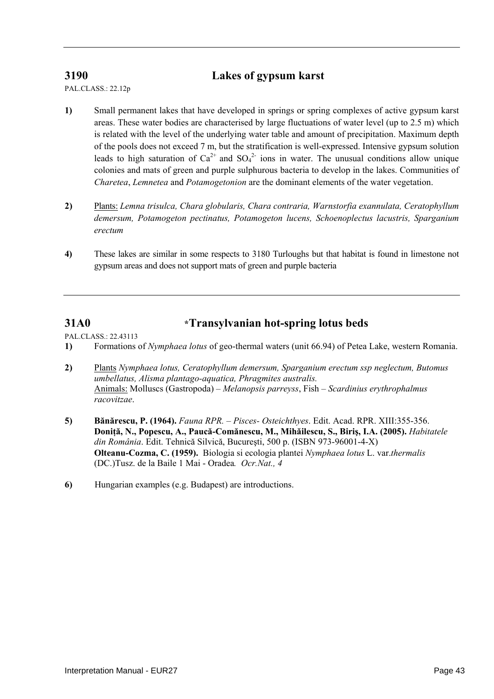## **3190 Lakes of gypsum karst**

PAL.CLASS.: 22.12p

- **1)** Small permanent lakes that have developed in springs or spring complexes of active gypsum karst areas. These water bodies are characterised by large fluctuations of water level (up to 2.5 m) which is related with the level of the underlying water table and amount of precipitation. Maximum depth of the pools does not exceed 7 m, but the stratification is well-expressed. Intensive gypsum solution leads to high saturation of  $Ca^{2+}$  and  $SO_4^{2-}$  ions in water. The unusual conditions allow unique colonies and mats of green and purple sulphurous bacteria to develop in the lakes. Communities of *Charetea*, *Lemnetea* and *Potamogetonion* are the dominant elements of the water vegetation.
- **2)** Plants: *Lemna trisulca, Chara globularis, Chara contraria, Warnstorfia exannulata, Ceratophyllum demersum, Potamogeton pectinatus, Potamogeton lucens, Schoenoplectus lacustris, Sparganium erectum*
- **4)** These lakes are similar in some respects to 3180 Turloughs but that habitat is found in limestone not gypsum areas and does not support mats of green and purple bacteria

## **31A0 \*Transylvanian hot-spring lotus beds**

PAL.CLASS.: 22.43113

- **1)** Formations of *Nymphaea lotus* of geo-thermal waters (unit 66.94) of Petea Lake, western Romania.
- **2)** Plants *Nymphaea lotus, Ceratophyllum demersum, Sparganium erectum ssp neglectum, Butomus umbellatus, Alisma plantago-aquatica, Phragmites australis.*  Animals: Molluscs (Gastropoda) – *Melanopsis parreyss*, Fish – *Scardinius erythrophalmus racovitzae*.
- **5) Bănărescu, P. (1964).** *Fauna RPR. Pisces- Osteichthyes*. Edit. Acad. RPR. XIII:355-356. **Doniţă, N., Popescu, A., Paucă-Comănescu, M., Mihăilescu, S., Biriş, I.A. (2005).** *Habitatele din România*. Edit. Tehnică Silvică, Bucureşti, 500 p. (ISBN 973-96001-4-X) **Olteanu-Cozma, C. (1959).** Biologia si ecologia plantei *Nymphaea lotus* L. var.*thermalis* (DC.)Tusz. de la Baile 1 Mai - Oradea*. Ocr.Nat., 4*
- **6)** Hungarian examples (e.g. Budapest) are introductions.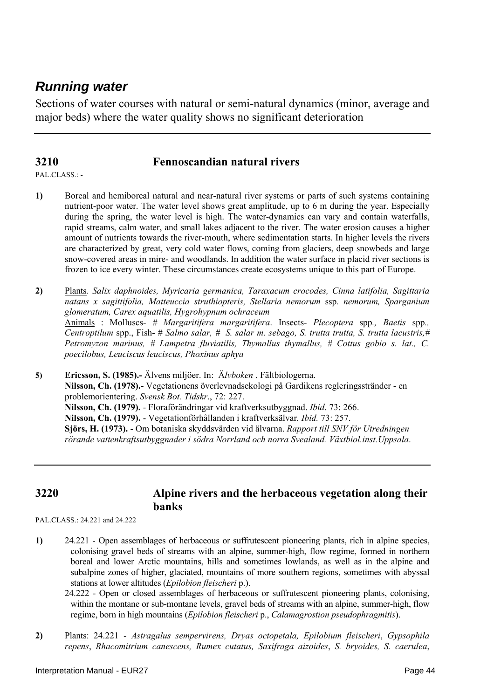# *Running water*

Sections of water courses with natural or semi-natural dynamics (minor, average and major beds) where the water quality shows no significant deterioration

# **3210 Fennoscandian natural rivers**

PAL.CLASS.: -

- **1)** Boreal and hemiboreal natural and near-natural river systems or parts of such systems containing nutrient-poor water. The water level shows great amplitude, up to 6 m during the year. Especially during the spring, the water level is high. The water-dynamics can vary and contain waterfalls, rapid streams, calm water, and small lakes adjacent to the river. The water erosion causes a higher amount of nutrients towards the river-mouth, where sedimentation starts. In higher levels the rivers are characterized by great, very cold water flows, coming from glaciers, deep snowbeds and large snow-covered areas in mire- and woodlands. In addition the water surface in placid river sections is frozen to ice every winter. These circumstances create ecosystems unique to this part of Europe.
- **2)** Plants*. Salix daphnoides, Myricaria germanica, Taraxacum crocodes, Cinna latifolia, Sagittaria natans x sagittifolia, Matteuccia struthiopteris, Stellaria nemorum* ssp*. nemorum, Sparganium glomeratum, Carex aquatilis, Hygrohypnum ochraceum*  Animals : Molluscs- *# Margaritifera margaritifera*. Insects- *Plecoptera* spp*., Baetis* spp*., Centroptilum* spp., Fish- # *Salmo salar, # S. salar m. sebago, S. trutta trutta, S. trutta lacustris,# Petromyzon marinus, # Lampetra fluviatilis, Thymallus thymallus, # Cottus gobio s. lat., C. poecilobus, Leuciscus leuciscus, Phoxinus aphya*
- **5) Ericsson, S. (1985).-** Älvens miljöer. In: Ä*lvboken* . Fältbiologerna. **Nilsson, Ch. (1978).-** Vegetationens överlevnadsekologi på Gardikens regleringsstränder - en problemorientering. *Svensk Bot. Tidskr*., 72: 227. **Nilsson, Ch. (1979).** - Floraförändringar vid kraftverksutbyggnad. *Ibid*. 73: 266. **Nilsson, Ch. (1979).** - Vegetationförhållanden i kraftverksälvar*. Ibid.* 73: 257. **Sjörs, H. (1973).** - Om botaniska skyddsvärden vid älvarna. *Rapport till SNV för Utredningen rörande vattenkraftsutbyggnader i södra Norrland och norra Svealand. Växtbiol.inst.Uppsala*.

## **3220 Alpine rivers and the herbaceous vegetation along their banks**

PAL.CLASS.: 24.221 and 24.222

- **1)** 24.221 Open assemblages of herbaceous or suffrutescent pioneering plants, rich in alpine species, colonising gravel beds of streams with an alpine, summer-high, flow regime, formed in northern boreal and lower Arctic mountains, hills and sometimes lowlands, as well as in the alpine and subalpine zones of higher, glaciated, mountains of more southern regions, sometimes with abyssal stations at lower altitudes (*Epilobion fleischeri* p.).
	- 24.222 Open or closed assemblages of herbaceous or suffrutescent pioneering plants, colonising, within the montane or sub-montane levels, gravel beds of streams with an alpine, summer-high, flow regime, born in high mountains (*Epilobion fleischeri* p., *Calamagrostion pseudophragmitis*).
- **2)** Plants: 24.221 *Astragalus sempervirens, Dryas octopetala, Epilobium fleischeri*, *Gypsophila repens*, *Rhacomitrium canescens, Rumex cutatus, Saxifraga aizoides*, *S. bryoides, S. caerulea*,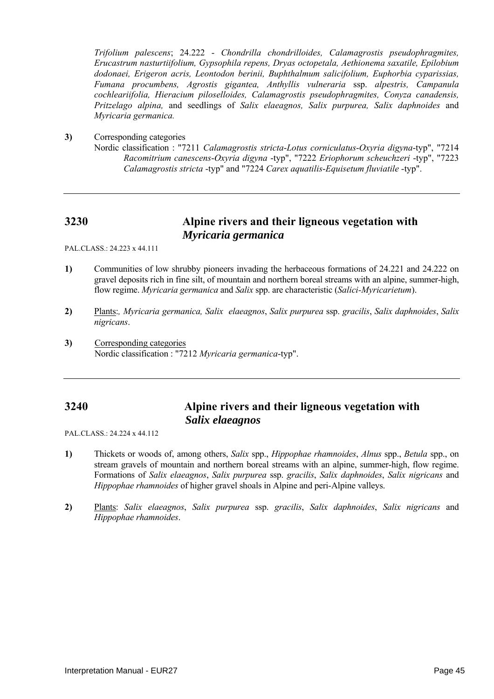*Trifolium palescens*; 24.222 - *Chondrilla chondrilloides, Calamagrostis pseudophragmites, Erucastrum nasturtiifolium, Gypsophila repens, Dryas octopetala, Aethionema saxatile, Epilobium dodonaei, Erigeron acris, Leontodon berinii, Buphthalmum salicifolium, Euphorbia cyparissias, Fumana procumbens, Agrostis gigantea, Anthyllis vulneraria* ssp. *alpestris, Campanula cochleariifolia, Hieracium piloselloides, Calamagrostis pseudophragmites, Conyza canadensis, Pritzelago alpina,* and seedlings of *Salix elaeagnos, Salix purpurea, Salix daphnoides* and *Myricaria germanica.*

**3)** Corresponding categories Nordic classification : "7211 *Calamagrostis stricta*-*Lotus corniculatus*-*Oxyria digyna*-typ", "7214 *Racomitrium canescens*-*Oxyria digyna* -typ", "7222 *Eriophorum scheuchzeri* -typ", "7223 *Calamagrostis stricta* -typ" and "7224 *Carex aquatilis*-*Equisetum fluviatile* -typ".

## **3230 Alpine rivers and their ligneous vegetation with**  *Myricaria germanica*

PAL.CLASS.: 24.223 x 44.111

- **1)** Communities of low shrubby pioneers invading the herbaceous formations of 24.221 and 24.222 on gravel deposits rich in fine silt, of mountain and northern boreal streams with an alpine, summer-high, flow regime. *Myricaria germanica* and *Salix* spp. are characteristic (*Salici-Myricarietum*).
- **2)** Plants:*, Myricaria germanica, Salix elaeagnos*, *Salix purpurea* ssp. *gracilis*, *Salix daphnoides*, *Salix nigricans*.
- **3)** Corresponding categories Nordic classification : "7212 *Myricaria germanica*-typ".

## **3240 Alpine rivers and their ligneous vegetation with**  *Salix elaeagnos*

PAL.CLASS.: 24.224 x 44.112

- **1)** Thickets or woods of, among others, *Salix* spp., *Hippophae rhamnoides*, *Alnus* spp., *Betula* spp., on stream gravels of mountain and northern boreal streams with an alpine, summer-high, flow regime. Formations of *Salix elaeagnos*, *Salix purpurea* ssp. *gracilis*, *Salix daphnoides*, *Salix nigricans* and *Hippophae rhamnoides* of higher gravel shoals in Alpine and peri-Alpine valleys.
- **2)** Plants: *Salix elaeagnos*, *Salix purpurea* ssp. *gracilis*, *Salix daphnoides*, *Salix nigricans* and *Hippophae rhamnoides*.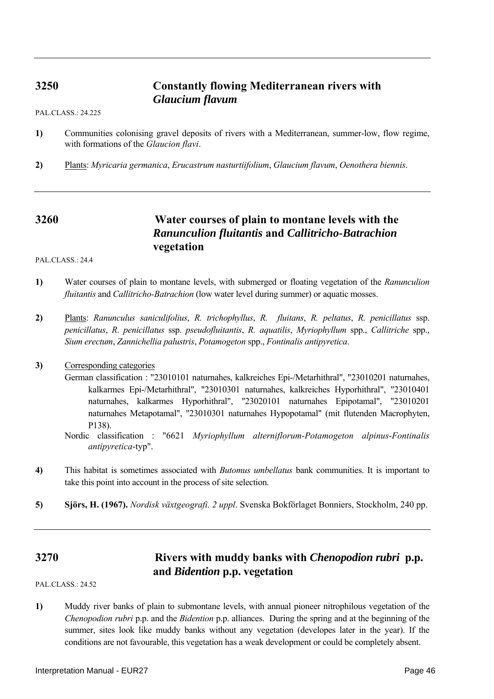## **3250 Constantly flowing Mediterranean rivers with**  *Glaucium flavum*

PAL.CLASS.: 24.225

- **1)** Communities colonising gravel deposits of rivers with a Mediterranean, summer-low, flow regime, with formations of the *Glaucion flavi*.
- **2)** Plants: *Myricaria germanica*, *Erucastrum nasturtiifolium*, *Glaucium flavum*, *Oenothera biennis*.

## **3260 Water courses of plain to montane levels with the**  *Ranunculion fluitantis* **and** *Callitricho-Batrachion*  **vegetation**

PAL.CLASS.: 24.4

- **1)** Water courses of plain to montane levels, with submerged or floating vegetation of the *Ranunculion fluitantis* and *Callitricho-Batrachion* (low water level during summer) or aquatic mosses.
- **2)** Plants: *Ranunculus saniculifolius*, *R. trichophyllus*, *R. fluitans*, *R. peltatus*, *R. penicillatus* ssp. *penicillatus*, *R. penicillatus* ssp. *pseudofluitantis*, *R. aquatilis*, *Myriophyllum* spp., *Callitriche* spp., *Sium erectum*, *Zannichellia palustris*, *Potamogeton* spp., *Fontinalis antipyretica*.

### **3)** Corresponding categories

German classification : "23010101 naturnahes, kalkreiches Epi-/Metarhithral", "23010201 naturnahes, kalkarmes Epi-/Metarhithral", "23010301 naturnahes, kalkreiches Hyporhithral", "23010401 naturnahes, kalkarmes Hyporhithral", "23020101 naturnahes Epipotamal", "23010201 naturnahes Metapotamal", "23010301 naturnahes Hypopotamal" (mit flutenden Macrophyten, P138).

- **4)** This habitat is sometimes associated with *Butomus umbellatus* bank communities. It is important to take this point into account in the process of site selection.
- **5) Sjörs, H. (1967).** *Nordisk växtgeografi. 2 uppl*. Svenska Bokförlaget Bonniers, Stockholm, 240 pp.

## **3270 Rivers with muddy banks with** *Chenopodion rubri* **p.p. and** *Bidention* **p.p. vegetation**

PAL.CLASS.: 24.52

**1)** Muddy river banks of plain to submontane levels, with annual pioneer nitrophilous vegetation of the *Chenopodion rubri* p.p. and the *Bidention* p.p. alliances. During the spring and at the beginning of the summer, sites look like muddy banks without any vegetation (developes later in the year). If the conditions are not favourable, this vegetation has a weak development or could be completely absent.

Nordic classification : "6621 *Myriophyllum alterniflorum*-*Potamogeton alpinus*-*Fontinalis antipyretica*-typ".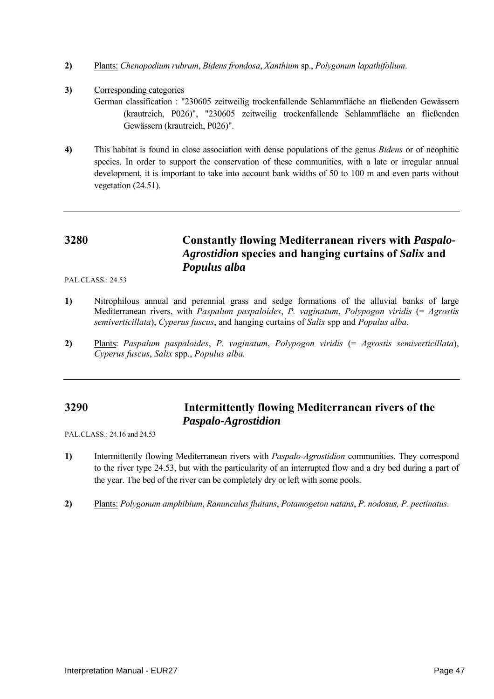- **2)** Plants: *Chenopodium rubrum*, *Bidens frondosa*, *Xanthium* sp., *Polygonum lapathifolium*.
- **3)** Corresponding categories German classification : "230605 zeitweilig trockenfallende Schlammfläche an fließenden Gewässern (krautreich, P026)", "230605 zeitweilig trockenfallende Schlammfläche an fließenden Gewässern (krautreich, P026)".
- **4)** This habitat is found in close association with dense populations of the genus *Bidens* or of neophitic species. In order to support the conservation of these communities, with a late or irregular annual development, it is important to take into account bank widths of 50 to 100 m and even parts without vegetation (24.51).

## **3280 Constantly flowing Mediterranean rivers with** *Paspalo-Agrostidion* **species and hanging curtains of** *Salix* **and**  *Populus alba*

PAL.CLASS $\cdot$  24.53

- **1)** Nitrophilous annual and perennial grass and sedge formations of the alluvial banks of large Mediterranean rivers, with *Paspalum paspaloides*, *P. vaginatum*, *Polypogon viridis* (= *Agrostis semiverticillata*), *Cyperus fuscus*, and hanging curtains of *Salix* spp and *Populus alba*.
- **2)** Plants: *Paspalum paspaloides*, *P. vaginatum*, *Polypogon viridis* (= *Agrostis semiverticillata*), *Cyperus fuscus*, *Salix* spp., *Populus alba.*

## **3290 Intermittently flowing Mediterranean rivers of the**  *Paspalo-Agrostidion*

PAL.CLASS.: 24.16 and 24.53

- **1)** Intermittently flowing Mediterranean rivers with *Paspalo-Agrostidion* communities. They correspond to the river type 24.53, but with the particularity of an interrupted flow and a dry bed during a part of the year. The bed of the river can be completely dry or left with some pools.
- **2)** Plants: *Polygonum amphibium*, *Ranunculus fluitans*, *Potamogeton natans*, *P. nodosus, P. pectinatus*.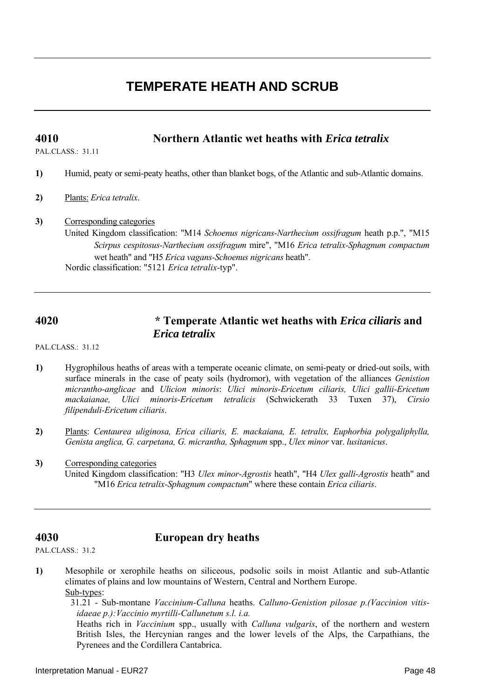# **TEMPERATE HEATH AND SCRUB**

# **4010 Northern Atlantic wet heaths with** *Erica tetralix*

PAL.CLASS.: 31.11

- **1)** Humid, peaty or semi-peaty heaths, other than blanket bogs, of the Atlantic and sub-Atlantic domains.
- **2)** Plants: *Erica tetralix*.
- **3)** Corresponding categories

United Kingdom classification: "M14 *Schoenus nigricans-Narthecium ossifragum* heath p.p.", "M15 *Scirpus cespitosus-Narthecium ossifragum* mire", "M16 *Erica tetralix-Sphagnum compactum* wet heath" and "H5 *Erica vagans-Schoenus nigricans* heath". Nordic classification: "5121 *Erica tetralix*-typ".

## **4020 \* Temperate Atlantic wet heaths with** *Erica ciliaris* **and**  *Erica tetralix*

PAL.CLASS.: 31.12

- **1)** Hygrophilous heaths of areas with a temperate oceanic climate, on semi-peaty or dried-out soils, with surface minerals in the case of peaty soils (hydromor), with vegetation of the alliances *Genistion micrantho-anglicae* and *Ulicion minoris*: *Ulici minoris-Ericetum ciliaris, Ulici gallii-Ericetum mackaianae, Ulici minoris-Ericetum tetralicis* (Schwickerath 33 Tuxen 37), *Cirsio filipenduli-Ericetum ciliaris*.
- **2)** Plants: *Centaurea uliginosa, Erica ciliaris, E. mackaiana, E. tetralix, Euphorbia polygaliphylla, Genista anglica, G. carpetana, G. micrantha, Sphagnum* spp., *Ulex minor* var. *lusitanicus*.
- **3)** Corresponding categories United Kingdom classification: "H3 *Ulex minor-Agrostis* heath", "H4 *Ulex galli-Agrostis* heath" and "M16 *Erica tetralix-Sphagnum compactum*" where these contain *Erica ciliaris*.

## **4030 European dry heaths**

PAL.CLASS.: 31.2

**1)** Mesophile or xerophile heaths on siliceous, podsolic soils in moist Atlantic and sub-Atlantic climates of plains and low mountains of Western, Central and Northern Europe. Sub-types:

31.21 - Sub-montane *Vaccinium-Calluna* heaths. *Calluno-Genistion pilosae p.(Vaccinion vitisidaeae p.):Vaccinio myrtilli-Callunetum s.l. i.a.*

Heaths rich in *Vaccinium* spp., usually with *Calluna vulgaris*, of the northern and western British Isles, the Hercynian ranges and the lower levels of the Alps, the Carpathians, the Pyrenees and the Cordillera Cantabrica.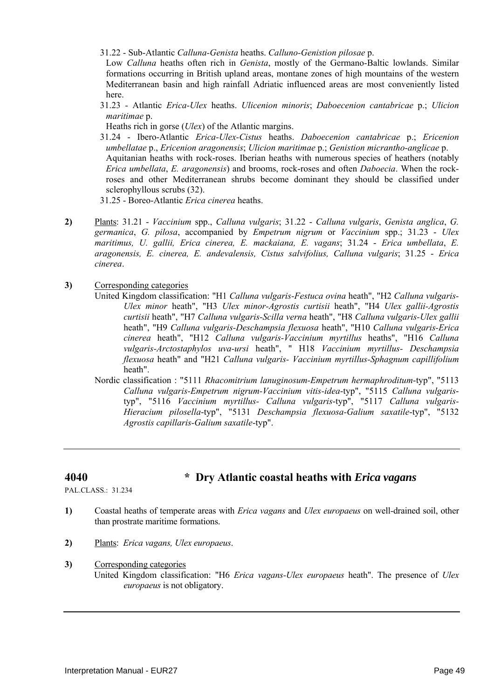31.22 - Sub-Atlantic *Calluna-Genista* heaths. *Calluno-Genistion pilosae* p.

Low *Calluna* heaths often rich in *Genista*, mostly of the Germano-Baltic lowlands. Similar formations occurring in British upland areas, montane zones of high mountains of the western Mediterranean basin and high rainfall Adriatic influenced areas are most conveniently listed here.

31.23 - Atlantic *Erica-Ulex* heaths. *Ulicenion minoris*; *Daboecenion cantabricae* p.; *Ulicion maritimae* p.

Heaths rich in gorse (*Ulex*) of the Atlantic margins.

31.24 - Ibero-Atlantic *Erica-Ulex-Cistus* heaths. *Daboecenion cantabricae* p.; *Ericenion umbellatae* p., *Ericenion aragonensis*; *Ulicion maritimae* p.; *Genistion micrantho-anglicae* p. Aquitanian heaths with rock-roses. Iberian heaths with numerous species of heathers (notably *Erica umbellata*, *E. aragonensis*) and brooms, rock-roses and often *Daboecia*. When the rockroses and other Mediterranean shrubs become dominant they should be classified under sclerophyllous scrubs (32).

31.25 - Boreo-Atlantic *Erica cinerea* heaths.

- **2)** Plants: 31.21 *Vaccinium* spp., *Calluna vulgaris*; 31.22 *Calluna vulgaris*, *Genista anglica*, *G. germanica*, *G. pilosa*, accompanied by *Empetrum nigrum* or *Vaccinium* spp.; 31.23 - *Ulex maritimus, U. gallii, Erica cinerea, E. mackaiana, E. vagans*; 31.24 - *Erica umbellata*, *E. aragonensis, E. cinerea, E. andevalensis, Cistus salvifolius, Calluna vulgaris*; 31.25 - *Erica cinerea*.
- **3)** Corresponding categories
	- United Kingdom classification: "H1 *Calluna vulgaris-Festuca ovina* heath", "H2 *Calluna vulgaris-Ulex minor* heath", "H3 *Ulex minor-Agrostis curtisii* heath", "H4 *Ulex gallii-Agrostis curtisii* heath", "H7 *Calluna vulgaris-Scilla verna* heath", "H8 *Calluna vulgaris-Ulex gallii*  heath", "H9 *Calluna vulgaris-Deschampsia flexuosa* heath", "H10 *Calluna vulgaris-Erica cinerea* heath", "H12 *Calluna vulgaris-Vaccinium myrtillus* heaths", "H16 *Calluna vulgaris-Arctostaphylos uva-ursi* heath", " H18 *Vaccinium myrtillus- Deschampsia flexuosa* heath" and "H21 *Calluna vulgaris- Vaccinium myrtillus-Sphagnum capillifolium* heath".
	- Nordic classification : "5111 *Rhacomitrium lanuginosum-Empetrum hermaphroditum*-typ", "5113 *Calluna vulgaris-Empetrum nigrum-Vaccinium vitis-idea*-typ", "5115 *Calluna vulgaris*typ", "5116 *Vaccinium myrtillus- Calluna vulgaris*-typ", "5117 *Calluna vulgaris-Hieracium pilosella*-typ", "5131 *Deschampsia flexuosa-Galium saxatile*-typ", "5132 *Agrostis capillaris-Galium saxatile*-typ".

## **4040 \* Dry Atlantic coastal heaths with** *Erica vagans*

PAL.CLASS.: 31.234

- **1)** Coastal heaths of temperate areas with *Erica vagans* and *Ulex europaeus* on well-drained soil, other than prostrate maritime formations.
- **2)** Plants: *Erica vagans, Ulex europaeus*.

# **3)** Corresponding categories

United Kingdom classification: "H6 *Erica vagans-Ulex europaeus* heath". The presence of *Ulex europaeus* is not obligatory.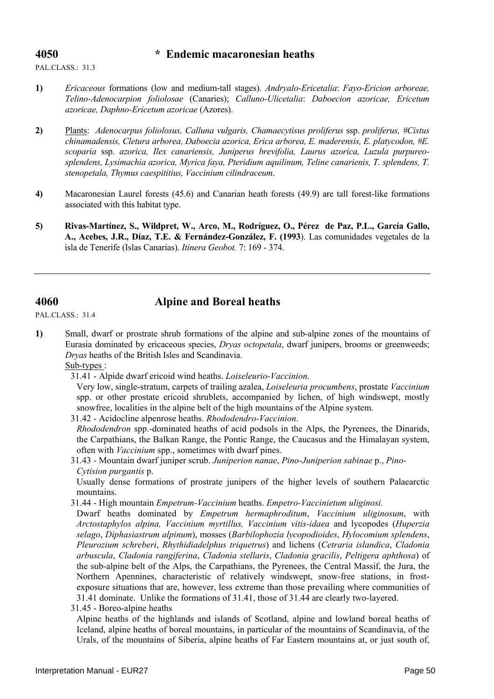## **4050 \* Endemic macaronesian heaths**

PAL.CLASS.: 31.3

- **1)** *Ericaceous* formations (low and medium-tall stages). *Andryalo-Ericetalia*: *Fayo-Ericion arboreae, Telino-Adenocarpion foliolosae* (Canaries); *Calluno-Ulicetalia*: *Daboecion azoricae, Ericetum azoricae, Daphno-Ericetum azoricae* (Azores).
- **2)** Plants: *Adenocarpus foliolosus, Calluna vulgaris, Chamaecytisus proliferus* ssp. *proliferus, #Cistus chinamadensis, Cletura arborea, Daboecia azorica, Erica arborea, E. maderensis, E. platycodon, #E. scoparia* ssp. *azorica, Ilex canariensis, Juniperus brevifolia, Laurus azorica, Luzula purpureosplendens, Lysimachia azorica, Myrica faya, Pteridium aquilinum, Teline canarienis, T. splendens, T. stenopetala, Thymus caespititius, Vaccinium cilindraceum*.
- **4)** Macaronesian Laurel forests (45.6) and Canarian heath forests (49.9) are tall forest-like formations associated with this habitat type.
- **5) Rivas-Martínez, S., Wildpret, W., Arco, M., Rodríguez, O., Pérez de Paz, P.L., García Gallo, A., Acebes, J.R., Díaz, T.E. & Fernández-González, F. (1993**). Las comunidades vegetales de la isla de Tenerife (Islas Canarias). *Itinera Geobot.* 7: 169 - 374.

## **4060 Alpine and Boreal heaths**

PAL.CLASS.: 31.4

**1)** Small, dwarf or prostrate shrub formations of the alpine and sub-alpine zones of the mountains of Eurasia dominated by ericaceous species, *Dryas octopetala*, dwarf junipers, brooms or greenweeds; *Dryas* heaths of the British Isles and Scandinavia.

Sub-types :

31.41 - Alpide dwarf ericoid wind heaths. *Loiseleurio-Vaccinion.*

Very low, single-stratum, carpets of trailing azalea, *Loiseleuria procumbens*, prostate *Vaccinium* spp. or other prostate ericoid shrublets, accompanied by lichen, of high windswept, mostly snowfree, localities in the alpine belt of the high mountains of the Alpine system.

31.42 - Acidocline alpenrose heaths. *Rhododendro-Vaccinion*.

*Rhododendron* spp.-dominated heaths of acid podsols in the Alps, the Pyrenees, the Dinarids, the Carpathians, the Balkan Range, the Pontic Range, the Caucasus and the Himalayan system, often with *Vaccinium* spp., sometimes with dwarf pines.

31.43 - Mountain dwarf juniper scrub. *Juniperion nanae*, *Pino-Juniperion sabinae* p., *Pino-Cytision purgantis* p.

Usually dense formations of prostrate junipers of the higher levels of southern Palaearctic mountains.

31.44 - High mountain *Empetrum-Vaccinium* heaths. *Empetro-Vaccinietum uliginosi.*

Dwarf heaths dominated by *Empetrum hermaphroditum*, *Vaccinium uliginosum*, with *Arctostaphylos alpina, Vaccinium myrtillus, Vaccinium vitis-idaea* and lycopodes (*Huperzia selago*, *Diphasiastrum alpinum*), mosses (*Barbilophozia lycopodioides*, *Hylocomium splendens*, *Pleurozium schreberi*, *Rhythidiadelphus triquetrus*) and lichens (*Cetraria islandica*, *Cladonia arbuscula*, *Cladonia rangiferina*, *Cladonia stellaris*, *Cladonia gracilis*, *Peltigera aphthosa*) of the sub-alpine belt of the Alps, the Carpathians, the Pyrenees, the Central Massif, the Jura, the Northern Apennines, characteristic of relatively windswept, snow-free stations, in frostexposure situations that are, however, less extreme than those prevailing where communities of 31.41 dominate. Unlike the formations of 31.41, those of 31.44 are clearly two-layered.

31.45 - Boreo-alpine heaths

Alpine heaths of the highlands and islands of Scotland, alpine and lowland boreal heaths of Iceland, alpine heaths of boreal mountains, in particular of the mountains of Scandinavia, of the Urals, of the mountains of Siberia, alpine heaths of Far Eastern mountains at, or just south of,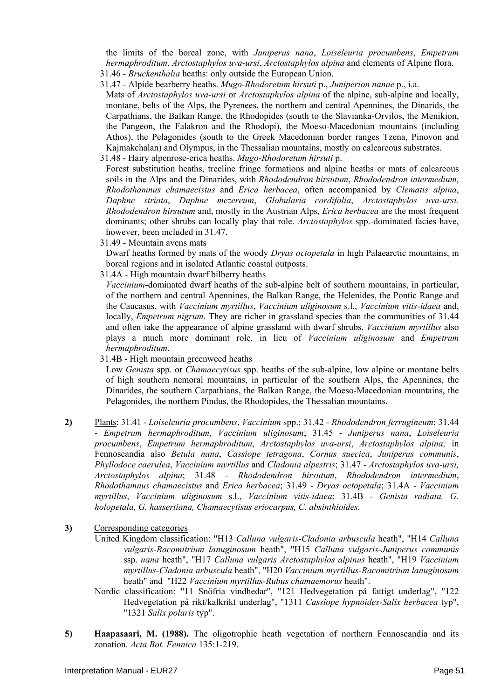the limits of the boreal zone, with *Juniperus nana*, *Loiseleuria procumbens*, *Empetrum hermaphroditum*, *Arctostaphylos uva-ursi*, *Arctostaphylos alpina* and elements of Alpine flora. 31.46 - *Bruckenthalia* heaths: only outside the European Union.

- 
- 31.47 Alpide bearberry heaths. *Mugo-Rhodoretum hirsuti* p., *Juniperion nanae* p., i.a. Mats of *Arctostaphylos uva-ursi* or *Arctostaphylos alpina* of the alpine, sub-alpine and locally, montane, belts of the Alps, the Pyrenees, the northern and central Apennines, the Dinarids, the Carpathians, the Balkan Range, the Rhodopides (south to the Slavianka-Orvilos, the Menikion, the Pangeon, the Falakron and the Rhodopi), the Moeso-Macedonian mountains (including Athos), the Pelagonides (south to the Greek Macedonian border ranges Tzena, Pinovon and Kajmakchalan) and Olympus, in the Thessalian mountains, mostly on calcareous substrates.
- 31.48 Hairy alpenrose-erica heaths. *Mugo-Rhodoretum hirsuti* p.

Forest substitution heaths, treeline fringe formations and alpine heaths or mats of calcareous soils in the Alps and the Dinarides, with *Rhododendron hirsutum*, *Rhododendron intermedium*, *Rhodothamnus chamaecistus* and *Erica herbacea*, often accompanied by *Clematis alpina*, *Daphne striata*, *Daphne mezereum*, *Globularia cordifolia*, *Arctostaphylos uva-ursi*. *Rhododendron hirsutum* and, mostly in the Austrian Alps, *Erica herbacea* are the most frequent dominants; other shrubs can locally play that role. *Arctostaphylos* spp.-dominated facies have, however, been included in 31.47.

31.49 - Mountain avens mats

Dwarf heaths formed by mats of the woody *Dryas octopetala* in high Palaearctic mountains, in boreal regions and in isolated Atlantic coastal outposts.

31.4A - High mountain dwarf bilberry heaths

*Vaccinium*-dominated dwarf heaths of the sub-alpine belt of southern mountains, in particular, of the northern and central Apennines, the Balkan Range, the Helenides, the Pontic Range and the Caucasus, with *Vaccinium myrtillus*, *Vaccinium uliginosum* s.l., *Vaccinium vitis-idaea* and, locally, *Empetrum nigrum*. They are richer in grassland species than the communities of 31.44 and often take the appearance of alpine grassland with dwarf shrubs. *Vaccinium myrtillus* also plays a much more dominant role, in lieu of *Vaccinium uliginosum* and *Empetrum hermaphroditum*.

#### 31.4B - High mountain greenweed heaths

Low *Genista* spp. or *Chamaecytisus* spp. heaths of the sub-alpine, low alpine or montane belts of high southern nemoral mountains, in particular of the southern Alps, the Apennines, the Dinarides, the southern Carpathians, the Balkan Range, the Moeso-Macedonian mountains, the Pelagonides, the northern Pindus, the Rhodopides, the Thessalian mountains.

- **2)** Plants: 31.41 *Loiseleuria procumbens*, *Vaccinium* spp.; 31.42 *Rhododendron ferrugineum*; 31.44 - *Empetrum hermaphroditum*, *Vaccinium uliginosum*; 31.45 - *Juniperus nana*, *Loiseleuria procumbens*, *Empetrum hermaphroditum*, *Arctostaphylos uva-ursi*, *Arctostaphylos alpina;* in Fennoscandia also *Betula nana*, *Cassiope tetragona*, *Cornus suecica*, *Juniperus communis*, *Phyllodoce caerulea*, *Vaccinium myrtillus* and *Cladonia alpestris*; 31.47 - *Arctostaphylos uva-ursi, Arctostaphylos alpina*; 31.48 - *Rhododendron hirsutum*, *Rhododendron intermedium*, *Rhodothamnus chamaecistus* and *Erica herbacea*; 31.49 - *Dryas octopetala*; 31.4A - *Vaccinium myrtillus*, *Vaccinium uliginosum* s.l., *Vaccinium vitis-idaea*; 31.4B - *Genista radiata, G. holopetala, G. hassertiana, Chamaecytisus eriocarpus, C. absinthioides*.
- **3)** Corresponding categories
	- United Kingdom classification: "H13 *Calluna vulgaris-Cladonia arbuscula* heath", "H14 *Calluna vulgaris-Racomitrium lanuginosum* heath", "H15 *Calluna vulgaris-Juniperus communis* ssp. *nana* heath", "H17 *Calluna vulgaris Arctostaphylos alpinus* heath", "H19 *Vaccinium myrtillus-Cladonia arbuscula* heath", "H20 *Vaccinium myrtillus-Racomitrium lanuginosum* heath" and "H22 *Vaccinium myrtillus-Rubus chamaemorus* heath".
	- Nordic classification: "11 Snöfria vindhedar", "121 Hedvegetation på fattigt underlag", "122 Hedvegetation på rikt/kalkrikt underlag", "1311 *Cassiope hypnoides-Salix herbacea* typ", "1321 *Salix polaris* typ".
- **5) Haapasaari, M. (1988).** The oligotrophic heath vegetation of northern Fennoscandia and its zonation. *Acta Bot. Fennica* 135:1-219.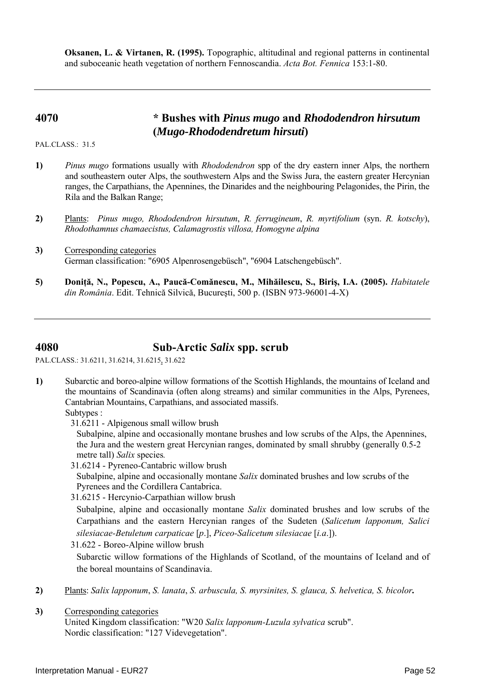**Oksanen, L. & Virtanen, R. (1995).** Topographic, altitudinal and regional patterns in continental and suboceanic heath vegetation of northern Fennoscandia. *Acta Bot. Fennica* 153:1-80.

## **4070 \* Bushes with** *Pinus mugo* **and** *Rhododendron hirsutum*  **(***Mugo-Rhododendretum hirsuti***)**

PAL.CLASS.: 31.5

- **1)** *Pinus mugo* formations usually with *Rhododendron* spp of the dry eastern inner Alps, the northern and southeastern outer Alps, the southwestern Alps and the Swiss Jura, the eastern greater Hercynian ranges, the Carpathians, the Apennines, the Dinarides and the neighbouring Pelagonides, the Pirin, the Rila and the Balkan Range;
- **2)** Plants: *Pinus mugo, Rhododendron hirsutum*, *R. ferrugineum*, *R. myrtifolium* (syn. *R. kotschy*), *Rhodothamnus chamaecistus, Calamagrostis villosa, Homogyne alpina*
- **3)** Corresponding categories German classification: "6905 Alpenrosengebüsch", "6904 Latschengebüsch".
- **5) Doniţă, N., Popescu, A., Paucă-Comănescu, M., Mihăilescu, S., Biriş, I.A. (2005).** *Habitatele din România*. Edit. Tehnică Silvică, Bucureşti, 500 p. (ISBN 973-96001-4-X)

## **4080 Sub-Arctic** *Salix* **spp. scrub**

PAL.CLASS.: 31.6211, 31.6214, 31.6215, 31.622

- **1)** Subarctic and boreo-alpine willow formations of the Scottish Highlands, the mountains of Iceland and the mountains of Scandinavia (often along streams) and similar communities in the Alps, Pyrenees, Cantabrian Mountains, Carpathians, and associated massifs. Subtypes :
	- 31.6211 Alpigenous small willow brush
		- Subalpine, alpine and occasionally montane brushes and low scrubs of the Alps, the Apennines, the Jura and the western great Hercynian ranges, dominated by small shrubby (generally 0.5-2 metre tall) *Salix* species*.*
	- 31.6214 Pyreneo-Cantabric willow brush Subalpine, alpine and occasionally montane *Salix* dominated brushes and low scrubs of the Pyrenees and the Cordillera Cantabrica.
	- 31.6215 Hercynio-Carpathian willow brush Subalpine, alpine and occasionally montane *Salix* dominated brushes and low scrubs of the Carpathians and the eastern Hercynian ranges of the Sudeten (*Salicetum lapponum, Salici silesiacae-Betuletum carpaticae* [*p*.], *Piceo-Salicetum silesiacae* [*i.a*.]).
	- 31.622 Boreo-Alpine willow brush Subarctic willow formations of the Highlands of Scotland, of the mountains of Iceland and of the boreal mountains of Scandinavia.
- **2)** Plants: *Salix lapponum*, *S. lanata*, *S. arbuscula, S. myrsinites, S. glauca, S. helvetica, S. bicolor.*
- **3)** Corresponding categories United Kingdom classification: "W20 *Salix lapponum-Luzula sylvatica* scrub". Nordic classification: "127 Videvegetation".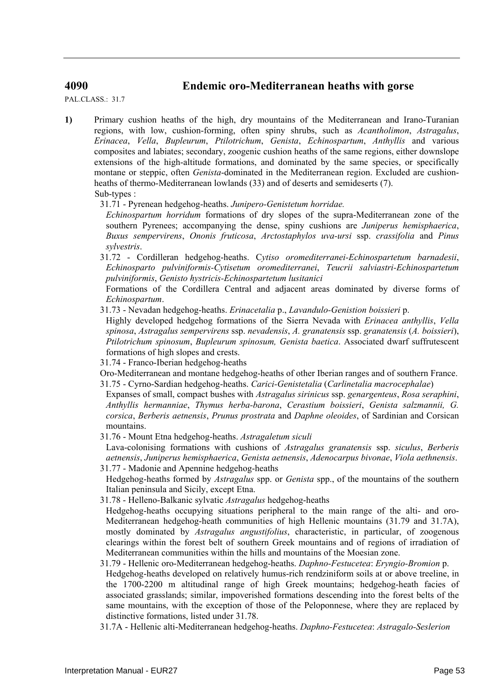## **4090 Endemic oro-Mediterranean heaths with gorse**

PAL.CLASS $\cdot$  31.7

- **1)** Primary cushion heaths of the high, dry mountains of the Mediterranean and Irano-Turanian regions, with low, cushion-forming, often spiny shrubs, such as *Acantholimon*, *Astragalus*, *Erinacea*, *Vella*, *Bupleurum*, *Ptilotrichum*, *Genista*, *Echinospartum*, *Anthyllis* and various composites and labiates; secondary, zoogenic cushion heaths of the same regions, either downslope extensions of the high-altitude formations, and dominated by the same species, or specifically montane or steppic, often *Genista*-dominated in the Mediterranean region. Excluded are cushionheaths of thermo-Mediterranean lowlands (33) and of deserts and semideserts (7). Sub-types :
	- 31.71 Pyrenean hedgehog-heaths. *Junipero-Genistetum horridae.*
	- *Echinospartum horridum* formations of dry slopes of the supra-Mediterranean zone of the southern Pyrenees; accompanying the dense, spiny cushions are *Juniperus hemisphaerica*, *Buxus sempervirens*, *Ononis fruticosa*, *Arctostaphylos uva-ursi* ssp. *crassifolia* and *Pinus sylvestris*.
	- 31.72 Cordilleran hedgehog-heaths. C*ytiso oromediterranei-Echinospartetum barnadesii*, *Echinosparto pulviniformis-Cytisetum oromediterranei*, *Teucrii salviastri-Echinospartetum pulviniformis*, *Genisto hystricis-Echinospartetum lusitanici*

Formations of the Cordillera Central and adjacent areas dominated by diverse forms of *Echinospartum*.

31.73 - Nevadan hedgehog-heaths. *Erinacetalia* p., *Lavandulo-Genistion boissieri* p.

Highly developed hedgehog formations of the Sierra Nevada with *Erinacea anthyllis*, *Vella spinosa*, *Astragalus sempervirens* ssp. *nevadensis*, *A. granatensis* ssp. *granatensis* (*A. boissieri*), *Ptilotrichum spinosum*, *Bupleurum spinosum, Genista baetica*. Associated dwarf suffrutescent formations of high slopes and crests.

31.74 - Franco-Iberian hedgehog-heaths

- Oro-Mediterranean and montane hedgehog-heaths of other Iberian ranges and of southern France.
- 31.75 Cyrno-Sardian hedgehog-heaths. *Carici-Genistetalia* (*Carlinetalia macrocephalae*) Expanses of small, compact bushes with *Astragalus sirinicus* ssp. *genargenteus*, *Rosa seraphini*, *Anthyllis hermanniae*, *Thymus herba-barona*, *Cerastium boissieri*, *Genista salzmannii, G. corsica*, *Berberis aetnensis*, *Prunus prostrata* and *Daphne oleoides*, of Sardinian and Corsican mountains.
- 31.76 Mount Etna hedgehog-heaths. *Astragaletum siculi*

Lava-colonising formations with cushions of *Astragalus granatensis* ssp. *siculus*, *Berberis aetnensis*, *Juniperus hemisphaerica*, *Genista aetnensis*, *Adenocarpus bivonae*, *Viola aethnensis*. 31.77 - Madonie and Apennine hedgehog-heaths

- Hedgehog-heaths formed by *Astragalus* spp. or *Genista* spp., of the mountains of the southern Italian peninsula and Sicily, except Etna.
- 31.78 Helleno-Balkanic sylvatic *Astragalus* hedgehog-heaths

Hedgehog-heaths occupying situations peripheral to the main range of the alti- and oro-Mediterranean hedgehog-heath communities of high Hellenic mountains (31.79 and 31.7A), mostly dominated by *Astragalus angustifolius*, characteristic, in particular, of zoogenous clearings within the forest belt of southern Greek mountains and of regions of irradiation of Mediterranean communities within the hills and mountains of the Moesian zone.

- 31.79 Hellenic oro-Mediterranean hedgehog-heaths. *Daphno-Festucetea*: *Eryngio-Bromion* p. Hedgehog-heaths developed on relatively humus-rich rendziniform soils at or above treeline, in the 1700-2200 m altitudinal range of high Greek mountains; hedgehog-heath facies of associated grasslands; similar, impoverished formations descending into the forest belts of the same mountains, with the exception of those of the Peloponnese, where they are replaced by distinctive formations, listed under 31.78.
- 31.7A Hellenic alti-Mediterranean hedgehog-heaths. *Daphno-Festucetea*: *Astragalo-Seslerion*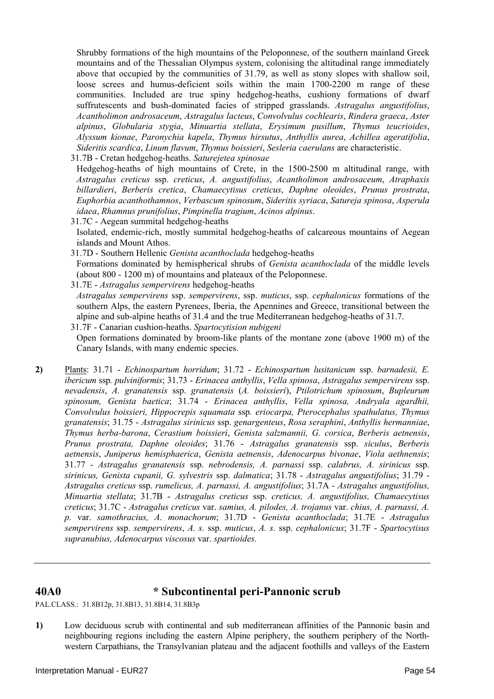Shrubby formations of the high mountains of the Peloponnese, of the southern mainland Greek mountains and of the Thessalian Olympus system, colonising the altitudinal range immediately above that occupied by the communities of 31.79, as well as stony slopes with shallow soil, loose screes and humus-deficient soils within the main 1700-2200 m range of these communities. Included are true spiny hedgehog-heaths, cushiony formations of dwarf suffrutescents and bush-dominated facies of stripped grasslands. *Astragalus angustifolius*, *Acantholimon androsaceum*, *Astragalus lacteus*, *Convolvulus cochlearis*, *Rindera graeca*, *Aster alpinus*, *Globularia stygia*, *Minuartia stellata*, *Erysimum pusillum*, *Thymus teucrioides*, *Alyssum kionae*, *Paronychia kapela*, *Thymus hirsutus*, *Anthyllis aurea*, *Achillea ageratifolia*, *Sideritis scardica*, *Linum flavum*, *Thymus boissieri*, *Sesleria caerulans* are characteristic.

31.7B - Cretan hedgehog-heaths. *Saturejetea spinosae*

Hedgehog-heaths of high mountains of Crete, in the 1500-2500 m altitudinal range, with *Astragalus creticus* ssp. *creticus*, *A. angustifolius*, *Acantholimon androsaceum*, *Atraphaxis billardieri*, *Berberis cretica*, *Chamaecytisus creticus*, *Daphne oleoides*, *Prunus prostrata*, *Euphorbia acanthothamnos*, *Verbascum spinosum*, *Sideritis syriaca*, *Satureja spinosa*, *Asperula idaea*, *Rhamnus prunifolius*, *Pimpinella tragium*, *Acinos alpinus*.

- 31.7C Aegean summital hedgehog-heaths Isolated, endemic-rich, mostly summital hedgehog-heaths of calcareous mountains of Aegean islands and Mount Athos.
- 31.7D Southern Hellenic *Genista acanthoclada* hedgehog-heaths Formations dominated by hemispherical shrubs of *Genista acanthoclada* of the middle levels (about 800 - 1200 m) of mountains and plateaux of the Peloponnese.
- 31.7E *Astragalus sempervirens* hedgehog-heaths *Astragalus sempervirens* ssp. *sempervirens*, ssp. *muticus*, ssp. *cephalonicus* formations of the southern Alps, the eastern Pyrenees, Iberia, the Apennines and Greece, transitional between the alpine and sub-alpine heaths of 31.4 and the true Mediterranean hedgehog-heaths of 31.7.

31.7F - Canarian cushion-heaths. *Spartocytision nubigeni* Open formations dominated by broom-like plants of the montane zone (above 1900 m) of the Canary Islands, with many endemic species.

**2)** Plants: 31.71 - *Echinospartum horridum*; 31.72 - *Echinospartum lusitanicum* ssp. *barnadesii, E. ibericum* ssp*. pulviniformis*; 31.73 - *Erinacea anthyllis*, *Vella spinosa*, *Astragalus sempervirens* ssp. *nevadensis*, *A. granatensis* ssp. *granatensis* (*A. boissieri*), *Ptilotrichum spinosum*, *Bupleurum spinosum, Genista baetica*; 31.74 - *Erinacea anthyllis*, *Vella spinosa, Andryala agardhii, Convolvulus boissieri, Hippocrepis squamata* ssp*. eriocarpa, Pterocephalus spathulatus, Thymus granatensis*; 31.75 - *Astragalus sirinicus* ssp. *genargenteus*, *Rosa seraphini*, *Anthyllis hermanniae*, *Thymus herba-barona*, *Cerastium boissieri*, *Genista salzmannii, G. corsica*, *Berberis aetnensis*, *Prunus prostrata, Daphne oleoides*; 31.76 - *Astragalus granatensis* ssp. *siculus*, *Berberis aetnensis*, *Juniperus hemisphaerica*, *Genista aetnensis*, *Adenocarpus bivonae*, *Viola aethnensis*; 31.77 - *Astragalus granatensis* ssp. *nebrodensis, A. parnassi* ssp. *calabrus, A. sirinicus* ssp. *sirinicus, Genista cupanii, G. sylvestris* ssp. *dalmatica*; 31.78 - *Astragalus angustifolius*; 31.79 - *Astragalus creticus* ssp. *rumelicus, A. parnassi, A. angustifolius*; 31.7A - *Astragalus angustifolius, Minuartia stellata*; 31.7B - *Astragalus creticus* ssp. *creticus, A. angustifolius, Chamaecytisus creticus*; 31.7C - *Astragalus creticus* var. *samius, A. pilodes, A. trojanus* var. *chius, A. parnassi, A. p.* var. *samothracius, A. monachorum*; 31.7D - *Genista acanthoclada*; 31.7E - *Astragalus sempervirens* ssp. *sempervirens*, *A. s.* ssp. *muticus*, *A. s.* ssp. *cephalonicus*; 31.7F - *Spartocytisus supranubius, Adenocarpus viscosus* var. *spartioides.* 

## **40A0 \* Subcontinental peri-Pannonic scrub**

PAL.CLASS.: 31.8B12p, 31.8B13, 31.8B14, 31.8B3p

**1)** Low deciduous scrub with continental and sub mediterranean affinities of the Pannonic basin and neighbouring regions including the eastern Alpine periphery, the southern periphery of the Northwestern Carpathians, the Transylvanian plateau and the adjacent foothills and valleys of the Eastern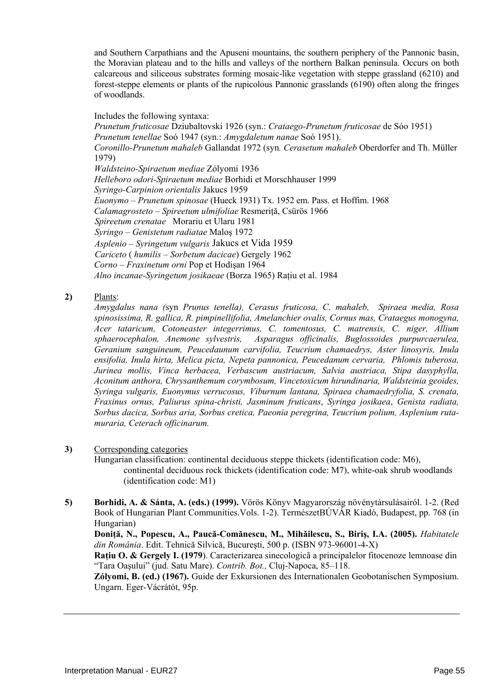and Southern Carpathians and the Apuseni mountains, the southern periphery of the Pannonic basin, the Moravian plateau and to the hills and valleys of the northern Balkan peninsula. Occurs on both calcareous and siliceous substrates forming mosaic-like vegetation with steppe grassland (6210) and forest-steppe elements or plants of the rupicolous Pannonic grasslands (6190) often along the fringes of woodlands.

Includes the following syntaxa:

*Prunetum fruticosae* Dziubaltovski 1926 (syn.: *Crataego-Prunetum fruticosae* de Sóo 1951) *Prunetum tenellae* Soó 1947 (syn.: *Amygdaletum nanae* Soó 1951). *Coronillo-Prunetum mahaleb* Gallandat 1972 (syn*. Cerasetum mahaleb* Oberdorfer and Th. Müller 1979) *Waldsteino-Spiraetum mediae* Zólyomi 1936 *Helleboro odori-Spiraetum mediae* Borhidi et Morschhauser 1999 *Syringo-Carpinion orientalis* Jakucs 1959 *Euonymo – Prunetum spinosae* (Hueck 1931) Tx. 1952 em. Pass. et Hoffim. 1968 *Calamagrosteto – Spireetum ulmifoliae* Resmeriţă, Csürös 1966 *Spireetum crenatae* Morariu et Ularu 1981 *Syringo – Genistetum radiatae* Maloş 1972 *Asplenio – Syringetum vulgaris* Jakucs et Vida 1959 *Cariceto* ( *humilis – Sorbetum dacicae*) Gergely 1962 *Corno – Fraxinetum orni* Pop et Hodişan 1964 *Alno incanae-Syringetum josikaeae* (Borza 1965) Raţiu et al. 1984

### **2)** Plants:

*Amygdalus nana (*syn *Prunus tenella), Cerasus fruticosa, C. mahaleb, Spiraea media, Rosa spinosissima, R. gallica, R. pimpinellifolia, Amelanchier ovalis, Cornus mas, Crataegus monogyna, Acer tataricum, Cotoneaster integerrimus, C. tomentosus, C. matrensis, C. niger, Allium sphaerocephalon, Anemone sylvestris, Asparagus officinalis, Buglossoides purpurcaerulea, Geranium sanguineum, Peucedaunum carvifolia, Teucrium chamaedrys, Aster linosyris, Inula ensifolia, Inula hirta, Melica picta, Nepeta pannonica, Peucedanum cervaria, Phlomis tuberosa, Jurinea mollis, Vinca herbacea, Verbascum austriacum, Salvia austriaca, Stipa dasyphylla, Aconitum anthora, Chrysanthemum corymbosum, Vincetoxicum hirundinaria, Waldsteinia geoides, Syringa vulgaris, Euonymus verrucosus, Viburnum lantana, Spiraea chamaedryfolia, S. crenata, Fraxinus ornus, Paliurus spina-christi, Jasminum fruticans*, *Syringa josikaea*, *Genista radiata, Sorbus dacica, Sorbus aria, Sorbus cretica, Paeonia peregrina, Teucrium polium, Asplenium rutamuraria, Ceterach officinarum.*

#### **3)** Corresponding categories

Hungarian classification: continental deciduous steppe thickets (identification code: M6), continental deciduous rock thickets (identification code: M7), white-oak shrub woodlands (identification code: M1)

**5) Borhidi, A. & Sánta, A. (eds.) (1999).** Vörös Könyv Magyarország növénytársulásairól. 1-2. (Red Book of Hungarian Plant Communities.Vols. 1-2). TermészetBÚVÁR Kiadó, Budapest, pp. 768 (in Hungarian)

**Doniţă, N., Popescu, A., Paucă-Comănescu, M., Mihăilescu, S., Biriş, I.A. (2005).** *Habitatele din România*. Edit. Tehnică Silvică, Bucureşti, 500 p. (ISBN 973-96001-4-X)

**Raţiu O. & Gergely I. (1979**). Caracterizarea sinecologicã a principalelor fitocenoze lemnoase din "Tara Oaşului" (jud. Satu Mare). *Contrib. Bot.,* Cluj-Napoca, 85–118.

 **Zólyomi, B. (ed.) (1967).** Guide der Exkursionen des Internationalen Geobotanischen Symposium. Ungarn. Eger-Vácrátót, 95p.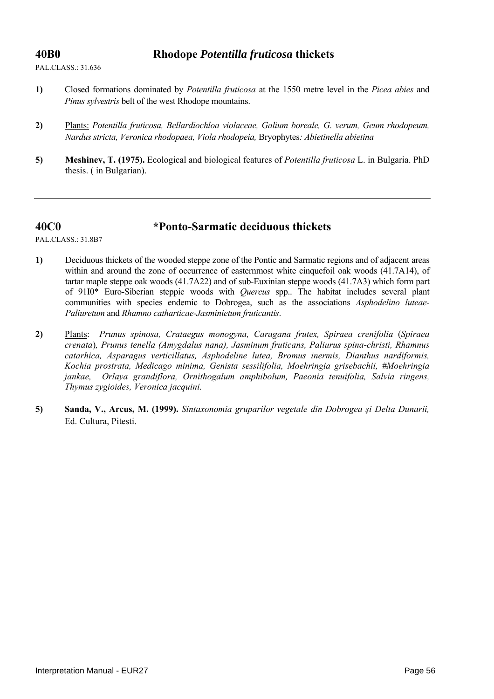## **40B0 Rhodope** *Potentilla fruticosa* **thickets**

PAL.CLASS.: 31.636

- **1)** Closed formations dominated by *Potentilla fruticosa* at the 1550 metre level in the *Picea abies* and *Pinus sylvestris* belt of the west Rhodope mountains.
- **2)** Plants: *Potentilla fruticosa, Bellardiochloa violaceae, Galium boreale, G. verum, Geum rhodopeum, Nardus stricta, Veronica rhodopaea, Viola rhodopeia,* Bryophytes*: Abietinella abietina*
- **5) Meshinev, T. (1975).** Ecological and biological features of *Potentilla fruticosa* L. in Bulgaria. PhD thesis. ( in Bulgarian).

## **40C0 \*Ponto-Sarmatic deciduous thickets**

PAL.CLASS.: 31.8B7

- **1)** Deciduous thickets of the wooded steppe zone of the Pontic and Sarmatic regions and of adjacent areas within and around the zone of occurrence of easternmost white cinquefoil oak woods  $(41.7A14)$ , of tartar maple steppe oak woods (41.7A22) and of sub-Euxinian steppe woods (41.7A3) which form part of 91I0\* Euro-Siberian steppic woods with *Quercus* spp.. The habitat includes several plant communities with species endemic to Dobrogea, such as the associations *Asphodelino luteae-Paliuretum* and *Rhamno catharticae-Jasminietum fruticantis*.
- **2)** Plants: *Prunus spinosa, Crataegus monogyna, Caragana frutex, Spiraea crenifolia* (*Spiraea crenata*)*, Prunus tenella (Amygdalus nana), Jasminum fruticans, Paliurus spina-christi, Rhamnus catarhica, Asparagus verticillatus, Asphodeline lutea, Bromus inermis, Dianthus nardiformis, Kochia prostrata, Medicago minima, Genista sessilifolia, Moehringia grisebachii, #Moehringia jankae, Orlaya grandiflora, Ornithogalum amphibolum, Paeonia tenuifolia, Salvia ringens, Thymus zygioides, Veronica jacquini.*
- **5) Sanda, V., Arcus, M. (1999).** *Sintaxonomia gruparilor vegetale din Dobrogea şi Delta Dunarii,*  Ed. Cultura, Pitesti.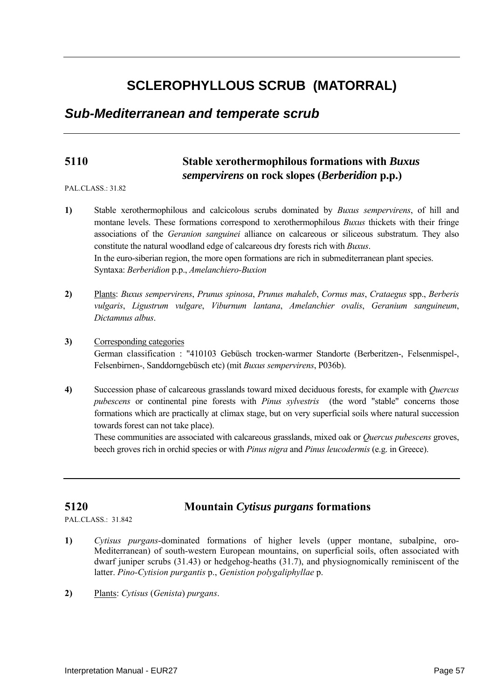# **SCLEROPHYLLOUS SCRUB (MATORRAL)**

## *Sub-Mediterranean and temperate scrub*

## **5110 Stable xerothermophilous formations with** *Buxus sempervirens* **on rock slopes (***Berberidion* **p.p.)**

PAL.CLASS.: 31.82

- **1)** Stable xerothermophilous and calcicolous scrubs dominated by *Buxus sempervirens*, of hill and montane levels. These formations correspond to xerothermophilous *Buxus* thickets with their fringe associations of the *Geranion sanguinei* alliance on calcareous or siliceous substratum. They also constitute the natural woodland edge of calcareous dry forests rich with *Buxus*. In the euro-siberian region, the more open formations are rich in submediterranean plant species. Syntaxa: *Berberidion* p.p., *Amelanchiero-Buxion*
- **2)** Plants: *Buxus sempervirens*, *Prunus spinosa*, *Prunus mahaleb*, *Cornus mas*, *Crataegus* spp., *Berberis vulgaris*, *Ligustrum vulgare*, *Viburnum lantana*, *Amelanchier ovalis*, *Geranium sanguineum*, *Dictamnus albus*.

## **3)** Corresponding categories German classification : "410103 Gebüsch trocken-warmer Standorte (Berberitzen-, Felsenmispel-, Felsenbirnen-, Sanddorngebüsch etc) (mit *Buxus sempervirens*, P036b).

**4)** Succession phase of calcareous grasslands toward mixed deciduous forests, for example with *Quercus pubescens* or continental pine forests with *Pinus sylvestris* (the word "stable" concerns those formations which are practically at climax stage, but on very superficial soils where natural succession towards forest can not take place).

 These communities are associated with calcareous grasslands, mixed oak or *Quercus pubescens* groves, beech groves rich in orchid species or with *Pinus nigra* and *Pinus leucodermis* (e.g. in Greece).

## **5120 Mountain** *Cytisus purgans* **formations**

PAL.CLASS.: 31.842

- **1)** *Cytisus purgans*-dominated formations of higher levels (upper montane, subalpine, oro-Mediterranean) of south-western European mountains, on superficial soils, often associated with dwarf juniper scrubs (31.43) or hedgehog-heaths (31.7), and physiognomically reminiscent of the latter. *Pino-Cytision purgantis* p., *Genistion polygaliphyllae* p.
- **2)** Plants: *Cytisus* (*Genista*) *purgans*.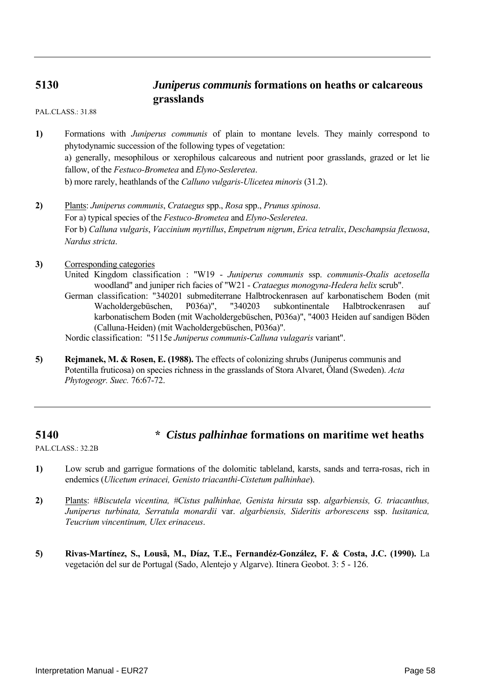## **5130** *Juniperus communis* **formations on heaths or calcareous grasslands**

PAL.CLASS.: 31.88

- **1)** Formations with *Juniperus communis* of plain to montane levels. They mainly correspond to phytodynamic succession of the following types of vegetation: a) generally, mesophilous or xerophilous calcareous and nutrient poor grasslands, grazed or let lie fallow, of the *Festuco-Brometea* and *Elyno-Sesleretea*. b) more rarely, heathlands of the *Calluno vulgaris-Ulicetea minoris* (31.2).
- **2)** Plants: *Juniperus communis*, *Crataegus* spp., *Rosa* spp., *Prunus spinosa*. For a) typical species of the *Festuco-Brometea* and *Elyno-Sesleretea*. For b) *Calluna vulgaris*, *Vaccinium myrtillus*, *Empetrum nigrum*, *Erica tetralix*, *Deschampsia flexuosa*, *Nardus stricta*.
- **3)** Corresponding categories
	- United Kingdom classification : "W19 *Juniperus communis* ssp. *communis-Oxalis acetosella* woodland" and juniper rich facies of "W21 - *Crataegus monogyna-Hedera helix* scrub".
	- German classification: "340201 submediterrane Halbtrockenrasen auf karbonatischem Boden (mit Wacholdergebüschen, P036a)", "340203 subkontinentale Halbtrockenrasen auf karbonatischem Boden (mit Wacholdergebüschen, P036a)", "4003 Heiden auf sandigen Böden (Calluna-Heiden) (mit Wacholdergebüschen, P036a)".

Nordic classification: "5115e *Juniperus communis*-*Calluna vulagaris* variant".

**5) Rejmanek, M. & Rosen, E. (1988).** The effects of colonizing shrubs (Juniperus communis and Potentilla fruticosa) on species richness in the grasslands of Stora Alvaret, Öland (Sweden). *Acta Phytogeogr. Suec.* 76:67-72.

# **5140 \*** *Cistus palhinhae* **formations on maritime wet heaths**

PAL.CLASS.: 32.2B

- **1)** Low scrub and garrigue formations of the dolomitic tableland, karsts, sands and terra-rosas, rich in endemics (*Ulicetum erinacei, Genisto triacanthi-Cistetum palhinhae*).
- **2)** Plants: *#Biscutela vicentina, #Cistus palhinhae, Genista hirsuta* ssp. *algarbiensis, G. triacanthus, Juniperus turbinata, Serratula monardii* var. *algarbiensis, Sideritis arborescens* ssp. *lusitanica, Teucrium vincentinum, Ulex erinaceus*.
- **5) Rivas-Martínez, S., Lousã, M., Díaz, T.E., Fernandéz-González, F. & Costa, J.C. (1990).** La vegetación del sur de Portugal (Sado, Alentejo y Algarve). Itinera Geobot. 3: 5 - 126.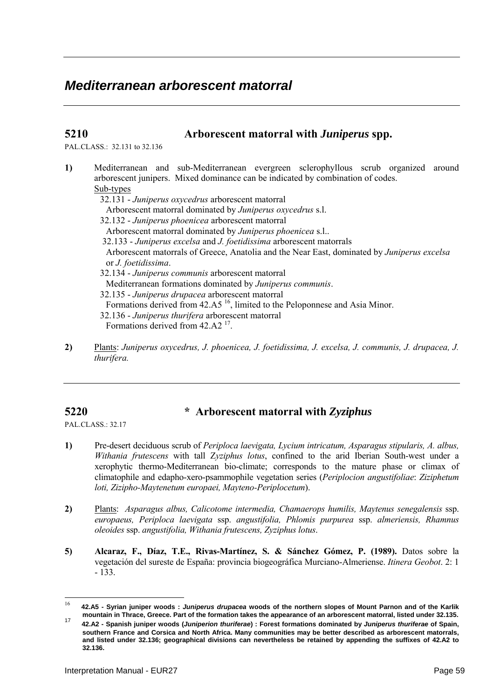# *Mediterranean arborescent matorral*

## **5210 Arborescent matorral with** *Juniperus* **spp.**

PAL.CLASS.: 32.131 to 32.136

- **1)** Mediterranean and sub-Mediterranean evergreen sclerophyllous scrub organized around arborescent junipers. Mixed dominance can be indicated by combination of codes. Sub-types 32.131 - *Juniperus oxycedrus* arborescent matorral Arborescent matorral dominated by *Juniperus oxycedrus* s.l. 32.132 - *Juniperus phoenicea* arborescent matorral Arborescent matorral dominated by *Juniperus phoenicea* s.l.. 32.133 - *Juniperus excelsa* and *J. foetidissima* arborescent matorrals Arborescent matorrals of Greece, Anatolia and the Near East, dominated by *Juniperus excelsa* or *J. foetidissima*. 32.134 - *Juniperus communis* arborescent matorral Mediterranean formations dominated by *Juniperus communis*. 32.135 - *Juniperus drupacea* arborescent matorral Formations derived from 42.A5<sup>16</sup>, limited to the Peloponnese and Asia Minor. 32.136 - *Juniperus thurifera* arborescent matorral Formations derived from  $42.A2<sup>17</sup>$ .
- **2)** Plants: *Juniperus oxycedrus, J. phoenicea, J. foetidissima, J. excelsa, J. communis, J. drupacea, J. thurifera.*

# **5220 \* Arborescent matorral with** *Zyziphus*

PAL.CLASS · 32.17

 $\overline{a}$ 

- **1)** Pre-desert deciduous scrub of *Periploca laevigata, Lycium intricatum, Asparagus stipularis, A. albus, Withania frutescens* with tall Z*yziphus lotus*, confined to the arid Iberian South-west under a xerophytic thermo-Mediterranean bio-climate; corresponds to the mature phase or climax of climatophile and edapho-xero-psammophile vegetation series (*Periplocion angustifoliae*: *Ziziphetum loti, Zizipho-Maytenetum europaei, Mayteno-Periplocetum*).
- **2)** Plants: *Asparagus albus, Calicotome intermedia, Chamaerops humilis, Maytenus senegalensis* ssp. *europaeus, Periploca laevigata* ssp. *angustifolia, Phlomis purpurea* ssp. *almeriensis, Rhamnus oleoides* ssp. *angustifolia, Withania frutescens, Zyziphus lotus*.
- **5) Alcaraz, F., Díaz, T.E., Rivas-Martínez, S. & Sánchez Gómez, P. (1989).** Datos sobre la vegetación del sureste de España: provincia biogeográfica Murciano-Almeriense. *Itinera Geobot*. 2: 1 - 133.

<sup>16</sup> **42.A5 - Syrian juniper woods :** *Juniperus drupacea* **woods of the northern slopes of Mount Parnon and of the Karlik**  mountain in Thrace, Greece. Part of the formation takes the appearance of an arborescent matorral, listed under 32.135.<br>42.A2 - Spanish juniper woods (*Juniperion thuriferae*) : Forest formations dominated by *Juniperus th* 

**southern France and Corsica and North Africa. Many communities may be better described as arborescent matorrals, and listed under 32.136; geographical divisions can nevertheless be retained by appending the suffixes of 42.A2 to 32.136.**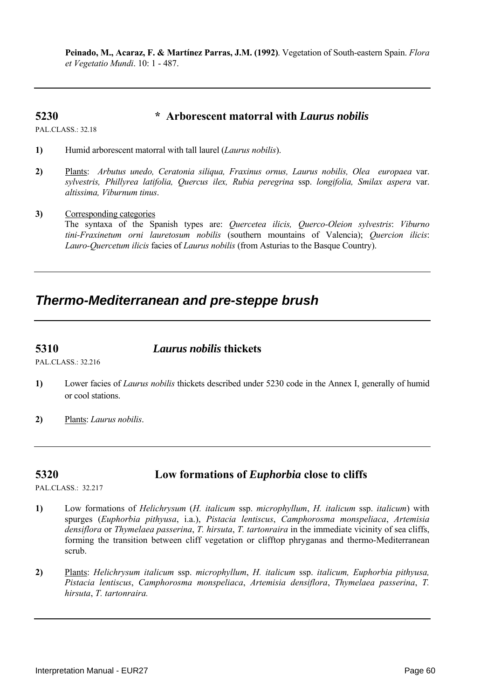**Peinado, M., Acaraz, F. & Martínez Parras, J.M. (1992)**. Vegetation of South-eastern Spain. *Flora et Vegetatio Mundi*. 10: 1 - 487.

## **5230 \* Arborescent matorral with** *Laurus nobilis*

PAL.CLASS.: 32.18

- **1)** Humid arborescent matorral with tall laurel (*Laurus nobilis*).
- **2)** Plants: *Arbutus unedo, Ceratonia siliqua, Fraxinus ornus, Laurus nobilis, Olea europaea* var. *sylvestris, Phillyrea latifolia, Quercus ilex, Rubia peregrina* ssp. *longifolia, Smilax aspera* var. *altissima, Viburnum tinus*.
- **3)** Corresponding categories The syntaxa of the Spanish types are: *Quercetea ilicis, Querco-Oleion sylvestris*: *Viburno tini-Fraxinetum orni lauretosum nobilis* (southern mountains of Valencia); *Quercion ilicis*: *Lauro-Quercetum ilicis* facies of *Laurus nobilis* (from Asturias to the Basque Country).

# *Thermo-Mediterranean and pre-steppe brush*

### **5310** *Laurus nobilis* **thickets**

PAL.CLASS.: 32.216

- **1)** Lower facies of *Laurus nobilis* thickets described under 5230 code in the Annex I, generally of humid or cool stations.
- **2)** Plants: *Laurus nobilis*.

## **5320 Low formations of** *Euphorbia* **close to cliffs**

PAL.CLASS.: 32.217

- **1)** Low formations of *Helichrysum* (*H. italicum* ssp. *microphyllum*, *H. italicum* ssp. *italicum*) with spurges (*Euphorbia pithyusa*, i.a.), *Pistacia lentiscus*, *Camphorosma monspeliaca*, *Artemisia densiflora* or *Thymelaea passerina*, *T. hirsuta*, *T. tartonraira* in the immediate vicinity of sea cliffs, forming the transition between cliff vegetation or clifftop phryganas and thermo-Mediterranean scrub.
- **2)** Plants: *Helichrysum italicum* ssp. *microphyllum*, *H. italicum* ssp. *italicum, Euphorbia pithyusa, Pistacia lentiscus*, *Camphorosma monspeliaca*, *Artemisia densiflora*, *Thymelaea passerina*, *T. hirsuta*, *T. tartonraira.*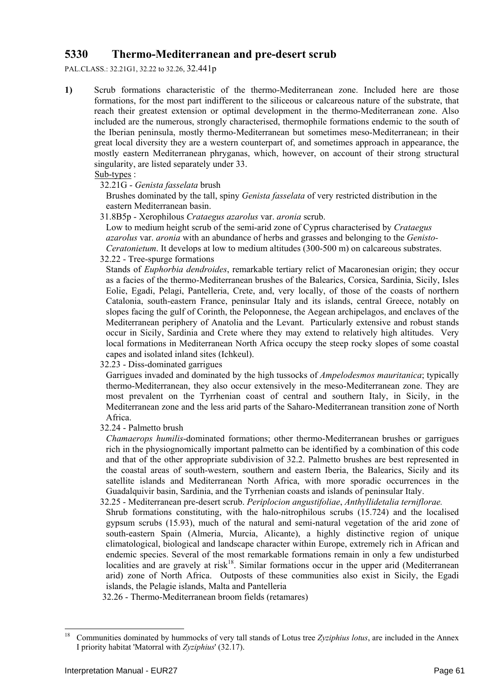## **5330 Thermo-Mediterranean and pre-desert scrub**

PAL.CLASS.: 32.21G1, 32.22 to 32.26, 32.441p

**1)** Scrub formations characteristic of the thermo-Mediterranean zone. Included here are those formations, for the most part indifferent to the siliceous or calcareous nature of the substrate, that reach their greatest extension or optimal development in the thermo-Mediterranean zone. Also included are the numerous, strongly characterised, thermophile formations endemic to the south of the Iberian peninsula, mostly thermo-Mediterranean but sometimes meso-Mediterranean; in their great local diversity they are a western counterpart of, and sometimes approach in appearance, the mostly eastern Mediterranean phryganas, which, however, on account of their strong structural singularity, are listed separately under 33.

### Sub-types :

### 32.21G - *Genista fasselata* brush

Brushes dominated by the tall, spiny *Genista fasselata* of very restricted distribution in the eastern Mediterranean basin.

31.8B5p - Xerophilous *Crataegus azarolus* var. *aronia* scrub.

Low to medium height scrub of the semi-arid zone of Cyprus characterised by *Crataegus azarolus* var. *aronia* with an abundance of herbs and grasses and belonging to the *Genisto-Ceratonietum*. It develops at low to medium altitudes (300-500 m) on calcareous substrates.

32.22 - Tree-spurge formations

Stands of *Euphorbia dendroides*, remarkable tertiary relict of Macaronesian origin; they occur as a facies of the thermo-Mediterranean brushes of the Balearics, Corsica, Sardinia, Sicily, Isles Eolie, Egadi, Pelagi, Pantelleria, Crete, and, very locally, of those of the coasts of northern Catalonia, south-eastern France, peninsular Italy and its islands, central Greece, notably on slopes facing the gulf of Corinth, the Peloponnese, the Aegean archipelagos, and enclaves of the Mediterranean periphery of Anatolia and the Levant. Particularly extensive and robust stands occur in Sicily, Sardinia and Crete where they may extend to relatively high altitudes. Very local formations in Mediterranean North Africa occupy the steep rocky slopes of some coastal capes and isolated inland sites (Ichkeul).

32.23 - Diss-dominated garrigues

Garrigues invaded and dominated by the high tussocks of *Ampelodesmos mauritanica*; typically thermo-Mediterranean, they also occur extensively in the meso-Mediterranean zone. They are most prevalent on the Tyrrhenian coast of central and southern Italy, in Sicily, in the Mediterranean zone and the less arid parts of the Saharo-Mediterranean transition zone of North Africa.

32.24 - Palmetto brush

*Chamaerops humilis*-dominated formations; other thermo-Mediterranean brushes or garrigues rich in the physiognomically important palmetto can be identified by a combination of this code and that of the other appropriate subdivision of 32.2. Palmetto brushes are best represented in the coastal areas of south-western, southern and eastern Iberia, the Balearics, Sicily and its satellite islands and Mediterranean North Africa, with more sporadic occurrences in the Guadalquivir basin, Sardinia, and the Tyrrhenian coasts and islands of peninsular Italy.

32.25 - Mediterranean pre-desert scrub. *Periplocion angustifoliae*, *Anthyllidetalia terniflorae.* Shrub formations constituting, with the halo-nitrophilous scrubs (15.724) and the localised gypsum scrubs (15.93), much of the natural and semi-natural vegetation of the arid zone of south-eastern Spain (Almeria, Murcia, Alicante), a highly distinctive region of unique climatological, biological and landscape character within Europe, extremely rich in African and endemic species. Several of the most remarkable formations remain in only a few undisturbed localities and are gravely at risk $18$ . Similar formations occur in the upper arid (Mediterranean arid) zone of North Africa. Outposts of these communities also exist in Sicily, the Egadi islands, the Pelagie islands, Malta and Pantelleria

32.26 - Thermo-Mediterranean broom fields (retamares)

 $\overline{a}$ 

<sup>&</sup>lt;sup>18</sup> Communities dominated by hummocks of very tall stands of Lotus tree Zyziphius lotus, are included in the Annex I priority habitat 'Matorral with *Zyziphius*' (32.17).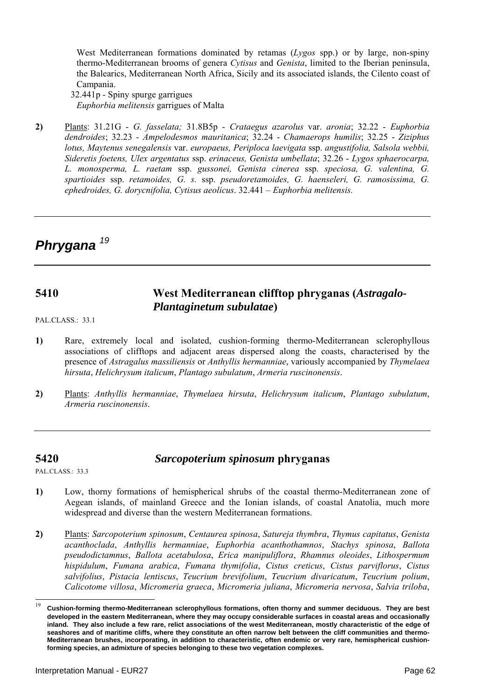West Mediterranean formations dominated by retamas (*Lygos* spp.) or by large, non-spiny thermo-Mediterranean brooms of genera *Cytisus* and *Genista*, limited to the Iberian peninsula, the Balearics, Mediterranean North Africa, Sicily and its associated islands, the Cilento coast of Campania.

32.441p - Spiny spurge garrigues *Euphorbia melitensis* garrigues of Malta

**2)** Plants: 31.21G - *G. fasselata;* 31.8B5p - *Crataegus azarolus* var. *aronia*; 32.22 - *Euphorbia dendroides*; 32.23 - *Ampelodesmos mauritanica*; 32.24 - *Chamaerops humilis*; 32.25 - *Ziziphus lotus, Maytenus senegalensis* var. *europaeus, Periploca laevigata* ssp. *angustifolia, Salsola webbii, Sideretis foetens, Ulex argentatus* ssp. *erinaceus, Genista umbellata*; 32.26 - *Lygos sphaerocarpa, L. monosperma, L. raetam* ssp. *gussonei, Genista cinerea* ssp. *speciosa, G. valentina, G. spartioides* ssp. *retamoides, G. s.* ssp. *pseudoretamoides, G. haenseleri, G. ramosissima, G. ephedroides, G. dorycnifolia, Cytisus aeolicus*. 32.441 – *Euphorbia melitensis.*

# *Phrygana <sup>19</sup>*

## **5410 West Mediterranean clifftop phryganas (***Astragalo-Plantaginetum subulatae***)**

PAL.CLASS.: 33.1

- **1)** Rare, extremely local and isolated, cushion-forming thermo-Mediterranean sclerophyllous associations of clifftops and adjacent areas dispersed along the coasts, characterised by the presence of *Astragalus massiliensis* or *Anthyllis hermanniae*, variously accompanied by *Thymelaea hirsuta*, *Helichrysum italicum*, *Plantago subulatum*, *Armeria ruscinonensis*.
- **2)** Plants: *Anthyllis hermanniae*, *Thymelaea hirsuta*, *Helichrysum italicum*, *Plantago subulatum*, *Armeria ruscinonensis*.

**5420** *Sarcopoterium spinosum* **phryganas** 

PAL.CLASS.: 33.3

- **1)** Low, thorny formations of hemispherical shrubs of the coastal thermo-Mediterranean zone of Aegean islands, of mainland Greece and the Ionian islands, of coastal Anatolia, much more widespread and diverse than the western Mediterranean formations.
- **2)** Plants: *Sarcopoterium spinosum*, *Centaurea spinosa*, *Satureja thymbra*, *Thymus capitatus*, *Genista acanthoclada*, *Anthyllis hermanniae*, *Euphorbia acanthothamnos*, *Stachys spinosa*, *Ballota pseudodictamnus*, *Ballota acetabulosa*, *Erica manipuliflora*, *Rhamnus oleoides*, *Lithospermum hispidulum*, *Fumana arabica*, *Fumana thymifolia*, *Cistus creticus*, *Cistus parviflorus*, *Cistus salvifolius*, *Pistacia lentiscus*, *Teucrium brevifolium*, *Teucrium divaricatum*, *Teucrium polium*, *Calicotome villosa*, *Micromeria graeca*, *Micromeria juliana*, *Micromeria nervosa*, *Salvia triloba*,

<sup>19</sup> <sup>19</sup> **Cushion-forming thermo-Mediterranean sclerophyllous formations, often thorny and summer deciduous. They are best developed in the eastern Mediterranean, where they may occupy considerable surfaces in coastal areas and occasionally inland. They also include a few rare, relict associations of the west Mediterranean, mostly characteristic of the edge of seashores and of maritime cliffs, where they constitute an often narrow belt between the cliff communities and thermo-Mediterranean brushes, incorporating, in addition to characteristic, often endemic or very rare, hemispherical cushionforming species, an admixture of species belonging to these two vegetation complexes.**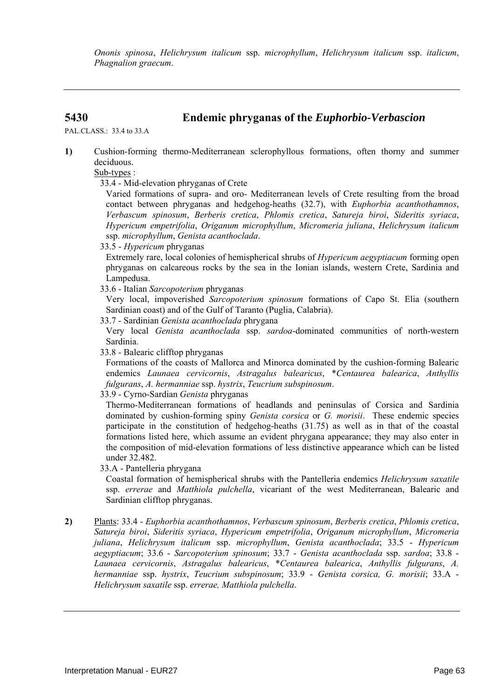*Ononis spinosa*, *Helichrysum italicum* ssp. *microphyllum*, *Helichrysum italicum* ssp. *italicum*, *Phagnalion graecum*.

## **5430 Endemic phryganas of the** *Euphorbio-Verbascion*

PAL.CLASS.: 33.4 to 33.A

**1)** Cushion-forming thermo-Mediterranean sclerophyllous formations, often thorny and summer deciduous.

### Sub-types :

33.4 - Mid-elevation phryganas of Crete

Varied formations of supra- and oro- Mediterranean levels of Crete resulting from the broad contact between phryganas and hedgehog-heaths (32.7), with *Euphorbia acanthothamnos*, *Verbascum spinosum*, *Berberis cretica*, *Phlomis cretica*, *Satureja biroi*, *Sideritis syriaca*, *Hypericum empetrifolia*, *Origanum microphyllum*, *Micromeria juliana*, *Helichrysum italicum* ssp. *microphyllum*, *Genista acanthoclada*.

33.5 - *Hypericum* phryganas

Extremely rare, local colonies of hemispherical shrubs of *Hypericum aegyptiacum* forming open phryganas on calcareous rocks by the sea in the Ionian islands, western Crete, Sardinia and Lampedusa.

33.6 - Italian *Sarcopoterium* phryganas

Very local, impoverished *Sarcopoterium spinosum* formations of Capo St. Elia (southern Sardinian coast) and of the Gulf of Taranto (Puglia, Calabria).

33.7 - Sardinian *Genista acanthoclada* phrygana

Very local *Genista acanthoclada* ssp. *sardoa*-dominated communities of north-western Sardinia.

33.8 - Balearic clifftop phryganas

Formations of the coasts of Mallorca and Minorca dominated by the cushion-forming Balearic endemics *Launaea cervicornis*, *Astragalus balearicus*, \**Centaurea balearica*, *Anthyllis fulgurans*, *A. hermanniae* ssp. *hystrix*, *Teucrium subspinosum*.

33.9 - Cyrno-Sardian *Genista* phryganas

Thermo-Mediterranean formations of headlands and peninsulas of Corsica and Sardinia dominated by cushion-forming spiny *Genista corsica* or *G. morisii*. These endemic species participate in the constitution of hedgehog-heaths (31.75) as well as in that of the coastal formations listed here, which assume an evident phrygana appearance; they may also enter in the composition of mid-elevation formations of less distinctive appearance which can be listed under 32.482.

#### 33.A - Pantelleria phrygana

Coastal formation of hemispherical shrubs with the Pantelleria endemics *Helichrysum saxatile* ssp. *errerae* and *Matthiola pulchella*, vicariant of the west Mediterranean, Balearic and Sardinian clifftop phryganas.

**2)** Plants: 33.4 - *Euphorbia acanthothamnos*, *Verbascum spinosum*, *Berberis cretica*, *Phlomis cretica*, *Satureja biroi*, *Sideritis syriaca*, *Hypericum empetrifolia*, *Origanum microphyllum*, *Micromeria juliana*, *Helichrysum italicum* ssp. *microphyllum*, *Genista acanthoclada*; 33.5 - *Hypericum aegyptiacum*; 33.6 - *Sarcopoterium spinosum*; 33.7 - *Genista acanthoclada* ssp. *sardoa*; 33.8 - *Launaea cervicornis*, *Astragalus balearicus*, \**Centaurea balearica*, *Anthyllis fulgurans*, *A. hermanniae* ssp. *hystrix*, *Teucrium subspinosum*; 33.9 - *Genista corsica, G. morisii*; 33.A - *Helichrysum saxatile* ssp. *errerae, Matthiola pulchella*.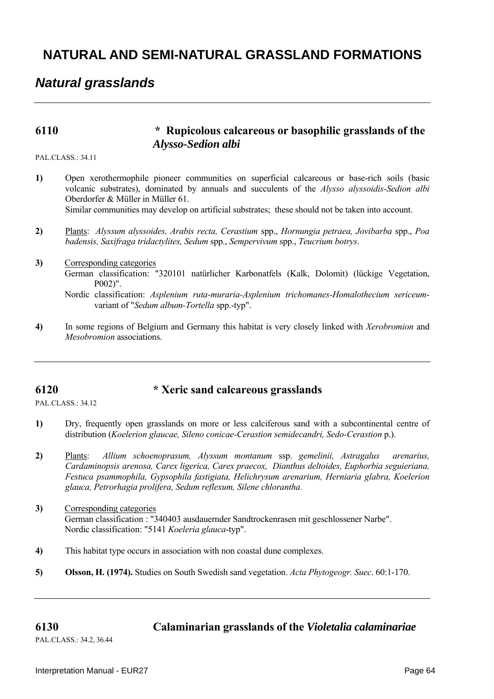# *Natural grasslands*

## **6110 \* Rupicolous calcareous or basophilic grasslands of the**  *Alysso-Sedion albi*

PAL.CLASS.: 34.11

**1)** Open xerothermophile pioneer communities on superficial calcareous or base-rich soils (basic volcanic substrates), dominated by annuals and succulents of the *Alysso alyssoidis-Sedion albi* Oberdorfer & Müller in Müller 61.

Similar communities may develop on artificial substrates; these should not be taken into account.

- **2)** Plants: *Alyssum alyssoides, Arabis recta, Cerastium* spp., *Hornungia petraea, Jovibarba* spp., *Poa badensis, Saxifraga tridactylites, Sedum* spp., *Sempervivum* spp., *Teucrium botrys*.
- **3)** Corresponding categories German classification: "320101 natürlicher Karbonatfels (Kalk, Dolomit) (lückige Vegetation, P002)". Nordic classification: *Asplenium ruta-muraria-Asplenium trichomanes-Homalothecium sericeum*variant of "*Sedum album-Tortella* spp.-typ".
- **4)** In some regions of Belgium and Germany this habitat is very closely linked with *Xerobromion* and *Mesobromion* associations.

## **6120 \* Xeric sand calcareous grasslands**

PAL.CLASS.: 34.12

- **1)** Dry, frequently open grasslands on more or less calciferous sand with a subcontinental centre of distribution (*Koelerion glaucae, Sileno conicae-Cerastion semidecandri, Sedo-Cerastion* p.).
- **2)** Plants: *Allium schoenoprasum, Alyssum montanum* ssp. *gemelinii, Astragalus arenarius, Cardaminopsis arenosa, Carex ligerica, Carex praecox, Dianthus deltoides, Euphorbia seguieriana, Festuca psammophila, Gypsophila fastigiata, Helichrysum arenarium, Herniaria glabra, Koelerion glauca, Petrorhagia prolifera, Sedum reflexum, Silene chlorantha.*
- **3)** Corresponding categories German classification : "340403 ausdauernder Sandtrockenrasen mit geschlossener Narbe". Nordic classification: "5141 *Koeleria glauca*-typ".
- **4)** This habitat type occurs in association with non coastal dune complexes.
- **5) Olsson, H. (1974).** Studies on South Swedish sand vegetation. *Acta Phytogeogr. Suec*. 60:1-170.

## **6130 Calaminarian grasslands of the** *Violetalia calaminariae*

PAL.CLASS.: 34.2, 36.44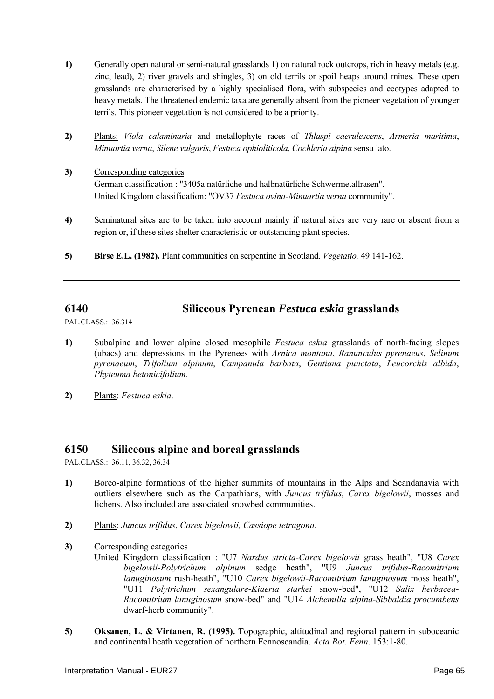- **1)** Generally open natural or semi-natural grasslands 1) on natural rock outcrops, rich in heavy metals (e.g. zinc, lead), 2) river gravels and shingles, 3) on old terrils or spoil heaps around mines. These open grasslands are characterised by a highly specialised flora, with subspecies and ecotypes adapted to heavy metals. The threatened endemic taxa are generally absent from the pioneer vegetation of younger terrils. This pioneer vegetation is not considered to be a priority.
- **2)** Plants: *Viola calaminaria* and metallophyte races of *Thlaspi caerulescens*, *Armeria maritima*, *Minuartia verna*, *Silene vulgaris*, *Festuca ophioliticola*, *Cochleria alpina* sensu lato.
- **3)** Corresponding categories German classification : "3405a natürliche und halbnatürliche Schwermetallrasen". United Kingdom classification: "OV37 *Festuca ovina-Minuartia verna* community".
- **4)** Seminatural sites are to be taken into account mainly if natural sites are very rare or absent from a region or, if these sites shelter characteristic or outstanding plant species.
- **5) Birse E.L. (1982).** Plant communities on serpentine in Scotland. *Vegetatio,* 49 141-162.

## **6140 Siliceous Pyrenean** *Festuca eskia* **grasslands**

PAL.CLASS.: 36.314

- **1)** Subalpine and lower alpine closed mesophile *Festuca eskia* grasslands of north-facing slopes (ubacs) and depressions in the Pyrenees with *Arnica montana*, *Ranunculus pyrenaeus*, *Selinum pyrenaeum*, *Trifolium alpinum*, *Campanula barbata*, *Gentiana punctata*, *Leucorchis albida*, *Phyteuma betonicifolium*.
- **2)** Plants: *Festuca eskia*.

## **6150 Siliceous alpine and boreal grasslands**

PAL.CLASS.: 36.11, 36.32, 36.34

- **1)** Boreo-alpine formations of the higher summits of mountains in the Alps and Scandanavia with outliers elsewhere such as the Carpathians, with *Juncus trifidus*, *Carex bigelowii*, mosses and lichens. Also included are associated snowbed communities.
- **2)** Plants: *Juncus trifidus*, *Carex bigelowii, Cassiope tetragona.*
- **3)** Corresponding categories
	- United Kingdom classification : "U7 *Nardus stricta-Carex bigelowii* grass heath", "U8 *Carex bigelowii-Polytrichum alpinum* sedge heath", "U9 *Juncus trifidus-Racomitrium lanuginosum* rush-heath", "U10 *Carex bigelowii-Racomitrium lanuginosum* moss heath", "U11 *Polytrichum sexangulare-Kiaeria starkei* snow-bed", "U12 *Salix herbacea-Racomitrium lanuginosum* snow-bed" and "U14 *Alchemilla alpina-Sibbaldia procumbens* dwarf-herb community".
- **5) Oksanen, L. & Virtanen, R. (1995).** Topographic, altitudinal and regional pattern in suboceanic and continental heath vegetation of northern Fennoscandia. *Acta Bot. Fenn*. 153:1-80.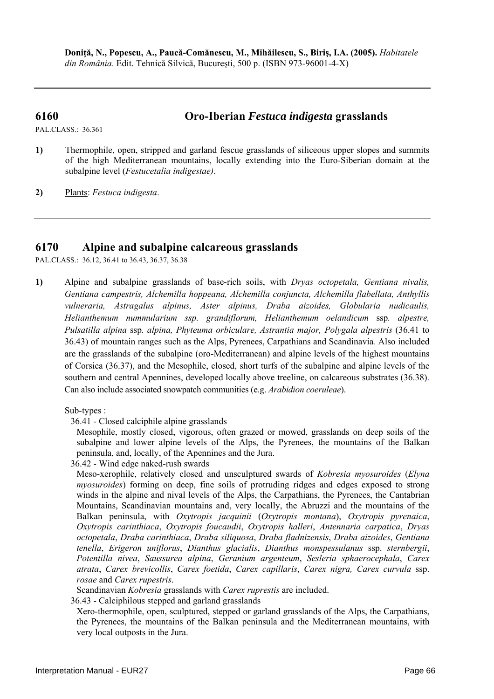PAL.CLASS.: 36.361

## **6160 Oro-Iberian** *Festuca indigesta* **grasslands**

- **1)** Thermophile, open, stripped and garland fescue grasslands of siliceous upper slopes and summits of the high Mediterranean mountains, locally extending into the Euro-Siberian domain at the subalpine level (*Festucetalia indigestae)*.
- **2)** Plants: *Festuca indigesta*.

## **6170 Alpine and subalpine calcareous grasslands**

PAL.CLASS.: 36.12, 36.41 to 36.43, 36.37, 36.38

**1)** Alpine and subalpine grasslands of base-rich soils, with *Dryas octopetala, Gentiana nivalis, Gentiana campestris, Alchemilla hoppeana, Alchemilla conjuncta, Alchemilla flabellata, Anthyllis vulneraria, Astragalus alpinus, Aster alpinus, Draba aizoides, Globularia nudicaulis, Helianthemum nummularium ssp. grandiflorum, Helianthemum oelandicum* ssp*. alpestre, Pulsatilla alpina* ssp*. alpina, Phyteuma orbiculare, Astrantia major, Polygala alpestris* (36.41 to 36.43) of mountain ranges such as the Alps, Pyrenees, Carpathians and Scandinavia*.* Also included are the grasslands of the subalpine (oro-Mediterranean) and alpine levels of the highest mountains of Corsica (36.37), and the Mesophile, closed, short turfs of the subalpine and alpine levels of the southern and central Apennines, developed locally above treeline, on calcareous substrates (36.38). Can also include associated snowpatch communities (e.g. *Arabidion coeruleae*).

Sub-types :

36.41 - Closed calciphile alpine grasslands

Mesophile, mostly closed, vigorous, often grazed or mowed, grasslands on deep soils of the subalpine and lower alpine levels of the Alps, the Pyrenees, the mountains of the Balkan peninsula, and, locally, of the Apennines and the Jura.

36.42 - Wind edge naked-rush swards

Meso-xerophile, relatively closed and unsculptured swards of *Kobresia myosuroides* (*Elyna myosuroides*) forming on deep, fine soils of protruding ridges and edges exposed to strong winds in the alpine and nival levels of the Alps, the Carpathians, the Pyrenees, the Cantabrian Mountains, Scandinavian mountains and, very locally, the Abruzzi and the mountains of the Balkan peninsula, with *Oxytropis jacquinii* (*Oxytropis montana*), *Oxytropis pyrenaica*, *Oxytropis carinthiaca*, *Oxytropis foucaudii*, *Oxytropis halleri*, *Antennaria carpatica*, *Dryas octopetala*, *Draba carinthiaca*, *Draba siliquosa*, *Draba fladnizensis*, *Draba aizoides*, *Gentiana tenella*, *Erigeron uniflorus*, *Dianthus glacialis*, *Dianthus monspessulanus* ssp. *sternbergii*, *Potentilla nivea*, *Saussurea alpina*, *Geranium argenteum*, *Sesleria sphaerocephala*, *Carex atrata*, *Carex brevicollis*, *Carex foetida*, *Carex capillaris*, *Carex nigra, Carex curvula* ssp. *rosae* and *Carex rupestris*.

Scandinavian *Kobresia* grasslands with *Carex ruprestis* are included.

36.43 - Calciphilous stepped and garland grasslands

Xero-thermophile, open, sculptured, stepped or garland grasslands of the Alps, the Carpathians, the Pyrenees, the mountains of the Balkan peninsula and the Mediterranean mountains, with very local outposts in the Jura.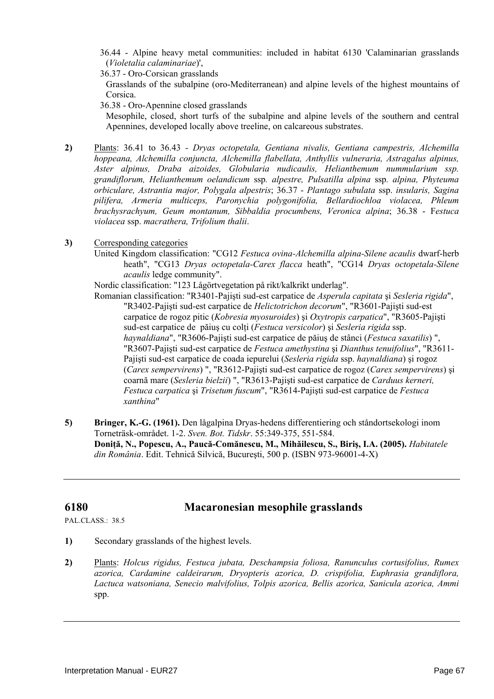36.44 - Alpine heavy metal communities: included in habitat 6130 'Calaminarian grasslands (*Violetalia calaminariae*)',

36.37 - Oro-Corsican grasslands

Grasslands of the subalpine (oro-Mediterranean) and alpine levels of the highest mountains of Corsica.

36.38 - Oro-Apennine closed grasslands

Mesophile, closed, short turfs of the subalpine and alpine levels of the southern and central Apennines, developed locally above treeline, on calcareous substrates.

- **2)** Plants: 36.41 to 36.43 *Dryas octopetala, Gentiana nivalis, Gentiana campestris, Alchemilla hoppeana, Alchemilla conjuncta, Alchemilla flabellata, Anthyllis vulneraria, Astragalus alpinus, Aster alpinus, Draba aizoides, Globularia nudicaulis, Helianthemum nummularium ssp. grandiflorum, Helianthemum oelandicum* ssp*. alpestre, Pulsatilla alpina* ssp*. alpina, Phyteuma orbiculare, Astrantia major, Polygala alpestris*; 36.37 - *Plantago subulata* ssp. *insularis, Sagina pilifera, Armeria multiceps, Paronychia polygonifolia, Bellardiochloa violacea, Phleum brachysrachyum, Geum montanum, Sibbaldia procumbens, Veronica alpina*; 36.38 - F*estuca violacea* ssp. *macrathera, Trifolium thalii*.
- **3)** Corresponding categories

United Kingdom classification: "CG12 *Festuca ovina-Alchemilla alpina-Silene acaulis* dwarf-herb heath", "CG13 *Dryas octopetala-Carex flacca* heath", "CG14 *Dryas octopetala-Silene acaulis* ledge community".

Nordic classification: "123 Lågörtvegetation på rikt/kalkrikt underlag".

- Romanian classification: "R3401-Pajişti sud-est carpatice de *Asperula capitata* şi *Sesleria rigida*", "R3402-Pajişti sud-est carpatice de *Helictotrichon decorum*", "R3601-Pajişti sud-est carpatice de rogoz pitic (*Kobresia myosuroides*) şi *Oxytropis carpatica*", "R3605-Pajişti sud-est carpatice de păiuş cu colţi (*Festuca versicolor*) şi *Sesleria rigida* ssp. *haynaldiana*", "R3606-Pajişti sud-est carpatice de păiuş de stânci (*Festuca saxatilis*) ", "R3607-Pajişti sud-est carpatice de *Festuca amethystina* şi *Dianthus tenuifolius*", "R3611- Pajişti sud-est carpatice de coada iepurelui (*Sesleria rigida* ssp. *haynaldiana*) şi rogoz (*Carex sempervirens*) ", "R3612-Pajişti sud-est carpatice de rogoz (*Carex sempervirens*) şi coarnă mare (*Sesleria bielzii*) ", "R3613-Pajişti sud-est carpatice de *Carduus kerneri, Festuca carpatica* şi *Trisetum fuscum*", "R3614-Pajişti sud-est carpatice de *Festuca xanthina*"
- **5) Bringer, K.-G. (1961).** Den lågalpina Dryas-hedens differentiering och ståndortsekologi inom Torneträsk-området. 1-2. *Sven. Bot. Tidskr*. 55:349-375, 551-584. **Doniţă, N., Popescu, A., Paucă-Comănescu, M., Mihăilescu, S., Biriş, I.A. (2005).** *Habitatele din România*. Edit. Tehnică Silvică, Bucureşti, 500 p. (ISBN 973-96001-4-X)

## **6180 Macaronesian mesophile grasslands**

PAL.CLASS.: 38.5

- **1)** Secondary grasslands of the highest levels.
- **2)** Plants: *Holcus rigidus, Festuca jubata, Deschampsia foliosa, Ranunculus cortusifolius, Rumex azorica, Cardamine caldeirarum, Dryopteris azorica, D. crispifolia, Euphrasia grandiflora, Lactuca watsoniana, Senecio malvifolius, Tolpis azorica, Bellis azorica, Sanicula azorica, Ammi* spp.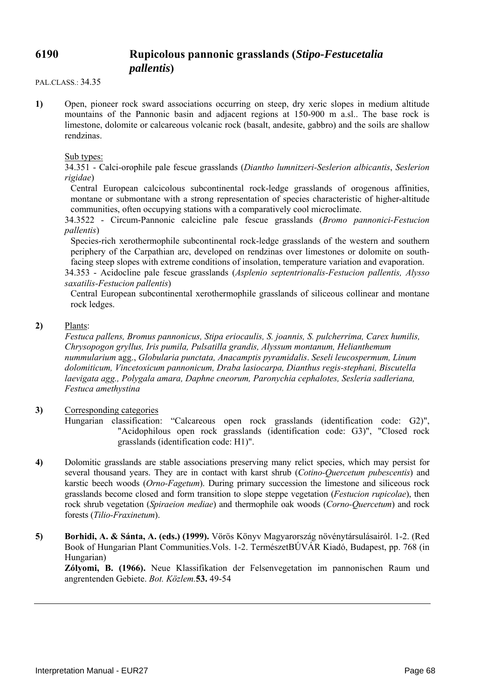## **6190 Rupicolous pannonic grasslands (***Stipo-Festucetalia pallentis***)**

PAL.CLASS.: 34.35

**1)** Open, pioneer rock sward associations occurring on steep, dry xeric slopes in medium altitude mountains of the Pannonic basin and adjacent regions at 150-900 m a.sl.. The base rock is limestone, dolomite or calcareous volcanic rock (basalt, andesite, gabbro) and the soils are shallow rendzinas.

#### Sub types:

34.351 - Calci-orophile pale fescue grasslands (*Diantho lumnitzeri-Seslerion albicantis*, *Seslerion rigidae*)

Central European calcicolous subcontinental rock-ledge grasslands of orogenous affinities, montane or submontane with a strong representation of species characteristic of higher-altitude communities, often occupying stations with a comparatively cool microclimate.

34.3522 - Circum-Pannonic calcicline pale fescue grasslands (*Bromo pannonici-Festucion pallentis*)

Species-rich xerothermophile subcontinental rock-ledge grasslands of the western and southern periphery of the Carpathian arc, developed on rendzinas over limestones or dolomite on southfacing steep slopes with extreme conditions of insolation, temperature variation and evaporation.

34.353 - Acidocline pale fescue grasslands (*Asplenio septentrionalis-Festucion pallentis, Alysso saxatilis-Festucion pallentis*)

Central European subcontinental xerothermophile grasslands of siliceous collinear and montane rock ledges.

### **2)** Plants:

*Festuca pallens, Bromus pannonicus, Stipa eriocaulis, S. joannis, S. pulcherrima, Carex humilis, Chrysopogon gryllus, Iris pumila, Pulsatilla grandis, Alyssum montanum, Helianthemum nummularium* agg., *Globularia punctata, Anacamptis pyramidalis*. *Seseli leucospermum, Linum dolomiticum, Vincetoxicum pannonicum, Draba lasiocarpa, Dianthus regis-stephani, Biscutella laevigata agg., Polygala amara, Daphne cneorum, Paronychia cephalotes, Sesleria sadleriana, Festuca amethystina*

### **3)** Corresponding categories

Hungarian classification: "Calcareous open rock grasslands (identification code: G2)", "Acidophilous open rock grasslands (identification code: G3)", "Closed rock grasslands (identification code: H1)".

- **4)** Dolomitic grasslands are stable associations preserving many relict species, which may persist for several thousand years. They are in contact with karst shrub (*Cotino-Quercetum pubescentis*) and karstic beech woods (*Orno-Fagetum*). During primary succession the limestone and siliceous rock grasslands become closed and form transition to slope steppe vegetation (*Festucion rupicolae*), then rock shrub vegetation (*Spiraeion mediae*) and thermophile oak woods (*Corno-Quercetum*) and rock forests (*Tilio-Fraxinetum*).
- **5) Borhidi, A. & Sánta, A. (eds.) (1999).** Vörös Könyv Magyarország növénytársulásairól. 1-2. (Red Book of Hungarian Plant Communities.Vols. 1-2. TermészetBÚVÁR Kiadó, Budapest, pp. 768 (in Hungarian)

**Zólyomi, B. (1966).** Neue Klassifikation der Felsenvegetation im pannonischen Raum und angrentenden Gebiete. *Bot. Közlem.***53.** 49-54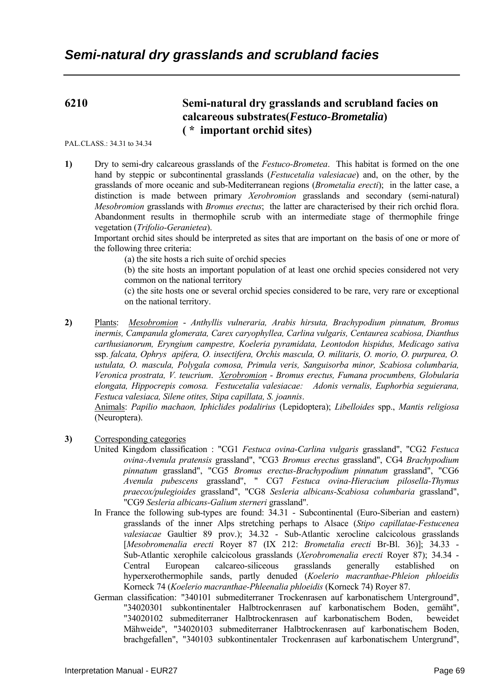## **6210 Semi-natural dry grasslands and scrubland facies on calcareous substrates(***Festuco-Brometalia***) ( \* important orchid sites)**

PAL.CLASS.: 34.31 to 34.34

**1)** Dry to semi-dry calcareous grasslands of the *Festuco-Brometea*. This habitat is formed on the one hand by steppic or subcontinental grasslands (*Festucetalia valesiacae*) and, on the other, by the grasslands of more oceanic and sub-Mediterranean regions (*Brometalia erecti*); in the latter case, a distinction is made between primary *Xerobromion* grasslands and secondary (semi-natural) *Mesobromion* grasslands with *Bromus erectus*; the latter are characterised by their rich orchid flora. Abandonment results in thermophile scrub with an intermediate stage of thermophile fringe vegetation (*Trifolio-Geranietea*).

 Important orchid sites should be interpreted as sites that are important on the basis of one or more of the following three criteria:

(a) the site hosts a rich suite of orchid species

 (b) the site hosts an important population of at least one orchid species considered not very common on the national territory

 (c) the site hosts one or several orchid species considered to be rare, very rare or exceptional on the national territory.

**2)** Plants: *Mesobromion* - *Anthyllis vulneraria, Arabis hirsuta, Brachypodium pinnatum, Bromus inermis, Campanula glomerata, Carex caryophyllea, Carlina vulgaris, Centaurea scabiosa, Dianthus carthusianorum, Eryngium campestre, Koeleria pyramidata, Leontodon hispidus, Medicago sativa* ssp. *falcata, Ophrys apifera, O. insectifera, Orchis mascula, O. militaris, O. morio, O. purpurea, O. ustulata, O. mascula, Polygala comosa, Primula veris, Sanguisorba minor, Scabiosa columbaria, Veronica prostrata, V. teucrium*. *Xerobromion* - *Bromus erectus, Fumana procumbens, Globularia elongata, Hippocrepis comosa. Festucetalia valesiacae: Adonis vernalis, Euphorbia seguierana, Festuca valesiaca, Silene otites, Stipa capillata, S. joannis*.

 Animals: *Papilio machaon, Iphiclides podalirius* (Lepidoptera); *Libelloides* spp., *Mantis religiosa*  (Neuroptera).

- **3)** Corresponding categories
	- United Kingdom classification : "CG1 *Festuca ovina-Carlina vulgaris* grassland", "CG2 *Festuca ovina-Avenula pratensis* grassland", "CG3 *Bromus erectus* grassland", CG4 *Brachypodium pinnatum* grassland", "CG5 *Bromus erectus-Brachypodium pinnatum* grassland", "CG6 *Avenula pubescens* grassland", " CG7 *Festuca ovina-Hieracium pilosella-Thymus praecox/pulegioides* grassland", "CG8 *Sesleria albicans-Scabiosa columbaria* grassland", "CG9 *Sesleria albicans-Galium sterneri* grassland".
	- In France the following sub-types are found: 34.31 Subcontinental (Euro-Siberian and eastern) grasslands of the inner Alps stretching perhaps to Alsace (*Stipo capillatae-Festucenea valesiacae* Gaultier 89 prov.); 34.32 - Sub-Atlantic xerocline calcicolous grasslands [*Mesobromenalia erecti* Royer 87 (IX 212: *Brometalia erecti* Br-Bl. 36)]; 34.33 - Sub-Atlantic xerophile calcicolous grasslands (*Xerobromenalia erecti* Royer 87); 34.34 - Central European calcareo-siliceous grasslands generally established on hyperxerothermophile sands, partly denuded (*Koelerio macranthae-Phleion phloeidis* Korneck 74 (*Koelerio macranthae-Phleenalia phloeidis* (Korneck 74) Royer 87.
	- German classification: "340101 submediterraner Trockenrasen auf karbonatischem Unterground", "34020301 subkontinentaler Halbtrockenrasen auf karbonatischem Boden, gemäht", "34020102 submediterraner Halbtrockenrasen auf karbonatischem Boden, beweidet Mähweide", "34020103 submediterraner Halbtrockenrasen auf karbonatischem Boden, brachgefallen", "340103 subkontinentaler Trockenrasen auf karbonatischem Untergrund",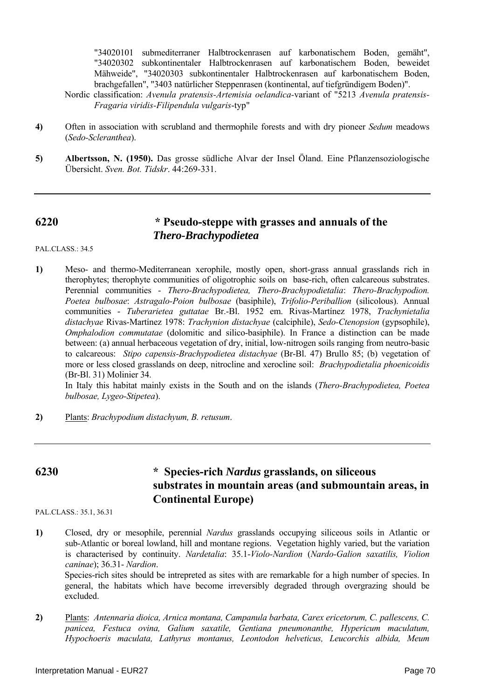"34020101 submediterraner Halbtrockenrasen auf karbonatischem Boden, gemäht", "34020302 subkontinentaler Halbtrockenrasen auf karbonatischem Boden, beweidet Mähweide", "34020303 subkontinentaler Halbtrockenrasen auf karbonatischem Boden, brachgefallen", "3403 natürlicher Steppenrasen (kontinental, auf tiefgründigem Boden)".

Nordic classification: *Avenula pratensis-Artemisia oelandica-*variant of "5213 *Avenula pratensis-Fragaria viridis-Filipendula vulgaris*-typ"

- **4)** Often in association with scrubland and thermophile forests and with dry pioneer *Sedum* meadows (*Sedo-Scleranthea*).
- **5) Albertsson, N. (1950).** Das grosse südliche Alvar der Insel Öland. Eine Pflanzensoziologische Übersicht. *Sven. Bot. Tidskr*. 44:269-331.

## **6220 \* Pseudo-steppe with grasses and annuals of the**  *Thero-Brachypodietea*

PAL.CLASS.: 34.5

**1)** Meso- and thermo-Mediterranean xerophile, mostly open, short-grass annual grasslands rich in therophytes; therophyte communities of oligotrophic soils on base-rich, often calcareous substrates. Perennial communities - *Thero-Brachypodietea, Thero-Brachypodietalia*: *Thero-Brachypodion. Poetea bulbosae*: *Astragalo-Poion bulbosae* (basiphile), *Trifolio-Periballion* (silicolous). Annual communities - *Tuberarietea guttatae* Br.-Bl. 1952 em. Rivas-Martínez 1978, *Trachynietalia distachyae* Rivas-Martínez 1978: *Trachynion distachyae* (calciphile), *Sedo-Ctenopsion* (gypsophile), *Omphalodion commutatae* (dolomitic and silico-basiphile). In France a distinction can be made between: (a) annual herbaceous vegetation of dry, initial, low-nitrogen soils ranging from neutro-basic to calcareous: *Stipo capensis-Brachypodietea distachyae* (Br-Bl. 47) Brullo 85; (b) vegetation of more or less closed grasslands on deep, nitrocline and xerocline soil: *Brachypodietalia phoenicoidis* (Br-Bl. 31) Molinier 34.

 In Italy this habitat mainly exists in the South and on the islands (*Thero-Brachypodietea, Poetea bulbosae, Lygeo-Stipetea*).

**2)** Plants: *Brachypodium distachyum, B. retusum*.

## **6230 \* Species-rich** *Nardus* **grasslands, on siliceous substrates in mountain areas (and submountain areas, in Continental Europe)**

PAL.CLASS.: 35.1, 36.31

**1)** Closed, dry or mesophile, perennial *Nardus* grasslands occupying siliceous soils in Atlantic or sub-Atlantic or boreal lowland, hill and montane regions. Vegetation highly varied, but the variation is characterised by continuity. *Nardetalia*: 35.1-*Violo-Nardion* (*Nardo-Galion saxatilis, Violion caninae*); 36.31- *Nardion*. Species-rich sites should be intrepreted as sites with are remarkable for a high number of species. In

general, the habitats which have become irreversibly degraded through overgrazing should be excluded.

**2)** Plants: *Antennaria dioica, Arnica montana, Campanula barbata, Carex ericetorum, C. pallescens, C. panicea, Festuca ovina, Galium saxatile, Gentiana pneumonanthe, Hypericum maculatum, Hypochoeris maculata, Lathyrus montanus, Leontodon helveticus, Leucorchis albida, Meum*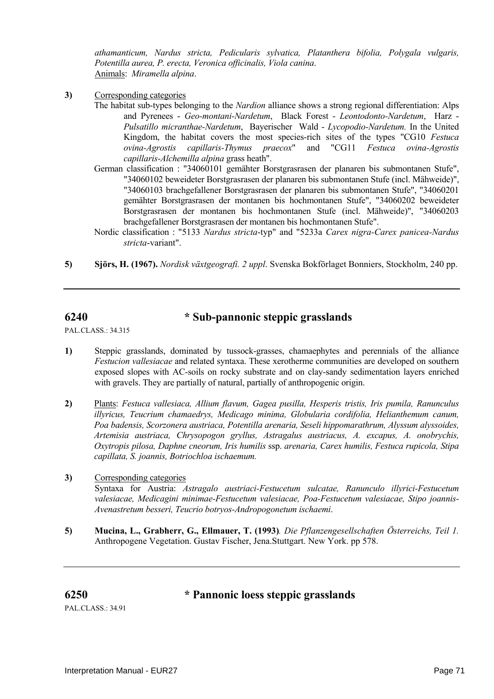*athamanticum, Nardus stricta, Pedicularis sylvatica, Platanthera bifolia, Polygala vulgaris, Potentilla aurea, P. erecta, Veronica officinalis, Viola canina*. Animals: *Miramella alpina*.

- **3)** Corresponding categories
	- The habitat sub-types belonging to the *Nardion* alliance shows a strong regional differentiation: Alps and Pyrenees - *Geo-montani-Nardetum*, Black Forest - *Leontodonto-Nardetum*, Harz - *Pulsatillo micranthae-Nardetum*, Bayerischer Wald - *Lycopodio-Nardetum.* In the United Kingdom, the habitat covers the most species-rich sites of the types "CG10 *Festuca ovina-Agrostis capillaris-Thymus praecox*" and "CG11 *Festuca ovina-Agrostis capillaris-Alchemilla alpina* grass heath".
	- German classification : "34060101 gemähter Borstgrasrasen der planaren bis submontanen Stufe", "34060102 beweideter Borstgrasrasen der planaren bis submontanen Stufe (incl. Mähweide)", "34060103 brachgefallener Borstgrasrasen der planaren bis submontanen Stufe", "34060201 gemähter Borstgrasrasen der montanen bis hochmontanen Stufe", "34060202 beweideter Borstgrasrasen der montanen bis hochmontanen Stufe (incl. Mähweide)", "34060203 brachgefallener Borstgrasrasen der montanen bis hochmontanen Stufe".
	- Nordic classification : "5133 *Nardus stricta*-typ" and "5233a *Carex nigra-Carex panicea-Nardus stricta*-variant".
- **5) Sjörs, H. (1967).** *Nordisk växtgeografi. 2 uppl*. Svenska Bokförlaget Bonniers, Stockholm, 240 pp.

#### **6240 \* Sub-pannonic steppic grasslands**

PAL.CLASS.: 34.315

- **1)** Steppic grasslands, dominated by tussock-grasses, chamaephytes and perennials of the alliance *Festucion vallesiacae* and related syntaxa. These xerotherme communities are developed on southern exposed slopes with AC-soils on rocky substrate and on clay-sandy sedimentation layers enriched with gravels. They are partially of natural, partially of anthropogenic origin.
- **2)** Plants: *Festuca vallesiaca, Allium flavum, Gagea pusilla, Hesperis tristis, Iris pumila, Ranunculus illyricus, Teucrium chamaedrys, Medicago minima, Globularia cordifolia, Helianthemum canum, Poa badensis, Scorzonera austriaca, Potentilla arenaria, Seseli hippomarathrum, Alyssum alyssoides, Artemisia austriaca, Chrysopogon gryllus, Astragalus austriacus, A. excapus, A. onobrychis, Oxytropis pilosa, Daphne cneorum, Iris humilis* ssp. *arenaria, Carex humilis, Festuca rupicola, Stipa capillata, S. joannis, Botriochloa ischaemum.*

#### **3)** Corresponding categories Syntaxa for Austria: *Astragalo austriaci-Festucetum sulcatae, Ranunculo illyrici-Festucetum valesiacae, Medicagini minimae-Festucetum valesiacae, Poa-Festucetum valesiacae, Stipo joannis-Avenastretum besseri, Teucrio botryos-Andropogonetum ischaemi*.

**5) Mucina, L., Grabherr, G., Ellmauer, T. (1993)***. Die Pflanzengesellschaften Österreichs, Teil 1.* Anthropogene Vegetation. Gustav Fischer, Jena.Stuttgart. New York. pp 578.

#### **6250 \* Pannonic loess steppic grasslands**

PAL.CLASS.: 34.91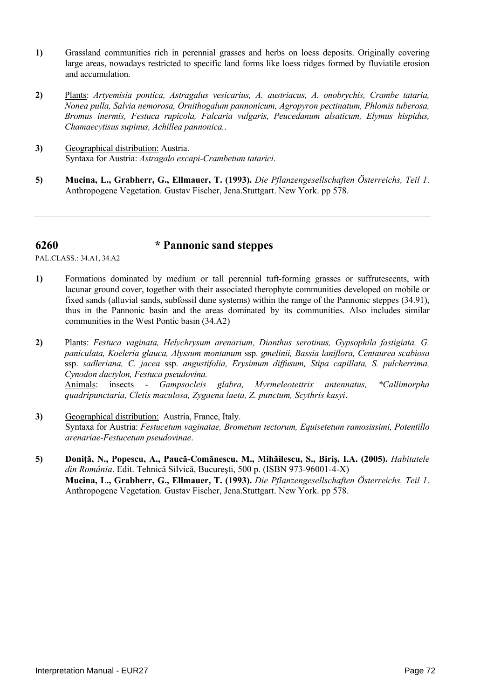- **1)** Grassland communities rich in perennial grasses and herbs on loess deposits. Originally covering large areas, nowadays restricted to specific land forms like loess ridges formed by fluviatile erosion and accumulation.
- **2)** Plants: *Artyemisia pontica, Astragalus vesicarius, A. austriacus, A. onobrychis, Crambe tataria, Nonea pulla, Salvia nemorosa, Ornithogalum pannonicum, Agropyron pectinatum, Phlomis tuberosa, Bromus inermis, Festuca rupicola, Falcaria vulgaris, Peucedanum alsaticum, Elymus hispidus, Chamaecytisus supinus, Achillea pannonica.*.
- **3)** Geographical distribution: Austria. Syntaxa for Austria: *Astragalo excapi-Crambetum tatarici*.
- **5) Mucina, L., Grabherr, G., Ellmauer, T. (1993).** *Die Pflanzengesellschaften Österreichs, Teil 1*. Anthropogene Vegetation. Gustav Fischer, Jena.Stuttgart. New York. pp 578.

## **6260 \* Pannonic sand steppes**

PAL.CLASS.: 34.A1, 34.A2

- **1)** Formations dominated by medium or tall perennial tuft-forming grasses or suffrutescents, with lacunar ground cover, together with their associated therophyte communities developed on mobile or fixed sands (alluvial sands, subfossil dune systems) within the range of the Pannonic steppes (34.91), thus in the Pannonic basin and the areas dominated by its communities. Also includes similar communities in the West Pontic basin (34.A2)
- **2)** Plants: *Festuca vaginata, Helychrysum arenarium, Dianthus serotinus, Gypsophila fastigiata, G. paniculata, Koeleria glauca, Alyssum montanum* ssp. *gmelinii, Bassia laniflora, Centaurea scabiosa*  ssp. *sadleriana, C. jacea* ssp. *angustifolia, Erysimum diffusum, Stipa capillata, S. pulcherrima, Cynodon dactylon, Festuca pseudovina.*  Animals: insects - *Gampsocleis glabra, Myrmeleotettrix antennatus, \*Callimorpha quadripunctaria, Cletis maculosa, Zygaena laeta, Z. punctum, Scythris kasyi*.
- **3)** Geographical distribution: Austria, France, Italy. Syntaxa for Austria: *Festucetum vaginatae, Brometum tectorum, Equisetetum ramosissimi, Potentillo arenariae-Festucetum pseudovinae*.
- **5) Doniţă, N., Popescu, A., Paucă-Comănescu, M., Mihăilescu, S., Biriş, I.A. (2005).** *Habitatele din România*. Edit. Tehnică Silvică, Bucureşti, 500 p. (ISBN 973-96001-4-X)  **Mucina, L., Grabherr, G., Ellmauer, T. (1993).** *Die Pflanzengesellschaften Österreichs, Teil 1*. Anthropogene Vegetation. Gustav Fischer, Jena.Stuttgart. New York. pp 578.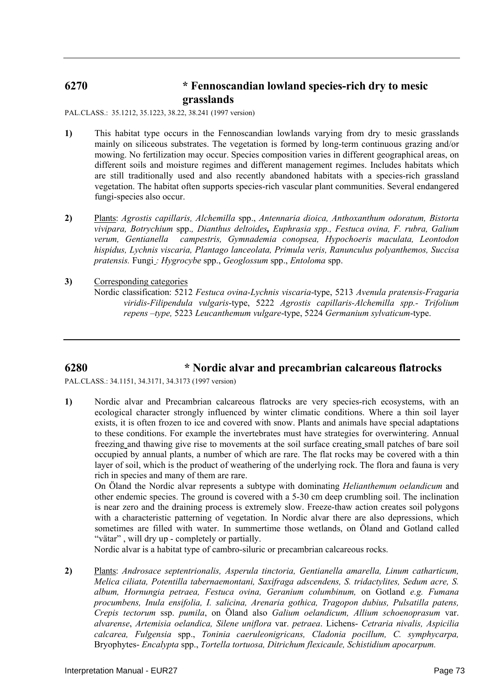#### **6270 \* Fennoscandian lowland species-rich dry to mesic grasslands**

PAL.CLASS.: 35.1212, 35.1223, 38.22, 38.241 (1997 version)

- **1)** This habitat type occurs in the Fennoscandian lowlands varying from dry to mesic grasslands mainly on siliceous substrates. The vegetation is formed by long-term continuous grazing and/or mowing. No fertilization may occur. Species composition varies in different geographical areas, on different soils and moisture regimes and different management regimes. Includes habitats which are still traditionally used and also recently abandoned habitats with a species-rich grassland vegetation. The habitat often supports species-rich vascular plant communities. Several endangered fungi-species also occur.
- **2)** Plants: *Agrostis capillaris, Alchemilla* spp., *Antennaria dioica, Anthoxanthum odoratum, Bistorta vivipara, Botrychium* spp.*, Dianthus deltoides, Euphrasia spp., Festuca ovina, F. rubra, Galium verum, Gentianella campestris, Gymnademia conopsea, Hypochoeris maculata, Leontodon hispidus, Lychnis viscaria, Plantago lanceolata, Primula veris, Ranunculus polyanthemos, Succisa pratensis.* Fungi *: Hygrocybe* spp., *Geoglossum* spp., *Entoloma* spp.
- **3)** Corresponding categories Nordic classification: 5212 *Festuca ovina-Lychnis viscaria*-type, 5213 *Avenula pratensis-Fragaria viridis-Filipendula vulgaris*-type, 5222 *Agrostis capillaris-Alchemilla spp.- Trifolium repens –type,* 5223 *Leucanthemum vulgare*-type, 5224 *Germanium sylvaticum*-type.

## **6280 \* Nordic alvar and precambrian calcareous flatrocks**

PAL.CLASS.: 34.1151, 34.3171, 34.3173 (1997 version)

**1)** Nordic alvar and Precambrian calcareous flatrocks are very species-rich ecosystems, with an ecological character strongly influenced by winter climatic conditions. Where a thin soil layer exists, it is often frozen to ice and covered with snow. Plants and animals have special adaptations to these conditions. For example the invertebrates must have strategies for overwintering. Annual freezing and thawing give rise to movements at the soil surface creating small patches of bare soil occupied by annual plants, a number of which are rare. The flat rocks may be covered with a thin layer of soil, which is the product of weathering of the underlying rock. The flora and fauna is very rich in species and many of them are rare.

On Öland the Nordic alvar represents a subtype with dominating *Helianthemum oelandicum* and other endemic species. The ground is covered with a 5-30 cm deep crumbling soil. The inclination is near zero and the draining process is extremely slow. Freeze-thaw action creates soil polygons with a characteristic patterning of vegetation. In Nordic alvar there are also depressions, which sometimes are filled with water. In summertime those wetlands, on Öland and Gotland called "vätar" , will dry up - completely or partially.

Nordic alvar is a habitat type of cambro-siluric or precambrian calcareous rocks.

**2)** Plants: *Androsace septentrionalis, Asperula tinctoria, Gentianella amarella, Linum catharticum, Melica ciliata, Potentilla tabernaemontani, Saxifraga adscendens, S. tridactylites, Sedum acre, S. album, Hornungia petraea, Festuca ovina, Geranium columbinum,* on Gotland *e.g. Fumana procumbens, Inula ensifolia, I. salicina, Arenaria gothica, Tragopon dubius, Pulsatilla patens, Crepis tectorum* ssp. *pumila*, on Öland also *Galium oelandicum, Allium schoenoprasum* var. *alvarense*, *Artemisia oelandica, Silene uniflora* var. *petraea*. Lichens- *Cetraria nivalis, Aspicilia calcarea, Fulgensia* spp., *Toninia caeruleonigricans, Cladonia pocillum, C. symphycarpa,* Bryophytes- *Encalypta* spp., *Tortella tortuosa, Ditrichum flexicaule, Schistidium apocarpum.*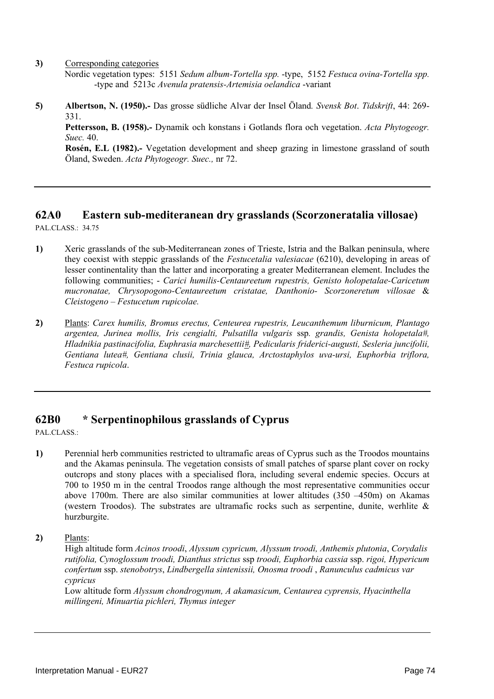**3)** Corresponding categories

Nordic vegetation types: 5151 *Sedum album-Tortella spp.* -type, 5152 *Festuca ovina-Tortella spp.*  -type and 5213c *Avenula pratensis-Artemisia oelandica* -variant

**5) Albertson, N. (1950).-** Das grosse südliche Alvar der Insel Öland*. Svensk Bot*. *Tidskrift*, 44: 269- 331.

**Pettersson, B. (1958).-** Dynamik och konstans i Gotlands flora och vegetation. *Acta Phytogeogr. Suec.* 40.

**Rosén, E.L (1982).-** Vegetation development and sheep grazing in limestone grassland of south Öland, Sweden. *Acta Phytogeogr. Suec.,* nr 72.

## **62A0 Eastern sub-mediteranean dry grasslands (Scorzoneratalia villosae)**

PAL.CLASS.: 34.75

- **1)** Xeric grasslands of the sub-Mediterranean zones of Trieste, Istria and the Balkan peninsula, where they coexist with steppic grasslands of the *Festucetalia valesiacae* (6210), developing in areas of lesser continentality than the latter and incorporating a greater Mediterranean element. Includes the following communities; - *Carici humilis-Centaureetum rupestris, Genisto holopetalae-Caricetum mucronatae, Chrysopogono-Centaureetum cristatae, Danthonio- Scorzoneretum villosae* & *Cleistogeno – Festucetum rupicolae.*
- **2)** Plants: *Carex humilis, Bromus erectus, Centeurea rupestris, Leucanthemum liburnicum, Plantago argentea, Jurinea mollis, Iris cengialti, Pulsatilla vulgaris* ssp*. grandis, Genista holopetala#, Hladnikia pastinacifolia, Euphrasia marchesettii#, Pedicularis friderici-augusti, Sesleria juncifolii, Gentiana lutea#, Gentiana clusii, Trinia glauca, Arctostaphylos uva-ursi, Euphorbia triflora, Festuca rupicola*.

#### **62B0 \* Serpentinophilous grasslands of Cyprus**

PAL.CLASS.:

- **1)** Perennial herb communities restricted to ultramafic areas of Cyprus such as the Troodos mountains and the Akamas peninsula. The vegetation consists of small patches of sparse plant cover on rocky outcrops and stony places with a specialised flora, including several endemic species. Occurs at 700 to 1950 m in the central Troodos range although the most representative communities occur above 1700m. There are also similar communities at lower altitudes (350 –450m) on Akamas (western Troodos). The substrates are ultramafic rocks such as serpentine, dunite, werhlite  $\&$ hurzburgite.
- **2)** Plants:

High altitude form *Acinos troodi*, *Alyssum cypricum, Alyssum troodi, Anthemis plutonia*, *Corydalis rutifolia, Cynoglossum troodi, Dianthus strictus* ssp *troodi, Euphorbia cassia* ssp. *rigoi, Hypericum confertum* ssp. *stenobotrys*, *Lindbergella sintenissii, Onosma troodi* , *Ranunculus cadmicus var cypricus* 

Low altitude form *Alyssum chondrogynum, A akamasicum, Centaurea cyprensis, Hyacinthella millingeni, Minuartia pichleri, Thymus integer*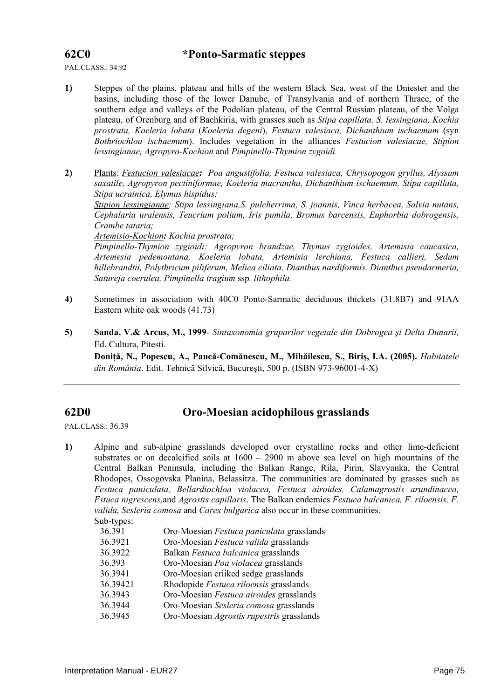#### **62C0 \*Ponto-Sarmatic steppes**

PAL.CLASS.: 34.92

- **1)** Steppes of the plains, plateau and hills of the western Black Sea, west of the Dniester and the basins, including those of the lower Danube, of Transylvania and of northern Thrace, of the southern edge and valleys of the Podolian plateau, of the Central Russian plateau, of the Volga plateau, of Orenburg and of Bachkiria, with grasses such as *Stipa capillata, S. lessingiana, Kochia prostrata, Koeleria lobata* (*Koeleria degeni*), *Festuca valesiaca, Dichanthium ischaemum* (syn *Bothriochloa ischaemum*). Includes vegetation in the alliances *Festucion valesiacae, Stipion lessingianae, Agropyro-Kochion* and *Pimpinello-Thymion zygoidi*
- **2)** Plants: *Festucion valesiacae: Poa angustifolia, Festuca valesiaca, Chrysopogon gryllus, Alyssum saxatile, Agropyron pectiniformae, Koeleria macrantha, Dichanthium ischaemum, Stipa capillata, Stipa ucrainica, Elymus hispidus;*

*Stipion lessingianae: Stipa lessingiana,S. pulcherrima, S. joannis, Vinca herbacea, Salvia nutans, Cephalaria uralensis, Teucrium polium, Iris pumila, Bromus barcensis, Euphorbia dobrogensis, Crambe tataria;* 

*Artemisio-Kochion: Kochia prostrata;* 

*Pimpinello-Thymion zygioidi: Agropyron brandzae, Thymus zygioides, Artemisia caucasica, Artemesia pedemontana, Koeleria lobata, Artemisia lerchiana, Festuca callieri, Sedum hillebrandtii, Polythricum piliferum, Melica ciliata, Dianthus nardiformis, Dianthus pseudarmeria, Satureja coerulea, Pimpinella tragium* ssp*. lithophila.* 

- **4)** Sometimes in association with 40C0 Ponto-Sarmatic deciduous thickets (31.8B7) and 91AA Eastern white oak woods (41.73)
- **5) Sanda, V.& Arcus, M., 1999** *Sintaxonomia gruparilor vegetale din Dobrogea şi Delta Dunarii,*  Ed. Cultura, Pitesti.

 **Doniţă, N., Popescu, A., Paucă-Comănescu, M., Mihăilescu, S., Biriş, I.A. (2005).** *Habitatele din România*. Edit. Tehnică Silvică, Bucureşti, 500 p. (ISBN 973-96001-4-X)

# **62D0 Oro-Moesian acidophilous grasslands**

PAL.CLASS.: 36.39

**1)** Alpine and sub-alpine grasslands developed over crystalline rocks and other lime-deficient substrates or on decalcified soils at 1600 – 2900 m above sea level on high mountains of the Central Balkan Peninsula, including the Balkan Range, Rila, Pirin, Slavyanka, the Central Rhodopes, Ossogovska Planina, Belassitza. The communities are dominated by grasses such as *Festuca paniculata, Bellardiochloa violacea, Festuca airoides, Calamagrostis arundinacea, Fstuca nigrescens,*and *Agrostis capillaris*. The Balkan endemics *Festuca balcanica, F. riloensis, F. valida, Sesleria comosa* and *Carex bulgarica* also occur in these communities. Sub-types:

| $\sim$ $\sim$ , $\rho$ $\sim$ $\sim$ . |                                           |
|----------------------------------------|-------------------------------------------|
| 36.391                                 | Oro-Moesian Festuca paniculata grasslands |
| 36.3921                                | Oro-Moesian Festuca valida grasslands     |
| 36.3922                                | Balkan Festuca balcanica grasslands       |
| 36.393                                 | Oro-Moesian Poa violacea grasslands       |
| 36.3941                                | Oro-Moesian criiked sedge grasslands      |
| 36.39421                               | Rhodopide Festuca riloensis grasslands    |
| 36.3943                                | Oro-Moesian Festuca airoides grasslands   |
| 36.3944                                | Oro-Moesian Sesleria comosa grasslands    |
| 36.3945                                | Oro-Moesian Agrostis rupestris grasslands |
|                                        |                                           |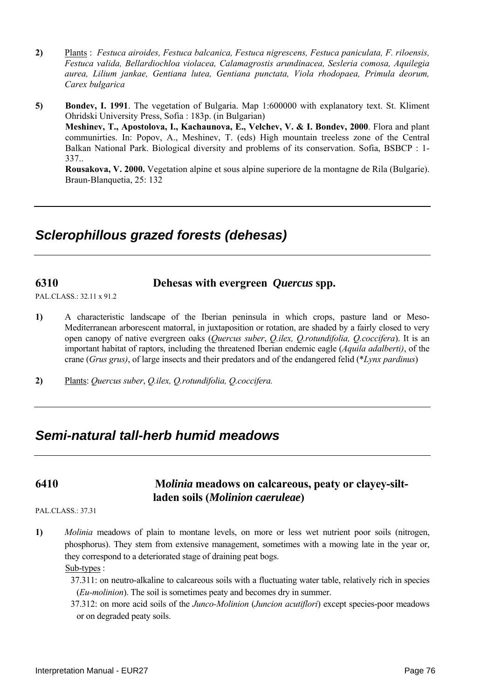- **2)** Plants : *Festuca airoides, Festuca balcanica, Festuca nigrescens, Festuca paniculata, F. riloensis, Festuca valida, Bellardiochloa violacea, Calamagrostis arundinacea, Sesleria comosa, Aquilegia aurea, Lilium jankae, Gentiana lutea, Gentiana punctata, Viola rhodopaea, Primula deorum, Carex bulgarica*
- **5) Bondev, I. 1991**. The vegetation of Bulgaria. Map 1:600000 with explanatory text. St. Kliment Ohridski University Press, Sofia : 183p. (in Bulgarian)  **Meshinev, T., Apostolova, I., Kachaunova, E., Velchev, V. & I. Bondev, 2000**. Flora and plant communirties. In: Popov, A., Meshinev, T. (eds) High mountain treeless zone of the Central Balkan National Park. Biological diversity and problems of its conservation. Sofia, BSBCP : 1- 337..

 **Rousakova, V. 2000.** Vegetation alpine et sous alpine superiore de la montagne de Rila (Bulgarie). Braun-Blanquetia, 25: 132

# *Sclerophillous grazed forests (dehesas)*

# **6310 Dehesas with evergreen** *Quercus* **spp.**

PAL.CLASS.: 32.11 x 91.2

- **1)** A characteristic landscape of the Iberian peninsula in which crops, pasture land or Meso-Mediterranean arborescent matorral, in juxtaposition or rotation, are shaded by a fairly closed to very open canopy of native evergreen oaks (*Quercus suber*, *Q.ilex, Q.rotundifolia, Q.coccifera*). It is an important habitat of raptors, including the threatened Iberian endemic eagle (*Aquila adalberti)*, of the crane (*Grus grus)*, of large insects and their predators and of the endangered felid (\**Lynx pardinus*)
- **2)** Plants: *Quercus suber*, *Q.ilex, Q.rotundifolia, Q.coccifera.*

# *Semi-natural tall-herb humid meadows*

## **6410 M***olinia* **meadows on calcareous, peaty or clayey-siltladen soils (***Molinion caeruleae***)**

PAL.CLASS.: 37.31

- **1)** *Molinia* meadows of plain to montane levels, on more or less wet nutrient poor soils (nitrogen, phosphorus). They stem from extensive management, sometimes with a mowing late in the year or, they correspond to a deteriorated stage of draining peat bogs. Sub-types :
	-
	- 37.311: on neutro-alkaline to calcareous soils with a fluctuating water table, relatively rich in species (*Eu-molinion*). The soil is sometimes peaty and becomes dry in summer.
	- 37.312: on more acid soils of the *Junco-Molinion* (*Juncion acutiflori*) except species-poor meadows or on degraded peaty soils.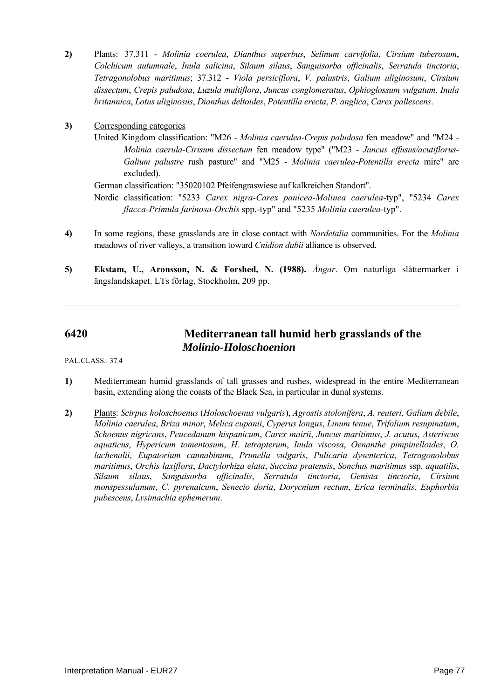- **2)** Plants: 37.311 *Molinia coerulea*, *Dianthus superbus*, *Selinum carvifolia*, *Cirsium tuberosum*, *Colchicum autumnale*, *Inula salicina*, *Silaum silaus*, *Sanguisorba officinalis*, *Serratula tinctoria*, *Tetragonolobus maritimus*; 37.312 - *Viola persiciflora*, *V. palustris*, *Galium uliginosum*, *Cirsium dissectum*, *Crepis paludosa*, *Luzula multiflora*, *Juncus conglomeratus*, *Ophioglossum vulgatum*, *Inula britannica*, *Lotus uliginosus*, *Dianthus deltoides*, *Potentilla erecta*, *P. anglica*, *Carex pallescens*.
- **3)** Corresponding categories

United Kingdom classification: "M26 - *Molinia caerulea*-*Crepis paludosa* fen meadow" and "M24 - *Molinia caerula-Cirisum dissectum* fen meadow type" ("M23 - *Juncus effusus/acutiflorus-Galium palustre* rush pasture" and "M25 *- Molinia caerulea-Potentilla erecta* mire" are excluded).

German classification: "35020102 Pfeifengraswiese auf kalkreichen Standort".

Nordic classification: "5233 *Carex nigra-Carex panicea-Molinea caerulea*-typ", "5234 *Carex flacca-Primula farinosa-Orchis* spp.-typ" and "5235 *Molinia caerulea*-typ".

- **4)** In some regions, these grasslands are in close contact with *Nardetalia* communities. For the *Molinia* meadows of river valleys, a transition toward *Cnidion dubii* alliance is observed.
- **5) Ekstam, U., Aronsson, N. & Forshed, N. (1988).** *Ängar*. Om naturliga slåttermarker i ängslandskapet. LTs förlag, Stockholm, 209 pp.

**6420 Mediterranean tall humid herb grasslands of the**  *Molinio-Holoschoenion*

PAL.CLASS · 37.4

- **1)** Mediterranean humid grasslands of tall grasses and rushes, widespread in the entire Mediterranean basin, extending along the coasts of the Black Sea, in particular in dunal systems.
- **2)** Plants: *Scirpus holoschoenus* (*Holoschoenus vulgaris*), *Agrostis stolonifera*, *A. reuteri*, *Galium debile*, *Molinia caerulea*, *Briza minor*, *Melica cupanii*, *Cyperus longus*, *Linum tenue*, *Trifolium resupinatum*, *Schoenus nigricans*, *Peucedanum hispanicum*, *Carex mairii*, *Juncus maritimus*, *J. acutus*, *Asteriscus aquaticus*, *Hypericum tomentosum*, *H. tetrapterum*, *Inula viscosa*, *Oenanthe pimpinelloides*, *O. lachenalii*, *Eupatorium cannabinum*, *Prunella vulgaris*, *Pulicaria dysenterica*, *Tetragonolobus maritimus*, *Orchis laxiflora*, *Dactylorhiza elata*, *Succisa pratensis*, *Sonchus maritimus* ssp. *aquatilis*, *Silaum silaus*, *Sanguisorba officinalis*, *Serratula tinctoria*, *Genista tinctoria*, *Cirsium monspessulanum*, *C. pyrenaicum*, *Senecio doria*, *Dorycnium rectum*, *Erica terminalis*, *Euphorbia pubescens*, *Lysimachia ephemerum*.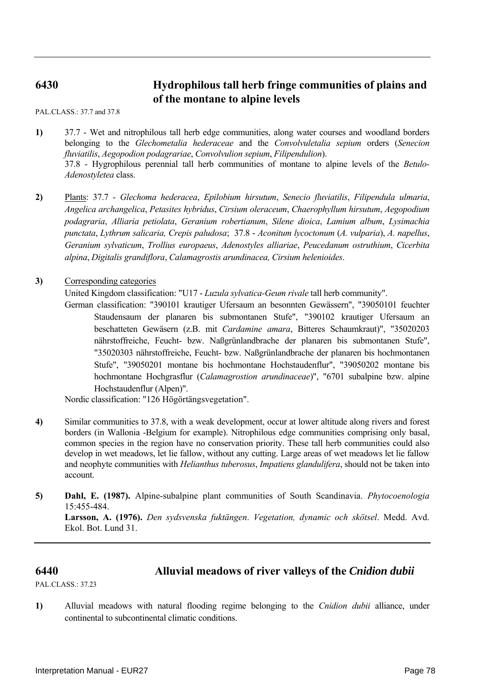### **6430 Hydrophilous tall herb fringe communities of plains and of the montane to alpine levels**

PAL.CLASS.: 37.7 and 37.8

- **1)** 37.7 Wet and nitrophilous tall herb edge communities, along water courses and woodland borders belonging to the *Glechometalia hederaceae* and the *Convolvuletalia sepium* orders (*Senecion fluviatilis*, *Aegopodion podagrariae*, *Convolvulion sepium*, *Filipendulion*). 37.8 - Hygrophilous perennial tall herb communities of montane to alpine levels of the *Betulo-Adenostyletea* class.
- **2)** Plants: 37.7 *Glechoma hederacea*, *Epilobium hirsutum*, *Senecio fluviatilis*, *Filipendula ulmaria*, *Angelica archangelica*, *Petasites hybridus*, *Cirsium oleraceum*, *Chaerophyllum hirsutum*, *Aegopodium podagraria*, *Alliaria petiolata*, *Geranium robertianum*, *Silene dioica*, *Lamium album*, *Lysimachia punctata*, *Lythrum salicaria, Crepis paludosa*; 37.8 - *Aconitum lycoctonum* (*A. vulparia*), *A. napellus*, *Geranium sylvaticum*, *Trollius europaeus*, *Adenostyles alliariae*, *Peucedanum ostruthium*, *Cicerbita alpina*, *Digitalis grandiflora*, *Calamagrostis arundinacea, Cirsium helenioides*.

#### **3)** Corresponding categories

United Kingdom classification: "U17 - *Luzula sylvatica-Geum rivale* tall herb community".

German classification: "390101 krautiger Ufersaum an besonnten Gewässern", "39050101 feuchter Staudensaum der planaren bis submontanen Stufe", "390102 krautiger Ufersaum an beschatteten Gewäsern (z.B. mit *Cardamine amara*, Bitteres Schaumkraut)", "35020203 nährstoffreiche, Feucht- bzw. Naßgrünlandbrache der planaren bis submontanen Stufe", "35020303 nährstoffreiche, Feucht- bzw. Naßgrünlandbrache der planaren bis hochmontanen Stufe", "39050201 montane bis hochmontane Hochstaudenflur", "39050202 montane bis hochmontane Hochgrasflur (*Calamagrostion arundinaceae*)", "6701 subalpine bzw. alpine Hochstaudenflur (Alpen)".

Nordic classification: "126 Högörtängsvegetation".

- **4)** Similar communities to 37.8, with a weak development, occur at lower altitude along rivers and forest borders (in Wallonia -Belgium for example). Nitrophilous edge communities comprising only basal, common species in the region have no conservation priority. These tall herb communities could also develop in wet meadows, let lie fallow, without any cutting. Large areas of wet meadows let lie fallow and neophyte communities with *Helianthus tuberosus*, *Impatiens glandulifera*, should not be taken into account.
- **5) Dahl, E. (1987).** Alpine-subalpine plant communities of South Scandinavia. *Phytocoenologia* 15:455-484. **Larsson, A. (1976).** *Den sydsvenska fuktängen*. *Vegetation, dynamic och skötsel*. Medd. Avd. Ekol. Bot. Lund 31.

#### **6440 Alluvial meadows of river valleys of the** *Cnidion dubii*

PAL.CLASS.: 37.23

**1)** Alluvial meadows with natural flooding regime belonging to the *Cnidion dubii* alliance, under continental to subcontinental climatic conditions.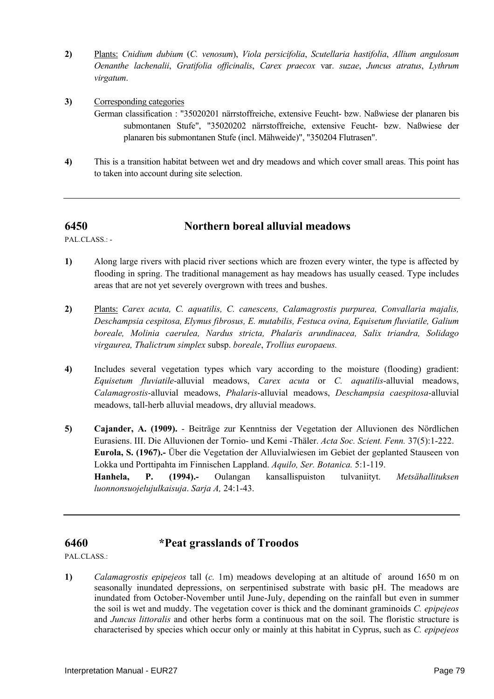- **2)** Plants: *Cnidium dubium* (*C. venosum*), *Viola persicifolia*, *Scutellaria hastifolia*, *Allium angulosum Oenanthe lachenalii*, *Gratifolia officinalis*, *Carex praecox* var. *suzae*, *Juncus atratus*, *Lythrum virgatum*.
- **3)** Corresponding categories German classification : "35020201 närrstoffreiche, extensive Feucht- bzw. Naßwiese der planaren bis submontanen Stufe", "35020202 närrstoffreiche, extensive Feucht- bzw. Naßwiese der planaren bis submontanen Stufe (incl. Mähweide)", "350204 Flutrasen".
- **4)** This is a transition habitat between wet and dry meadows and which cover small areas. This point has to taken into account during site selection.

## **6450 Northern boreal alluvial meadows**

PAL.CLASS.: -

- **1)** Along large rivers with placid river sections which are frozen every winter, the type is affected by flooding in spring. The traditional management as hay meadows has usually ceased. Type includes areas that are not yet severely overgrown with trees and bushes.
- **2)** Plants: *Carex acuta, C. aquatilis, C. canescens, Calamagrostis purpurea, Convallaria majalis, Deschampsia cespitosa, Elymus fibrosus, E. mutabilis, Festuca ovina, Equisetum fluviatile, Galium boreale, Molinia caerulea, Nardus stricta, Phalaris arundinacea, Salix triandra, Solidago virgaurea, Thalictrum simplex* subsp. *boreale*, *Trollius europaeus.*
- **4)** Includes several vegetation types which vary according to the moisture (flooding) gradient: *Equisetum fluviatile*-alluvial meadows, *Carex acuta* or *C. aquatilis*-alluvial meadows, *Calamagrostis*-alluvial meadows, *Phalaris*-alluvial meadows, *Deschampsia caespitosa*-alluvial meadows, tall-herb alluvial meadows, dry alluvial meadows.
- **5) Cajander, A. (1909).** Beiträge zur Kenntniss der Vegetation der Alluvionen des Nördlichen Eurasiens. III. Die Alluvionen der Tornio- und Kemi -Thäler. *Acta Soc. Scient. Fenn.* 37(5):1-222. **Eurola, S. (1967).-** Über die Vegetation der Alluvialwiesen im Gebiet der geplanted Stauseen von Lokka und Porttipahta im Finnischen Lappland. *Aquilo, Ser. Botanica.* 5:1-119. **Hanhela, P. (1994).-** Oulangan kansallispuiston tulvaniityt. *Metsähallituksen luonnonsuojelujulkaisuja*. *Sarja A,* 24:1-43.

#### **6460 \*Peat grasslands of Troodos**

PAL.CLASS.:

**1)** *Calamagrostis epipejeos* tall (*c.* 1m) meadows developing at an altitude of around 1650 m on seasonally inundated depressions, on serpentinised substrate with basic pH. The meadows are inundated from October-November until June-July, depending on the rainfall but even in summer the soil is wet and muddy. The vegetation cover is thick and the dominant graminoids *C. epipejeos*  and *Juncus littoralis* and other herbs form a continuous mat on the soil. The floristic structure is characterised by species which occur only or mainly at this habitat in Cyprus, such as *C. epipejeos*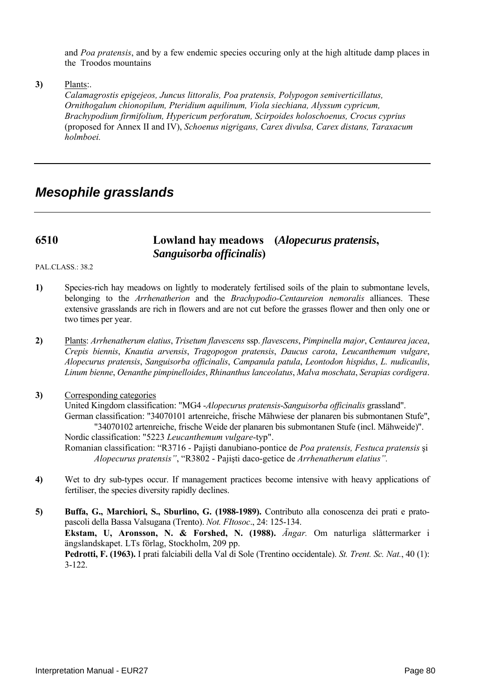and *Poa pratensis*, and by a few endemic species occuring only at the high altitude damp places in the Troodos mountains

**3)** Plants:.

*Calamagrostis epigejeos, Juncus littoralis, Poa pratensis, Polypogon semiverticillatus, Ornithogalum chionopilum, Pteridium aquilinum, Viola siechiana, Alyssum cypricum, Brachypodium firmifolium, Hypericum perforatum, Scirpoides holoschoenus, Crocus cyprius*  (proposed for Annex II and IV), *Schoenus nigrigans, Carex divulsa, Carex distans, Taraxacum holmboei.* 

# *Mesophile grasslands*

### **6510 Lowland hay meadows (***Alopecurus pratensis***,**  *Sanguisorba officinalis***)**

PAL.CLASS.: 38.2

- **1)** Species-rich hay meadows on lightly to moderately fertilised soils of the plain to submontane levels, belonging to the *Arrhenatherion* and the *Brachypodio-Centaureion nemoralis* alliances. These extensive grasslands are rich in flowers and are not cut before the grasses flower and then only one or two times per year.
- **2)** Plants: *Arrhenatherum elatius*, *Trisetum flavescens* ssp. *flavescens*, *Pimpinella major*, *Centaurea jacea*, *Crepis biennis*, *Knautia arvensis*, *Tragopogon pratensis*, *Daucus carota*, *Leucanthemum vulgare*, *Alopecurus pratensis*, *Sanguisorba officinalis*, *Campanula patula*, *Leontodon hispidus*, *L. nudicaulis*, *Linum bienne*, *Oenanthe pimpinelloides*, *Rhinanthus lanceolatus*, *Malva moschata*, *Serapias cordigera*.

#### **3)** Corresponding categories

United Kingdom classification: "MG4 -*Alopecurus pratensis*-*Sanguisorba officinalis* grassland". German classification: "34070101 artenreiche, frische Mähwiese der planaren bis submontanen Stufe", "34070102 artenreiche, frische Weide der planaren bis submontanen Stufe (incl. Mähweide)". Nordic classification: "5223 *Leucanthemum vulgare*-typ". Romanian classification: "R3716 - Pajişti danubiano-pontice de *Poa pratensis, Festuca pratensis* şi *Alopecurus pratensis"*, "R3802 - Pajişti daco-getice de *Arrhenatherum elatius".*

- **4)** Wet to dry sub-types occur. If management practices become intensive with heavy applications of fertiliser, the species diversity rapidly declines.
- **5) Buffa, G., Marchiori, S., Sburlino, G. (1988-1989).** Contributo alla conoscenza dei prati e pratopascoli della Bassa Valsugana (Trento). *Not. FItosoc*., 24: 125-134. **Ekstam, U, Aronsson, N. & Forshed, N. (1988).** *Ängar.* Om naturliga slåttermarker i ängslandskapet. LTs förlag, Stockholm, 209 pp. **Pedrotti, F. (1963).** I prati falciabili della Val di Sole (Trentino occidentale). *St. Trent. Sc. Nat.*, 40 (1): 3-122.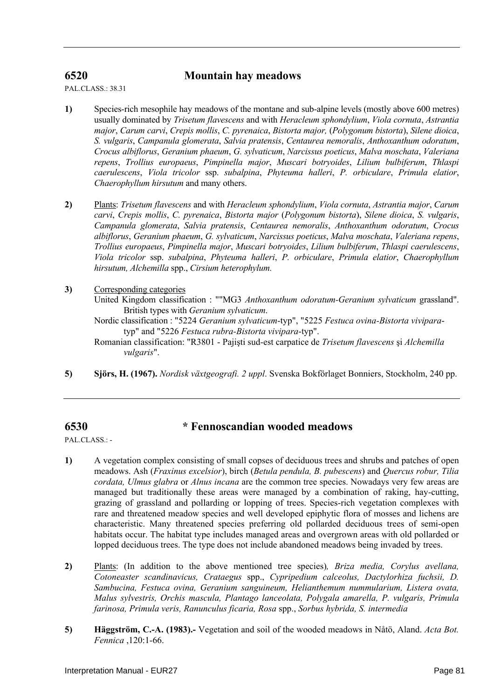## **6520 Mountain hay meadows**

PAL.CLASS.: 38.31

- **1)** Species-rich mesophile hay meadows of the montane and sub-alpine levels (mostly above 600 metres) usually dominated by *Trisetum flavescens* and with *Heracleum sphondylium*, *Viola cornuta*, *Astrantia major*, *Carum carvi*, *Crepis mollis*, *C. pyrenaica*, *Bistorta major,* (*Polygonum bistorta*), *Silene dioica*, *S. vulgaris*, *Campanula glomerata*, *Salvia pratensis*, *Centaurea nemoralis*, *Anthoxanthum odoratum*, *Crocus albiflorus*, *Geranium phaeum*, *G. sylvaticum*, *Narcissus poeticus*, *Malva moschata*, *Valeriana repens*, *Trollius europaeus*, *Pimpinella major*, *Muscari botryoides*, *Lilium bulbiferum*, *Thlaspi caerulescens*, *Viola tricolor* ssp. *subalpina*, *Phyteuma halleri*, *P. orbiculare*, *Primula elatior*, *Chaerophyllum hirsutum* and many others.
- **2)** Plants: *Trisetum flavescens* and with *Heracleum sphondylium*, *Viola cornuta*, *Astrantia major*, *Carum carvi*, *Crepis mollis*, *C. pyrenaica*, *Bistorta major* (*Polygonum bistorta*), *Silene dioica*, *S. vulgaris*, *Campanula glomerata*, *Salvia pratensis*, *Centaurea nemoralis*, *Anthoxanthum odoratum*, *Crocus albiflorus*, *Geranium phaeum*, *G. sylvaticum*, *Narcissus poeticus*, *Malva moschata*, *Valeriana repens*, *Trollius europaeus*, *Pimpinella major*, *Muscari botryoides*, *Lilium bulbiferum*, *Thlaspi caerulescens*, *Viola tricolor* ssp. *subalpina*, *Phyteuma halleri*, *P. orbiculare*, *Primula elatior*, *Chaerophyllum hirsutum, Alchemilla* spp., *Cirsium heterophylum.*
- **3)** Corresponding categories
	- United Kingdom classification : ""MG3 *Anthoxanthum odoratum-Geranium sylvaticum* grassland". British types with *Geranium sylvaticum*.

Nordic classification : "5224 *Geranium sylvaticum*-typ", "5225 *Festuca ovina-Bistorta vivipara*typ" and "5226 *Festuca rubra-Bistorta vivipara*-typ".

Romanian classification: "R3801 - Pajişti sud-est carpatice de *Trisetum flavescens* şi *Alchemilla vulgaris*".

**5) Sjörs, H. (1967).** *Nordisk växtgeografi. 2 uppl*. Svenska Bokförlaget Bonniers, Stockholm, 240 pp.

#### **6530 \* Fennoscandian wooded meadows**

PAL.CLASS.: -

- **1)** A vegetation complex consisting of small copses of deciduous trees and shrubs and patches of open meadows. Ash (*Fraxinus excelsior*), birch (*Betula pendula, B. pubescens*) and *Quercus robur, Tilia cordata, Ulmus glabra* or *Alnus incana* are the common tree species. Nowadays very few areas are managed but traditionally these areas were managed by a combination of raking, hay-cutting, grazing of grassland and pollarding or lopping of trees. Species-rich vegetation complexes with rare and threatened meadow species and well developed epiphytic flora of mosses and lichens are characteristic. Many threatened species preferring old pollarded deciduous trees of semi-open habitats occur. The habitat type includes managed areas and overgrown areas with old pollarded or lopped deciduous trees. The type does not include abandoned meadows being invaded by trees.
- **2)** Plants: (In addition to the above mentioned tree species)*, Briza media, Corylus avellana, Cotoneaster scandinavicus, Crataegus* spp., *Cypripedium calceolus, Dactylorhiza fuchsii, D. Sambucina, Festuca ovina, Geranium sanguineum, Helianthemum nummularium, Listera ovata, Malus sylvestris, Orchis mascula, Plantago lanceolata, Polygala amarella, P. vulgaris, Primula farinosa, Primula veris, Ranunculus ficaria, Rosa* spp., *Sorbus hybrida, S. intermedia*
- **5) Häggström, C.-A. (1983).-** Vegetation and soil of the wooded meadows in Nåtö, Aland. *Acta Bot. Fennica* ,120:1-66.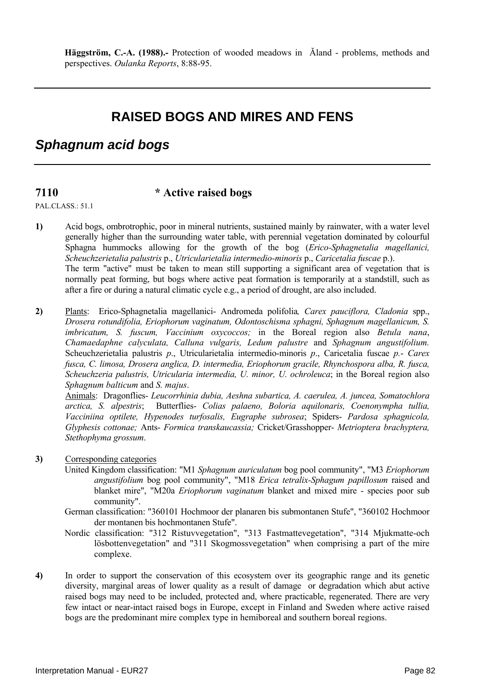**Häggström, C.-A. (1988).-** Protection of wooded meadows in Ăland - problems, methods and perspectives. *Oulanka Reports*, 8:88-95.

# **RAISED BOGS AND MIRES AND FENS**

## *Sphagnum acid bogs*

#### **7110 \* Active raised bogs**

PAL.CLASS.: 51.1

- **1)** Acid bogs, ombrotrophic, poor in mineral nutrients, sustained mainly by rainwater, with a water level generally higher than the surrounding water table, with perennial vegetation dominated by colourful Sphagna hummocks allowing for the growth of the bog (*Erico-Sphagnetalia magellanici, Scheuchzerietalia palustris* p., *Utricularietalia intermedio-minoris* p., *Caricetalia fuscae* p.). The term "active" must be taken to mean still supporting a significant area of vegetation that is normally peat forming, but bogs where active peat formation is temporarily at a standstill, such as after a fire or during a natural climatic cycle e.g., a period of drought, are also included.
- **2)** Plants: Erico-Sphagnetalia magellanici- Andromeda polifolia*, Carex pauciflora, Cladonia* spp., *Drosera rotundifolia, Eriophorum vaginatum, Odontoschisma sphagni, Sphagnum magellanicum, S. imbricatum, S. fuscum, Vaccinium oxycoccos;* in the Boreal region also *Betula nana*, *Chamaedaphne calyculata, Calluna vulgaris, Ledum palustre* and *Sphagnum angustifolium.*  Scheuchzerietalia palustris *p*., Utricularietalia intermedio-minoris *p*., Caricetalia fuscae *p.*- *Carex fusca, C. limosa, Drosera anglica, D. intermedia, Eriophorum gracile, Rhynchospora alba, R. fusca, Scheuchzeria palustris, Utricularia intermedia, U. minor, U. ochroleuca*; in the Boreal region also *Sphagnum balticum* and *S. majus*.

 Animals: Dragonflies- *Leucorrhinia dubia, Aeshna subartica, A. caerulea, A. juncea, Somatochlora arctica, S. alpestris*; Butterflies- *Colias palaeno, Boloria aquilonaris, Coenonympha tullia, Vacciniina optilete, Hypenodes turfosalis, Eugraphe subrosea*; Spiders- *Pardosa sphagnicola, Glyphesis cottonae;* Ants- *Formica transkaucassia;* Cricket/Grasshopper- *Metrioptera brachyptera, Stethophyma grossum*.

#### **3)** Corresponding categories

- United Kingdom classification: "M1 *Sphagnum auriculatum* bog pool community", "M3 *Eriophorum angustifolium* bog pool community", "M18 *Erica tetralix-Sphagum papillosum* raised and blanket mire", "M20a *Eriophorum vaginatum* blanket and mixed mire - species poor sub community".
- German classification: "360101 Hochmoor der planaren bis submontanen Stufe", "360102 Hochmoor der montanen bis hochmontanen Stufe".
- Nordic classification: "312 Ristuvvegetation", "313 Fastmattevegetation", "314 Mjukmatte-och lösbottenvegetation" and "311 Skogmossvegetation" when comprising a part of the mire complexe.
- **4)** In order to support the conservation of this ecosystem over its geographic range and its genetic diversity, marginal areas of lower quality as a result of damage or degradation which abut active raised bogs may need to be included, protected and, where practicable, regenerated. There are very few intact or near-intact raised bogs in Europe, except in Finland and Sweden where active raised bogs are the predominant mire complex type in hemiboreal and southern boreal regions.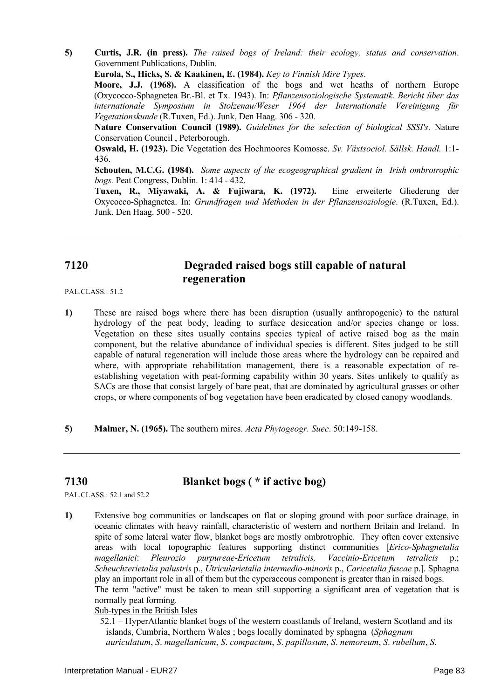**5) Curtis, J.R. (in press).** *The raised bogs of Ireland: their ecology, status and conservation*. Government Publications, Dublin.

**Eurola, S., Hicks, S. & Kaakinen, E. (1984).** *Key to Finnish Mire Types*.

**Moore, J.J. (1968).** A classification of the bogs and wet heaths of northern Europe (Oxycocco-Sphagnetea Br.-Bl. et Tx. 1943). In: *Pflanzensoziologische Systematik. Bericht über das internationale Symposium in Stolzenau/Weser 1964 der Internationale Vereinigung für Vegetationskunde* (R.Tuxen, Ed.). Junk, Den Haag. 306 - 320.

**Nature Conservation Council (1989).** *Guidelines for the selection of biological SSSI's*. Nature Conservation Council , Peterborough.

**Oswald, H. (1923).** Die Vegetation des Hochmoores Komosse. *Sv. Växtsociol. Sällsk. Handl.* 1:1- 436.

**Schouten, M.C.G. (1984).** *Some aspects of the ecogeographical gradient in Irish ombrotrophic bogs.* Peat Congress, Dublin. 1: 414 - 432.

**Tuxen, R., Miyawaki, A. & Fujiwara, K. (1972).** Eine erweiterte Gliederung der Oxycocco-Sphagnetea. In: *Grundfragen und Methoden in der Pflanzensoziologie*. (R.Tuxen, Ed.). Junk, Den Haag. 500 - 520.

## **7120 Degraded raised bogs still capable of natural regeneration**

PAL.CLASS.: 51.2

- **1)** These are raised bogs where there has been disruption (usually anthropogenic) to the natural hydrology of the peat body, leading to surface desiccation and/or species change or loss. Vegetation on these sites usually contains species typical of active raised bog as the main component, but the relative abundance of individual species is different. Sites judged to be still capable of natural regeneration will include those areas where the hydrology can be repaired and where, with appropriate rehabilitation management, there is a reasonable expectation of reestablishing vegetation with peat-forming capability within 30 years. Sites unlikely to qualify as SACs are those that consist largely of bare peat, that are dominated by agricultural grasses or other crops, or where components of bog vegetation have been eradicated by closed canopy woodlands.
- **5) Malmer, N. (1965).** The southern mires. *Acta Phytogeogr. Suec*. 50:149-158.

## **7130 Blanket bogs ( \* if active bog)**

PAL.CLASS.: 52.1 and 52.2

**1)** Extensive bog communities or landscapes on flat or sloping ground with poor surface drainage, in oceanic climates with heavy rainfall, characteristic of western and northern Britain and Ireland. In spite of some lateral water flow, blanket bogs are mostly ombrotrophic. They often cover extensive areas with local topographic features supporting distinct communities [*Erico-Sphagnetalia magellanici*: *Pleurozio purpureae-Ericetum tetralicis, Vaccinio-Ericetum tetralicis* p.; *Scheuchzerietalia palustris* p., *Utricularietalia intermedio-minoris* p., *Caricetalia fuscae* p.]. Sphagna play an important role in all of them but the cyperaceous component is greater than in raised bogs. The term "active" must be taken to mean still supporting a significant area of vegetation that is normally peat forming.

Sub-types in the British Isles

52.1 – HyperAtlantic blanket bogs of the western coastlands of Ireland, western Scotland and its islands, Cumbria, Northern Wales ; bogs locally dominated by sphagna (*Sphagnum auriculatum*, *S*. *magellanicum*, *S*. *compactum*, *S*. *papillosum*, *S*. *nemoreum*, *S*. *rubellum*, *S*.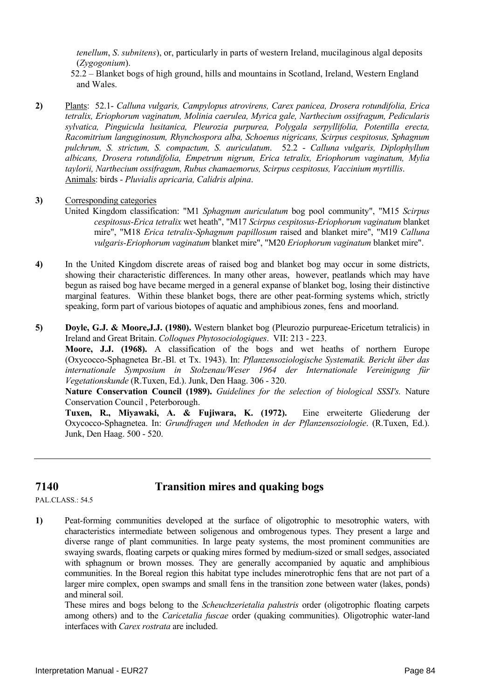*tenellum*, *S*. *subnitens*), or, particularly in parts of western Ireland, mucilaginous algal deposits (*Zygogonium*).

52.2 – Blanket bogs of high ground, hills and mountains in Scotland, Ireland, Western England and Wales.

**2)** Plants: 52.1- *Calluna vulgaris, Campylopus atrovirens, Carex panicea, Drosera rotundifolia, Erica tetralix, Eriophorum vaginatum, Molinia caerulea, Myrica gale, Narthecium ossifragum, Pedicularis sylvatica, Pinguicula lusitanica, Pleurozia purpurea, Polygala serpyllifolia, Potentilla erecta, Racomitrium languginosum, Rhynchospora alba, Schoenus nigricans, Scirpus cespitosus, Sphagnum pulchrum, S. strictum, S. compactum, S. auriculatum*. 52.2 - *Calluna vulgaris, Diplophyllum albicans, Drosera rotundifolia, Empetrum nigrum, Erica tetralix, Eriophorum vaginatum, Mylia taylorii, Narthecium ossifragum, Rubus chamaemorus, Scirpus cespitosus, Vaccinium myrtillis*. Animals: birds - *Pluvialis apricaria, Calidris alpina*.

#### **3)** Corresponding categories

- United Kingdom classification: "M1 *Sphagnum auriculatum* bog pool community", "M15 *Scirpus cespitosus-Erica tetralix* wet heath", "M17 *Scirpus cespitosus-Eriophorum vaginatum* blanket mire", "M18 *Erica tetralix-Sphagnum papillosum* raised and blanket mire", "M19 *Calluna vulgaris-Eriophorum vaginatum* blanket mire", "M20 *Eriophorum vaginatum* blanket mire".
- **4)** In the United Kingdom discrete areas of raised bog and blanket bog may occur in some districts, showing their characteristic differences. In many other areas, however, peatlands which may have begun as raised bog have became merged in a general expanse of blanket bog, losing their distinctive marginal features. Within these blanket bogs, there are other peat-forming systems which, strictly speaking, form part of various biotopes of aquatic and amphibious zones, fens and moorland.
- **5) Doyle, G.J. & Moore,J.J. (1980).** Western blanket bog (Pleurozio purpureae-Ericetum tetralicis) in Ireland and Great Britain. *Colloques Phytosociologiques*. VII: 213 - 223.

**Moore, J.J. (1968).** A classification of the bogs and wet heaths of northern Europe (Oxycocco-Sphagnetea Br.-Bl. et Tx. 1943). In: *Pflanzensoziologische Systematik. Bericht über das internationale Symposium in Stolzenau/Weser 1964 der Internationale Vereinigung für Vegetationskunde* (R.Tuxen, Ed.). Junk, Den Haag. 306 - 320.

**Nature Conservation Council (1989).** *Guidelines for the selection of biological SSSI's.* Nature Conservation Council , Peterborough.

**Tuxen, R., Miyawaki, A. & Fujiwara, K. (1972).** Eine erweiterte Gliederung der Oxycocco-Sphagnetea. In: *Grundfragen und Methoden in der Pflanzensoziologie*. (R.Tuxen, Ed.). Junk, Den Haag. 500 - 520.

#### **7140 Transition mires and quaking bogs**

- PAL.CLASS $\cdot$  54.5
- **1)** Peat-forming communities developed at the surface of oligotrophic to mesotrophic waters, with characteristics intermediate between soligenous and ombrogenous types. They present a large and diverse range of plant communities. In large peaty systems, the most prominent communities are swaying swards, floating carpets or quaking mires formed by medium-sized or small sedges, associated with sphagnum or brown mosses. They are generally accompanied by aquatic and amphibious communities. In the Boreal region this habitat type includes minerotrophic fens that are not part of a larger mire complex, open swamps and small fens in the transition zone between water (lakes, ponds) and mineral soil.

 These mires and bogs belong to the *Scheuchzerietalia palustris* order (oligotrophic floating carpets among others) and to the *Caricetalia fuscae* order (quaking communities). Oligotrophic water-land interfaces with *Carex rostrata* are included.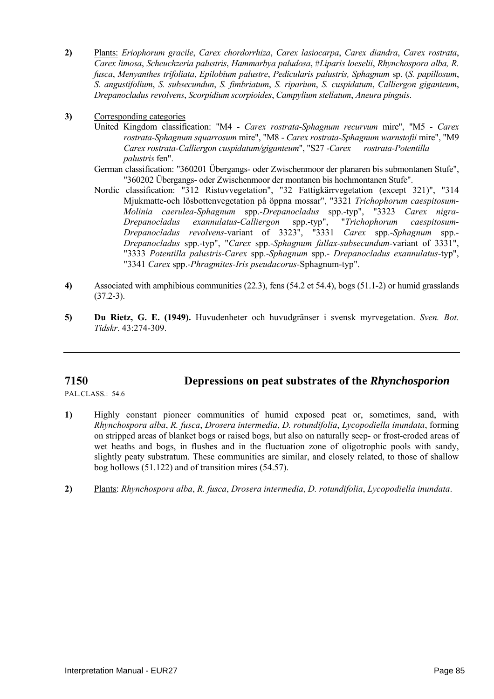- **2)** Plants: *Eriophorum gracile*, *Carex chordorrhiza*, *Carex lasiocarpa*, *Carex diandra*, *Carex rostrata*, *Carex limosa*, *Scheuchzeria palustris*, *Hammarbya paludosa*, #*Liparis loeselii*, *Rhynchospora alba, R. fusca*, *Menyanthes trifoliata*, *Epilobium palustre*, *Pedicularis palustris, Sphagnum* sp. (*S. papillosum*, *S. angustifolium*, *S. subsecundun*, *S. fimbriatum*, *S. riparium*, *S. cuspidatum*, *Calliergon giganteum*, *Drepanocladus revolvens*, *Scorpidium scorpioides*, *Campylium stellatum*, *Aneura pinguis*.
- **3)** Corresponding categories
	- United Kingdom classification: "M4 *Carex rostrata-Sphagnum recurvum* mire", "M5 *Carex rostrata-Sphagnum squarrosum* mire", "M8 - *Carex rostrata-Sphagnum warnstofii* mire", "M9 *Carex rostrata-Calliergon cuspidatum/giganteum*", "S27 -*Carex rostrata-Potentilla palustris* fen".
	- German classification: "360201 Übergangs- oder Zwischenmoor der planaren bis submontanen Stufe", "360202 Übergangs- oder Zwischenmoor der montanen bis hochmontanen Stufe".
	- Nordic classification: "312 Ristuvvegetation", "32 Fattigkärrvegetation (except 321)", "314 Mjukmatte-och lösbottenvegetation på öppna mossar", "3321 *Trichophorum caespitosum-Molinia caerulea-Sphagnum* spp.-*Drepanocladus* spp.-typ", "3323 *Carex nigra-Drepanocladus exannulatus-Calliergon* spp.-typ", "*Trichophorum caespitosum-Drepanocladus revolvens-*variant of 3323", "3331 *Carex* spp.-*Sphagnum* spp.- *Drepanocladus* spp.-typ", "*Carex* spp.-*Sphagnum fallax-subsecundum-*variant of 3331", "3333 *Potentilla palustris-Carex* spp.-*Sphagnum* spp.- *Drepanocladus exannulatus-*typ", "3341 *Carex* spp.-*Phragmites-Iris pseudacorus-*Sphagnum-typ".
- **4)** Associated with amphibious communities (22.3), fens (54.2 et 54.4), bogs (51.1-2) or humid grasslands  $(37.2-3)$ .
- **5) Du Rietz, G. E. (1949).** Huvudenheter och huvudgränser i svensk myrvegetation. *Sven. Bot. Tidskr*. 43:274-309.

## **7150 Depressions on peat substrates of the** *Rhynchosporion*

PAL.CLASS.: 54.6

- **1)** Highly constant pioneer communities of humid exposed peat or, sometimes, sand, with *Rhynchospora alba*, *R. fusca*, *Drosera intermedia*, *D. rotundifolia*, *Lycopodiella inundata*, forming on stripped areas of blanket bogs or raised bogs, but also on naturally seep- or frost-eroded areas of wet heaths and bogs, in flushes and in the fluctuation zone of oligotrophic pools with sandy, slightly peaty substratum. These communities are similar, and closely related, to those of shallow bog hollows (51.122) and of transition mires (54.57).
- **2)** Plants: *Rhynchospora alba*, *R. fusca*, *Drosera intermedia*, *D. rotundifolia*, *Lycopodiella inundata*.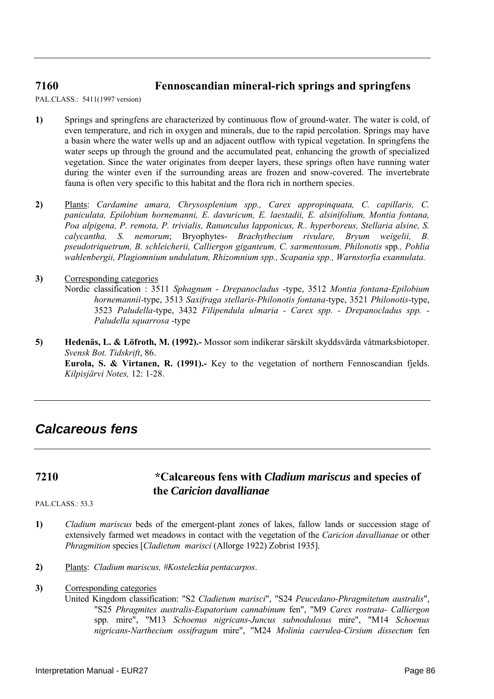## **7160 Fennoscandian mineral-rich springs and springfens**

PAL.CLASS.: 5411(1997 version)

- **1)** Springs and springfens are characterized by continuous flow of ground-water. The water is cold, of even temperature, and rich in oxygen and minerals, due to the rapid percolation. Springs may have a basin where the water wells up and an adjacent outflow with typical vegetation. In springfens the water seeps up through the ground and the accumulated peat, enhancing the growth of specialized vegetation. Since the water originates from deeper layers, these springs often have running water during the winter even if the surrounding areas are frozen and snow-covered. The invertebrate fauna is often very specific to this habitat and the flora rich in northern species.
- **2)** Plants: *Cardamine amara, Chrysosplenium spp., Carex appropinquata, C. capillaris, C. paniculata, Epilobium hornemanni, E. davuricum, E. laestadii, E. alsinifolium, Montia fontana, Poa alpigena, P. remota, P. trivialis, Ranunculus lapponicus, R.. hyperboreus, Stellaria alsine, S. calycantha, S. nemorum*; Bryophytes- *Brachythecium rivulare, Bryum weigelii, B. pseudotriquetrum, B. schleicherii, Calliergon giganteum, C. sarmentosum, Philonotis* spp*., Pohlia wahlenbergii, Plagiomnium undulatum, Rhizomnium spp., Scapania spp., Warnstorfia exannulata.*
- **3)** Corresponding categories Nordic classification : 3511 *Sphagnum - Drepanocladus* -type, 3512 *Montia fontana-Epilobium hornemannii-*type, 3513 *Saxifraga stellaris-Philonotis fontana-*type, 3521 *Philonotis*-type, 3523 *Paludella*-type, 3432 *Filipendula ulmaria - Carex spp. - Drepanocladus spp. - Paludella squarrosa* -type
- **5) Hedenäs, L. & Löfroth, M. (1992).-** Mossor som indikerar särskilt skyddsvärda våtmarksbiotoper. *Svensk Bot. Tidskrift*, 86. **Eurola, S. & Virtanen, R. (1991).-** Key to the vegetation of northern Fennoscandian fjelds.

*Kilpisjärvi Notes,* 12: 1-28.

# *Calcareous fens*

## **7210 \*Calcareous fens with** *Cladium mariscus* **and species of the** *Caricion davallianae*

PAL.CLASS.: 53.3

- **1)** *Cladium mariscus* beds of the emergent-plant zones of lakes, fallow lands or succession stage of extensively farmed wet meadows in contact with the vegetation of the *Caricion davallianae* or other *Phragmition* species [*Cladietum marisci* (Allorge 1922) Zobrist 1935].
- **2)** Plants: *Cladium mariscus, #Kostelezkia pentacarpos*.

#### **3)** Corresponding categories

United Kingdom classification: "S2 *Cladietum marisci*", "S24 *Peucedano-Phragmitetum australis*", "S25 *Phragmites australis-Eupatorium cannabinum* fen", "M9 *Carex rostrata- Calliergon* spp. mire", "M13 *Schoenus nigricans-Juncus subnodulosus* mire", "M14 *Schoenus nigricans-Narthecium ossifragum* mire", "M24 *Molinia caerulea-Cirsium dissectum* fen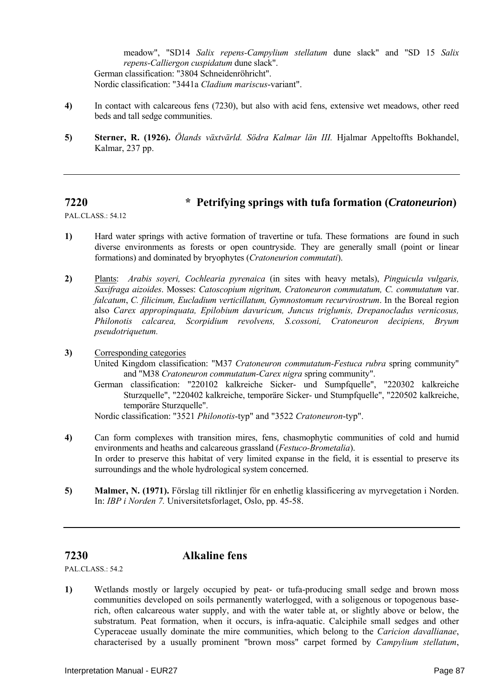meadow", "SD14 *Salix repens-Campylium stellatum* dune slack" and "SD 15 *Salix repens-Calliergon cuspidatum* dune slack". German classification: "3804 Schneidenröhricht". Nordic classification: "3441a *Cladium mariscus*-variant".

- **4)** In contact with calcareous fens (7230), but also with acid fens, extensive wet meadows, other reed beds and tall sedge communities.
- **5) Sterner, R. (1926).** *Ölands växtvärld. Södra Kalmar län III.* Hjalmar Appeltoffts Bokhandel, Kalmar, 237 pp.

## **7220 \* Petrifying springs with tufa formation (***Cratoneurion***)**

PAL.CLASS.: 54.12

- **1)** Hard water springs with active formation of travertine or tufa. These formations are found in such diverse environments as forests or open countryside. They are generally small (point or linear formations) and dominated by bryophytes (*Cratoneurion commutati*).
- **2)** Plants: *Arabis soyeri, Cochlearia pyrenaica* (in sites with heavy metals), *Pinguicula vulgaris, Saxifraga aizoides*. Mosses: *Catoscopium nigritum, Cratoneuron commutatum, C. commutatum* var. *falcatum*, *C. filicinum, Eucladium verticillatum, Gymnostomum recurvirostrum*. In the Boreal region also *Carex appropinquata, Epilobium davuricum, Juncus triglumis, Drepanocladus vernicosus, Philonotis calcarea, Scorpidium revolvens, S.cossoni, Cratoneuron decipiens, Bryum pseudotriquetum.*
- **3)** Corresponding categories
	- United Kingdom classification: "M37 *Cratoneuron commutatum-Festuca rubra* spring community" and "M38 *Cratoneuron commutatum-Carex nigra* spring community".
	- German classification: "220102 kalkreiche Sicker- und Sumpfquelle", "220302 kalkreiche Sturzquelle", "220402 kalkreiche, temporäre Sicker- und Stumpfquelle", "220502 kalkreiche, temporäre Sturzquelle".

Nordic classification: "3521 *Philonotis*-typ" and "3522 *Cratoneuron*-typ".

- **4)** Can form complexes with transition mires, fens, chasmophytic communities of cold and humid environments and heaths and calcareous grassland (*Festuco-Brometalia*). In order to preserve this habitat of very limited expanse in the field, it is essential to preserve its surroundings and the whole hydrological system concerned.
- **5) Malmer, N. (1971).** Förslag till riktlinjer för en enhetlig klassificering av myrvegetation i Norden. In: *IBP i Norden 7.* Universitetsforlaget, Oslo, pp. 45-58.

## **7230 Alkaline fens**

PAL.CLASS.: 54.2

**1)** Wetlands mostly or largely occupied by peat- or tufa-producing small sedge and brown moss communities developed on soils permanently waterlogged, with a soligenous or topogenous baserich, often calcareous water supply, and with the water table at, or slightly above or below, the substratum. Peat formation, when it occurs, is infra-aquatic. Calciphile small sedges and other Cyperaceae usually dominate the mire communities, which belong to the *Caricion davallianae*, characterised by a usually prominent "brown moss" carpet formed by *Campylium stellatum*,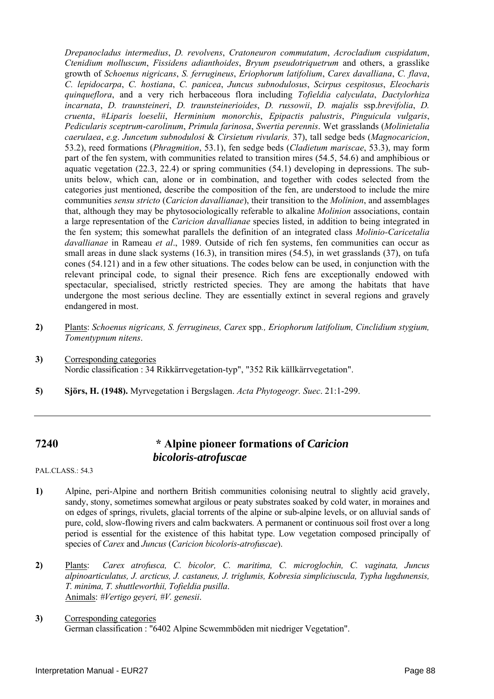*Drepanocladus intermedius*, *D. revolvens*, *Cratoneuron commutatum*, *Acrocladium cuspidatum*, *Ctenidium molluscum*, *Fissidens adianthoides*, *Bryum pseudotriquetrum* and others, a grasslike growth of *Schoenus nigricans*, *S. ferrugineus*, *Eriophorum latifolium*, *Carex davalliana*, *C. flava*, *C. lepidocarpa*, *C. hostiana*, *C. panicea*, *Juncus subnodulosus*, *Scirpus cespitosus*, *Eleocharis quinqueflora*, and a very rich herbaceous flora including *Tofieldia calyculata*, *Dactylorhiza incarnata*, *D. traunsteineri*, *D. traunsteinerioides*, *D. russowii*, *D. majalis* ssp.*brevifolia*, *D. cruenta*, #*Liparis loeselii*, *Herminium monorchis*, *Epipactis palustris*, *Pinguicula vulgaris*, *Pedicularis sceptrum*-*carolinum*, *Primula farinosa*, *Swertia perennis*. Wet grasslands (*Molinietalia caerulaea*, *e.g*. *Juncetum subnodulosi* & *Cirsietum rivularis,* 37), tall sedge beds (*Magnocaricion*, 53.2), reed formations (*Phragmition*, 53.1), fen sedge beds (*Cladietum mariscae*, 53.3), may form part of the fen system, with communities related to transition mires (54.5, 54.6) and amphibious or aquatic vegetation  $(22.3, 22.4)$  or spring communities  $(54.1)$  developing in depressions. The subunits below, which can, alone or in combination, and together with codes selected from the categories just mentioned, describe the composition of the fen, are understood to include the mire communities *sensu stricto* (*Caricion davallianae*), their transition to the *Molinion*, and assemblages that, although they may be phytosociologically referable to alkaline *Molinion* associations, contain a large representation of the *Caricion davallianae* species listed, in addition to being integrated in the fen system; this somewhat parallels the definition of an integrated class *Molinio-Caricetalia davallianae* in Rameau *et al*., 1989. Outside of rich fen systems, fen communities can occur as small areas in dune slack systems (16.3), in transition mires (54.5), in wet grasslands (37), on tufa cones (54.121) and in a few other situations. The codes below can be used, in conjunction with the relevant principal code, to signal their presence. Rich fens are exceptionally endowed with spectacular, specialised, strictly restricted species. They are among the habitats that have undergone the most serious decline. They are essentially extinct in several regions and gravely endangered in most.

- **2)** Plants: *Schoenus nigricans, S. ferrugineus, Carex* spp*., Eriophorum latifolium, Cinclidium stygium, Tomentypnum nitens*.
- **3)** Corresponding categories Nordic classification : 34 Rikkärrvegetation-typ", "352 Rik källkärrvegetation".
- **5) Sjörs, H. (1948).** Myrvegetation i Bergslagen. *Acta Phytogeogr. Suec*. 21:1-299.

## **7240 \* Alpine pioneer formations of** *Caricion bicoloris-atrofuscae*

PAL.CLASS.: 54.3

- **1)** Alpine, peri-Alpine and northern British communities colonising neutral to slightly acid gravely, sandy, stony, sometimes somewhat argilous or peaty substrates soaked by cold water, in moraines and on edges of springs, rivulets, glacial torrents of the alpine or sub-alpine levels, or on alluvial sands of pure, cold, slow-flowing rivers and calm backwaters. A permanent or continuous soil frost over a long period is essential for the existence of this habitat type. Low vegetation composed principally of species of *Carex* and *Juncus* (*Caricion bicoloris-atrofuscae*).
- **2)** Plants: *Carex atrofusca, C. bicolor, C. maritima, C. microglochin, C. vaginata, Juncus alpinoarticulatus, J. arcticus, J. castaneus, J. triglumis, Kobresia simpliciuscula, Typha lugdunensis, T. minima, T. shuttleworthii, Tofieldia pusilla*. Animals: *#Vertigo geyeri, #V. genesii*.
- **3)** Corresponding categories German classification : "6402 Alpine Scwemmböden mit niedriger Vegetation".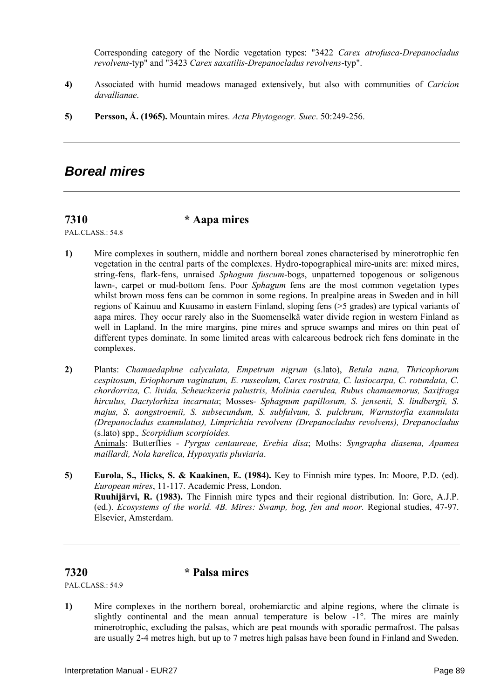Corresponding category of the Nordic vegetation types: "3422 *Carex atrofusca-Drepanocladus revolvens*-typ" and "3423 *Carex saxatilis-Drepanocladus revolvens*-typ".

- **4)** Associated with humid meadows managed extensively, but also with communities of *Caricion davallianae*.
- **5) Persson, Å. (1965).** Mountain mires. *Acta Phytogeogr. Suec*. 50:249-256.

## *Boreal mires*

#### **7310 \* Aapa mires**

PAL.CLASS.: 54.8

- **1)** Mire complexes in southern, middle and northern boreal zones characterised by minerotrophic fen vegetation in the central parts of the complexes. Hydro-topographical mire-units are: mixed mires, string-fens, flark-fens, unraised *Sphagum fuscum*-bogs, unpatterned topogenous or soligenous lawn-, carpet or mud-bottom fens. Poor *Sphagum* fens are the most common vegetation types whilst brown moss fens can be common in some regions. In prealpine areas in Sweden and in hill regions of Kainuu and Kuusamo in eastern Finland, sloping fens (>5 grades) are typical variants of aapa mires. They occur rarely also in the Suomenselkä water divide region in western Finland as well in Lapland. In the mire margins, pine mires and spruce swamps and mires on thin peat of different types dominate. In some limited areas with calcareous bedrock rich fens dominate in the complexes.
- **2)** Plants: *Chamaedaphne calyculata, Empetrum nigrum* (s.lato), *Betula nana, Thricophorum cespitosum, Eriophorum vaginatum, E. russeolum, Carex rostrata, C. lasiocarpa, C. rotundata, C. chordorriza, C. livida, Scheuchzeria palustris, Molinia caerulea, Rubus chamaemorus, Saxifraga hirculus, Dactylorhiza incarnata*; Mosses- *Sphagnum papillosum, S. jensenii, S. lindbergii, S. majus, S. aongstroemii, S. subsecundum, S. subfulvum, S. pulchrum, Warnstorfia exannulata (Drepanocladus exannulatus), Limprichtia revolvens (Drepanocladus revolvens), Drepanocladus*  (s.lato) spp.*, Scorpidium scorpioides.*

 Animals: Butterflies - *Pyrgus centaureae, Erebia disa*; Moths: *Syngrapha diasema, Apamea maillardi, Nola karelica, Hypoxyxtis pluviaria*.

**5) Eurola, S., Hicks, S. & Kaakinen, E. (1984).** Key to Finnish mire types. In: Moore, P.D. (ed). *European mires*, 11-117. Academic Press, London. **Ruuhijärvi, R. (1983).** The Finnish mire types and their regional distribution. In: Gore, A.J.P. (ed.). *Ecosystems of the world. 4B. Mires: Swamp, bog, fen and moor.* Regional studies, 47-97. Elsevier, Amsterdam.

#### **7320 \* Palsa mires**

PAL.CLASS.: 54.9

**1)** Mire complexes in the northern boreal, orohemiarctic and alpine regions, where the climate is slightly continental and the mean annual temperature is below -1°. The mires are mainly minerotrophic, excluding the palsas, which are peat mounds with sporadic permafrost. The palsas are usually 2-4 metres high, but up to 7 metres high palsas have been found in Finland and Sweden.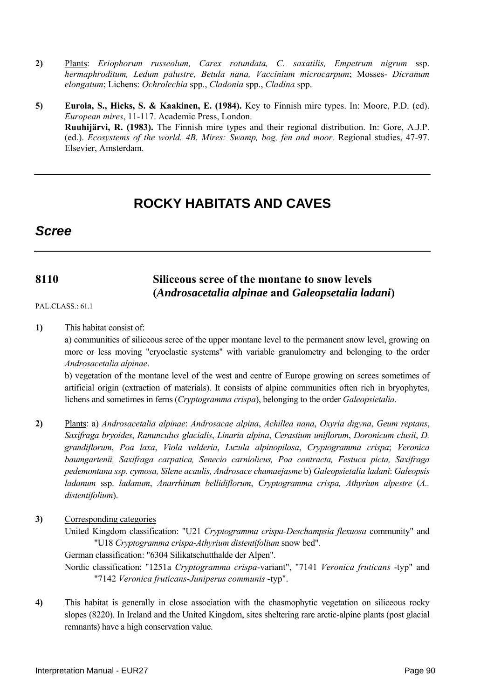- **2)** Plants: *Eriophorum russeolum, Carex rotundata, C. saxatilis, Empetrum nigrum* ssp. *hermaphroditum, Ledum palustre, Betula nana, Vaccinium microcarpum*; Mosses- *Dicranum elongatum*; Lichens: *Ochrolechia* spp., *Cladonia* spp., *Cladina* spp.
- **5) Eurola, S., Hicks, S. & Kaakinen, E. (1984).** Key to Finnish mire types. In: Moore, P.D. (ed). *European mires*, 11-117. Academic Press, London. **Ruuhijärvi, R. (1983).** The Finnish mire types and their regional distribution. In: Gore, A.J.P. (ed.). *Ecosystems of the world. 4B. Mires: Swamp, bog, fen and moor.* Regional studies, 47-97. Elsevier, Amsterdam.

# **ROCKY HABITATS AND CAVES**

## *Scree*

## **8110 Siliceous scree of the montane to snow levels (***Androsacetalia alpinae* **and** *Galeopsetalia ladani***)**

PAL.CLASS $\cdot$  61.1

**1)** This habitat consist of:

 a) communities of siliceous scree of the upper montane level to the permanent snow level, growing on more or less moving "cryoclastic systems" with variable granulometry and belonging to the order *Androsacetalia alpinae*.

 b) vegetation of the montane level of the west and centre of Europe growing on screes sometimes of artificial origin (extraction of materials). It consists of alpine communities often rich in bryophytes, lichens and sometimes in ferns (*Cryptogramma crispa*), belonging to the order *Galeopsietalia*.

**2)** Plants: a) *Androsacetalia alpinae*: *Androsacae alpina*, *Achillea nana*, *Oxyria digyna*, *Geum reptans*, *Saxifraga bryoides*, *Ranunculus glacialis*, *Linaria alpina*, *Cerastium uniflorum*, *Doronicum clusii*, *D. grandiflorum*, *Poa laxa*, *Viola valderia*, *Luzula alpinopilosa*, *Cryptogramma crispa*; *Veronica baumgartenii, Saxifraga carpatica, Senecio carniolicus, Poa contracta, Festuca picta, Saxifraga pedemontana ssp. cymosa, Silene acaulis, Androsace chamaejasme* b) *Galeopsietalia ladani*: *Galeopsis ladanum* ssp. *ladanum*, *Anarrhinum bellidiflorum*, *Cryptogramma crispa, Athyrium alpestre* (*A.. distentifolium*).

#### **3)** Corresponding categories

United Kingdom classification: "U21 *Cryptogramma crispa-Deschampsia flexuosa* community" and "U18 *Cryptogramma crispa-Athyrium distentifolium* snow bed". German classification: "6304 Silikatschutthalde der Alpen".

Nordic classification: "1251a *Cryptogramma crispa*-variant", "7141 *Veronica fruticans* -typ" and "7142 *Veronica fruticans-Juniperus communis* -typ".

**4)** This habitat is generally in close association with the chasmophytic vegetation on siliceous rocky slopes (8220). In Ireland and the United Kingdom, sites sheltering rare arctic-alpine plants (post glacial remnants) have a high conservation value.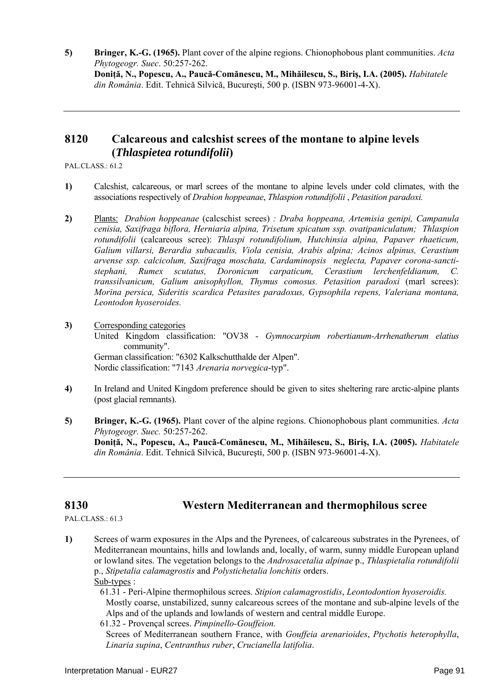**5) Bringer, K.-G. (1965).** Plant cover of the alpine regions. Chionophobous plant communities. *Acta Phytogeogr. Suec*. 50:257-262. **Doniţă, N., Popescu, A., Paucă-Comănescu, M., Mihăilescu, S., Biriş, I.A. (2005).** *Habitatele din România*. Edit. Tehnică Silvică, Bucureşti, 500 p. (ISBN 973-96001-4-X).

#### **8120 Calcareous and calcshist screes of the montane to alpine levels (***Thlaspietea rotundifolii***)**

PAL.CLASS.: 61.2

- **1)** Calcshist, calcareous, or marl screes of the montane to alpine levels under cold climates, with the associations respectively of *Drabion hoppeanae*, *Thlaspion rotundifolii* , *Petasition paradoxi.*
- **2)** Plants: *Drabion hoppeanae* (calcschist screes) *: Draba hoppeana, Artemisia genipi, Campanula cenisia, Saxifraga biflora, Herniaria alpina, Trisetum spicatum ssp. ovatipaniculatum; Thlaspion rotundifolii* (calcareous scree): *Thlaspi rotundifolium, Hutchinsia alpina, Papaver rhaeticum, Galium villarsi, Berardia subacaulis, Viola cenisia, Arabis alpina; Acinos alpinus, Cerastium arvense ssp. calcicolum, Saxifraga moschata, Cardaminopsis neglecta, Papaver corona-sanctistephani, Rumex scutatus, Doronicum carpaticum, Cerastium lerchenfeldianum, C. transsilvanicum, Galium anisophyllon, Thymus comosus. Petasition paradoxi* (marl screes): *Morina persica, Sideritis scardica Petasites paradoxus, Gypsophila repens, Valeriana montana, Leontodon hyoseroides.*
- **3)** Corresponding categories United Kingdom classification: "OV38 - *Gymnocarpium robertianum-Arrhenatherum elatius* community". German classification: "6302 Kalkschutthalde der Alpen". Nordic classification: "7143 *Arenaria norvegica*-typ".
- **4)** In Ireland and United Kingdom preference should be given to sites sheltering rare arctic-alpine plants (post glacial remnants).
- **5) Bringer, K.-G. (1965).** Plant cover of the alpine regions. Chionophobous plant communities. *Acta Phytogeogr. Suec.* 50:257-262. **Doniţă, N., Popescu, A., Paucă-Comănescu, M., Mihăilescu, S., Biriş, I.A. (2005).** *Habitatele din România*. Edit. Tehnică Silvică, Bucureşti, 500 p. (ISBN 973-96001-4-X).

# **8130 Western Mediterranean and thermophilous scree**

PAL.CLASS.: 61.3

**1)** Screes of warm exposures in the Alps and the Pyrenees, of calcareous substrates in the Pyrenees, of Mediterranean mountains, hills and lowlands and, locally, of warm, sunny middle European upland or lowland sites. The vegetation belongs to the *Androsacetalia alpinae* p., *Thlaspietalia rotundifolii* p., *Stipetalia calamagrostis* and *Polystichetalia lonchitis* orders. Sub-types :

61.31 - Peri-Alpine thermophilous screes. *Stipion calamagrostidis*, *Leontodontion hyoseroidis.* Mostly coarse, unstabilized, sunny calcareous screes of the montane and sub-alpine levels of the Alps and of the uplands and lowlands of western and central middle Europe.

61.32 - Provençal screes. *Pimpinello-Gouffeion.*

Screes of Mediterranean southern France, with *Gouffeia arenarioides*, *Ptychotis heterophylla*, *Linaria supina*, *Centranthus ruber*, *Crucianella latifolia*.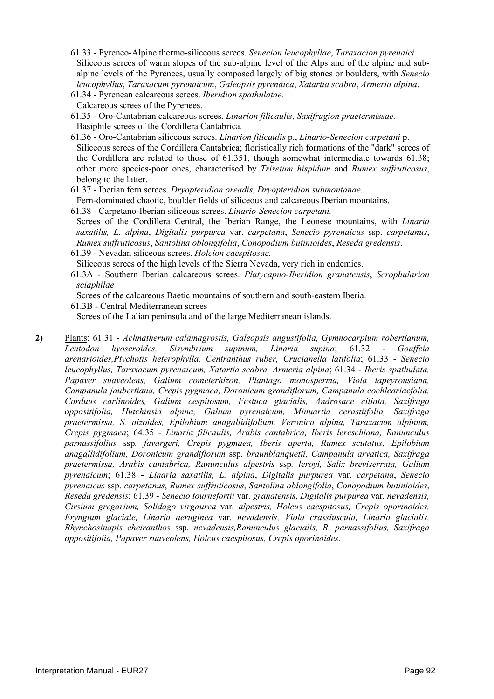- 61.33 Pyreneo-Alpine thermo-siliceous screes. *Senecion leucophyllae*, *Taraxacion pyrenaici.* Siliceous screes of warm slopes of the sub-alpine level of the Alps and of the alpine and subalpine levels of the Pyrenees, usually composed largely of big stones or boulders, with *Senecio leucophyllus*, *Taraxacum pyrenaicum*, *Galeopsis pyrenaica*, *Xatartia scabra*, *Armeria alpina*.
- 61.34 Pyrenean calcareous screes. *Iberidion spathulatae.*

Calcareous screes of the Pyrenees.

- 61.35 Oro-Cantabrian calcareous screes. *Linarion filicaulis*, *Saxifragion praetermissae.* Basiphile screes of the Cordillera Cantabrica.
- 61.36 Oro-Cantabrian siliceous screes. *Linarion filicaulis* p., *Linario-Senecion carpetani* p. Siliceous screes of the Cordillera Cantabrica; floristically rich formations of the "dark" screes of the Cordillera are related to those of 61.351, though somewhat intermediate towards 61.38; other more species-poor ones, characterised by *Trisetum hispidum* and *Rumex suffruticosus*, belong to the latter.
- 61.37 Iberian fern screes. *Dryopteridion oreadis*, *Dryopteridion submontanae.*
- Fern-dominated chaotic, boulder fields of siliceous and calcareous Iberian mountains.
- 61.38 Carpetano-Iberian siliceous screes. *Linario-Senecion carpetani.* Screes of the Cordillera Central, the Iberian Range, the Leonese mountains, with *Linaria saxatilis, L. alpina*, *Digitalis purpurea* var. *carpetana*, *Senecio pyrenaicus* ssp. *carpetanus*, *Rumex suffruticosus*, *Santolina oblongifolia*, *Conopodium butinioides*, *Reseda gredensis*.
- 61.39 Nevadan siliceous screes. *Holcion caespitosae.*

Siliceous screes of the high levels of the Sierra Nevada, very rich in endemics.

61.3A - Southern Iberian calcareous screes. *Platycapno-Iberidion granatensis*, *Scrophularion sciaphilae*

Screes of the calcareous Baetic mountains of southern and south-eastern Iberia.

61.3B - Central Mediterranean screes

Screes of the Italian peninsula and of the large Mediterranean islands.

**2)** Plants: 61.31 - *Achnatherum calamagrostis, Galeopsis angustifolia, Gymnocarpium robertianum, Lentodon hyoseroides, Sisymbrium supinum, Linaria supina*; 61.32 - *Gouffeia arenarioides,Ptychotis heterophylla, Centranthus ruber, Crucianella latifolia*; 61.33 - *Senecio leucophyllus, Taraxacum pyrenaicum, Xatartia scabra, Armeria alpina*; 61.34 - *Iberis spathulata, Papaver suaveolens, Galium cometerhizon, Plantago monosperma, Viola lapeyrousiana, Campanula jaubertiana, Crepis pygmaea, Doronicum grandiflorum, Campanula cochleariaefolia, Carduus carlinoides, Galium cespitosum, Festuca glacialis, Androsace ciliata, Saxifraga oppositifolia, Hutchinsia alpina, Galium pyrenaicum, Minuartia cerastiifolia, Saxifraga praetermissa, S. aizoides, Epilobium anagallidifolium, Veronica alpina, Taraxacum alpinum, Crepis pygmaea*; 64.35 *- Linaria filicaulis, Arabis cantabrica, Iberis lereschiana, Ranunculus parnassifolius* ssp*. favargeri, Crepis pygmaea, Iberis aperta, Rumex scutatus, Epilobium anagallidifolium, Doronicum grandiflorum* ssp*. braunblanquetii, Campanula arvatica, Saxifraga praetermissa, Arabis cantabrica, Ranunculus alpestris* ssp*. leroyi, Salix breviserrata, Galium pyrenaicum*; 61.38 - *Linaria saxatilis, L. alpina*, *Digitalis purpurea* var. *carpetana*, *Senecio pyrenaicus* ssp. *carpetanus*, *Rumex suffruticosus*, *Santolina oblongifolia*, *Conopodium butinioides*, *Reseda gredensis*; 61.39 - *Senecio tournefortii* var*. granatensis, Digitalis purpurea* var*. nevadensis, Cirsium gregarium, Solidago virgaurea* var*. alpestris, Holcus caespitosus, Crepis oporinoides, Eryngium glaciale, Linaria aeruginea* var*. nevadensis, Viola crassiuscula, Linaria glacialis, Rhynchosinapis cheiranthos* ssp*. nevadensis,Ranunculus glacialis, R. parnassifolius, Saxifraga oppositifolia, Papaver suaveolens, Holcus caespitosus, Crepis oporinoides*.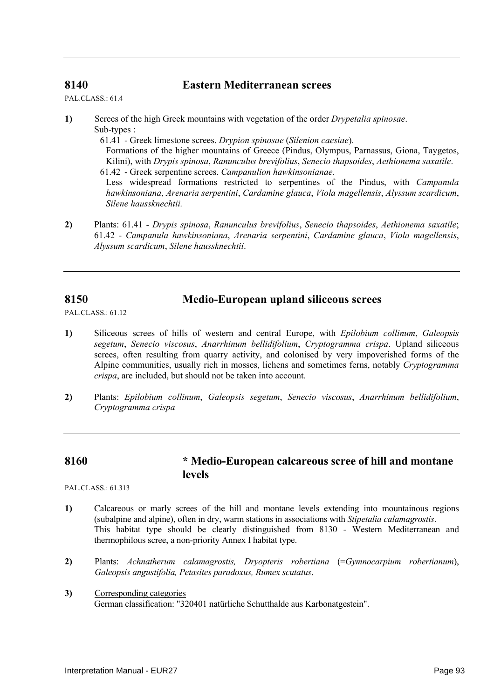#### **8140 Eastern Mediterranean screes**

PAL.CLASS.: 61.4

**1)** Screes of the high Greek mountains with vegetation of the order *Drypetalia spinosae*. Sub-types :

61.41 - Greek limestone screes. *Drypion spinosae* (*Silenion caesiae*). Formations of the higher mountains of Greece (Pindus, Olympus, Parnassus, Giona, Taygetos, Kilini), with *Drypis spinosa*, *Ranunculus brevifolius*, *Senecio thapsoides*, *Aethionema saxatile*. 61.42 - Greek serpentine screes. *Campanulion hawkinsonianae.*

Less widespread formations restricted to serpentines of the Pindus, with *Campanula hawkinsoniana*, *Arenaria serpentini*, *Cardamine glauca*, *Viola magellensis*, *Alyssum scardicum*, *Silene haussknechtii.* 

**2)** Plants: 61.41 - *Drypis spinosa*, *Ranunculus brevifolius*, *Senecio thapsoides*, *Aethionema saxatile*; 61.42 - *Campanula hawkinsoniana*, *Arenaria serpentini*, *Cardamine glauca*, *Viola magellensis*, *Alyssum scardicum*, *Silene haussknechtii*.

## **8150 Medio-European upland siliceous screes**

PAL.CLASS.: 61.12

- **1)** Siliceous screes of hills of western and central Europe, with *Epilobium collinum*, *Galeopsis segetum*, *Senecio viscosus*, *Anarrhinum bellidifolium*, *Cryptogramma crispa*. Upland siliceous screes, often resulting from quarry activity, and colonised by very impoverished forms of the Alpine communities, usually rich in mosses, lichens and sometimes ferns, notably *Cryptogramma crispa*, are included, but should not be taken into account.
- **2)** Plants: *Epilobium collinum*, *Galeopsis segetum*, *Senecio viscosus*, *Anarrhinum bellidifolium*, *Cryptogramma crispa*

#### **8160 \* Medio-European calcareous scree of hill and montane levels**

PAL.CLASS : 61.313

- **1)** Calcareous or marly screes of the hill and montane levels extending into mountainous regions (subalpine and alpine), often in dry, warm stations in associations with *Stipetalia calamagrostis*. This habitat type should be clearly distinguished from 8130 - Western Mediterranean and thermophilous scree, a non-priority Annex I habitat type.
- **2)** Plants: *Achnatherum calamagrostis, Dryopteris robertiana* (=*Gymnocarpium robertianum*), *Galeopsis angustifolia, Petasites paradoxus, Rumex scutatus*.
- **3)** Corresponding categories German classification: "320401 natürliche Schutthalde aus Karbonatgestein".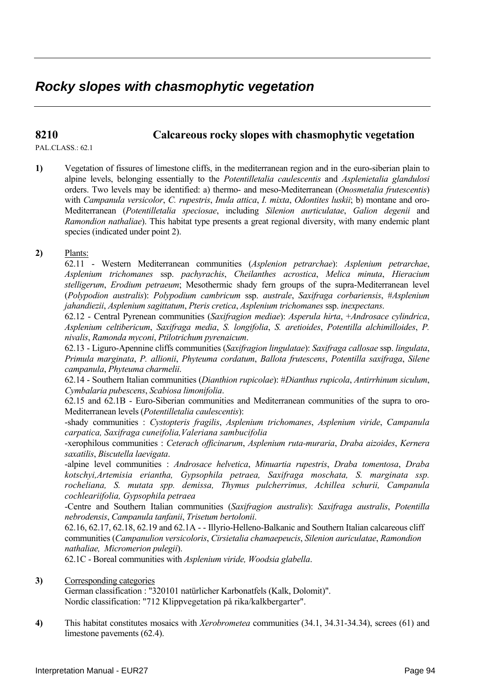## **8210 Calcareous rocky slopes with chasmophytic vegetation**

PAL.CLASS.: 62.1

- **1)** Vegetation of fissures of limestone cliffs, in the mediterranean region and in the euro-siberian plain to alpine levels, belonging essentially to the *Potentilletalia caulescentis* and *Asplenietalia glandulosi* orders. Two levels may be identified: a) thermo- and meso-Mediterranean (*Onosmetalia frutescentis*) with *Campanula versicolor*, *C. rupestris*, *Inula attica*, *I. mixta*, *Odontites luskii*; b) montane and oro-Mediterranean (*Potentilletalia speciosae*, including *Silenion aurticulatae*, *Galion degenii* and *Ramondion nathaliae*). This habitat type presents a great regional diversity, with many endemic plant species (indicated under point 2).
- **2)** Plants:

 62.11 - Western Mediterranean communities (*Asplenion petrarchae*): *Asplenium petrarchae*, *Asplenium trichomanes* ssp. *pachyrachis*, *Cheilanthes acrostica*, *Melica minuta*, *Hieracium stelligerum*, *Erodium petraeum*; Mesothermic shady fern groups of the supra-Mediterranean level (*Polypodion australis*): *Polypodium cambricum* ssp. *australe*, *Saxifraga corbariensis*, #*Asplenium jahandiezii*, *Asplenium sagittatum*, *Pteris cretica*, *Asplenium trichomanes* ssp. *inexpectans*.

62.12 - Central Pyrenean communities (*Saxifragion mediae*): *Asperula hirta*, +*Androsace cylindrica*, *Asplenium celtibericum*, *Saxifraga media*, *S. longifolia*, *S. aretioides*, *Potentilla alchimilloides*, *P. nivalis*, *Ramonda myconi*, *Ptilotrichum pyrenaicum*.

62.13 - Liguro-Apennine cliffs communities (*Saxifragion lingulatae*): *Saxifraga callosae* ssp. *lingulata*, *Primula marginata*, *P. allionii*, *Phyteuma cordatum*, *Ballota frutescens*, *Potentilla saxifraga*, *Silene campanula*, *Phyteuma charmelii*.

62.14 - Southern Italian communities (*Dianthion rupicolae*): #*Dianthus rupicola*, *Antirrhinum siculum*, *Cymbalaria pubescens*, *Scabiosa limonifolia*.

62.15 and 62.1B - Euro-Siberian communities and Mediterranean communities of the supra to oro-Mediterranean levels (*Potentilletalia caulescentis*):

 -shady communities : *Cystopteris fragilis*, *Asplenium trichomanes*, *Asplenium viride*, *Campanula carpatica, Saxifraga cuneifolia,Valeriana sambucifolia*

 -xerophilous communities : *Ceterach officinarum*, *Asplenium ruta-muraria*, *Draba aizoides*, *Kernera saxatilis*, *Biscutella laevigata*.

 -alpine level communities : *Androsace helvetica*, *Minuartia rupestris*, *Draba tomentosa*, *Draba kotschyi,Artemisia eriantha, Gypsophila petraea, Saxifraga moschata, S. marginata ssp. rocheliana, S. mutata spp. demissa, Thymus pulcherrimus, Achillea schurii, Campanula cochleariifolia, Gypsophila petraea*

 -Centre and Southern Italian communities (*Saxifragion australis*): *Saxifraga australis*, *Potentilla nebrodensis*, *Campanula tanfanii*, *Trisetum bertolonii*.

62.16, 62.17, 62.18, 62.19 and 62.1A - - Illyrio-Helleno-Balkanic and Southern Italian calcareous cliff communities (*Campanulion versicoloris*, *Cirsietalia chamaepeucis*, *Silenion auriculatae*, *Ramondion nathaliae, Micromerion pulegii*).

62.1C - Boreal communities with *Asplenium viride, Woodsia glabella*.

#### **3)** Corresponding categories

German classification : "320101 natürlicher Karbonatfels (Kalk, Dolomit)". Nordic classification: "712 Klippvegetation på rika/kalkbergarter".

**4)** This habitat constitutes mosaics with *Xerobrometea* communities (34.1, 34.31-34.34), screes (61) and limestone pavements (62.4).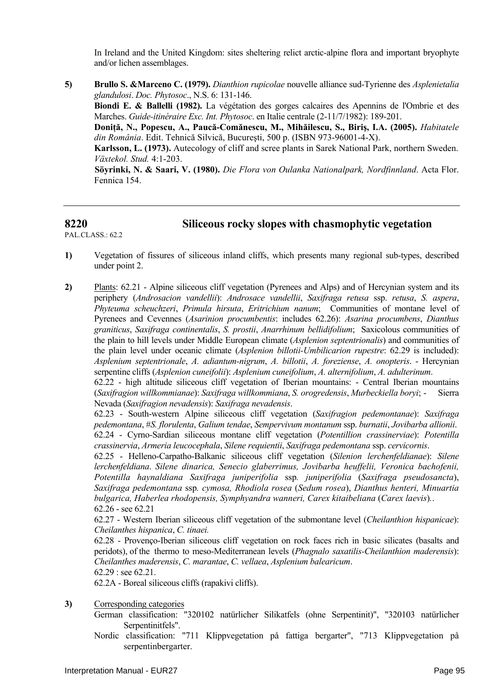In Ireland and the United Kingdom: sites sheltering relict arctic-alpine flora and important bryophyte and/or lichen assemblages.

**5) Brullo S. &Marceno C. (1979).** *Dianthion rupicolae* nouvelle alliance sud-Tyrienne des *Asplenietalia glandulosi*. *Doc. Phytosoc*., N.S. 6: 131-146.

**Biondi E. & Ballelli (1982).** La végétation des gorges calcaires des Apennins de l'Ombrie et des Marches. *Guide-itinéraire Exc. Int. Phytosoc*. en Italie centrale (2-11/7/1982): 189-201.

**Doniţă, N., Popescu, A., Paucă-Comănescu, M., Mihăilescu, S., Biriş, I.A. (2005).** *Habitatele din România*. Edit. Tehnică Silvică, Bucureşti, 500 p. (ISBN 973-96001-4-X).

**Karlsson, L. (1973).** Autecology of cliff and scree plants in Sarek National Park, northern Sweden. *Växtekol. Stud.* 4:1-203.

**Söyrinki, N. & Saari, V. (1980).** *Die Flora von Oulanka Nationalpark, Nordfinnland*. Acta Flor. Fennica 154.

#### **8220 Siliceous rocky slopes with chasmophytic vegetation**  PAL.CLASS.: 62.2

- **1)** Vegetation of fissures of siliceous inland cliffs, which presents many regional sub-types, described under point 2.
- **2)** Plants: 62.21 Alpine siliceous cliff vegetation (Pyrenees and Alps) and of Hercynian system and its periphery (*Androsacion vandellii*): *Androsace vandellii*, *Saxifraga retusa* ssp. *retusa*, *S. aspera*, *Phyteuma scheuchzeri*, *Primula hirsuta*, *Eritrichium nanum*; Communities of montane level of Pyrenees and Cevennes (*Asarinion procumbentis*: includes 62.26): *Asarina procumbens*, *Dianthus graniticus*, *Saxifraga continentalis*, *S. prostii*, *Anarrhinum bellidifolium*; Saxicolous communities of the plain to hill levels under Middle European climate (*Asplenion septentrionalis*) and communities of the plain level under oceanic climate (*Asplenion billotii-Umbilicarion rupestre*: 62.29 is included): *Asplenium septentrionale*, *A. adiantum-nigrum*, *A. billotii*, *A. foreziense*, *A. onopteris*. - Hercynian serpentine cliffs (*Asplenion cuneifolii*): *Asplenium cuneifolium*, *A. alternifolium*, *A. adulterinum*.

62.22 - high altitude siliceous cliff vegetation of Iberian mountains: - Central Iberian mountains (*Saxifragion willkommianae*): *Saxifraga willkommiana*, *S. orogredensis*, *Murbeckiella boryi*; - Sierra Nevada (*Saxifragion nevadensis*): *Saxifraga nevadensis*.

62.23 - South-western Alpine siliceous cliff vegetation (*Saxifragion pedemontanae*): *Saxifraga pedemontana*, #*S. florulenta*, *Galium tendae*, *Sempervivum montanum* ssp. *burnatii*, *Jovibarba allionii*. 62.24 - Cyrno-Sardian siliceous montane cliff vegetation (*Potentillion crassinerviae*): *Potentilla crassinervia*, *Armeria leucocephala*, *Silene requientii*, *Saxifraga pedemontana* ssp. *cervicornis*.

62.25 - Helleno-Carpatho-Balkanic siliceous cliff vegetation (*Silenion lerchenfeldianae*): *Silene lerchenfeldiana*. *Silene dinarica, Senecio glaberrimus, Jovibarba heuffelii, Veronica bachofenii, Potentilla haynaldiana Saxifraga juniperifolia* ssp*. juniperifolia* (*Saxifraga pseudosancta*), *Saxifraga pedemontana* ssp*. cymosa, Rhodiola rosea* (*Sedum rosea*), *Dianthus henteri, Minuartia bulgarica, Haberlea rhodopensis, Symphyandra wanneri, Carex kitaibeliana* (*Carex laevis*)*.*. 62.26 - see 62.21

62.27 - Western Iberian siliceous cliff vegetation of the submontane level (*Cheilanthion hispanicae*): *Cheilanthes hispanica*, *C. tinaei.*

62.28 - Provenço-Iberian siliceous cliff vegetation on rock faces rich in basic silicates (basalts and peridots), of the thermo to meso-Mediterranean levels (*Phagnalo saxatilis-Cheilanthion maderensis*): *Cheilanthes maderensis*, *C. marantae*, *C. vellaea*, *Asplenium balearicum*. 62.29 : see 62.21.

62.2A - Boreal siliceous cliffs (rapakivi cliffs).

- **3)** Corresponding categories
	- German classification: "320102 natürlicher Silikatfels (ohne Serpentinit)", "320103 natürlicher Serpentinitfels".
	- Nordic classification: "711 Klippvegetation på fattiga bergarter", "713 Klippvegetation på serpentinbergarter.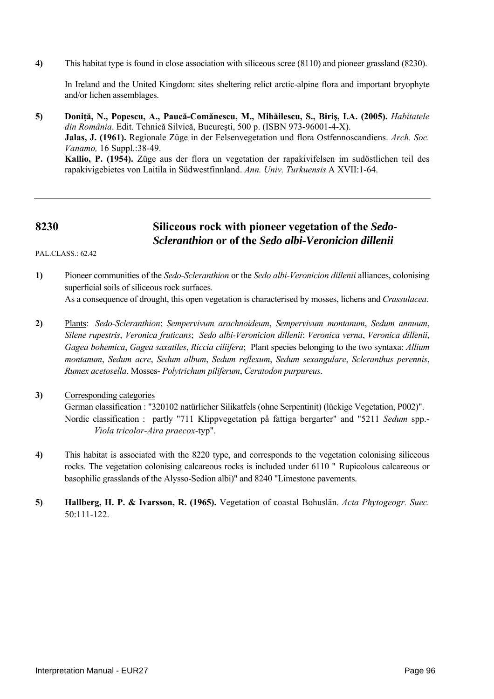**4)** This habitat type is found in close association with siliceous scree (8110) and pioneer grassland (8230).

 In Ireland and the United Kingdom: sites sheltering relict arctic-alpine flora and important bryophyte and/or lichen assemblages.

**5) Doniţă, N., Popescu, A., Paucă-Comănescu, M., Mihăilescu, S., Biriş, I.A. (2005).** *Habitatele din România*. Edit. Tehnică Silvică, Bucureşti, 500 p. (ISBN 973-96001-4-X).  **Jalas, J. (1961).** Regionale Züge in der Felsenvegetation und flora Ostfennoscandiens. *Arch. Soc. Vanamo,* 16 Suppl.:38-49. **Kallio, P. (1954).** Züge aus der flora un vegetation der rapakivifelsen im sudöstlichen teil des rapakivigebietes von Laitila in Südwestfinnland. *Ann. Univ. Turkuensis* A XVII:1-64.

#### **8230 Siliceous rock with pioneer vegetation of the** *Sedo-Scleranthion* **or of the** *Sedo albi***-***Veronicion dillenii*

PAL.CLASS.: 62.42

- **1)** Pioneer communities of the *Sedo-Scleranthion* or the *Sedo albi-Veronicion dillenii* alliances, colonising superficial soils of siliceous rock surfaces. As a consequence of drought, this open vegetation is characterised by mosses, lichens and *Crassulacea*.
- **2)** Plants: *Sedo-Scleranthion*: *Sempervivum arachnoideum*, *Sempervivum montanum*, *Sedum annuum*, *Silene rupestris*, *Veronica fruticans*; *Sedo albi-Veronicion dillenii*: *Veronica verna*, *Veronica dillenii*, *Gagea bohemica*, *Gagea saxatiles*, *Riccia ciliifera*; Plant species belonging to the two syntaxa: *Allium montanum*, *Sedum acre*, *Sedum album*, *Sedum reflexum*, *Sedum sexangulare*, *Scleranthus perennis*, *Rumex acetosella*. Mosses- *Polytrichum piliferum*, *Ceratodon purpureus*.

#### **3)** Corresponding categories

German classification : "320102 natürlicher Silikatfels (ohne Serpentinit) (lückige Vegetation, P002)". Nordic classification : partly "711 Klippvegetation på fattiga bergarter" and "5211 *Sedum* spp.- *Viola tricolor-Aira praecox*-typ".

- **4)** This habitat is associated with the 8220 type, and corresponds to the vegetation colonising siliceous rocks. The vegetation colonising calcareous rocks is included under 6110 " Rupicolous calcareous or basophilic grasslands of the Alysso-Sedion albi)" and 8240 "Limestone pavements.
- **5) Hallberg, H. P. & Ivarsson, R. (1965).** Vegetation of coastal Bohuslän. *Acta Phytogeogr. Suec.* 50:111-122.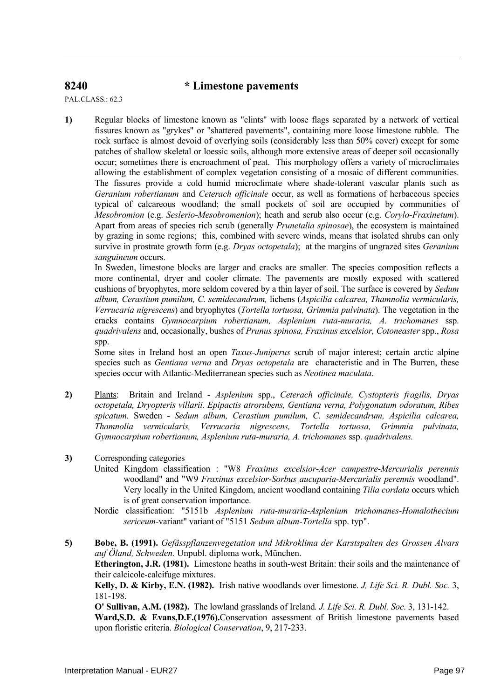#### **8240 \* Limestone pavements**

PAL.CLASS $\cdot$  62.3

**1)** Regular blocks of limestone known as "clints" with loose flags separated by a network of vertical fissures known as "grykes" or "shattered pavements", containing more loose limestone rubble. The rock surface is almost devoid of overlying soils (considerably less than 50% cover) except for some patches of shallow skeletal or loessic soils, although more extensive areas of deeper soil occasionally occur; sometimes there is encroachment of peat. This morphology offers a variety of microclimates allowing the establishment of complex vegetation consisting of a mosaic of different communities. The fissures provide a cold humid microclimate where shade-tolerant vascular plants such as *Geranium robertianum* and *Ceterach officinale* occur, as well as formations of herbaceous species typical of calcareous woodland; the small pockets of soil are occupied by communities of *Mesobromion* (e.g. *Seslerio-Mesobromenion*); heath and scrub also occur (e.g. *Corylo-Fraxinetum*). Apart from areas of species rich scrub (generally *Prunetalia spinosae*), the ecosystem is maintained by grazing in some regions; this, combined with severe winds, means that isolated shrubs can only survive in prostrate growth form (e.g. *Dryas octopetala*); at the margins of ungrazed sites *Geranium sanguineum* occurs.

 In Sweden, limestone blocks are larger and cracks are smaller. The species composition reflects a more continental, dryer and cooler climate. The pavements are mostly exposed with scattered cushions of bryophytes, more seldom covered by a thin layer of soil. The surface is covered by *Sedum album, Cerastium pumilum, C. semidecandrum,* lichens (*Aspicilia calcarea, Thamnolia vermicularis, Verrucaria nigrescens*) and bryophytes (*Tortella tortuosa, Grimmia pulvinata*). The vegetation in the cracks contains *Gymnocarpium robertianum, Asplenium ruta-muraria, A. trichomanes* ssp. *quadrivalens* and, occasionally, bushes of *Prunus spinosa, Fraxinus excelsior, Cotoneaster* spp., *Rosa* spp.

 Some sites in Ireland host an open *Taxus-Juniperus* scrub of major interest; certain arctic alpine species such as *Gentiana verna* and *Dryas octopetala* are characteristic and in The Burren, these species occur with Atlantic-Mediterranean species such as *Neotinea maculata*.

- **2)** Plants: Britain and Ireland *Asplenium* spp., *Ceterach officinale, Cystopteris fragilis, Dryas octopetala, Dryopteris villarii, Epipactis atrorubens, Gentiana verna, Polygonatum odoratum, Ribes spicatum.* Sweden - *Sedum album, Cerastium pumilum, C. semidecandrum, Aspicilia calcarea, Thamnolia vermicularis, Verrucaria nigrescens, Tortella tortuosa, Grimmia pulvinata, Gymnocarpium robertianum, Asplenium ruta-muraria, A. trichomanes* ssp. *quadrivalens.*
- **3)** Corresponding categories
	- United Kingdom classification : "W8 *Fraxinus excelsior-Acer campestre-Mercurialis perennis* woodland" and "W9 *Fraxinus excelsior-Sorbus aucuparia-Mercurialis perennis* woodland". Very locally in the United Kingdom, ancient woodland containing *Tilia cordata* occurs which is of great conservation importance.
	- Nordic classification: "5151b *Asplenium ruta-muraria-Asplenium trichomanes-Homalothecium sericeum-*variant" variant of "5151 *Sedum album-Tortella* spp. typ".

**5) Bobe, B. (1991).** *Gefässpflanzenvegetation und Mikroklima der Karstspalten des Grossen Alvars auf Öland, Schweden.* Unpubl. diploma work, München. **Etherington, J.R. (1981).** Limestone heaths in south-west Britain: their soils and the maintenance of their calcicole-calcifuge mixtures. **Kelly, D. & Kirby, E.N. (1982).** Irish native woodlands over limestone. *J, Life Sci. R. Dubl. Soc.* 3, 181-198. **O' Sullivan, A.M. (1982).** The lowland grasslands of Ireland*. J. Life Sci. R. Dubl. Soc*. 3, 131-142.

**Ward,S.D. & Evans,D.F.(1976).**Conservation assessment of British limestone pavements based upon floristic criteria. *Biological Conservation*, 9, 217-233.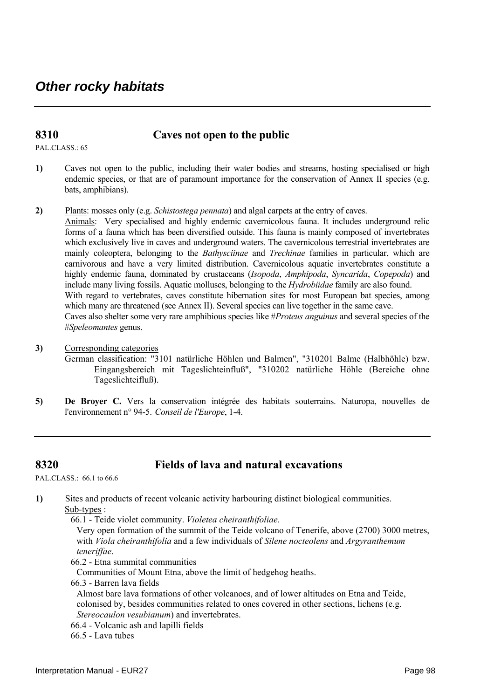## **8310 Caves not open to the public**

PAL.CLASS.: 65

- **1)** Caves not open to the public, including their water bodies and streams, hosting specialised or high endemic species, or that are of paramount importance for the conservation of Annex II species (e.g. bats, amphibians).
- **2)** Plants: mosses only (e.g. *Schistostega pennata*) and algal carpets at the entry of caves. Animals: Very specialised and highly endemic cavernicolous fauna. It includes underground relic forms of a fauna which has been diversified outside. This fauna is mainly composed of invertebrates which exclusively live in caves and underground waters. The cavernicolous terrestrial invertebrates are mainly coleoptera, belonging to the *Bathysciinae* and *Trechinae* families in particular, which are carnivorous and have a very limited distribution. Cavernicolous aquatic invertebrates constitute a highly endemic fauna, dominated by crustaceans (*Isopoda*, *Amphipoda*, *Syncarida*, *Copepoda*) and include many living fossils. Aquatic molluscs, belonging to the *Hydrobiidae* family are also found. With regard to vertebrates, caves constitute hibernation sites for most European bat species, among which many are threatened (see Annex II). Several species can live together in the same cave. Caves also shelter some very rare amphibious species like #*Proteus anguinus* and several species of the #*Speleomantes* genus.

#### **3)** Corresponding categories German classification: "3101 natürliche Höhlen und Balmen", "310201 Balme (Halbhöhle) bzw. Eingangsbereich mit Tageslichteinfluß", "310202 natürliche Höhle (Bereiche ohne Tageslichteifluß).

**5) De Broyer C.** Vers la conservation intégrée des habitats souterrains. Naturopa, nouvelles de l'environnement n° 94-5. *Conseil de l'Europe*, 1-4.

## **8320 Fields of lava and natural excavations**

PAL.CLASS.: 66.1 to 66.6

**1)** Sites and products of recent volcanic activity harbouring distinct biological communities. Sub-types :

66.1 - Teide violet community. *Violetea cheiranthifoliae.*

Very open formation of the summit of the Teide volcano of Tenerife, above (2700) 3000 metres, with *Viola cheiranthifolia* and a few individuals of *Silene nocteolens* and *Argyranthemum teneriffae*.

66.2 - Etna summital communities

Communities of Mount Etna, above the limit of hedgehog heaths.

66.3 - Barren lava fields

Almost bare lava formations of other volcanoes, and of lower altitudes on Etna and Teide, colonised by, besides communities related to ones covered in other sections, lichens (e.g. *Stereocaulon vesubianum*) and invertebrates.

66.4 - Volcanic ash and lapilli fields

66.5 - Lava tubes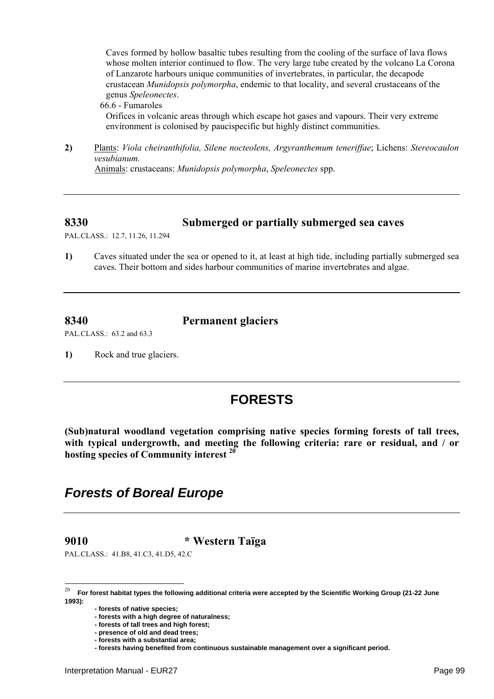Caves formed by hollow basaltic tubes resulting from the cooling of the surface of lava flows whose molten interior continued to flow. The very large tube created by the volcano La Corona of Lanzarote harbours unique communities of invertebrates, in particular, the decapode crustacean *Munidopsis polymorpha*, endemic to that locality, and several crustaceans of the genus *Speleonectes*.

66.6 - Fumaroles

Orifices in volcanic areas through which escape hot gases and vapours. Their very extreme environment is colonised by paucispecific but highly distinct communities.

**2)** Plants: *Viola cheiranthifolia, Silene nocteolens, Argyranthemum teneriffae*; Lichens: *Stereocaulon vesubianum.*

Animals: crustaceans: *Munidopsis polymorpha*, *Speleonectes* spp.

#### **8330 Submerged or partially submerged sea caves**

PAL.CLASS.: 12.7, 11.26, 11.294

**1)** Caves situated under the sea or opened to it, at least at high tide, including partially submerged sea caves. Their bottom and sides harbour communities of marine invertebrates and algae.

## **8340 Permanent glaciers**

PAL.CLASS $\cdot$  63.2 and 63.3

**1)** Rock and true glaciers.

# **FORESTS**

**(Sub)natural woodland vegetation comprising native species forming forests of tall trees, with typical undergrowth, and meeting the following criteria: rare or residual, and / or hosting species of Community interest <sup>20</sup>**

# *Forests of Boreal Europe*

#### **9010 \* Western Taïga**

PAL.CLASS.: 41.B8, 41.C3, 41.D5, 42.C

 $20$ <sup>20</sup> **For forest habitat types the following additional criteria were accepted by the Scientific Working Group (21-22 June 1993):** 

 **<sup>-</sup> forests of native species;** 

 **<sup>-</sup> forests with a high degree of naturalness;** 

 **<sup>-</sup> forests of tall trees and high forest;** 

 **<sup>-</sup> presence of old and dead trees;** 

 **<sup>-</sup> forests with a substantial area;** 

 **<sup>-</sup> forests having benefited from continuous sustainable management over a significant period.**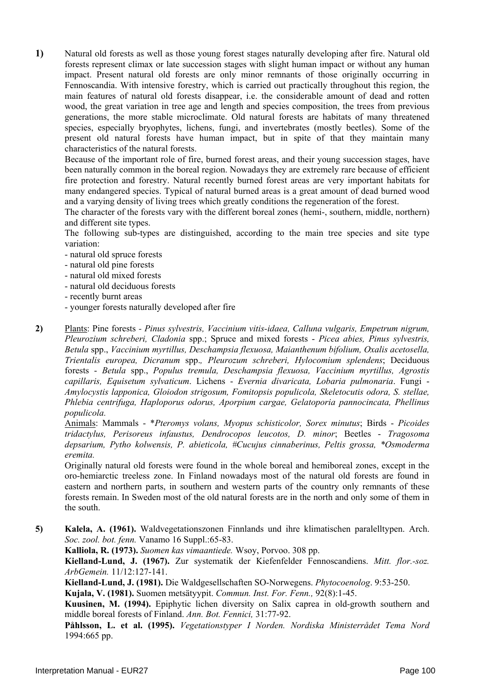**1)** Natural old forests as well as those young forest stages naturally developing after fire. Natural old forests represent climax or late succession stages with slight human impact or without any human impact. Present natural old forests are only minor remnants of those originally occurring in Fennoscandia. With intensive forestry, which is carried out practically throughout this region, the main features of natural old forests disappear, i.e. the considerable amount of dead and rotten wood, the great variation in tree age and length and species composition, the trees from previous generations, the more stable microclimate. Old natural forests are habitats of many threatened species, especially bryophytes, lichens, fungi, and invertebrates (mostly beetles). Some of the present old natural forests have human impact, but in spite of that they maintain many characteristics of the natural forests.

 Because of the important role of fire, burned forest areas, and their young succession stages, have been naturally common in the boreal region. Nowadays they are extremely rare because of efficient fire protection and forestry. Natural recently burned forest areas are very important habitats for many endangered species. Typical of natural burned areas is a great amount of dead burned wood and a varying density of living trees which greatly conditions the regeneration of the forest.

 The character of the forests vary with the different boreal zones (hemi-, southern, middle, northern) and different site types.

 The following sub-types are distinguished, according to the main tree species and site type variation:

- natural old spruce forests
- natural old pine forests
- natural old mixed forests
- natural old deciduous forests
- recently burnt areas
- younger forests naturally developed after fire
- **2)** Plants: Pine forests  *Pinus sylvestris, Vaccinium vitis-idaea, Calluna vulgaris, Empetrum nigrum, Pleurozium schreberi, Cladonia* spp.; Spruce and mixed forests - *Picea abies, Pinus sylvestris, Betula* spp., *Vaccinium myrtillus, Deschampsia flexuosa, Maianthenum bifolium, Oxalis acetosella, Trientalis europea, Dicranum* spp.*, Pleurozum schreberi, Hylocomium splendens*; Deciduous forests - *Betula* spp., *Populus tremula, Deschampsia flexuosa, Vaccinium myrtillus, Agrostis capillaris, Equisetum sylvaticum*. Lichens - *Evernia divaricata, Lobaria pulmonaria*. Fungi - *Amylocystis lapponica, Gloiodon strigosum, Fomitopsis populicola, Skeletocutis odora, S. stellae, Phlebia centrifuga, Haploporus odorus, Aporpium cargae, Gelatoporia pannocincata, Phellinus populicola.*

 Animals: Mammals - \**Pteromys volans, Myopus schisticolor, Sorex minutus*; Birds - *Picoides tridactylus, Perisoreus infaustus, Dendrocopos leucotos, D. minor*; Beetles - *Tragosoma depsarium, Pytho kolwensis, P. abieticola, #Cucujus cinnaberinus, Peltis grossa, \*Osmoderma eremita.* 

Originally natural old forests were found in the whole boreal and hemiboreal zones, except in the oro-hemiarctic treeless zone. In Finland nowadays most of the natural old forests are found in eastern and northern parts, in southern and western parts of the country only remnants of these forests remain. In Sweden most of the old natural forests are in the north and only some of them in the south.

**5) Kalela, A. (1961).** Waldvegetationszonen Finnlands und ihre klimatischen paralelltypen. Arch. *Soc. zool. bot. fenn.* Vanamo 16 Suppl.:65-83.

**Kalliola, R. (1973).** *Suomen kas vimaantiede.* Wsoy, Porvoo. 308 pp.

**Kielland-Lund, J. (1967).** Zur systematik der Kiefenfelder Fennoscandiens. *Mitt. flor.-soz. ArbGemein.* 11/12:127-141.

**Kielland-Lund, J. (1981).** Die Waldgesellschaften SO-Norwegens. *Phytocoenolog*. 9:53-250.

**Kujala, V. (1981).** Suomen metsätyypit. *Commun. Inst. For. Fenn.,* 92(8):1-45.

**Kuusinen, M. (1994).** Epiphytic lichen diversity on Salix caprea in old-growth southern and middle boreal forests of Finland. *Ann. Bot. Fennici,* 31:77-92.

**Påhlsson, L. et al. (1995).** *Vegetationstyper I Norden. Nordiska Ministerrådet Tema Nord* 1994:665 pp.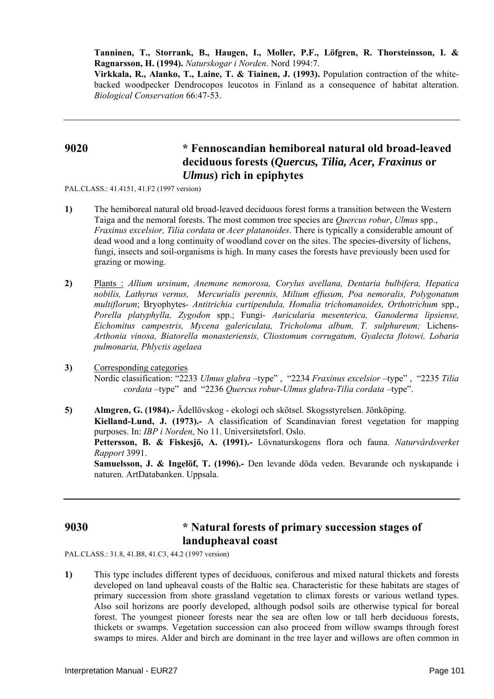**Tanninen, T., Storrank, B., Haugen, I., Moller, P.F., Löfgren, R. Thorsteinsson, I. & Ragnarsson, H. (1994).** *Naturskogar i Norden*. Nord 1994:7.

**Virkkala, R., Alanko, T., Laine, T. & Tiainen, J. (1993).** Population contraction of the whitebacked woodpecker Dendrocopos leucotos in Finland as a consequence of habitat alteration. *Biological Conservation* 66:47-53.

## **9020 \* Fennoscandian hemiboreal natural old broad-leaved deciduous forests (***Quercus, Tilia, Acer, Fraxinus* **or**  *Ulmus***) rich in epiphytes**

PAL.CLASS.: 41.4151, 41.F2 (1997 version)

- **1)** The hemiboreal natural old broad-leaved deciduous forest forms a transition between the Western Taiga and the nemoral forests. The most common tree species are *Quercus robur*, *Ulmus* spp., *Fraxinus excelsior, Tilia cordata* or *Acer platanoides*. There is typically a considerable amount of dead wood and a long continuity of woodland cover on the sites. The species-diversity of lichens, fungi, insects and soil-organisms is high. In many cases the forests have previously been used for grazing or mowing.
- **2)** Plants : *Allium ursinum*, *Anemone nemorosa, Corylus avellana, Dentaria bulbifera, Hepatica nobilis, Lathyrus vernus, Mercurialis perennis, Milium effusum, Poa nemoralis, Polygonatum multiflorum*; Bryophytes*- Antitrichia curtipendula, Homalia trichomanoides, Orthotrichum* spp., *Porella platyphylla, Zygodon* spp.; Fungi- *Auricularia mesenterica, Ganoderma lipsiense, Eichomitus campestris, Mycena galericulata, Tricholoma album, T. sulphureum;* Lichens-*Arthonia vinosa, Biatorella monasteriensis, Cliostomum corrugatum, Gyalecta flotowi, Lobaria pulmonaria, Phlyctis agelaea*
- **3)** Corresponding categories Nordic classification: "2233 *Ulmus glabra* –type" , "2234 *Fraxinus excelsior* –type" , "2235 *Tilia cordata* –type" and "2236 *Quercus robur-Ulmus glabra-Tilia cordata* –type".
- **5) Almgren, G. (1984).-** Ädellövskog ekologi och skötsel. Skogsstyrelsen. Jönköping. **Kielland-Lund, J. (1973).-** A classification of Scandinavian forest vegetation for mapping purposes. In: *IBP i Norden*, No 11. Universitetsforl. Oslo. **Pettersson, B. & Fiskesjö, A. (1991).-** Lövnaturskogens flora och fauna. *Naturvårdsverket*

*Rapport* 3991. **Samuelsson, J. & Ingelöf, T. (1996).-** Den levande döda veden. Bevarande och nyskapande i

naturen. ArtDatabanken. Uppsala.

## **9030 \* Natural forests of primary succession stages of landupheaval coast**

PAL.CLASS.: 31.8, 41.B8, 41.C3, 44.2 (1997 version)

**1)** This type includes different types of deciduous, coniferous and mixed natural thickets and forests developed on land upheaval coasts of the Baltic sea. Characteristic for these habitats are stages of primary succession from shore grassland vegetation to climax forests or various wetland types. Also soil horizons are poorly developed, although podsol soils are otherwise typical for boreal forest. The youngest pioneer forests near the sea are often low or tall herb deciduous forests, thickets or swamps. Vegetation succession can also proceed from willow swamps through forest swamps to mires. Alder and birch are dominant in the tree layer and willows are often common in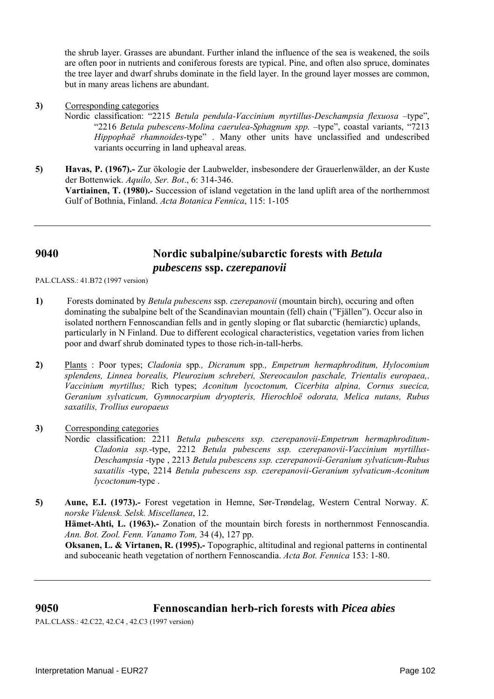the shrub layer. Grasses are abundant. Further inland the influence of the sea is weakened, the soils are often poor in nutrients and coniferous forests are typical. Pine, and often also spruce, dominates the tree layer and dwarf shrubs dominate in the field layer. In the ground layer mosses are common, but in many areas lichens are abundant.

- **3)** Corresponding categories
	- Nordic classification: "2215 *Betula pendula-Vaccinium myrtillus-Deschampsia flexuosa* –type", "2216 *Betula pubescens-Molina caerulea-Sphagnum spp.* –type", coastal variants, "7213 *Hippophaë rhamnoides*-type" . Many other units have unclassified and undescribed variants occurring in land upheaval areas.
- **5) Havas, P. (1967).-** Zur ökologie der Laubwelder, insbesondere der Grauerlenwälder, an der Kuste der Bottenwiek. *Aquilo, Ser. Bot*., 6: 314-346. **Vartiainen, T. (1980).-** Succession of island vegetation in the land uplift area of the northernmost Gulf of Bothnia, Finland. *Acta Botanica Fennica*, 115: 1-105

## **9040 Nordic subalpine/subarctic forests with** *Betula pubescens* **ssp.** *czerepanovii*

PAL.CLASS.: 41.B72 (1997 version)

- **1)** Forests dominated by *Betula pubescens* ssp. *czerepanovii* (mountain birch), occuring and often dominating the subalpine belt of the Scandinavian mountain (fell) chain ("Fjällen"). Occur also in isolated northern Fennoscandian fells and in gently sloping or flat subarctic (hemiarctic) uplands, particularly in N Finland. Due to different ecological characteristics, vegetation varies from lichen poor and dwarf shrub dominated types to those rich-in-tall-herbs.
- **2)** Plants : Poor types; *Cladonia* spp*., Dicranum* spp*., Empetrum hermaphroditum, Hylocomium splendens, Linnea borealis, Pleurozium schreberi, Stereocaulon paschale, Trientalis europaea,*. *Vaccinium myrtillus;* Rich types; *Aconitum lycoctonum, Cicerbita alpina, Cornus suecica, Geranium sylvaticum, Gymnocarpium dryopteris, Hierochloë odorata, Melica nutans, Rubus saxatilis, Trollius europaeus*
- **3)** Corresponding categories
	- Nordic classification: 2211 *Betula pubescens ssp. czerepanovii-Empetrum hermaphroditum-Cladonia ssp.*-type, 2212 *Betula pubescens ssp. czerepanovii-Vaccinium myrtillus-Deschampsia* -type , 2213 *Betula pubescens ssp. czerepanovii-Geranium sylvaticum-Rubus saxatilis* -type, 2214 *Betula pubescens ssp. czerepanovii-Geranium sylvaticum-Aconitum lycoctonum*-type .
- **5) Aune, E.I. (1973).-** Forest vegetation in Hemne, Sør-Trøndelag, Western Central Norway. *K. norske Vidensk. Selsk. Miscellanea*, 12. **Hämet-Ahti, L. (1963).-** Zonation of the mountain birch forests in northernmost Fennoscandia. *Ann. Bot. Zool. Fenn. Vanamo Tom,* 34 (4), 127 pp. **Oksanen, L. & Virtanen, R. (1995).-** Topographic, altitudinal and regional patterns in continental

and suboceanic heath vegetation of northern Fennoscandia. *Acta Bot. Fennica* 153: 1-80.

## **9050 Fennoscandian herb-rich forests with** *Picea abies*

PAL.CLASS.: 42.C22, 42.C4 , 42.C3 (1997 version)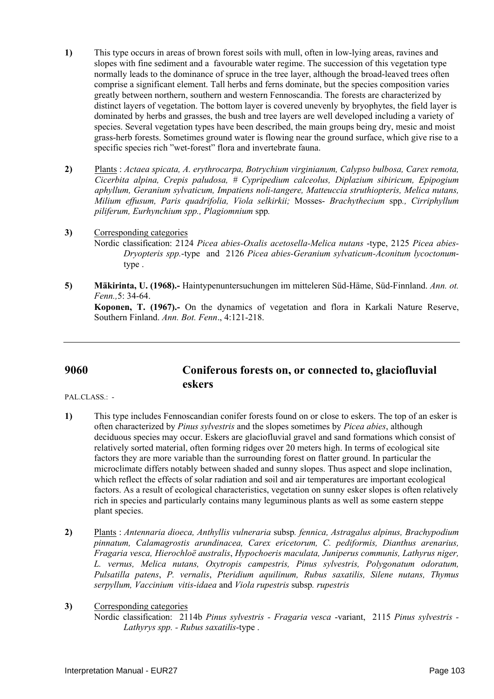- **1)** This type occurs in areas of brown forest soils with mull, often in low-lying areas, ravines and slopes with fine sediment and a favourable water regime. The succession of this vegetation type normally leads to the dominance of spruce in the tree layer, although the broad-leaved trees often comprise a significant element. Tall herbs and ferns dominate, but the species composition varies greatly between northern, southern and western Fennoscandia. The forests are characterized by distinct layers of vegetation. The bottom layer is covered unevenly by bryophytes, the field layer is dominated by herbs and grasses, the bush and tree layers are well developed including a variety of species. Several vegetation types have been described, the main groups being dry, mesic and moist grass-herb forests. Sometimes ground water is flowing near the ground surface, which give rise to a specific species rich "wet-forest" flora and invertebrate fauna.
- **2)** Plants : *Actaea spicata, A. erythrocarpa, Botrychium virginianum, Calypso bulbosa, Carex remota, Cicerbita alpina, Crepis paludosa, # Cypripedium calceolus, Diplazium sibiricum, Epipogium aphyllum, Geranium sylvaticum, Impatiens noli-tangere, Matteuccia struthiopteris, Melica nutans, Milium effusum, Paris quadrifolia, Viola selkirkii;* Mosses- *Brachythecium* spp*., Cirriphyllum piliferum, Eurhynchium spp., Plagiomnium* spp*.*
- **3)** Corresponding categories Nordic classification: 2124 *Picea abies-Oxalis acetosella-Melica nutans* -type, 2125 *Picea abies-Dryopteris spp.*-type and 2126 *Picea abies-Geranium sylvaticum-Aconitum lycoctonum*type .
- **5) Mäkirinta, U. (1968).-** Haintypenuntersuchungen im mitteleren Süd-Häme, Süd-Finnland. *Ann. ot. Fenn.,*5: 34-64. **Koponen, T. (1967).-** On the dynamics of vegetation and flora in Karkali Nature Reserve, Southern Finland. *Ann. Bot. Fenn*., 4:121-218.

## **9060 Coniferous forests on, or connected to, glaciofluvial eskers**

PAL.CLASS. -

- **1)** This type includes Fennoscandian conifer forests found on or close to eskers. The top of an esker is often characterized by *Pinus sylvestris* and the slopes sometimes by *Picea abies*, although deciduous species may occur. Eskers are glaciofluvial gravel and sand formations which consist of relatively sorted material, often forming ridges over 20 meters high. In terms of ecological site factors they are more variable than the surrounding forest on flatter ground. In particular the microclimate differs notably between shaded and sunny slopes. Thus aspect and slope inclination, which reflect the effects of solar radiation and soil and air temperatures are important ecological factors. As a result of ecological characteristics, vegetation on sunny esker slopes is often relatively rich in species and particularly contains many leguminous plants as well as some eastern steppe plant species.
- **2)** Plants : *Antennaria dioeca, Anthyllis vulneraria* subsp*. fennica, Astragalus alpinus, Brachypodium pinnatum, Calamagrostis arundinacea, Carex ericetorum, C. pediformis, Dianthus arenarius, Fragaria vesca, Hierochloë australis*, *Hypochoeris maculata, Juniperus communis, Lathyrus niger, L. vernus, Melica nutans, Oxytropis campestris, Pinus sylvestris, Polygonatum odoratum, Pulsatilla patens*, *P. vernalis*, *Pteridium aquilinum, Rubus saxatilis, Silene nutans, Thymus serpyllum, Vaccinium vitis-idaea* and *Viola rupestris* subsp*. rupestris*

#### **3)** Corresponding categories Nordic classification: 2114b *Pinus sylvestris - Fragaria vesca* -variant, 2115 *Pinus sylvestris - Lathyrys spp. - Rubus saxatilis*-type .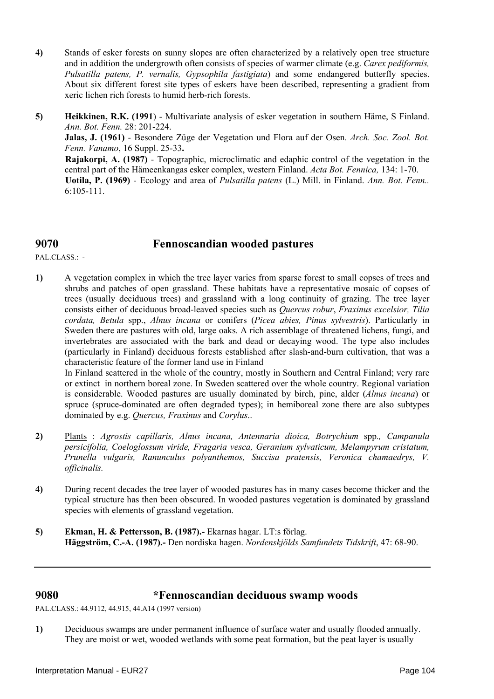- **4)** Stands of esker forests on sunny slopes are often characterized by a relatively open tree structure and in addition the undergrowth often consists of species of warmer climate (e.g. *Carex pediformis, Pulsatilla patens, P. vernalis, Gypsophila fastigiata*) and some endangered butterfly species. About six different forest site types of eskers have been described, representing a gradient from xeric lichen rich forests to humid herb-rich forests.
- **5) Heikkinen, R.K. (1991**) Multivariate analysis of esker vegetation in southern Häme, S Finland. *Ann. Bot. Fenn.* 28: 201-224. **Jalas, J. (1961)** - Besondere Züge der Vegetation und Flora auf der Osen. *Arch. Soc. Zool. Bot. Fenn. Vanamo*, 16 Suppl. 25-33**. Rajakorpi, A. (1987)** - Topographic, microclimatic and edaphic control of the vegetation in the central part of the Hämeenkangas esker complex, western Finland. *Acta Bot. Fennica,* 134: 1-70. **Uotila, P. (1969)** - Ecology and area of *Pulsatilla patens* (L.) Mill. in Finland. *Ann. Bot. Fenn..* 6:105-111.

#### **9070 Fennoscandian wooded pastures**

PAL.CLASS.: -

**1)** A vegetation complex in which the tree layer varies from sparse forest to small copses of trees and shrubs and patches of open grassland. These habitats have a representative mosaic of copses of trees (usually deciduous trees) and grassland with a long continuity of grazing. The tree layer consists either of deciduous broad-leaved species such as *Quercus robur*, *Fraxinus excelsior, Tilia cordata, Betula* spp., *Alnus incana* or conifers (*Picea abies, Pinus sylvestris*). Particularly in Sweden there are pastures with old, large oaks. A rich assemblage of threatened lichens, fungi, and invertebrates are associated with the bark and dead or decaying wood. The type also includes (particularly in Finland) deciduous forests established after slash-and-burn cultivation, that was a characteristic feature of the former land use in Finland In Finland scattered in the whole of the country, mostly in Southern and Central Finland; very rare

or extinct in northern boreal zone. In Sweden scattered over the whole country. Regional variation is considerable. Wooded pastures are usually dominated by birch, pine, alder (*Alnus incana*) or spruce (spruce-dominated are often degraded types); in hemiboreal zone there are also subtypes dominated by e.g. *Quercus, Fraxinus* and *Corylus*..

- **2)** Plants : *Agrostis capillaris, Alnus incana, Antennaria dioica, Botrychium* spp*., Campanula persicifolia, Coeloglossum viride, Fragaria vesca, Geranium sylvaticum, Melampyrum cristatum, Prunella vulgaris, Ranunculus polyanthemos, Succisa pratensis, Veronica chamaedrys, V. officinalis.*
- **4)** During recent decades the tree layer of wooded pastures has in many cases become thicker and the typical structure has then been obscured. In wooded pastures vegetation is dominated by grassland species with elements of grassland vegetation.
- **5) Ekman, H. & Pettersson, B. (1987).-** Ekarnas hagar. LT:s förlag. **Häggström, C.-A. (1987).-** Den nordiska hagen. *Nordenskjölds Samfundets Tidskrift*, 47: 68-90.

#### **9080 \*Fennoscandian deciduous swamp woods**

PAL.CLASS.: 44.9112, 44.915, 44.A14 (1997 version)

**1)** Deciduous swamps are under permanent influence of surface water and usually flooded annually. They are moist or wet, wooded wetlands with some peat formation, but the peat layer is usually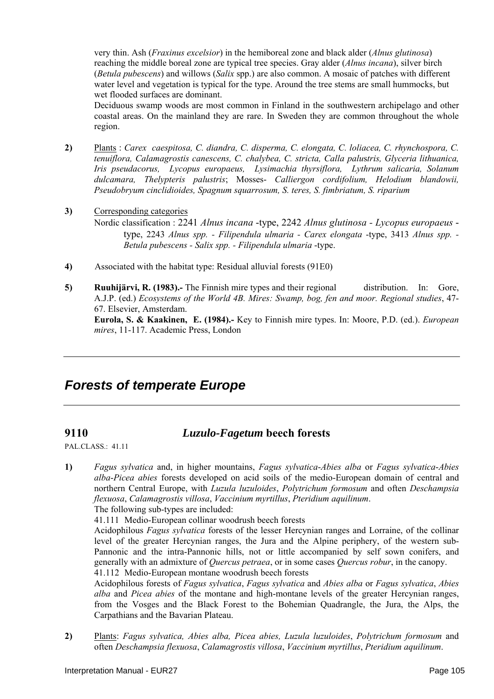very thin. Ash (*Fraxinus excelsior*) in the hemiboreal zone and black alder (*Alnus glutinosa*) reaching the middle boreal zone are typical tree species. Gray alder (*Alnus incana*), silver birch (*Betula pubescens*) and willows (*Salix* spp.) are also common. A mosaic of patches with different water level and vegetation is typical for the type. Around the tree stems are small hummocks, but wet flooded surfaces are dominant.

Deciduous swamp woods are most common in Finland in the southwestern archipelago and other coastal areas. On the mainland they are rare. In Sweden they are common throughout the whole region.

- **2)** Plants : *Carex caespitosa, C. diandra, C. disperma, C. elongata, C. loliacea, C. rhynchospora, C. tenuiflora, Calamagrostis canescens, C. chalybea, C. stricta, Calla palu*s*tris, Glyceria lithuanica, Iris pseudacorus, Lycopus europaeus, Lysimachia thyrsiflora, Lythrum salicaria, Solanum dulcamara, Thelypteris palustris*; Mosses- *Calliergon cordifolium, Helodium blandowii, Pseudobryum cinclidioides, Spagnum squarrosum, S. teres, S. fimbriatum, S. riparium*
- **3)** Corresponding categories Nordic classification : 2241 *Alnus incana* -type, 2242 *Alnus glutinosa - Lycopus europaeus* type, 2243 *Alnus spp. - Filipendula ulmaria - Carex elongata* -type, 3413 *Alnus spp. - Betula pubescens - Salix spp. - Filipendula ulmaria* -type.
- **4)** Associated with the habitat type: Residual alluvial forests (91E0)
- **5)** Ruuhijärvi, R. (1983).- The Finnish mire types and their regional distribution. In: Gore, A.J.P. (ed.) *Ecosystems of the World 4B. Mires: Swamp, bog, fen and moor. Regional studies*, 47- 67. Elsevier, Amsterdam. **Eurola, S. & Kaakinen, E. (1984).-** Key to Finnish mire types. In: Moore, P.D. (ed.). *European mires*, 11-117. Academic Press, London

## *Forests of temperate Europe*

## **9110** *Luzulo-Fagetum* **beech forests**

PAL.CLASS.: 41.11

- **1)** *Fagus sylvatica* and, in higher mountains, *Fagus sylvatica*-*Abies alba* or *Fagus sylvatica*-*Abies alba*-*Picea abies* forests developed on acid soils of the medio-European domain of central and northern Central Europe, with *Luzula luzuloides*, *Polytrichum formosum* and often *Deschampsia flexuosa*, *Calamagrostis villosa*, *Vaccinium myrtillus*, *Pteridium aquilinum*. The following sub-types are included: 41.111 Medio-European collinar woodrush beech forests Acidophilous *Fagus sylvatica* forests of the lesser Hercynian ranges and Lorraine, of the collinar level of the greater Hercynian ranges, the Jura and the Alpine periphery, of the western sub-Pannonic and the intra-Pannonic hills, not or little accompanied by self sown conifers, and generally with an admixture of *Quercus petraea*, or in some cases *Quercus robur*, in the canopy. 41.112 Medio-European montane woodrush beech forests Acidophilous forests of *Fagus sylvatica*, *Fagus sylvatica* and *Abies alba* or *Fagus sylvatica*, *Abies alba* and *Picea abies* of the montane and high-montane levels of the greater Hercynian ranges, from the Vosges and the Black Forest to the Bohemian Quadrangle, the Jura, the Alps, the Carpathians and the Bavarian Plateau.
- **2)** Plants: *Fagus sylvatica, Abies alba, Picea abies, Luzula luzuloides*, *Polytrichum formosum* and often *Deschampsia flexuosa*, *Calamagrostis villosa*, *Vaccinium myrtillus*, *Pteridium aquilinum*.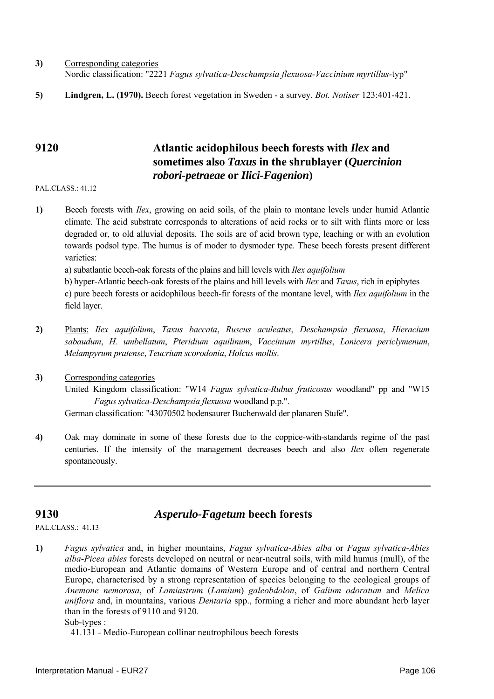- **3)** Corresponding categories Nordic classification: "2221 *Fagus sylvatica-Deschampsia flexuosa-Vaccinium myrtillus-*typ"
- **5) Lindgren, L. (1970).** Beech forest vegetation in Sweden a survey. *Bot. Notiser* 123:401-421.

## **9120 Atlantic acidophilous beech forests with** *Ilex* **and sometimes also** *Taxus* **in the shrublayer (***Quercinion robori-petraeae* **or** *Ilici-Fagenion***)**

PAL.CLASS.: 41.12

**1)** Beech forests with *Ilex*, growing on acid soils, of the plain to montane levels under humid Atlantic climate. The acid substrate corresponds to alterations of acid rocks or to silt with flints more or less degraded or, to old alluvial deposits. The soils are of acid brown type, leaching or with an evolution towards podsol type. The humus is of moder to dysmoder type. These beech forests present different varieties:

a) subatlantic beech-oak forests of the plains and hill levels with *Ilex aquifolium*

 b) hyper-Atlantic beech-oak forests of the plains and hill levels with *Ilex* and *Taxus*, rich in epiphytes c) pure beech forests or acidophilous beech-fir forests of the montane level, with *Ilex aquifolium* in the field layer.

- **2)** Plants: *Ilex aquifolium*, *Taxus baccata*, *Ruscus aculeatus*, *Deschampsia flexuosa*, *Hieracium sabaudum*, *H. umbellatum*, *Pteridium aquilinum*, *Vaccinium myrtillus*, *Lonicera periclymenum*, *Melampyrum pratense*, *Teucrium scorodonia*, *Holcus mollis*.
- **3)** Corresponding categories

United Kingdom classification: "W14 *Fagus sylvatica-Rubus fruticosus* woodland" pp and "W15 *Fagus sylvatica-Deschampsia flexuosa* woodland p.p.".

German classification: "43070502 bodensaurer Buchenwald der planaren Stufe".

**4)** Oak may dominate in some of these forests due to the coppice-with-standards regime of the past centuries. If the intensity of the management decreases beech and also *Ilex* often regenerate spontaneously.

## **9130** *Asperulo-Fagetum* **beech forests**

PAL.CLASS.: 41.13

**1)** *Fagus sylvatica* and, in higher mountains, *Fagus sylvatica*-*Abies alba* or *Fagus sylvatica*-*Abies alba*-*Picea abies* forests developed on neutral or near-neutral soils, with mild humus (mull), of the medio-European and Atlantic domains of Western Europe and of central and northern Central Europe, characterised by a strong representation of species belonging to the ecological groups of *Anemone nemorosa*, of *Lamiastrum* (*Lamium*) *galeobdolon*, of *Galium odoratum* and *Melica uniflora* and, in mountains, various *Dentaria* spp., forming a richer and more abundant herb layer than in the forests of 9110 and 9120.

Sub-types :

41.131 - Medio-European collinar neutrophilous beech forests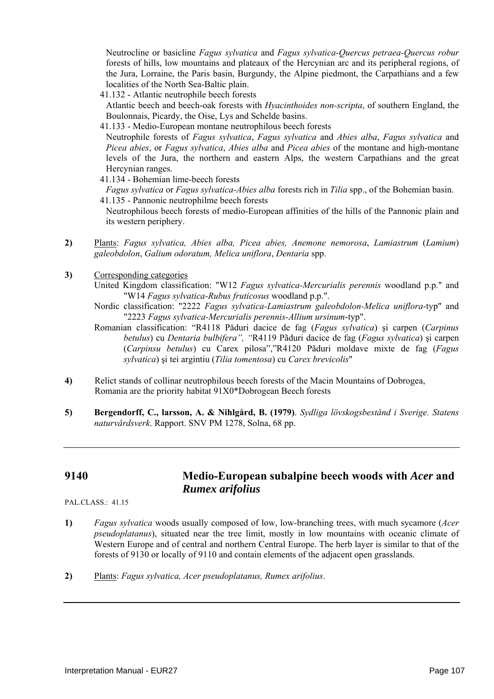Neutrocline or basicline *Fagus sylvatica* and *Fagus sylvatica-Quercus petraea-Quercus robur* forests of hills, low mountains and plateaux of the Hercynian arc and its peripheral regions, of the Jura, Lorraine, the Paris basin, Burgundy, the Alpine piedmont, the Carpathians and a few localities of the North Sea-Baltic plain.

41.132 - Atlantic neutrophile beech forests

Atlantic beech and beech-oak forests with *Hyacinthoides non-scripta*, of southern England, the Boulonnais, Picardy, the Oise, Lys and Schelde basins.

41.133 - Medio-European montane neutrophilous beech forests

Neutrophile forests of *Fagus sylvatica*, *Fagus sylvatica* and *Abies alba*, *Fagus sylvatica* and *Picea abies*, or *Fagus sylvatica*, *Abies alba* and *Picea abies* of the montane and high-montane levels of the Jura, the northern and eastern Alps, the western Carpathians and the great Hercynian ranges.

41.134 - Bohemian lime-beech forests

*Fagus sylvatica* or *Fagus sylvatica-Abies alba* forests rich in *Tilia* spp., of the Bohemian basin. 41.135 - Pannonic neutrophilme beech forests

Neutrophilous beech forests of medio-European affinities of the hills of the Pannonic plain and its western periphery.

- **2)** Plants: *Fagus sylvatica, Abies alba, Picea abies, Anemone nemorosa*, *Lamiastrum* (*Lamium*) *galeobdolon*, *Galium odoratum, Melica uniflora*, *Dentaria* spp.
- **3)** Corresponding categories
	- United Kingdom classification: "W12 *Fagus sylvatica-Mercurialis perennis* woodland p.p." and "W14 *Fagus sylvatica-Rubus fruticosus* woodland p.p.".
	- Nordic classification: "2222 *Fagus sylvatica-Lamiastrum galeobdolon-Melica uniflora*-typ" and "2223 *Fagus sylvatica-Mercurialis perennis-Allium ursinum*-typ".
	- Romanian classification: "R4118 Păduri dacice de fag (*Fagus sylvatica*) şi carpen (*Carpinus betulus*) cu *Dentaria bulbifera", "*R4119 Pãduri dacice de fag (*Fagus sylvatica*) şi carpen (*Carpinsu betulus*) cu Carex pilosa","R4120 Pãduri moldave mixte de fag (*Fagus sylvatica*) şi tei argintiu (*Tilia tomentosa*) cu *Carex brevicolis*"
- **4)** Relict stands of collinar neutrophilous beech forests of the Macin Mountains of Dobrogea, Romania are the priority habitat 91X0\*Dobrogean Beech forests
- **5) Bergendorff, C., larsson, A. & Nihlgård, B. (1979)**. *Sydliga lövskogsbestånd i Sverige. Statens naturvårdsverk*. Rapport. SNV PM 1278, Solna, 68 pp.

### **9140 Medio-European subalpine beech woods with** *Acer* **and**  *Rumex arifolius*

PAL.CLASS.: 41.15

- **1)** *Fagus sylvatica* woods usually composed of low, low-branching trees, with much sycamore (*Acer pseudoplatanus*), situated near the tree limit, mostly in low mountains with oceanic climate of Western Europe and of central and northern Central Europe. The herb layer is similar to that of the forests of 9130 or locally of 9110 and contain elements of the adjacent open grasslands.
- **2)** Plants: *Fagus sylvatica, Acer pseudoplatanus, Rumex arifolius*.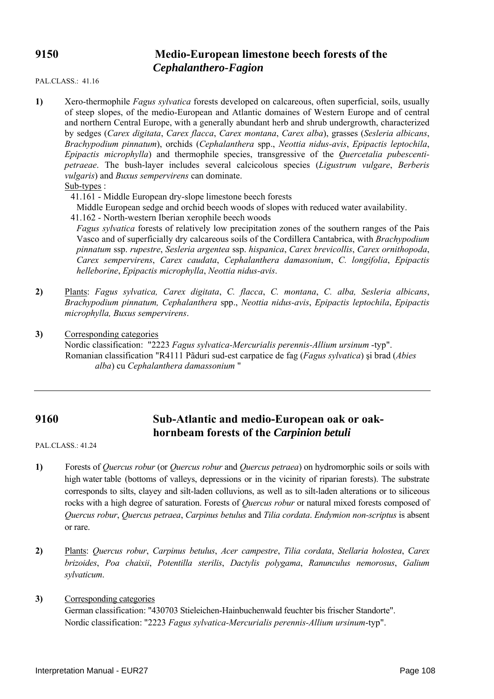## **9150 Medio-European limestone beech forests of the**  *Cephalanthero-Fagion*

PAL.CLASS.: 41.16

**1)** Xero-thermophile *Fagus sylvatica* forests developed on calcareous, often superficial, soils, usually of steep slopes, of the medio-European and Atlantic domaines of Western Europe and of central and northern Central Europe, with a generally abundant herb and shrub undergrowth, characterized by sedges (*Carex digitata*, *Carex flacca*, *Carex montana*, *Carex alba*), grasses (*Sesleria albicans*, *Brachypodium pinnatum*), orchids (*Cephalanthera* spp., *Neottia nidus-avis*, *Epipactis leptochila*, *Epipactis microphylla*) and thermophile species, transgressive of the *Quercetalia pubescentipetraeae*. The bush-layer includes several calcicolous species (*Ligustrum vulgare*, *Berberis vulgaris*) and *Buxus sempervirens* can dominate.

Sub-types :

41.161 - Middle European dry-slope limestone beech forests

Middle European sedge and orchid beech woods of slopes with reduced water availability.

41.162 - North-western Iberian xerophile beech woods

*Fagus sylvatica* forests of relatively low precipitation zones of the southern ranges of the Pais Vasco and of superficially dry calcareous soils of the Cordillera Cantabrica, with *Brachypodium pinnatum* ssp. *rupestre*, *Sesleria argentea* ssp. *hispanica*, *Carex brevicollis*, *Carex ornithopoda*, *Carex sempervirens*, *Carex caudata*, *Cephalanthera damasonium*, *C. longifolia*, *Epipactis helleborine*, *Epipactis microphylla*, *Neottia nidus-avis*.

- **2)** Plants: *Fagus sylvatica, Carex digitata*, *C. flacca*, *C. montana*, *C. alba, Sesleria albicans*, *Brachypodium pinnatum, Cephalanthera* spp., *Neottia nidus-avis*, *Epipactis leptochila*, *Epipactis microphylla, Buxus sempervirens*.
- **3)** Corresponding categories

Nordic classification: "2223 *Fagus sylvatica-Mercurialis perennis-Allium ursinum* -typ". Romanian classification "R4111 Pãduri sud-est carpatice de fag (*Fagus sylvatica*) şi brad (*Abies alba*) cu *Cephalanthera damassonium* "

## **9160 Sub-Atlantic and medio-European oak or oakhornbeam forests of the** *Carpinion betuli*

PAL.CLASS.: 41.24

- **1)** Forests of *Quercus robur* (or *Quercus robur* and *Quercus petraea*) on hydromorphic soils or soils with high water table (bottoms of valleys, depressions or in the vicinity of riparian forests). The substrate corresponds to silts, clayey and silt-laden colluvions, as well as to silt-laden alterations or to siliceous rocks with a high degree of saturation. Forests of *Quercus robur* or natural mixed forests composed of *Quercus robur*, *Quercus petraea*, *Carpinus betulus* and *Tilia cordata*. *Endymion non-scriptus* is absent or rare.
- **2)** Plants: *Quercus robur*, *Carpinus betulus*, *Acer campestre*, *Tilia cordata*, *Stellaria holostea*, *Carex brizoides*, *Poa chaixii*, *Potentilla sterilis*, *Dactylis polygama*, *Ranunculus nemorosus*, *Galium sylvaticum*.

#### **3)** Corresponding categories German classification: "430703 Stieleichen-Hainbuchenwald feuchter bis frischer Standorte". Nordic classification: "2223 *Fagus sylvatica-Mercurialis perennis-Allium ursinum*-typ".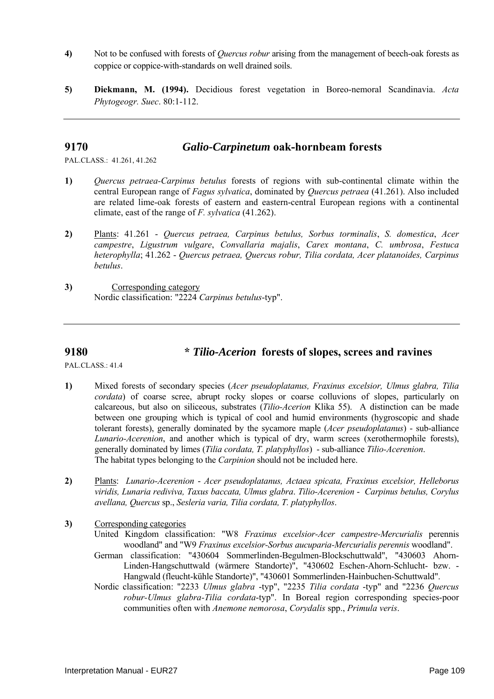- **4)** Not to be confused with forests of *Quercus robur* arising from the management of beech-oak forests as coppice or coppice-with-standards on well drained soils.
- **5) Diekmann, M. (1994).** Decidious forest vegetation in Boreo-nemoral Scandinavia. *Acta Phytogeogr. Suec*. 80:1-112.

### **9170** *Galio-Carpinetum* **oak-hornbeam forests**

PAL.CLASS.: 41.261, 41.262

- **1)** *Quercus petraea-Carpinus betulus* forests of regions with sub-continental climate within the central European range of *Fagus sylvatica*, dominated by *Quercus petraea* (41.261). Also included are related lime-oak forests of eastern and eastern-central European regions with a continental climate, east of the range of *F. sylvatica* (41.262).
- **2)** Plants: 41.261 *Quercus petraea, Carpinus betulus, Sorbus torminalis*, *S. domestica*, *Acer campestre*, *Ligustrum vulgare*, *Convallaria majalis*, *Carex montana*, *C. umbrosa*, *Festuca heterophylla*; 41.262 - *Quercus petraea, Quercus robur, Tilia cordata, Acer platanoides, Carpinus betulus*.
- **3)** Corresponding category Nordic classification: "2224 *Carpinus betulus*-typ".

**9180 \*** *Tilio-Acerion* **forests of slopes, screes and ravines** 

PAL.CLASS.: 41.4

- **1)** Mixed forests of secondary species (*Acer pseudoplatanus, Fraxinus excelsior, Ulmus glabra, Tilia cordata*) of coarse scree, abrupt rocky slopes or coarse colluvions of slopes, particularly on calcareous, but also on siliceous, substrates (*Tilio-Acerion* Klika 55). A distinction can be made between one grouping which is typical of cool and humid environments (hygroscopic and shade tolerant forests), generally dominated by the sycamore maple (*Acer pseudoplatanus*) - sub-alliance *Lunario-Acerenion*, and another which is typical of dry, warm screes (xerothermophile forests), generally dominated by limes (*Tilia cordata, T. platyphyllos*) - sub-alliance *Tilio-Acerenion*. The habitat types belonging to the *Carpinion* should not be included here.
- **2)** Plants: *Lunario-Acerenion Acer pseudoplatanus, Actaea spicata, Fraxinus excelsior, Helleborus viridis, Lunaria rediviva, Taxus baccata, Ulmus glabra*. *Tilio-Acerenion* - *Carpinus betulus, Corylus avellana, Quercus* sp., *Sesleria varia, Tilia cordata, T. platyphyllos*.
- **3)** Corresponding categories
	- United Kingdom classification: "W8 *Fraxinus excelsior-Acer campestre-Mercurialis* perennis woodland" and "W9 *Fraxinus excelsior-Sorbus aucuparia-Mercurialis perennis* woodland".
	- German classification: "430604 Sommerlinden-Begulmen-Blockschuttwald", "430603 Ahorn-Linden-Hangschuttwald (wärmere Standorte)", "430602 Eschen-Ahorn-Schlucht- bzw. - Hangwald (fleucht-kühle Standorte)", "430601 Sommerlinden-Hainbuchen-Schuttwald".
	- Nordic classification: "2233 *Ulmus glabra* -typ", "2235 *Tilia cordata* -typ" and "2236 *Quercus robur-Ulmus glabra-Tilia cordata*-typ". In Boreal region corresponding species-poor communities often with *Anemone nemorosa*, *Corydalis* spp., *Primula veris*.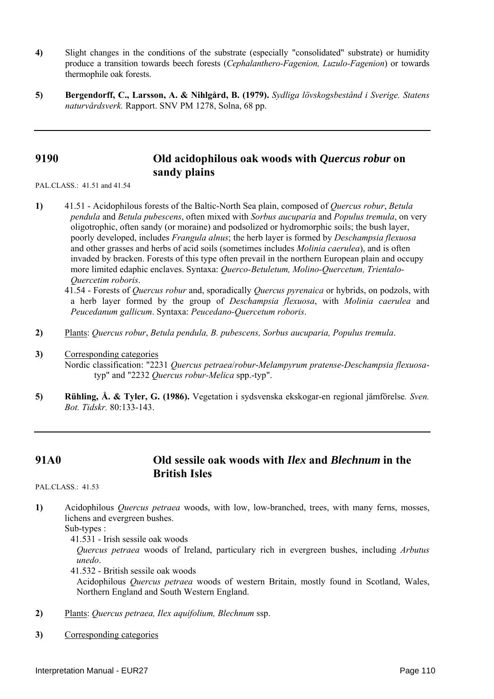- **4)** Slight changes in the conditions of the substrate (especially "consolidated" substrate) or humidity produce a transition towards beech forests (*Cephalanthero-Fagenion, Luzulo-Fagenion*) or towards thermophile oak forests.
- **5) Bergendorff, C., Larsson, A. & Nihlgård, B. (1979).** *Sydliga lövskogsbestånd i Sverige. Statens naturvårdsverk.* Rapport. SNV PM 1278, Solna, 68 pp.

### **9190 Old acidophilous oak woods with** *Quercus robur* **on sandy plains**

PAL.CLASS.: 41.51 and 41.54

**1)** 41.51 - Acidophilous forests of the Baltic-North Sea plain, composed of *Quercus robur*, *Betula pendula* and *Betula pubescens*, often mixed with *Sorbus aucuparia* and *Populus tremula*, on very oligotrophic, often sandy (or moraine) and podsolized or hydromorphic soils; the bush layer, poorly developed, includes *Frangula alnus*; the herb layer is formed by *Deschampsia flexuosa* and other grasses and herbs of acid soils (sometimes includes *Molinia caerulea*), and is often invaded by bracken. Forests of this type often prevail in the northern European plain and occupy more limited edaphic enclaves. Syntaxa: *Querco-Betuletum, Molino-Quercetum, Trientalo-Quercetim roboris*.

- **2)** Plants: *Quercus robur*, *Betula pendula, B. pubescens, Sorbus aucuparia, Populus tremula*.
- **3)** Corresponding categories Nordic classification: "2231 *Quercus petraea*/*robur*-*Melampyrum pratense-Deschampsia flexuosa*typ" and "2232 *Quercus robur-Melica* spp.-typ".
- **5) Rühling, Å. & Tyler, G. (1986).** Vegetation i sydsvenska ekskogar-en regional jämförelse*. Sven. Bot. Tidskr.* 80:133-143.

#### **91A0 Old sessile oak woods with** *Ilex* **and** *Blechnum* **in the British Isles**

PAL.CLASS.: 41.53

**1)** Acidophilous *Quercus petraea* woods, with low, low-branched, trees, with many ferns, mosses, lichens and evergreen bushes.

Sub-types :

41.531 - Irish sessile oak woods

*Quercus petraea* woods of Ireland, particulary rich in evergreen bushes, including *Arbutus unedo*.

41.532 - British sessile oak woods

Acidophilous *Quercus petraea* woods of western Britain, mostly found in Scotland, Wales, Northern England and South Western England.

- **2)** Plants: *Quercus petraea, Ilex aquifolium, Blechnum* ssp.
- **3)** Corresponding categories

<sup>41.54 -</sup> Forests of *Quercus robur* and, sporadically *Quercus pyrenaica* or hybrids, on podzols, with a herb layer formed by the group of *Deschampsia flexuosa*, with *Molinia caerulea* and *Peucedanum gallicum*. Syntaxa: *Peucedano-Quercetum roboris*.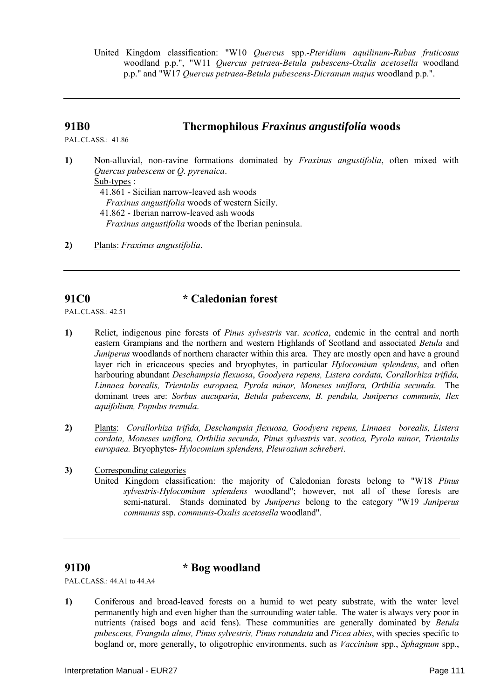United Kingdom classification: "W10 *Quercus* spp.-*Pteridium aquilinum-Rubus fruticosus* woodland p.p.", "W11 *Quercus petraea-Betula pubescens-Oxalis acetosella* woodland p.p." and "W17 *Quercus petraea-Betula pubescens-Dicranum majus* woodland p.p.".

#### **91B0 Thermophilous** *Fraxinus angustifolia* **woods**

PAL.CLASS.: 41.86

- **1)** Non-alluvial, non-ravine formations dominated by *Fraxinus angustifolia*, often mixed with *Quercus pubescens* or *Q. pyrenaica*. Sub-types : 41.861 - Sicilian narrow-leaved ash woods
	- *Fraxinus angustifolia* woods of western Sicily.
	- 41.862 Iberian narrow-leaved ash woods
	- *Fraxinus angustifolia* woods of the Iberian peninsula.
- **2)** Plants: *Fraxinus angustifolia*.

#### **91C0 \* Caledonian forest**

PAL.CLASS.: 42.51

- **1)** Relict, indigenous pine forests of *Pinus sylvestris* var. *scotica*, endemic in the central and north eastern Grampians and the northern and western Highlands of Scotland and associated *Betula* and *Juniperus* woodlands of northern character within this area. They are mostly open and have a ground layer rich in ericaceous species and bryophytes, in particular *Hylocomium splendens*, and often harbouring abundant *Deschampsia flexuosa*, *Goodyera repens, Listera cordata, Corallorhiza trifida, Linnaea borealis, Trientalis europaea, Pyrola minor, Moneses uniflora, Orthilia secunda*. The dominant trees are: *Sorbus aucuparia, Betula pubescens, B. pendula, Juniperus communis, Ilex aquifolium, Populus tremula*.
- **2)** Plants: *Corallorhiza trifida, Deschampsia flexuosa, Goodyera repens, Linnaea borealis, Listera cordata, Moneses uniflora, Orthilia secunda, Pinus sylvestris* var. *scotica, Pyrola minor, Trientalis europaea.* Bryophytes*- Hylocomium splendens, Pleurozium schreberi*.
- **3)** Corresponding categories
	- United Kingdom classification: the majority of Caledonian forests belong to "W18 *Pinus sylvestris-Hylocomium splendens* woodland"; however, not all of these forests are semi-natural. Stands dominated by *Juniperus* belong to the category "W19 *Juniperus communis* ssp. *communis-Oxalis acetosella* woodland".

#### **91D0 \* Bog woodland**

PAL.CLASS.: 44.A1 to 44.A4

**1)** Coniferous and broad-leaved forests on a humid to wet peaty substrate, with the water level permanently high and even higher than the surrounding water table. The water is always very poor in nutrients (raised bogs and acid fens). These communities are generally dominated by *Betula pubescens, Frangula alnus, Pinus sylvestris, Pinus rotundata* and *Picea abies*, with species specific to bogland or, more generally, to oligotrophic environments, such as *Vaccinium* spp., *Sphagnum* spp.,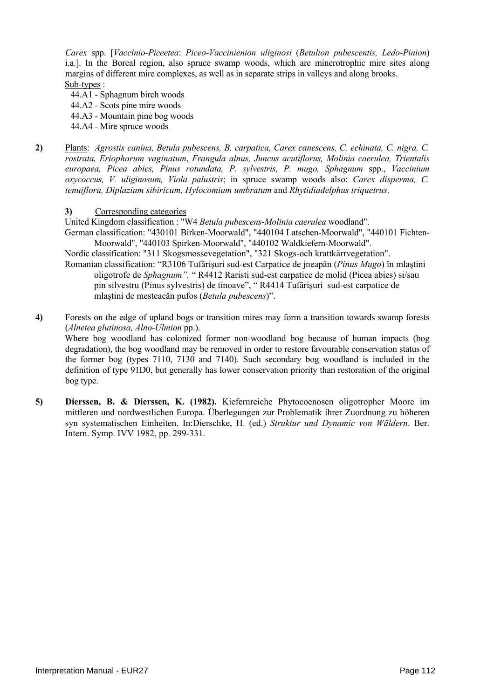*Carex* spp. [*Vaccinio-Piceetea*: *Piceo-Vaccinienion uliginosi* (*Betulion pubescentis, Ledo-Pinion*) i.a.]. In the Boreal region, also spruce swamp woods, which are minerotrophic mire sites along margins of different mire complexes, as well as in separate strips in valleys and along brooks. Sub-types :

- 44.A1 Sphagnum birch woods 44.A2 - Scots pine mire woods 44.A3 - Mountain pine bog woods 44.A4 - Mire spruce woods
- **2)** Plants: *Agrostis canina, Betula pubescens, B. carpatica, Carex canescens, C. echinata, C. nigra, C. rostrata, Eriophorum vaginatum*, *Frangula alnus, Juncus acutiflorus, Molinia caerulea, Trientalis europaea, Picea abies, Pinus rotundata, P. sylvestris, P. mugo, Sphagnum* spp., *Vaccinium oxycoccus, V. uliginosum, Viola palustris*; in spruce swamp woods also: *Carex disperma, C. tenuiflora, Diplazium sibiricum, Hylocomium umbratum* and *Rhytidiadelphus triquetrus*.
	- **3)** Corresponding categories

United Kingdom classification : "W4 *Betula pubescens-Molinia caerulea* woodland".

German classification: "430101 Birken-Moorwald", "440104 Latschen-Moorwald", "440101 Fichten-Moorwald", "440103 Spirken-Moorwald", "440102 Waldkiefern-Moorwald".

Nordic classification: "311 Skogsmossevegetation", "321 Skogs-och krattkärrvegetation". Romanian classification: "R3106 Tufărişuri sud-est Carpatice de jneapăn (*Pinus Mugo*) în mlaştini oligotrofe de *Sphagnum",* " R4412 Raristi sud-est carpatice de molid (Picea abies) si/sau pin silvestru (Pinus sylvestris) de tinoave", " R4414 Tufărişuri sud-est carpatice de mlaştini de mesteacăn pufos (*Betula pubescens*)".

**4)** Forests on the edge of upland bogs or transition mires may form a transition towards swamp forests (*Alnetea glutinosa, Alno-Ulmion* pp.).

Where bog woodland has colonized former non-woodland bog because of human impacts (bog degradation), the bog woodland may be removed in order to restore favourable conservation status of the former bog (types 7110, 7130 and 7140). Such secondary bog woodland is included in the definition of type 91D0, but generally has lower conservation priority than restoration of the original bog type.

**5) Dierssen, B. & Dierssen, K. (1982).** Kiefernreiche Phytocoenosen oligotropher Moore im mittleren und nordwestlichen Europa. Überlegungen zur Problematik ihrer Zuordnung zu höheren syn systematischen Einheiten. In:Dierschke, H. (ed.) *Struktur und Dynamic von Wäldern*. Ber. Intern. Symp. IVV 1982, pp. 299-331.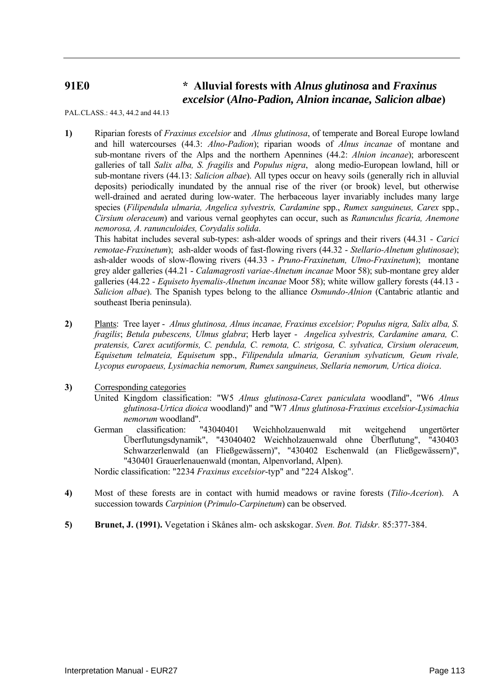### **91E0 \* Alluvial forests with** *Alnus glutinosa* **and** *Fraxinus excelsior* **(***Alno-Padion, Alnion incanae, Salicion albae***)**

PAL.CLASS.: 44.3, 44.2 and 44.13

**1)** Riparian forests of *Fraxinus excelsior* and *Alnus glutinosa*, of temperate and Boreal Europe lowland and hill watercourses (44.3: *Alno-Padion*); riparian woods of *Alnus incanae* of montane and sub-montane rivers of the Alps and the northern Apennines (44.2: *Alnion incanae*); arborescent galleries of tall *Salix alba, S. fragilis* and *Populus nigra*, along medio-European lowland, hill or sub-montane rivers (44.13: *Salicion albae*). All types occur on heavy soils (generally rich in alluvial deposits) periodically inundated by the annual rise of the river (or brook) level, but otherwise well-drained and aerated during low-water. The herbaceous layer invariably includes many large species (*Filipendula ulmaria, Angelica sylvestris, Cardamine* spp., *Rumex sanguineus, Carex* spp., *Cirsium oleraceum*) and various vernal geophytes can occur, such as *Ranunculus ficaria, Anemone nemorosa, A. ranunculoides, Corydalis solida*.

 This habitat includes several sub-types: ash-alder woods of springs and their rivers (44.31 - *Carici remotae-Fraxinetum*); ash-alder woods of fast-flowing rivers (44.32 - *Stellario-Alnetum glutinosae*); ash-alder woods of slow-flowing rivers (44.33 - *Pruno-Fraxinetum, Ulmo-Fraxinetum*); montane grey alder galleries (44.21 - *Calamagrosti variae-Alnetum incanae* Moor 58); sub-montane grey alder galleries (44.22 - *Equiseto hyemalis-Alnetum incanae* Moor 58); white willow gallery forests (44.13 - *Salicion albae*). The Spanish types belong to the alliance *Osmundo-Alnion* (Cantabric atlantic and southeast Iberia peninsula).

- **2)** Plants: Tree layer *Alnus glutinosa, Alnus incanae, Fraxinus excelsior; Populus nigra, Salix alba, S. fragilis*; *Betula pubescens, Ulmus glabra*; Herb layer - *Angelica sylvestris, Cardamine amara, C. pratensis, Carex acutiformis, C. pendula, C. remota, C. strigosa, C. sylvatica, Cirsium oleraceum, Equisetum telmateia, Equisetum* spp., *Filipendula ulmaria, Geranium sylvaticum, Geum rivale, Lycopus europaeus, Lysimachia nemorum, Rumex sanguineus, Stellaria nemorum, Urtica dioica*.
- **3)** Corresponding categories United Kingdom classification: "W5 *Alnus glutinosa-Carex paniculata* woodland", "W6 *Alnus glutinosa-Urtica dioica* woodland)" and "W7 *Alnus glutinosa-Fraxinus excelsior-Lysimachia nemorum* woodland".
	- German classification: "43040401 Weichholzauenwald mit weitgehend ungertörter Überflutungsdynamik", "43040402 Weichholzauenwald ohne Überflutung", "430403 Schwarzerlenwald (an Fließgewässern)", "430402 Eschenwald (an Fließgewässern)", "430401 Grauerlenauenwald (montan, Alpenvorland, Alpen).

Nordic classification: "2234 *Fraxinus excelsior*-typ" and "224 Alskog".

- **4)** Most of these forests are in contact with humid meadows or ravine forests (*Tilio-Acerion*). A succession towards *Carpinion* (*Primulo-Carpinetum*) can be observed.
- **5) Brunet, J. (1991).** Vegetation i Skånes alm- och askskogar. *Sven. Bot. Tidskr.* 85:377-384.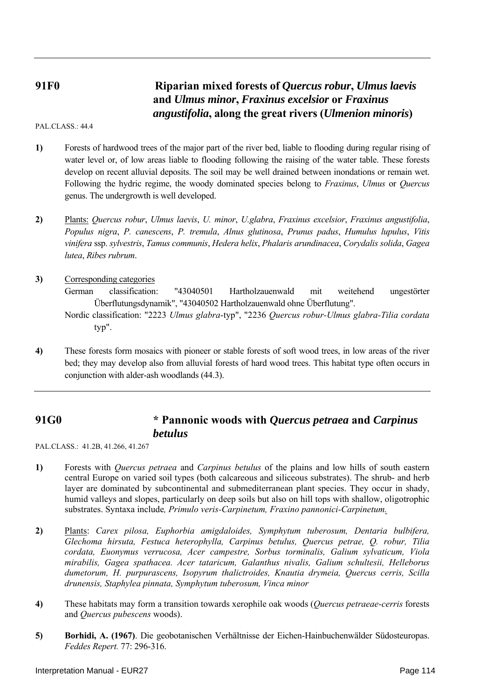## **91F0 Riparian mixed forests of** *Quercus robur***,** *Ulmus laevis* **and** *Ulmus minor***,** *Fraxinus excelsior* **or** *Fraxinus angustifolia***, along the great rivers (***Ulmenion minoris***)**

#### PAL.CLASS.: 44.4

- **1)** Forests of hardwood trees of the major part of the river bed, liable to flooding during regular rising of water level or, of low areas liable to flooding following the raising of the water table. These forests develop on recent alluvial deposits. The soil may be well drained between inondations or remain wet. Following the hydric regime, the woody dominated species belong to *Fraxinus*, *Ulmus* or *Quercus* genus. The undergrowth is well developed.
- **2)** Plants: *Quercus robur*, *Ulmus laevis*, *U. minor*, *U.glabra*, *Fraxinus excelsior*, *Fraxinus angustifolia*, *Populus nigra*, *P. canescens*, *P. tremula*, *Alnus glutinosa*, *Prunus padus*, *Humulus lupulus*, *Vitis vinifera* ssp. *sylvestris*, *Tamus communis*, *Hedera helix*, *Phalaris arundinacea*, *Corydalis solida*, *Gagea lutea*, *Ribes rubrum*.
- **3)** Corresponding categories German classification: "43040501 Hartholzauenwald mit weitehend ungestörter Überflutungsdynamik", "43040502 Hartholzauenwald ohne Überflutung". Nordic classification: "2223 *Ulmus glabra*-typ", "2236 *Quercus robur-Ulmus glabra-Tilia cordata* typ".
- **4)** These forests form mosaics with pioneer or stable forests of soft wood trees, in low areas of the river bed; they may develop also from alluvial forests of hard wood trees. This habitat type often occurs in conjunction with alder-ash woodlands (44.3).

#### **91G0 \* Pannonic woods with** *Quercus petraea* **and** *Carpinus betulus*

PAL.CLASS.: 41.2B, 41.266, 41.267

- **1)** Forests with *Quercus petraea* and *Carpinus betulus* of the plains and low hills of south eastern central Europe on varied soil types (both calcareous and siliceous substrates). The shrub- and herb layer are dominated by subcontinental and submediterranean plant species. They occur in shady, humid valleys and slopes, particularly on deep soils but also on hill tops with shallow, oligotrophic substrates. Syntaxa include*, Primulo veris-Carpinetum, Fraxino pannonici-Carpinetum.*
- **2)** Plants: *Carex pilosa, Euphorbia amigdaloides, Symphytum tuberosum, Dentaria bulbifera, Glechoma hirsuta, Festuca heterophylla, Carpinus betulus, Quercus petrae, Q. robur, Tilia cordata, Euonymus verrucosa, Acer campestre, Sorbus torminalis, Galium sylvaticum, Viola mirabilis, Gagea spathacea. Acer tataricum, Galanthus nivalis, Galium schultesii, Helleborus dumetorum, H. purpurascens, Isopyrum thalictroides, Knautia drymeia, Quercus cerris, Scilla drunensis, Staphylea pinnata, Symphytum tuberosum, Vinca minor*
- **4)** These habitats may form a transition towards xerophile oak woods (*Quercus petraeae-cerris* forests and *Quercus pubescens* woods).
- **5) Borhidi, A. (1967)**. Die geobotanischen Verhältnisse der Eichen-Hainbuchenwälder Südosteuropas. *Feddes Repert.* 77: 296-316.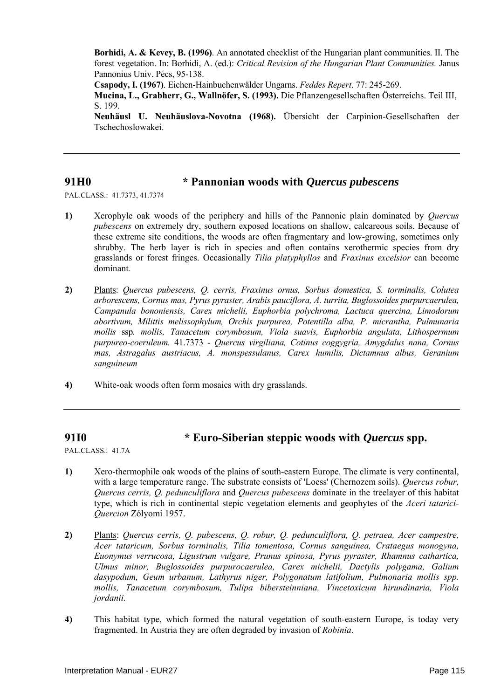**Borhidi, A. & Kevey, B. (1996)**. An annotated checklist of the Hungarian plant communities. II. The forest vegetation. In: Borhidi, A. (ed.): *Critical Revision of the Hungarian Plant Communities.* Janus Pannonius Univ. Pécs, 95-138.

**Csapody, I. (1967)**. Eichen-Hainbuchenwälder Ungarns. *Feddes Repert*. 77: 245-269.

**Mucina, L., Grabherr, G., Wallnöfer, S. (1993).** Die Pflanzengesellschaften Österreichs. Teil III, S. 199.

**Neuhäusl U. Neuhäuslova-Novotna (1968).** Übersicht der Carpinion-Gesellschaften der Tschechoslowakei.

## **91H0 \* Pannonian woods with** *Quercus pubescens*

PAL.CLASS.: 41.7373, 41.7374

- **1)** Xerophyle oak woods of the periphery and hills of the Pannonic plain dominated by *Quercus pubescens* on extremely dry, southern exposed locations on shallow, calcareous soils. Because of these extreme site conditions, the woods are often fragmentary and low-growing, sometimes only shrubby. The herb layer is rich in species and often contains xerothermic species from dry grasslands or forest fringes. Occasionally *Tilia platyphyllos* and *Fraxinus excelsior* can become dominant.
- **2)** Plants: *Quercus pubescens, Q. cerris, Fraxinus ornus, Sorbus domestica, S. torminalis, Colutea arborescens, Cornus mas, Pyrus pyraster, Arabis pauciflora, A. turrita, Buglossoides purpurcaerulea, Campanula bononiensis, Carex michelii, Euphorbia polychroma, Lactuca quercina, Limodorum abortivum, Milittis melissophylum, Orchis purpurea, Potentilla alba, P. micrantha, Pulmunaria mollis* ssp*. mollis, Tanacetum corymbosum, Viola suavis, Euphorbia angulata*, *Lithospermum purpureo-coeruleum.* 41.7373 - *Quercus virgiliana, Cotinus coggygria, Amygdalus nana, Cornus mas, Astragalus austriacus, A. monspessulanus, Carex humilis, Dictamnus albus, Geranium sanguineum*
- **4)** White-oak woods often form mosaics with dry grasslands.

### **91I0 \* Euro-Siberian steppic woods with** *Quercus* **spp.**

PAL.CLASS.: 41.7A

- **1)** Xero-thermophile oak woods of the plains of south-eastern Europe. The climate is very continental, with a large temperature range. The substrate consists of 'Loess' (Chernozem soils). *Quercus robur, Quercus cerris, Q. pedunculiflora* and *Quercus pubescens* dominate in the treelayer of this habitat type, which is rich in continental stepic vegetation elements and geophytes of the *Aceri tatarici-Quercion* Zólyomi 1957.
- **2)** Plants: *Quercus cerris, Q. pubescens, Q. robur, Q. pedunculiflora, Q. petraea, Acer campestre, Acer tataricum, Sorbus torminalis, Tilia tomentosa, Cornus sanguinea, Crataegus monogyna, Euonymus verrucosa, Ligustrum vulgare, Prunus spinosa, Pyrus pyraster, Rhamnus cathartica, Ulmus minor, Buglossoides purpurocaerulea, Carex michelii, Dactylis polygama, Galium dasypodum, Geum urbanum, Lathyrus niger, Polygonatum latifolium, Pulmonaria mollis spp. mollis, Tanacetum corymbosum, Tulipa bibersteinniana, Vincetoxicum hirundinaria, Viola jordanii.*
- **4)** This habitat type, which formed the natural vegetation of south-eastern Europe, is today very fragmented. In Austria they are often degraded by invasion of *Robinia*.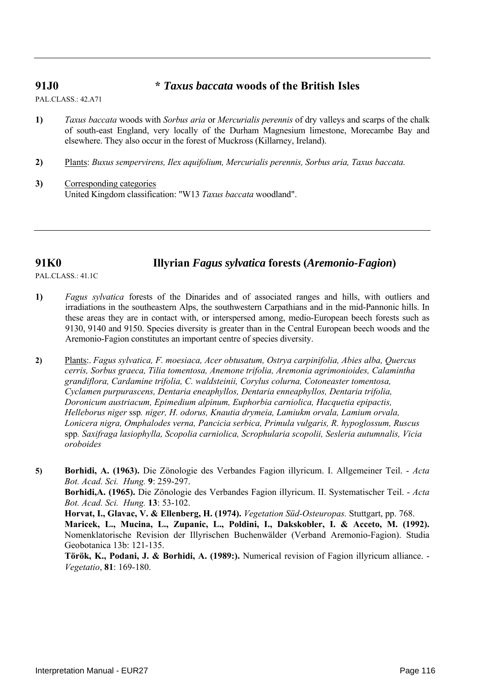#### **91J0 \*** *Taxus baccata* **woods of the British Isles**

PAL.CLASS.: 42.A71

- **1)** *Taxus baccata* woods with *Sorbus aria* or *Mercurialis perennis* of dry valleys and scarps of the chalk of south-east England, very locally of the Durham Magnesium limestone, Morecambe Bay and elsewhere. They also occur in the forest of Muckross (Killarney, Ireland).
- **2)** Plants: *Buxus sempervirens, Ilex aquifolium, Mercurialis perennis, Sorbus aria, Taxus baccata.*
- **3)** Corresponding categories United Kingdom classification: "W13 *Taxus baccata* woodland".

## **91K0 Illyrian** *Fagus sylvatica* **forests (***Aremonio-Fagion***)**

PAL.CLASS.: 41.1C

- **1)** *Fagus sylvatica* forests of the Dinarides and of associated ranges and hills, with outliers and irradiations in the southeastern Alps, the southwestern Carpathians and in the mid-Pannonic hills. In these areas they are in contact with, or interspersed among, medio-European beech forests such as 9130, 9140 and 9150. Species diversity is greater than in the Central European beech woods and the Aremonio-Fagion constitutes an important centre of species diversity.
- **2)** Plants:. *Fagus sylvatica, F. moesiaca, Acer obtusatum, Ostrya carpinifolia, Abies alba, Quercus cerris, Sorbus graeca, Tilia tomentosa, Anemone trifolia, Aremonia agrimonioides, Calamintha grandiflora, Cardamine trifolia, C. waldsteinii, Corylus colurna, Cotoneaster tomentosa, Cyclamen purpurascens, Dentaria eneaphyllos, Dentaria enneaphyllos, Dentaria trifolia, Doronicum austriacum, Epimedium alpinum, Euphorbia carniolica, Hacquetia epipactis, Helleborus niger* ssp*. niger, H. odorus, Knautia drymeia, Lamiukm orvala, Lamium orvala, Lonicera nigra, Omphalodes verna, Pancicia serbica, Primula vulgaris, R. hypoglossum, Ruscus*  spp*. Saxifraga lasiophylla, Scopolia carniolica, Scrophularia scopolii, Sesleria autumnalis, Vicia oroboides*
- **5) Borhidi, A. (1963).** Die Zönologie des Verbandes Fagion illyricum. I. Allgemeiner Teil. *Acta Bot. Acad. Sci. Hung.* **9**: 259-297. **Borhidi,A. (1965).** Die Zönologie des Verbandes Fagion illyricum. II. Systematischer Teil. - *Acta Bot. Acad. Sci. Hung.* **13**: 53-102. **Horvat, I., Glavac, V. & Ellenberg, H. (1974).** *Vegetation Süd-Osteuropas.* Stuttgart, pp. 768. **Maricek, L., Mucina, L., Zupanic, L., Poldini, I., Dakskobler, I. & Acceto, M. (1992).** Nomenklatorische Revision der Illyrischen Buchenwälder (Verband Aremonio-Fagion). Studia Geobotanica 13b: 121-135. **Török, K., Podani, J. & Borhidi, A. (1989:).** Numerical revision of Fagion illyricum alliance. - *Vegetatio*, **81**: 169-180.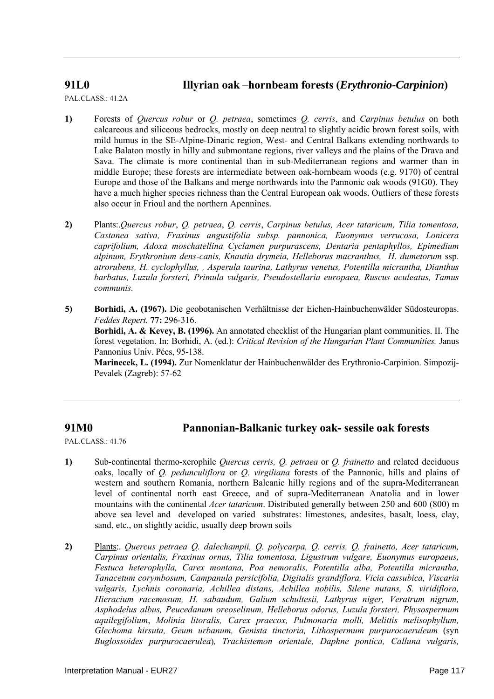## **91L0 Illyrian oak –hornbeam forests (***Erythronio-Carpinion***)**

PAL.CLASS.: 41.2A

- **1)** Forests of *Quercus robur* or *Q. petraea*, sometimes *Q. cerris*, and *Carpinus betulus* on both calcareous and siliceous bedrocks, mostly on deep neutral to slightly acidic brown forest soils, with mild humus in the SE-Alpine-Dinaric region, West- and Central Balkans extending northwards to Lake Balaton mostly in hilly and submontane regions, river valleys and the plains of the Drava and Sava. The climate is more continental than in sub-Mediterranean regions and warmer than in middle Europe; these forests are intermediate between oak-hornbeam woods (e.g. 9170) of central Europe and those of the Balkans and merge northwards into the Pannonic oak woods (91G0). They have a much higher species richness than the Central European oak woods. Outliers of these forests also occur in Frioul and the northern Apennines.
- **2)** Plants:.*Quercus robur*, *Q. petraea*, *Q. cerris*, *Carpinus betulus, Acer tataricum, Tilia tomentosa, Castanea sativa, Fraxinus angustifolia subsp. pannonica, Euonymus verrucosa, Lonicera caprifolium, Adoxa moschatellina Cyclamen purpurascens, Dentaria pentaphyllos, Epimedium alpinum, Erythronium dens-canis, Knautia drymeia, Helleborus macranthus, H. dumetorum* ssp*. atrorubens, H. cyclophyllus, , Asperula taurina, Lathyrus venetus, Potentilla micrantha, Dianthus barbatus, Luzula forsteri, Primula vulgaris, Pseudostellaria europaea, Ruscus aculeatus, Tamus communis.*
- **5) Borhidi, A. (1967).** Die geobotanischen Verhältnisse der Eichen-Hainbuchenwälder Südosteuropas. *Feddes Repert.* **77:** 296-316.

**Borhidi, A. & Kevey, B. (1996).** An annotated checklist of the Hungarian plant communities. II. The forest vegetation. In: Borhidi, A. (ed.): *Critical Revision of the Hungarian Plant Communities.* Janus Pannonius Univ. Pécs, 95-138.

 **Marinecek, L. (1994).** Zur Nomenklatur der Hainbuchenwälder des Erythronio-Carpinion. Simpozij-Pevalek (Zagreb): 57-62

# **91M0 Pannonian-Balkanic turkey oak- sessile oak forests**

PAL.CLASS.: 41.76

- **1)** Sub-continental thermo-xerophile *Quercus cerris, Q. petraea* or *Q. frainetto* and related deciduous oaks, locally of *Q. pedunculiflora* or *Q. virgiliana* forests of the Pannonic, hills and plains of western and southern Romania, northern Balcanic hilly regions and of the supra-Mediterranean level of continental north east Greece, and of supra-Mediterranean Anatolia and in lower mountains with the continental *Acer tataricum*. Distributed generally between 250 and 600 (800) m above sea level and developed on varied substrates: limestones, andesites, basalt, loess, clay, sand, etc., on slightly acidic, usually deep brown soils
- **2)** Plants:. *Quercus petraea Q. dalechampii, Q. polycarpa, Q. cerris, Q. frainetto, Acer tataricum, Carpinus orientalis, Fraxinus ornus, Tilia tomentosa, Ligustrum vulgare, Euonymus europaeus, Festuca heterophylla, Carex montana, Poa nemoralis, Potentilla alba, Potentilla micrantha, Tanacetum corymbosum, Campanula persicifolia, Digitalis grandiflora, Vicia cassubica, Viscaria vulgaris, Lychnis coronaria, Achillea distans, Achillea nobilis, Silene nutans, S. viridiflora, Hieracium racemosum, H. sabaudum, Galium schultesii, Lathyrus niger, Veratrum nigrum, Asphodelus albus, Peucedanum oreoselinum, Helleborus odorus, Luzula forsteri, Physospermum aquilegifolium*, *Molinia litoralis, Carex praecox, Pulmonaria molli, Melittis melisophyllum, Glechoma hirsuta, Geum urbanum, Genista tinctoria, Lithospermum purpurocaeruleum* (syn *Buglossoides purpurocaerulea*)*, Trachistemon orientale, Daphne pontica, Calluna vulgaris,*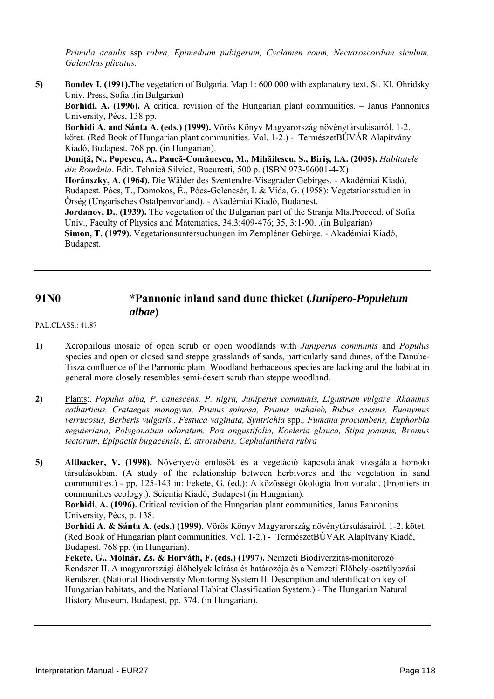*Primula acaulis* ssp *rubra, Epimedium pubigerum, Cyclamen coum, Nectaroscordum siculum, Galanthus plicatus.* 

**5) Bondev I. (1991).**The vegetation of Bulgaria. Map 1: 600 000 with explanatory text. St. Kl. Ohridsky Univ. Press, Sofia .(in Bulgarian)

 **Borhidi, A. (1996).** A critical revision of the Hungarian plant communities. – Janus Pannonius University, Pécs, 138 pp.

**Borhidi A. and Sánta A. (eds.) (1999).** Vörös Könyv Magyarország növénytársulásairól. 1-2. kötet. (Red Book of Hungarian plant communities. Vol. 1-2.) - TermészetBÚVÁR Alapítvány Kiadó, Budapest. 768 pp. (in Hungarian).

**Doniţă, N., Popescu, A., Paucă-Comănescu, M., Mihăilescu, S., Biriş, I.A. (2005).** *Habitatele din România*. Edit. Tehnică Silvică, Bucureşti, 500 p. (ISBN 973-96001-4-X) **Horánszky, A. (1964).** Die Wälder des Szentendre-Visegráder Gebirges. - Akadémiai Kiadó, Budapest. Pócs, T., Domokos, É., Pócs-Gelencsér, I. & Vida, G. (1958): Vegetationsstudien in Őrség (Ungarisches Ostalpenvorland). - Akadémiai Kiadó, Budapest.

**Jordanov, D., (1939).** The vegetation of the Bulgarian part of the Stranja Mts. Proceed. of Sofia Univ., Faculty of Physics and Matematics, 34.3:409-476; 35, 3:1-90. .(in Bulgarian) **Simon, T. (1979).** Vegetationsuntersuchungen im Zempléner Gebirge. - Akadémiai Kiadó, Budapest.

#### **91N0 \*Pannonic inland sand dune thicket (***Junipero-Populetum albae***)**

- PAL.CLASS.: 41.87
- **1)** Xerophilous mosaic of open scrub or open woodlands with *Juniperus communis* and *Populus*  species and open or closed sand steppe grasslands of sands, particularly sand dunes, of the Danube-Tisza confluence of the Pannonic plain. Woodland herbaceous species are lacking and the habitat in general more closely resembles semi-desert scrub than steppe woodland.
- **2)** Plants:. *Populus alba, P. canescens, P. nigra, Juniperus communis, Ligustrum vulgare, Rhamnus catharticus, Crataegus monogyna, Prunus spinosa, Prunus mahaleb, Rubus caesius, Euonymus verrucosus, Berberis vulgaris., Festuca vaginata, Syntrichia* spp*., Fumana procumbens, Euphorbia seguieriana, Polygonatum odoratum, Poa angustifolia, Koeleria glauca, Stipa joannis, Bromus tectorum, Epipactis bugacensis, E. atrorubens, Cephalanthera rubra*
- **5) Altbacker, V. (1998).** Növényevő emlősök és a vegetáció kapcsolatának vizsgálata homoki társulásokban. (A study of the relationship between herbivores and the vegetation in sand communities.) - pp. 125-143 in: Fekete, G. (ed.): A közösségi ökológia frontvonalai. (Frontiers in communities ecology.). Scientia Kiadó, Budapest (in Hungarian).

**Borhidi, A. (1996).** Critical revision of the Hungarian plant communities, Janus Pannonius University, Pécs, p. 138.

**Borhidi A. & Sánta A. (eds.) (1999).** Vörös Könyv Magyarország növénytársulásairól. 1-2. kötet. (Red Book of Hungarian plant communities. Vol. 1-2.) - TermészetBÚVÁR Alapítvány Kiadó, Budapest. 768 pp. (in Hungarian).

**Fekete, G., Molnár, Zs. & Horváth, F. (eds.) (1997).** Nemzeti Biodiverzitás-monitorozó Rendszer II. A magyarországi élőhelyek leírása és határozója és a Nemzeti Élőhely-osztályozási Rendszer. (National Biodiversity Monitoring System II. Description and identification key of Hungarian habitats, and the National Habitat Classification System.) - The Hungarian Natural History Museum, Budapest, pp. 374. (in Hungarian).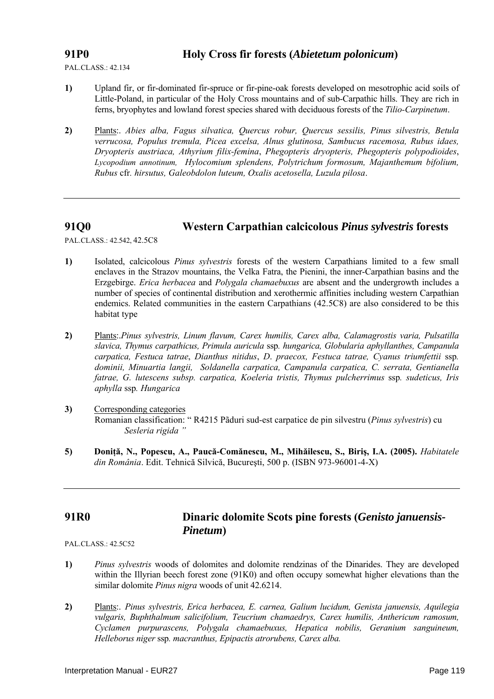#### **91P0 Holy Cross fir forests (***Abietetum polonicum***)**

PAL.CLASS.: 42.134

- **1)** Upland fir, or fir-dominated fir-spruce or fir-pine-oak forests developed on mesotrophic acid soils of Little-Poland, in particular of the Holy Cross mountains and of sub-Carpathic hills. They are rich in ferns, bryophytes and lowland forest species shared with deciduous forests of the *Tilio-Carpinetum*.
- **2)** Plants:. *Abies alba, Fagus silvatica, Quercus robur, Quercus sessilis, Pinus silvestris, Betula verrucosa, Populus tremula, Picea excelsa, Alnus glutinosa, Sambucus racemosa, Rubus idaes, Dryopteris austriaca, Athyrium filix-femina*, *Phegopteris dryopteris, Phegopteris polypodioides*, *Lycopodium annotinum, Hylocomium splendens, Polytrichum formosum, Majanthemum bifolium, Rubus* cfr*. hirsutus, Galeobdolon luteum, Oxalis acetosella, Luzula pilosa*.

# **91Q0 Western Carpathian calcicolous** *Pinus sylvestris* **forests**

PAL.CLASS.: 42.542, 42.5C8

- **1)** Isolated, calcicolous *Pinus sylvestris* forests of the western Carpathians limited to a few small enclaves in the Strazov mountains, the Velka Fatra, the Pienini, the inner-Carpathian basins and the Erzgebirge. *Erica herbacea* and *Polygala chamaebuxus* are absent and the undergrowth includes a number of species of continental distribution and xerothermic affinities including western Carpathian endemics. Related communities in the eastern Carpathians (42.5C8) are also considered to be this habitat type
- **2)** Plants:.*Pinus sylvestris, Linum flavum, Carex humilis, Carex alba, Calamagrostis varia, Pulsatilla slavica, Thymus carpathicus, Primula auricula* ssp*. hungarica, Globularia aphyllanthes, Campanula carpatica, Festuca tatrae*, *Dianthus nitidus*, *D*. *praecox, Festuca tatrae, Cyanus triumfettii* ssp*. dominii, Minuartia langii, Soldanella carpatica, Campanula carpatica, C. serrata, Gentianella fatrae, G. lutescens subsp. carpatica, Koeleria tristis, Thymus pulcherrimus* ssp*. sudeticus, Iris aphylla* ssp*. Hungarica*
- **3)** Corresponding categories Romanian classification: " R4215 Pãduri sud-est carpatice de pin silvestru (*Pinus sylvestris*) cu *Sesleria rigida "*
- **5) Doniţă, N., Popescu, A., Paucă-Comănescu, M., Mihăilescu, S., Biriş, I.A. (2005).** *Habitatele din România*. Edit. Tehnică Silvică, Bucureşti, 500 p. (ISBN 973-96001-4-X)

## **91R0 Dinaric dolomite Scots pine forests (***Genisto januensis-Pinetum***)**

PAL.CLASS.: 42.5C52.

- **1)** *Pinus sylvestris* woods of dolomites and dolomite rendzinas of the Dinarides. They are developed within the Illyrian beech forest zone (91K0) and often occupy somewhat higher elevations than the similar dolomite *Pinus nigra* woods of unit 42.6214.
- **2)** Plants:. *Pinus sylvestris, Erica herbacea, E. carnea, Galium lucidum, Genista januensis, Aquilegia vulgaris, Buphthalmum salicifolium, Teucrium chamaedrys, Carex humilis, Anthericum ramosum, Cyclamen purpurascens, Polygala chamaebuxus, Hepatica nobilis, Geranium sanguineum, Helleborus niger* ssp*. macranthus, Epipactis atrorubens, Carex alba.*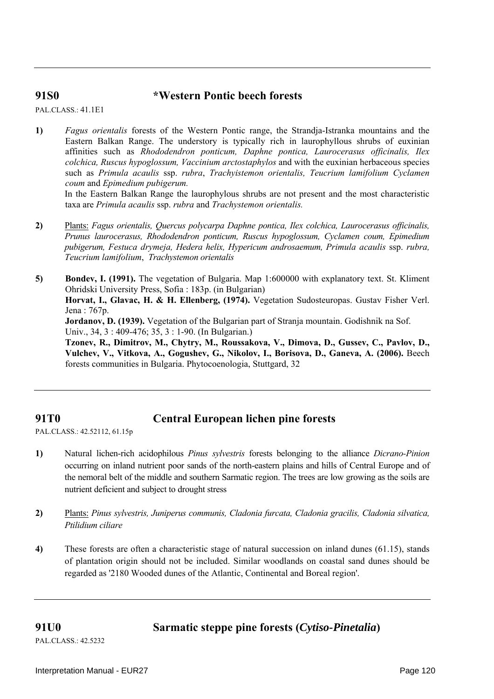#### **91S0 \*Western Pontic beech forests**

PAL.CLASS · 41.1E1.

**1)** *Fagus orientalis* forests of the Western Pontic range, the Strandja-Istranka mountains and the Eastern Balkan Range. The understory is typically rich in laurophyllous shrubs of euxinian affinities such as *Rhododendron ponticum, Daphne pontica, Laurocerasus officinalis, Ilex colchica, Ruscus hypoglossum, Vaccinium arctostaphylos* and with the euxinian herbaceous species such as *Primula acaulis* ssp. *rubra*, *Trachyistemon orientalis, Teucrium lamifolium Cyclamen coum* and *Epimedium pubigerum.*

In the Eastern Balkan Range the laurophylous shrubs are not present and the most characteristic taxa are *Primula acaulis* ssp. *rubra* and *Trachystemon orientalis.*

**2)** Plants: *Fagus orientalis, Quercus polycarpa Daphne pontica, Ilex colchica, Laurocerasus officinalis, Prunus laurocerasus, Rhododendron ponticum, Ruscus hypoglossum, Cyclamen coum, Epimedium pubigerum, Festuca drymeja, Hedera helix, Hypericum androsaemum, Primula acaulis* ssp. *rubra, Teucrium lamifolium*, *Trachystemon orientalis* 

**5) Bondev, I. (1991).** The vegetation of Bulgaria. Map 1:600000 with explanatory text. St. Kliment Ohridski University Press, Sofia : 183p. (in Bulgarian) **Horvat, I., Glavac, H. & H. Ellenberg, (1974).** Vegetation Sudosteuropas. Gustav Fisher Verl. Jena : 767p.

 **Jordanov, D. (1939).** Vegetation of the Bulgarian part of Stranja mountain. Godishnik na Sof. Univ., 34, 3 : 409-476; 35, 3 : 1-90. (In Bulgarian.)

**Tzonev, R., Dimitrov, M., Chytry, M., Roussakova, V., Dimova, D., Gussev, C., Pavlov, D., Vulchev, V., Vitkova, A., Gogushev, G., Nikolov, I., Borisova, D., Ganeva, A. (2006).** Beech forests communities in Bulgaria. Phytocoenologia, Stuttgard, 32

#### **91T0 Central European lichen pine forests**

PAL.CLASS.: 42.52112, 61.15p

- **1)** Natural lichen-rich acidophilous *Pinus sylvestris* forests belonging to the alliance *Dicrano-Pinion* occurring on inland nutrient poor sands of the north-eastern plains and hills of Central Europe and of the nemoral belt of the middle and southern Sarmatic region. The trees are low growing as the soils are nutrient deficient and subject to drought stress
- **2)** Plants: *Pinus sylvestris, Juniperus communis, Cladonia furcata, Cladonia gracilis, Cladonia silvatica, Ptilidium ciliare*
- **4)** These forests are often a characteristic stage of natural succession on inland dunes (61.15), stands of plantation origin should not be included. Similar woodlands on coastal sand dunes should be regarded as '2180 Wooded dunes of the Atlantic, Continental and Boreal region'.

### **91U0 Sarmatic steppe pine forests (***Cytiso-Pinetalia***)**

PAL.CLASS.: 42.5232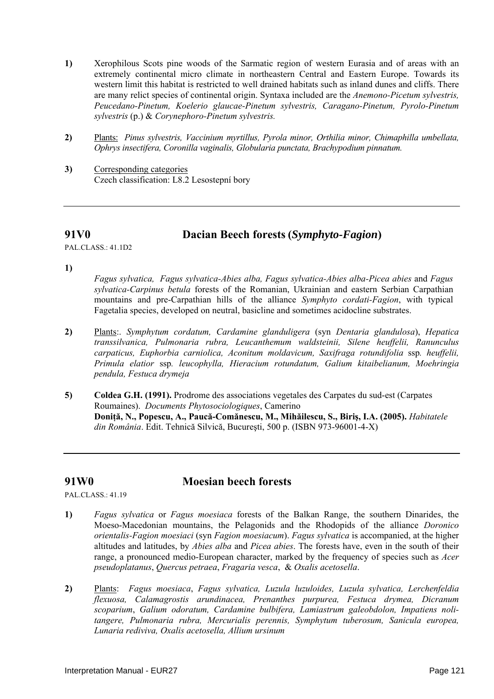- **1)** Xerophilous Scots pine woods of the Sarmatic region of western Eurasia and of areas with an extremely continental micro climate in northeastern Central and Eastern Europe. Towards its western limit this habitat is restricted to well drained habitats such as inland dunes and cliffs. There are many relict species of continental origin. Syntaxa included are the *Anemono-Picetum sylvestris, Peucedano-Pinetum, Koelerio glaucae-Pinetum sylvestris, Caragano-Pinetum, Pyrolo-Pinetum sylvestris* (p.) & *Corynephoro-Pinetum sylvestris.*
- **2)** Plants: *Pinus sylvestris, Vaccinium myrtillus, Pyrola minor, Orthilia minor, Chimaphilla umbellata, Ophrys insectifera, Coronilla vaginalis, Globularia punctata, Brachypodium pinnatum.*
- **3)** Corresponding categories Czech classification: L8.2 Lesostepní bory

## **91V0 Dacian Beech forests (***Symphyto-Fagion***)**

PAL.CLASS.: 41.1D2

**1)**

*Fagus sylvatica, Fagus sylvatica-Abies alba, Fagus sylvatica-Abies alba-Picea abies* and *Fagus sylvatica-Carpinus betula* forests of the Romanian, Ukrainian and eastern Serbian Carpathian mountains and pre-Carpathian hills of the alliance *Symphyto cordati-Fagion*, with typical Fagetalia species, developed on neutral, basicline and sometimes acidocline substrates.

- **2)** Plants:. *Symphytum cordatum, Cardamine glanduligera* (syn *Dentaria glandulosa*), *Hepatica transsilvanica, Pulmonaria rubra, Leucanthemum waldsteinii, Silene heuffelii, Ranunculus carpaticus, Euphorbia carniolica, Aconitum moldavicum, Saxifraga rotundifolia* ssp*. heuffelii, Primula elatior* ssp*. leucophylla, Hieracium rotundatum, Galium kitaibelianum, Moehringia pendula, Festuca drymeja*
- **5) Coldea G.H. (1991).** Prodrome des associations vegetales des Carpates du sud-est (Carpates Roumaines). *Documents Phytosociologiques*, Camerino **Doniţă, N., Popescu, A., Paucă-Comănescu, M., Mihăilescu, S., Biriş, I.A. (2005).** *Habitatele din România*. Edit. Tehnică Silvică, Bucureşti, 500 p. (ISBN 973-96001-4-X)

### **91W0 Moesian beech forests**

PAL.CLASS.: 41.19

- **1)** *Fagus sylvatica* or *Fagus moesiaca* forests of the Balkan Range, the southern Dinarides, the Moeso-Macedonian mountains, the Pelagonids and the Rhodopids of the alliance *Doronico orientalis-Fagion moesiaci* (syn *Fagion moesiacum*). *Fagus sylvatica* is accompanied, at the higher altitudes and latitudes, by *Abies alba* and *Picea abies*. The forests have, even in the south of their range, a pronounced medio-European character, marked by the frequency of species such as *Acer pseudoplatanus*, *Quercus petraea*, *Fragaria vesca*, & *Oxalis acetosella*.
- **2)** Plants: *Fagus moesiaca*, *Fagus sylvatica, Luzula luzuloides, Luzula sylvatica, Lerchenfeldia flexuosa, Calamagrostis arundinacea, Prenanthes purpurea, Festuca drymea, Dicranum scoparium*, *Galium odoratum, Cardamine bulbifera, Lamiastrum galeobdolon, Impatiens nolitangere, Pulmonaria rubra, Mercurialis perennis, Symphytum tuberosum, Sanicula europea, Lunaria rediviva, Oxalis acetosella, Allium ursinum*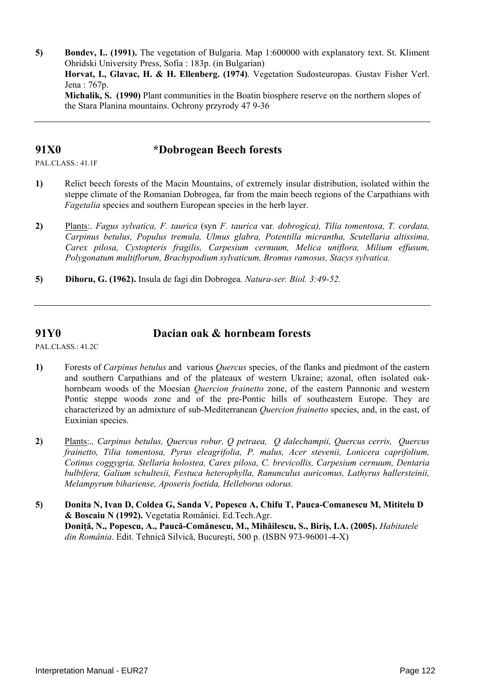**5) Bondev, I.. (1991).** The vegetation of Bulgaria. Map 1:600000 with explanatory text. St. Kliment Ohridski University Press, Sofia : 183p. (in Bulgarian) **Horvat, I., Glavac, H. & H. Ellenberg. (1974)**. Vegetation Sudosteuropas. Gustav Fisher Verl. Jena : 767p. **Michalik, S. (1990)** Plant communities in the Boatin biosphere reserve on the northern slopes of the Stara Planina mountains. Ochrony przyrody 47 9-36

#### **91X0 \*Dobrogean Beech forests**

PAL.CLASS.: 41.1F

- **1)** Relict beech forests of the Macin Mountains, of extremely insular distribution, isolated within the steppe climate of the Romanian Dobrogea, far from the main beech regions of the Carpathians with *Fagetalia* species and southern European species in the herb layer.
- **2)** Plants:. *Fagus sylvatica, F. taurica* (syn *F. taurica* var*. dobrogica), Tilia tomentosa, T. cordata, Carpinus betulus, Populus tremula, Ulmus glabra, Potentilla micrantha, Scutellaria altissima, Carex pilosa, Cystopteris fragilis, Carpesium cernuum, Melica uniflora, Milium effusum, Polygonatum multiflorum, Brachypodium sylvaticum, Bromus ramosus, Stacys sylvatica.*
- **5) Dihoru, G. (1962).** Insula de fagi din Dobrogea*. Natura-ser. Biol. 3:49-52.*

#### **91Y0 Dacian oak & hornbeam forests**

PAL.CLASS.: 41.2C

- **1)** Forests of *Carpinus betulus* and various *Quercus* species, of the flanks and piedmont of the eastern and southern Carpathians and of the plateaux of western Ukraine; azonal, often isolated oakhornbeam woods of the Moesian *Quercion frainetto* zone, of the eastern Pannonic and western Pontic steppe woods zone and of the pre-Pontic hills of southeastern Europe. They are characterized by an admixture of sub-Mediterranean *Quercion frainetto* species, and, in the east, of Euxinian species.
- **2)** Plants:.*, Carpinus betulus, Quercus robur, Q petraea, Q dalechampii, Quercus cerris, Quercus frainetto, Tilia tomentosa, Pyrus eleagrifolia, P. malus, Acer stevenii, Lonicera caprifolium, Cotinus coggygria, Stellaria holostea, Carex pilosa, C. brevicollis, Carpesium cernuum, Dentaria bulbifera, Galium schultesii, Festuca heterophylla, Ranunculus auricomus, Lathyrus hallersteinii, Melampyrum bihariense, Aposeris foetida, Helleborus odorus.*
- **5) Donita N, Ivan D, Coldea G, Sanda V, Popescu A, Chifu T, Pauca-Comanescu M, Mititelu D & Boscaiu N (1992).** Vegetatia României. Ed.Tech.Agr. **Doniţă, N., Popescu, A., Paucă-Comănescu, M., Mihăilescu, S., Biriş, I.A. (2005).** *Habitatele din România*. Edit. Tehnică Silvică, Bucureşti, 500 p. (ISBN 973-96001-4-X)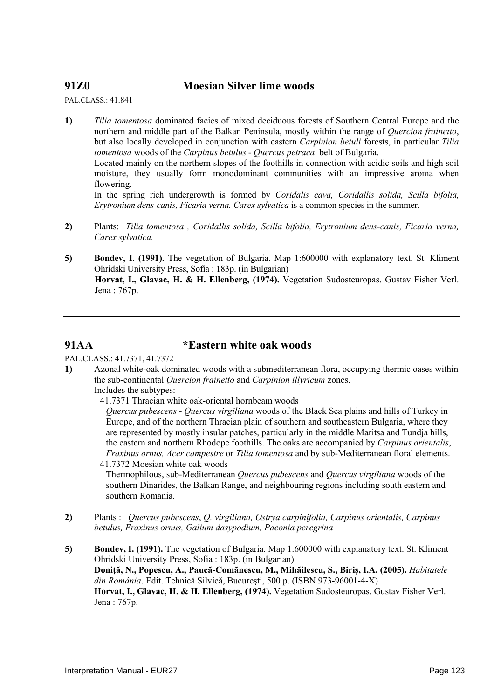### **91Z0 Moesian Silver lime woods**

PAL.CLASS.: 41.841

**1)** *Tilia tomentosa* dominated facies of mixed deciduous forests of Southern Central Europe and the northern and middle part of the Balkan Peninsula, mostly within the range of *Quercion frainetto*, but also locally developed in conjunction with eastern *Carpinion betuli* forests, in particular *Tilia tomentosa* woods of the *Carpinus betulus* - *Quercus petraea* belt of Bulgaria.

Located mainly on the northern slopes of the foothills in connection with acidic soils and high soil moisture, they usually form monodominant communities with an impressive aroma when flowering.

In the spring rich undergrowth is formed by *Coridalis cava, Coridallis solida, Scilla bifolia, Erytronium dens-canis, Ficaria verna. Carex sylvatica* is a common species in the summer.

- **2)** Plants: *Tilia tomentosa , Coridallis solida, Scilla bifolia, Erytronium dens-canis, Ficaria verna, Carex sylvatica.*
- **5) Bondev, I. (1991).** The vegetation of Bulgaria. Map 1:600000 with explanatory text. St. Kliment Ohridski University Press, Sofia : 183p. (in Bulgarian)  **Horvat, I., Glavac, H. & H. Ellenberg, (1974).** Vegetation Sudosteuropas. Gustav Fisher Verl. Jena : 767p.

## **91AA \*Eastern white oak woods**

PAL.CLASS.: 41.7371, 41.7372

- **1)** Azonal white-oak dominated woods with a submediterranean flora, occupying thermic oases within the sub-continental *Quercion frainetto* and *Carpinion illyricum* zones. Includes the subtypes:
	- 41.7371 Thracian white oak-oriental hornbeam woods

*Quercus pubescens - Quercus virgiliana* woods of the Black Sea plains and hills of Turkey in Europe, and of the northern Thracian plain of southern and southeastern Bulgaria, where they are represented by mostly insular patches, particularly in the middle Maritsa and Tundja hills, the eastern and northern Rhodope foothills. The oaks are accompanied by *Carpinus orientalis*, *Fraxinus ornus, Acer campestre* or *Tilia tomentosa* and by sub-Mediterranean floral elements. 41.7372 Moesian white oak woods

Thermophilous, sub-Mediterranean *Quercus pubescens* and *Quercus virgiliana* woods of the southern Dinarides, the Balkan Range, and neighbouring regions including south eastern and southern Romania.

- **2)** Plants : *Quercus pubescens*, *Q. virgiliana, Ostrya carpinifolia, Carpinus orientalis, Carpinus betulus, Fraxinus ornus, Galium dasypodium, Paeonia peregrina*
- **5) Bondev, I. (1991).** The vegetation of Bulgaria. Map 1:600000 with explanatory text. St. Kliment Ohridski University Press, Sofia : 183p. (in Bulgarian) **Doniţă, N., Popescu, A., Paucă-Comănescu, M., Mihăilescu, S., Biriş, I.A. (2005).** *Habitatele din România*. Edit. Tehnică Silvică, Bucureşti, 500 p. (ISBN 973-96001-4-X) **Horvat, I., Glavac, H. & H. Ellenberg, (1974).** Vegetation Sudosteuropas. Gustav Fisher Verl. Jena : 767p.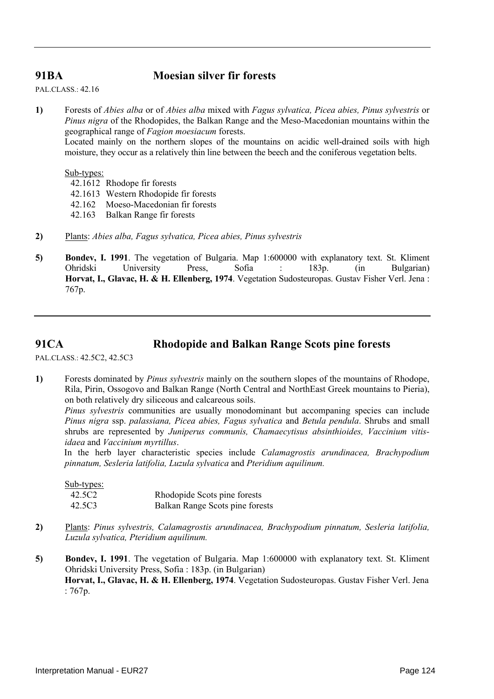## **91BA Moesian silver fir forests**

PAL.CLASS.: 42.16

**1)** Forests of *Abies alba* or of *Abies alba* mixed with *Fagus sylvatica, Picea abies, Pinus sylvestris* or *Pinus nigra* of the Rhodopides, the Balkan Range and the Meso-Macedonian mountains within the geographical range of *Fagion moesiacum* forests. Located mainly on the northern slopes of the mountains on acidic well-drained soils with high moisture, they occur as a relatively thin line between the beech and the coniferous vegetation belts.

Sub-types:

- 42.1612 Rhodope fir forests
- 42.1613 Western Rhodopide fir forests
- 42.162 Moeso-Macedonian fir forests
- 42.163 Balkan Range fir forests
- **2)** Plants: *Abies alba, Fagus sylvatica, Picea abies, Pinus sylvestris*
- **5) Bondev, I. 1991**. The vegetation of Bulgaria. Map 1:600000 with explanatory text. St. Kliment Ohridski University Press, Sofia : 183p. (in Bulgarian) **Horvat, I., Glavac, H. & H. Ellenberg, 1974**. Vegetation Sudosteuropas. Gustav Fisher Verl. Jena : 767p.

# **91CA Rhodopide and Balkan Range Scots pine forests**

PAL.CLASS.: 42.5C2, 42.5C3

**1)** Forests dominated by *Pinus sylvestris* mainly on the southern slopes of the mountains of Rhodope, Rila, Pirin, Ossogovo and Balkan Range (North Central and NorthEast Greek mountains to Pieria), on both relatively dry siliceous and calcareous soils.

*Pinus sylvestris* communities are usually monodominant but accompaning species can include *Pinus nigra* ssp. *palassiana, Picea abies, Fagus sylvatica* and *Betula pendula*. Shrubs and small shrubs are represented by *Juniperus communis, Chamaecytisus absinthioides, Vaccinium vitisidaea* and *Vaccinium myrtillus*.

In the herb layer characteristic species include *Calamagrostis arundinacea, Brachypodium pinnatum, Sesleria latifolia, Luzula sylvatica* and *Pteridium aquilinum.* 

| Sub-types: |                                 |
|------------|---------------------------------|
| 42.5C2     | Rhodopide Scots pine forests    |
| 42.5C3     | Balkan Range Scots pine forests |

- **2)** Plants: *Pinus sylvestris, Calamagrostis arundinacea, Brachypodium pinnatum, Sesleria latifolia, Luzula sylvatica, Pteridium aquilinum.*
- **5) Bondev, I. 1991**. The vegetation of Bulgaria. Map 1:600000 with explanatory text. St. Kliment Ohridski University Press, Sofia : 183p. (in Bulgarian) **Horvat, I., Glavac, H. & H. Ellenberg, 1974**. Vegetation Sudosteuropas. Gustav Fisher Verl. Jena : 767p.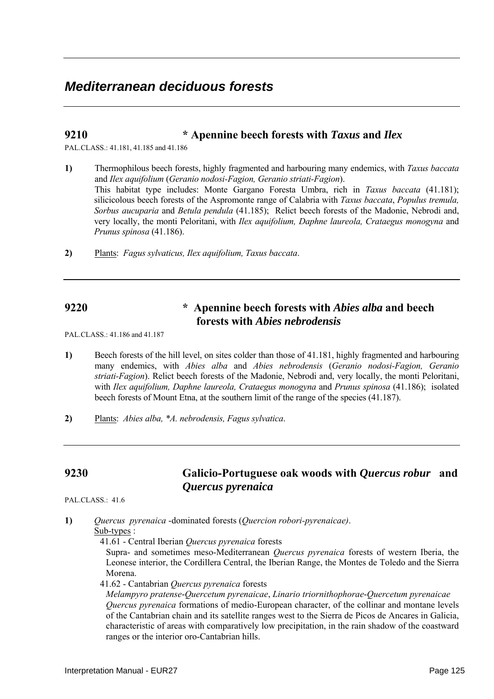#### **9210 \* Apennine beech forests with** *Taxus* **and** *Ilex*

PAL.CLASS.: 41.181, 41.185 and 41.186

- **1)** Thermophilous beech forests, highly fragmented and harbouring many endemics, with *Taxus baccata* and *Ilex aquifolium* (*Geranio nodosi-Fagion, Geranio striati-Fagion*). This habitat type includes: Monte Gargano Foresta Umbra, rich in *Taxus baccata* (41.181); silicicolous beech forests of the Aspromonte range of Calabria with *Taxus baccata*, *Populus tremula, Sorbus aucuparia* and *Betula pendula* (41.185); Relict beech forests of the Madonie, Nebrodi and, very locally, the monti Peloritani, with *Ilex aquifolium, Daphne laureola, Crataegus monogyna* and *Prunus spinosa* (41.186).
- **2)** Plants: *Fagus sylvaticus, Ilex aquifolium, Taxus baccata*.

#### **9220 \* Apennine beech forests with** *Abies alba* **and beech forests with** *Abies nebrodensis*

PAL. CLASS : 41.186 and 41.187

- **1)** Beech forests of the hill level, on sites colder than those of 41.181, highly fragmented and harbouring many endemics, with *Abies alba* and *Abies nebrodensis* (*Geranio nodosi-Fagion, Geranio striati-Fagion*). Relict beech forests of the Madonie, Nebrodi and, very locally, the monti Peloritani, with *Ilex aquifolium, Daphne laureola, Crataegus monogyna* and *Prunus spinosa* (41.186); isolated beech forests of Mount Etna, at the southern limit of the range of the species (41.187).
- **2)** Plants: *Abies alba, \*A. nebrodensis, Fagus sylvatica*.

## **9230 Galicio-Portuguese oak woods with** *Quercus robur* **and**  *Quercus pyrenaica*

PAL.CLASS.: 41.6

**1)** *Quercus pyrenaica* -dominated forests (*Quercion robori-pyrenaicae)*. Sub-types :

41.61 - Central Iberian *Quercus pyrenaica* forests

Supra- and sometimes meso-Mediterranean *Quercus pyrenaica* forests of western Iberia, the Leonese interior, the Cordillera Central, the Iberian Range, the Montes de Toledo and the Sierra Morena.

41.62 - Cantabrian *Quercus pyrenaica* forests

*Melampyro pratense*-*Quercetum pyrenaicae*, *Linario triornithophorae*-*Quercetum pyrenaicae Quercus pyrenaica* formations of medio-European character, of the collinar and montane levels of the Cantabrian chain and its satellite ranges west to the Sierra de Picos de Ancares in Galicia, characteristic of areas with comparatively low precipitation, in the rain shadow of the coastward ranges or the interior oro-Cantabrian hills.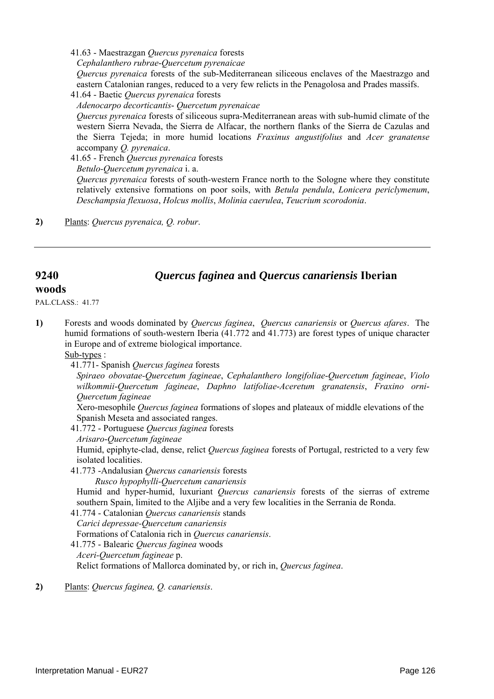41.63 - Maestrazgan *Quercus pyrenaica* forests

*Cephalanthero rubrae*-*Quercetum pyrenaicae*

*Quercus pyrenaica* forests of the sub-Mediterranean siliceous enclaves of the Maestrazgo and eastern Catalonian ranges, reduced to a very few relicts in the Penagolosa and Prades massifs.

41.64 - Baetic *Quercus pyrenaica* forests

*Adenocarpo decorticantis*- *Quercetum pyrenaicae*

*Quercus pyrenaica* forests of siliceous supra-Mediterranean areas with sub-humid climate of the western Sierra Nevada, the Sierra de Alfacar, the northern flanks of the Sierra de Cazulas and the Sierra Tejeda; in more humid locations *Fraxinus angustifolius* and *Acer granatense* accompany *Q. pyrenaica*.

41.65 - French *Quercus pyrenaica* forests

*Betulo-Quercetum pyrenaica* i. a.

*Quercus pyrenaica* forests of south-western France north to the Sologne where they constitute relatively extensive formations on poor soils, with *Betula pendula*, *Lonicera periclymenum*, *Deschampsia flexuosa*, *Holcus mollis*, *Molinia caerulea*, *Teucrium scorodonia*.

**2)** Plants: *Quercus pyrenaica, Q. robur*.

# **9240** *Quercus faginea* **and** *Quercus canariensis* **Iberian**

**woods** 

PAL.CLASS.: 41.77

**1)** Forests and woods dominated by *Quercus faginea*, *Quercus canariensis* or *Quercus afares*. The humid formations of south-western Iberia (41.772 and 41.773) are forest types of unique character in Europe and of extreme biological importance.

Sub-types :

41.771- Spanish *Quercus faginea* forests

*Spiraeo obovatae-Quercetum fagineae*, *Cephalanthero longifoliae*-*Quercetum fagineae*, *Violo wilkommii*-*Quercetum fagineae*, *Daphno latifoliae*-*Aceretum granatensis*, *Fraxino orni*-*Quercetum fagineae*

Xero-mesophile *Quercus faginea* formations of slopes and plateaux of middle elevations of the Spanish Meseta and associated ranges.

41.772 - Portuguese *Quercus faginea* forests

*Arisaro*-*Quercetum fagineae*

Humid, epiphyte-clad, dense, relict *Quercus faginea* forests of Portugal, restricted to a very few isolated localities.

41.773 -Andalusian *Quercus canariensis* forests

*Rusco hypophylli*-*Quercetum canariensis*

Humid and hyper-humid, luxuriant *Quercus canariensis* forests of the sierras of extreme southern Spain, limited to the Aljibe and a very few localities in the Serrania de Ronda.

41.774 - Catalonian *Quercus canariensis* stands *Carici depressae-Quercetum canariensis* Formations of Catalonia rich in *Quercus canariensis*. 41.775 - Balearic *Quercus faginea* woods

*Aceri-Quercetum fagineae* p.

Relict formations of Mallorca dominated by, or rich in, *Quercus faginea*.

**2)** Plants: *Quercus faginea, Q. canariensis*.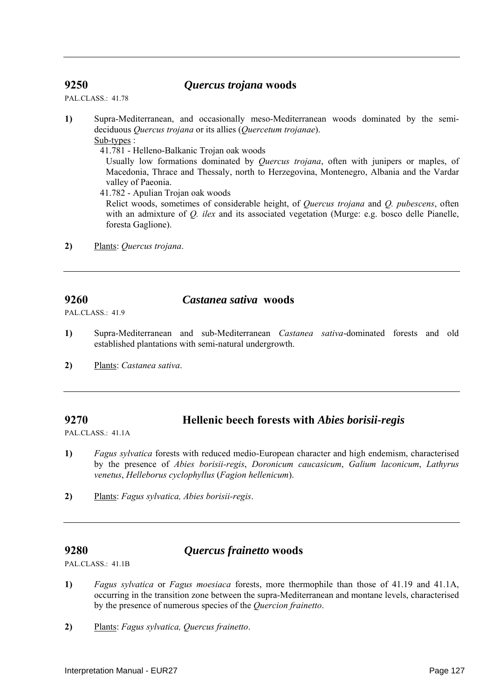### **9250** *Quercus trojana* **woods**

PAL.CLASS.: 41.78

**1)** Supra-Mediterranean, and occasionally meso-Mediterranean woods dominated by the semideciduous *Quercus trojana* or its allies (*Quercetum trojanae*).

Sub-types :

41.781 - Helleno-Balkanic Trojan oak woods

Usually low formations dominated by *Quercus trojana*, often with junipers or maples, of Macedonia, Thrace and Thessaly, north to Herzegovina, Montenegro, Albania and the Vardar valley of Paeonia.

41.782 - Apulian Trojan oak woods

Relict woods, sometimes of considerable height, of *Quercus trojana* and *Q. pubescens*, often with an admixture of *Q. ilex* and its associated vegetation (Murge: e.g. bosco delle Pianelle, foresta Gaglione).

**2)** Plants: *Quercus trojana*.

#### **9260** *Castanea sativa* **woods**

PAL.CLASS.: 41.9

- **1)** Supra-Mediterranean and sub-Mediterranean *Castanea sativa*-dominated forests and old established plantations with semi-natural undergrowth.
- **2)** Plants: *Castanea sativa*.

#### **9270 Hellenic beech forests with** *Abies borisii-regis*

PAL.CLASS.: 41.1A

- **1)** *Fagus sylvatica* forests with reduced medio-European character and high endemism, characterised by the presence of *Abies borisii-regis*, *Doronicum caucasicum*, *Galium laconicum*, *Lathyrus venetus*, *Helleborus cyclophyllus* (*Fagion hellenicum*).
- **2)** Plants: *Fagus sylvatica, Abies borisii-regis*.

#### **9280** *Quercus frainetto* **woods**

PAL.CLASS.: 41.1B

- **1)** *Fagus sylvatica* or *Fagus moesiaca* forests, more thermophile than those of 41.19 and 41.1A, occurring in the transition zone between the supra-Mediterranean and montane levels, characterised by the presence of numerous species of the *Quercion frainetto*.
- **2)** Plants: *Fagus sylvatica, Quercus frainetto*.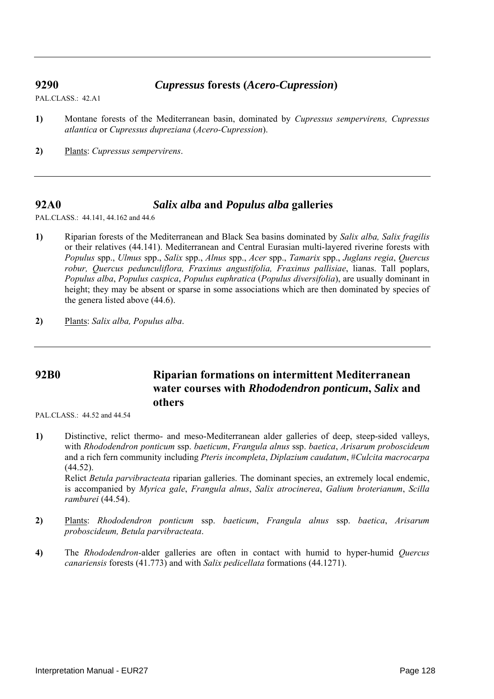#### **9290** *Cupressus* **forests (***Acero-Cupression***)**

PAL.CLASS.: 42.A1

- **1)** Montane forests of the Mediterranean basin, dominated by *Cupressus sempervirens, Cupressus atlantica* or *Cupressus dupreziana* (*Acero-Cupression*).
- **2)** Plants: *Cupressus sempervirens*.

#### **92A0** *Salix alba* **and** *Populus alba* **galleries**

PAL.CLASS.: 44.141, 44.162 and 44.6

- **1)** Riparian forests of the Mediterranean and Black Sea basins dominated by *Salix alba, Salix fragilis*  or their relatives (44.141). Mediterranean and Central Eurasian multi-layered riverine forests with *Populus* spp., *Ulmus* spp., *Salix* spp., *Alnus* spp., *Acer* spp., *Tamarix* spp., *Juglans regia*, *Quercus robur, Quercus pedunculiflora, Fraxinus angustifolia, Fraxinus pallisiae*, lianas. Tall poplars, *Populus alba*, *Populus caspica*, *Populus euphratica* (*Populus diversifolia*), are usually dominant in height; they may be absent or sparse in some associations which are then dominated by species of the genera listed above (44.6).
- **2)** Plants: *Salix alba, Populus alba*.

## **92B0 Riparian formations on intermittent Mediterranean water courses with** *Rhododendron ponticum***,** *Salix* **and others**

PAL.CLASS : 44.52 and 44.54

**1)** Distinctive, relict thermo- and meso-Mediterranean alder galleries of deep, steep-sided valleys, with *Rhododendron ponticum* ssp. *baeticum*, *Frangula alnus* ssp. *baetica*, *Arisarum proboscideum* and a rich fern community including *Pteris incompleta*, *Diplazium caudatum*, #*Culcita macrocarpa* (44.52).

 Relict *Betula parvibracteata* riparian galleries. The dominant species, an extremely local endemic, is accompanied by *Myrica gale*, *Frangula alnus*, *Salix atrocinerea*, *Galium broterianum*, *Scilla ramburei* (44.54).

- **2)** Plants: *Rhododendron ponticum* ssp. *baeticum*, *Frangula alnus* ssp. *baetica*, *Arisarum proboscideum, Betula parvibracteata*.
- **4)** The *Rhododendron*-alder galleries are often in contact with humid to hyper-humid *Quercus canariensis* forests (41.773) and with *Salix pedicellata* formations (44.1271).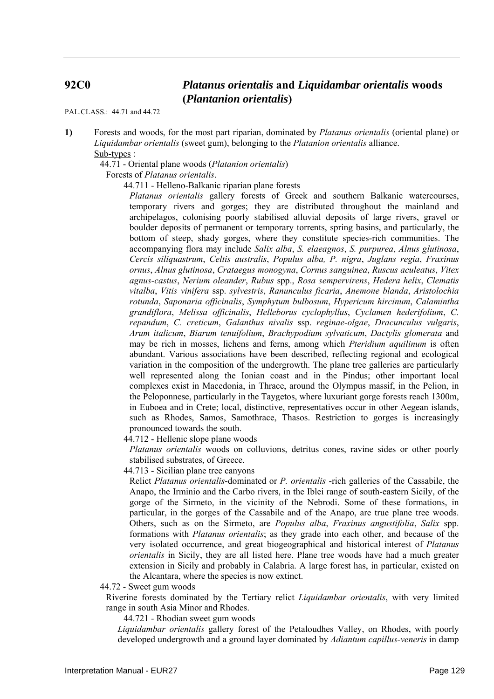### **92C0** *Platanus orientalis* **and** *Liquidambar orientalis* **woods (***Plantanion orientalis***)**

PAL.CLASS.: 44.71 and 44.72

**1)** Forests and woods, for the most part riparian, dominated by *Platanus orientalis* (oriental plane) or *Liquidambar orientalis* (sweet gum), belonging to the *Platanion orientalis* alliance. Sub-types :

44.71 - Oriental plane woods (*Platanion orientalis*)

Forests of *Platanus orientalis*.

44.711 - Helleno-Balkanic riparian plane forests

*Platanus orientalis* gallery forests of Greek and southern Balkanic watercourses, temporary rivers and gorges; they are distributed throughout the mainland and archipelagos, colonising poorly stabilised alluvial deposits of large rivers, gravel or boulder deposits of permanent or temporary torrents, spring basins, and particularly, the bottom of steep, shady gorges, where they constitute species-rich communities. The accompanying flora may include *Salix alba*, *S. elaeagnos*, *S. purpurea*, *Alnus glutinosa*, *Cercis siliquastrum*, *Celtis australis*, *Populus alba, P. nigra*, *Juglans regia*, *Fraxinus ornus*, *Alnus glutinosa*, *Crataegus monogyna*, *Cornus sanguinea*, *Ruscus aculeatus*, *Vitex agnus-castus*, *Nerium oleander*, *Rubus* spp., *Rosa sempervirens*, *Hedera helix*, *Clematis vitalba*, *Vitis vinifera* ssp. *sylvestris*, *Ranunculus ficaria*, *Anemone blanda*, *Aristolochia rotunda*, *Saponaria officinalis*, *Symphytum bulbosum*, *Hypericum hircinum*, *Calamintha grandiflora*, *Melissa officinalis*, *Helleborus cyclophyllus*, *Cyclamen hederifolium*, *C. repandum*, *C. creticum*, *Galanthus nivalis* ssp. *reginae-olgae*, *Dracunculus vulgaris*, *Arum italicum*, *Biarum tenuifolium*, *Brachypodium sylvaticum*, *Dactylis glomerata* and may be rich in mosses, lichens and ferns, among which *Pteridium aquilinum* is often abundant. Various associations have been described, reflecting regional and ecological variation in the composition of the undergrowth. The plane tree galleries are particularly well represented along the Ionian coast and in the Pindus; other important local complexes exist in Macedonia, in Thrace, around the Olympus massif, in the Pelion, in the Peloponnese, particularly in the Taygetos, where luxuriant gorge forests reach 1300m, in Euboea and in Crete; local, distinctive, representatives occur in other Aegean islands, such as Rhodes, Samos, Samothrace, Thasos. Restriction to gorges is increasingly pronounced towards the south.

44.712 - Hellenic slope plane woods

*Platanus orientalis* woods on colluvions, detritus cones, ravine sides or other poorly stabilised substrates, of Greece.

44.713 - Sicilian plane tree canyons

Relict *Platanus orientalis*-dominated or *P. orientalis* -rich galleries of the Cassabile, the Anapo, the Irminio and the Carbo rivers, in the Iblei range of south-eastern Sicily, of the gorge of the Sirmeto, in the vicinity of the Nebrodi. Some of these formations, in particular, in the gorges of the Cassabile and of the Anapo, are true plane tree woods. Others, such as on the Sirmeto, are *Populus alba*, *Fraxinus angustifolia*, *Salix* spp. formations with *Platanus orientalis*; as they grade into each other, and because of the very isolated occurrence, and great biogeographical and historical interest of *Platanus orientalis* in Sicily, they are all listed here. Plane tree woods have had a much greater extension in Sicily and probably in Calabria. A large forest has, in particular, existed on the Alcantara, where the species is now extinct.

44.72 - Sweet gum woods

Riverine forests dominated by the Tertiary relict *Liquidambar orientalis*, with very limited range in south Asia Minor and Rhodes.

44.721 - Rhodian sweet gum woods

*Liquidambar orientalis* gallery forest of the Petaloudhes Valley, on Rhodes, with poorly developed undergrowth and a ground layer dominated by *Adiantum capillus-veneris* in damp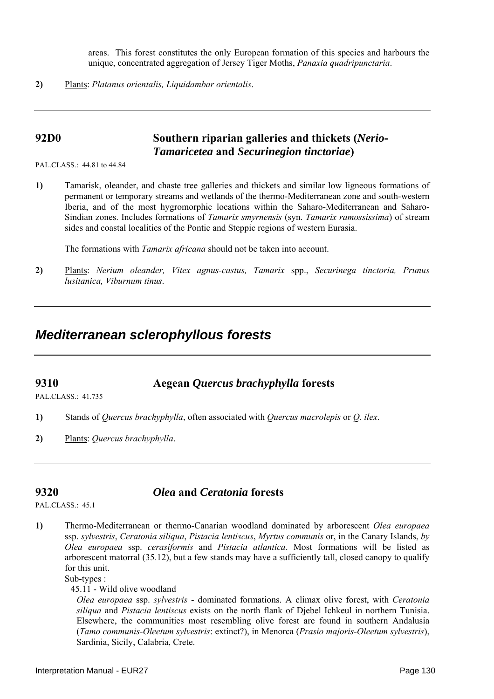areas. This forest constitutes the only European formation of this species and harbours the unique, concentrated aggregation of Jersey Tiger Moths, *Panaxia quadripunctaria*.

**2)** Plants: *Platanus orientalis, Liquidambar orientalis*.

### **92D0 Southern riparian galleries and thickets (***Nerio***-***Tamaricetea* **and** *Securinegion tinctoriae***)**

PAL.CLASS.: 44.81 to 44.84

**1)** Tamarisk, oleander, and chaste tree galleries and thickets and similar low ligneous formations of permanent or temporary streams and wetlands of the thermo-Mediterranean zone and south-western Iberia, and of the most hygromorphic locations within the Saharo-Mediterranean and Saharo-Sindian zones. Includes formations of *Tamarix smyrnensis* (syn. *Tamarix ramossissima*) of stream sides and coastal localities of the Pontic and Steppic regions of western Eurasia.

The formations with *Tamarix africana* should not be taken into account.

**2)** Plants: *Nerium oleander, Vitex agnus-castus, Tamarix* spp., *Securinega tinctoria, Prunus lusitanica, Viburnum tinus*.

## *Mediterranean sclerophyllous forests*

#### **9310 Aegean** *Quercus brachyphylla* **forests**

PAL.CLASS.: 41.735

- **1)** Stands of *Quercus brachyphylla*, often associated with *Quercus macrolepis* or *Q. ilex*.
- **2)** Plants: *Quercus brachyphylla*.

### **9320** *Olea* **and** *Ceratonia* **forests**

PAL.CLASS.: 45.1

**1)** Thermo-Mediterranean or thermo-Canarian woodland dominated by arborescent *Olea europaea* ssp. *sylvestris*, *Ceratonia siliqua*, *Pistacia lentiscus*, *Myrtus communis* or, in the Canary Islands, *by Olea europaea* ssp. *cerasiformis* and *Pistacia atlantica*. Most formations will be listed as arborescent matorral (35.12), but a few stands may have a sufficiently tall, closed canopy to qualify for this unit.

Sub-types :

45.11 - Wild olive woodland

*Olea europaea* ssp. *sylvestris* - dominated formations. A climax olive forest, with *Ceratonia siliqua* and *Pistacia lentiscus* exists on the north flank of Djebel Ichkeul in northern Tunisia. Elsewhere, the communities most resembling olive forest are found in southern Andalusia (*Tamo communis*-*Oleetum sylvestris*: extinct?), in Menorca (*Prasio majoris-Oleetum sylvestris*), Sardinia, Sicily, Calabria, Crete.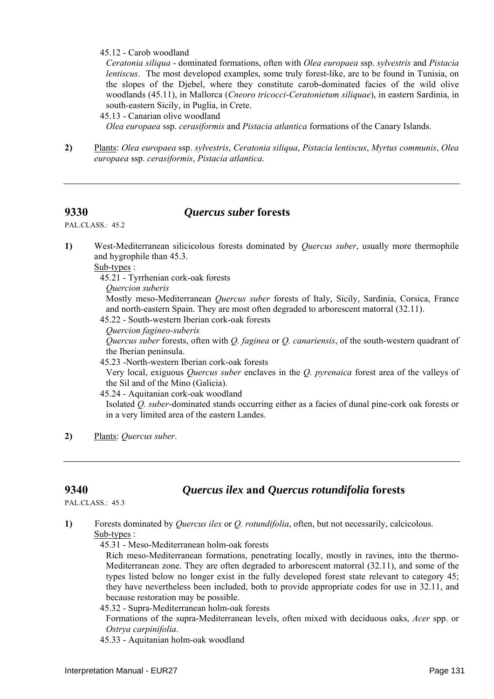#### 45.12 - Carob woodland

*Ceratonia siliqua* - dominated formations, often with *Olea europaea* ssp. *sylvestris* and *Pistacia lentiscus*. The most developed examples, some truly forest-like, are to be found in Tunisia, on the slopes of the Djebel, where they constitute carob-dominated facies of the wild olive woodlands (45.11), in Mallorca (*Cneoro tricocci-Ceratonietum siliquae*), in eastern Sardinia, in south-eastern Sicily, in Puglia, in Crete.

45.13 - Canarian olive woodland

*Olea europaea* ssp. *cerasiformis* and *Pistacia atlantica* formations of the Canary Islands.

**2)** Plants: *Olea europaea* ssp. *sylvestris*, *Ceratonia siliqua*, *Pistacia lentiscus*, *Myrtus communis*, *Olea europaea* ssp. *cerasiformis*, *Pistacia atlantica*.

#### **9330** *Quercus suber* **forests**

PAL.CLASS.: 45.2

**1)** West-Mediterranean silicicolous forests dominated by *Quercus suber*, usually more thermophile and hygrophile than 45.3.

Sub-types :

45.21 - Tyrrhenian cork-oak forests

*Quercion suberis*

Mostly meso-Mediterranean *Quercus suber* forests of Italy, Sicily, Sardinia, Corsica, France and north-eastern Spain. They are most often degraded to arborescent matorral (32.11).

45.22 - South-western Iberian cork-oak forests

*Quercion fagineo-suberis*

*Quercus suber* forests, often with *Q. faginea* or *Q. canariensis*, of the south-western quadrant of the Iberian peninsula.

45.23 -North-western Iberian cork-oak forests

Very local, exiguous *Quercus suber* enclaves in the *Q. pyrenaica* forest area of the valleys of the Sil and of the Mino (Galicia).

45.24 - Aquitanian cork-oak woodland

- Isolated *Q. suber*-dominated stands occurring either as a facies of dunal pine-cork oak forests or in a very limited area of the eastern Landes.
- **2)** Plants: *Quercus suber*.

#### **9340** *Quercus ilex* **and** *Quercus rotundifolia* **forests**

PAL.CLASS.: 45.3

**1)** Forests dominated by *Quercus ilex* or *Q. rotundifolia*, often, but not necessarily, calcicolous. Sub-types :

45.31 - Meso-Mediterranean holm-oak forests

Rich meso-Mediterranean formations, penetrating locally, mostly in ravines, into the thermo-Mediterranean zone. They are often degraded to arborescent matorral (32.11), and some of the types listed below no longer exist in the fully developed forest state relevant to category 45; they have nevertheless been included, both to provide appropriate codes for use in 32.11, and because restoration may be possible.

45.32 - Supra-Mediterranean holm-oak forests

Formations of the supra-Mediterranean levels, often mixed with deciduous oaks, *Acer* spp. or *Ostrya carpinifolia*.

45.33 - Aquitanian holm-oak woodland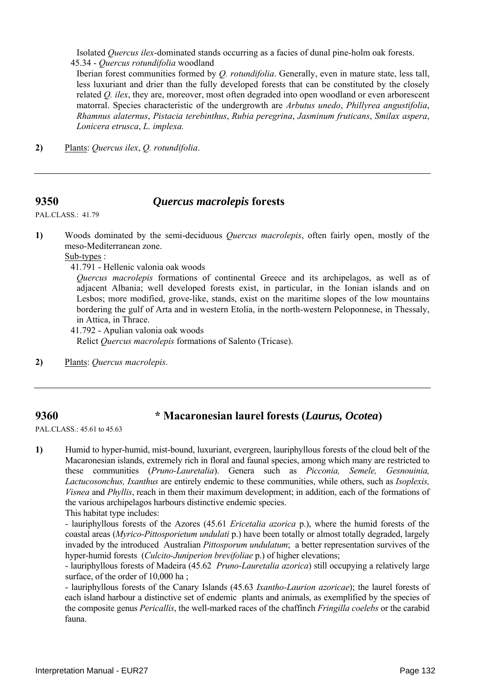Isolated *Quercus ilex*-dominated stands occurring as a facies of dunal pine-holm oak forests.

45.34 - *Quercus rotundifolia* woodland

Iberian forest communities formed by *Q. rotundifolia*. Generally, even in mature state, less tall, less luxuriant and drier than the fully developed forests that can be constituted by the closely related *Q. ilex*, they are, moreover, most often degraded into open woodland or even arborescent matorral. Species characteristic of the undergrowth are *Arbutus unedo*, *Phillyrea angustifolia*, *Rhamnus alaternus*, *Pistacia terebinthus*, *Rubia peregrina*, *Jasminum fruticans*, *Smilax aspera*, *Lonicera etrusca*, *L. implexa.*

**2)** Plants: *Quercus ilex*, *Q. rotundifolia*.

### **9350** *Quercus macrolepis* **forests**

PAL.CLASS.: 41.79

**1)** Woods dominated by the semi-deciduous *Quercus macrolepis*, often fairly open, mostly of the meso-Mediterranean zone.

Sub-types :

41.791 - Hellenic valonia oak woods

*Quercus macrolepis* formations of continental Greece and its archipelagos, as well as of adjacent Albania; well developed forests exist, in particular, in the Ionian islands and on Lesbos; more modified, grove-like, stands, exist on the maritime slopes of the low mountains bordering the gulf of Arta and in western Etolia, in the north-western Peloponnese, in Thessaly, in Attica, in Thrace.

- 41.792 Apulian valonia oak woods Relict *Quercus macrolepis* formations of Salento (Tricase).
- **2)** Plants: *Quercus macrolepis*.

### **9360 \* Macaronesian laurel forests (***Laurus, Ocotea***)**

PAL.CLASS.: 45.61 to 45.63

**1)** Humid to hyper-humid, mist-bound, luxuriant, evergreen, lauriphyllous forests of the cloud belt of the Macaronesian islands, extremely rich in floral and faunal species, among which many are restricted to these communities (*Pruno-Lauretalia*). Genera such as *Picconia, Semele, Gesnouinia, Lactucosonchus, Ixanthus* are entirely endemic to these communities, while others, such as *Isoplexis, Visnea* and *Phyllis*, reach in them their maximum development; in addition, each of the formations of the various archipelagos harbours distinctive endemic species.

This habitat type includes:

 - lauriphyllous forests of the Azores (45.61 *Ericetalia azorica* p.), where the humid forests of the coastal areas (*Myrico-Pittosporietum undulati* p.) have been totally or almost totally degraded, largely invaded by the introduced Australian *Pittosporum undulatum*; a better representation survives of the hyper-humid forests (*Culcito-Juniperion brevifoliae* p.) of higher elevations;

 - lauriphyllous forests of Madeira (45.62 *Pruno-Lauretalia azorica*) still occupying a relatively large surface, of the order of 10,000 ha;

 - lauriphyllous forests of the Canary Islands (45.63 *Ixantho-Laurion azoricae*); the laurel forests of each island harbour a distinctive set of endemic plants and animals, as exemplified by the species of the composite genus *Pericallis*, the well-marked races of the chaffinch *Fringilla coelebs* or the carabid fauna.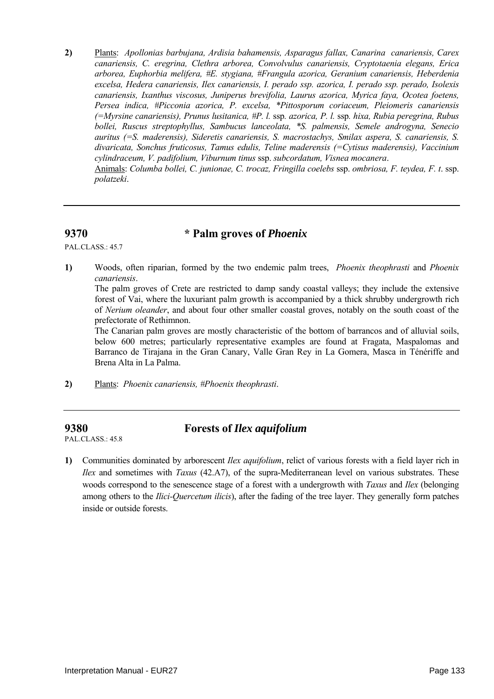**2)** Plants: *Apollonias barbujana, Ardisia bahamensis, Asparagus fallax, Canarina canariensis, Carex canariensis, C. eregrina, Clethra arborea, Convolvulus canariensis, Cryptotaenia elegans, Erica arborea, Euphorbia melifera, #E. stygiana, #Frangula azorica, Geranium canariensis, Heberdenia excelsa, Hedera canariensis, Ilex canariensis, I. perado ssp. azorica, I. perado ssp. perado, Isolexis canariensis, Ixanthus viscosus, Juniperus brevifolia, Laurus azorica, Myrica faya, Ocotea foetens, Persea indica, #Picconia azorica, P. excelsa, \*Pittosporum coriaceum, Pleiomeris canariensis (=Myrsine canariensis), Prunus lusitanica, #P. l.* ssp*. azorica, P. l.* ssp*. hixa, Rubia peregrina, Rubus bollei, Ruscus streptophyllus, Sambucus lanceolata, \*S. palmensis, Semele androgyna, Senecio auritus (=S. maderensis), Sideretis canariensis, S. macrostachys, Smilax aspera, S. canariensis, S. divaricata, Sonchus fruticosus, Tamus edulis, Teline maderensis (=Cytisus maderensis), Vaccinium cylindraceum, V. padifolium, Viburnum tinus* ssp. *subcordatum, Visnea mocanera*. Animals: *Columba bollei, C. junionae, C. trocaz, Fringilla coelebs* ssp. *ombriosa, F. teydea, F. t*. ssp. *polatzeki*.

#### **9370 \* Palm groves of** *Phoenix*

PAL.CLASS.: 45.7

**1)** Woods, often riparian, formed by the two endemic palm trees, *Phoenix theophrasti* and *Phoenix canariensis*.

 The palm groves of Crete are restricted to damp sandy coastal valleys; they include the extensive forest of Vai, where the luxuriant palm growth is accompanied by a thick shrubby undergrowth rich of *Nerium oleander*, and about four other smaller coastal groves, notably on the south coast of the prefectorate of Rethimnon.

 The Canarian palm groves are mostly characteristic of the bottom of barrancos and of alluvial soils, below 600 metres; particularly representative examples are found at Fragata, Maspalomas and Barranco de Tirajana in the Gran Canary, Valle Gran Rey in La Gomera, Masca in Ténériffe and Brena Alta in La Palma.

**2)** Plants: *Phoenix canariensis, #Phoenix theophrasti*.

#### **9380 Forests of** *Ilex aquifolium*

PAL.CLASS.: 45.8

**1)** Communities dominated by arborescent *Ilex aquifolium*, relict of various forests with a field layer rich in *Ilex* and sometimes with *Taxus* (42.A7), of the supra-Mediterranean level on various substrates. These woods correspond to the senescence stage of a forest with a undergrowth with *Taxus* and *Ilex* (belonging among others to the *Ilici-Quercetum ilicis*), after the fading of the tree layer. They generally form patches inside or outside forests.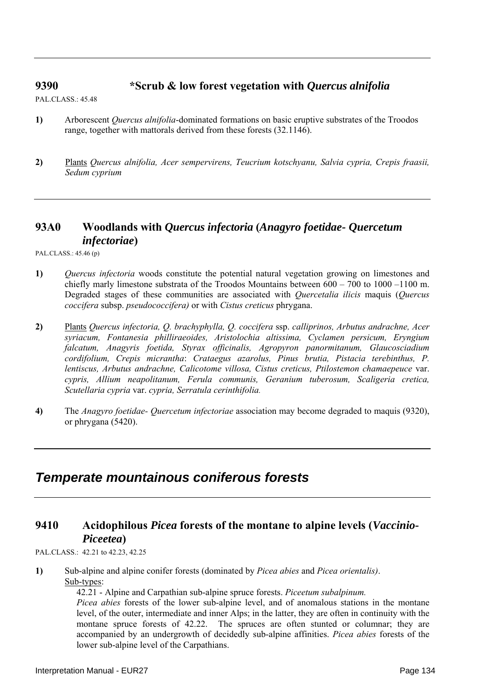## **9390 \*Scrub & low forest vegetation with** *Quercus alnifolia*

PAL.CLASS.: 45.48

- **1)** Arborescent *Quercus alnifolia*-dominated formations on basic eruptive substrates of the Troodos range, together with mattorals derived from these forests (32.1146).
- **2)** Plants *Quercus alnifolia, Acer sempervirens, Teucrium kotschyanu, Salvia cypria, Crepis fraasii, Sedum cyprium*

### **93A0 Woodlands with** *Quercus infectoria* **(***Anagyro foetidae- Quercetum infectoriae***)**

PAL.CLASS.: 45.46 (p)

- **1)** *Quercus infectoria* woods constitute the potential natural vegetation growing on limestones and chiefly marly limestone substrata of the Troodos Mountains between 600 – 700 to 1000 –1100 m. Degraded stages of these communities are associated with *Quercetalia ilicis* maquis (*Quercus coccifera* subsp. *pseudococcifera)* or with *Cistus creticus* phrygana.
- **2)** Plants *Quercus infectoria, Q. brachyphylla, Q. coccifera* ssp. *calliprinos, Arbutus andrachne, Acer syriacum, Fontanesia philliraeoides, Aristolochia altissima, Cyclamen persicum, Eryngium falcatum, Anagyris foetida, Styrax officinalis, Agropyron panormitanum, Glaucosciadium cordifolium, Crepis micrantha*: *Crataegus azarolus, Pinus brutia, Pistacia terebinthus, P. lentiscus, Arbutus andrachne, Calicotome villosa, Cistus creticus, Ptilostemon chamaepeuce* var. *cypris, Allium neapolitanum, Ferula communis, Geranium tuberosum, Scaligeria cretica, Scutellaria cypria* var. *cypria, Serratula cerinthifolia.*
- **4)** The *Anagyro foetidae- Quercetum infectoriae* association may become degraded to maquis (9320), or phrygana (5420).

# *Temperate mountainous coniferous forests*

## **9410 Acidophilous** *Picea* **forests of the montane to alpine levels (***Vaccinio-Piceetea***)**

PAL.CLASS.: 42.21 to 42.23, 42.25

**1)** Sub-alpine and alpine conifer forests (dominated by *Picea abies* and *Picea orientalis)*. Sub-types:

42.21 - Alpine and Carpathian sub-alpine spruce forests. *Piceetum subalpinum.*

*Picea abies* forests of the lower sub-alpine level, and of anomalous stations in the montane level, of the outer, intermediate and inner Alps; in the latter, they are often in continuity with the montane spruce forests of 42.22. The spruces are often stunted or columnar; they are accompanied by an undergrowth of decidedly sub-alpine affinities. *Picea abies* forests of the lower sub-alpine level of the Carpathians.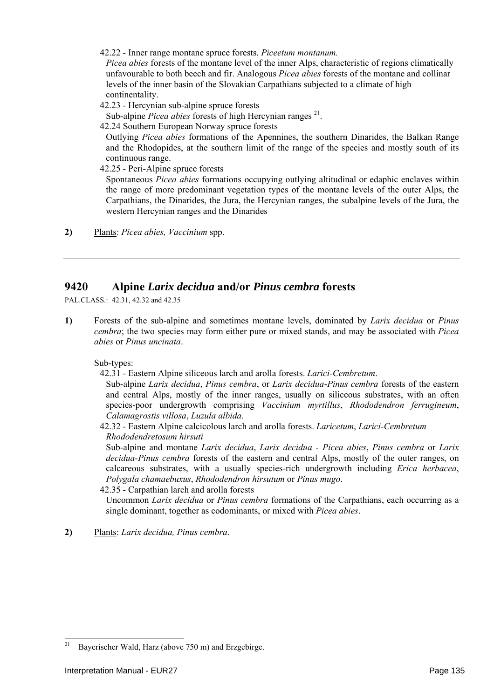42.22 - Inner range montane spruce forests. *Piceetum montanum.*

*Picea abies* forests of the montane level of the inner Alps, characteristic of regions climatically unfavourable to both beech and fir. Analogous *Picea abies* forests of the montane and collinar levels of the inner basin of the Slovakian Carpathians subjected to a climate of high continentality.

42.23 - Hercynian sub-alpine spruce forests

Sub-alpine *Picea abies* forests of high Hercynian ranges<sup>21</sup>.

42.24 Southern European Norway spruce forests

Outlying *Picea abies* formations of the Apennines, the southern Dinarides, the Balkan Range and the Rhodopides, at the southern limit of the range of the species and mostly south of its continuous range.

42.25 - Peri-Alpine spruce forests

Spontaneous *Picea abies* formations occupying outlying altitudinal or edaphic enclaves within the range of more predominant vegetation types of the montane levels of the outer Alps, the Carpathians, the Dinarides, the Jura, the Hercynian ranges, the subalpine levels of the Jura, the western Hercynian ranges and the Dinarides

**2)** Plants: *Picea abies, Vaccinium* spp.

### **9420 Alpine** *Larix decidua* **and/or** *Pinus cembra* **forests**

PAL.CLASS.: 42.31, 42.32 and 42.35

**1)** Forests of the sub-alpine and sometimes montane levels, dominated by *Larix decidua* or *Pinus cembra*; the two species may form either pure or mixed stands, and may be associated with *Picea abies* or *Pinus uncinata*.

Sub-types:

42.31 - Eastern Alpine siliceous larch and arolla forests. *Larici-Cembretum*.

Sub-alpine *Larix decidua*, *Pinus cembra*, or *Larix decidua*-*Pinus cembra* forests of the eastern and central Alps, mostly of the inner ranges, usually on siliceous substrates, with an often species-poor undergrowth comprising *Vaccinium myrtillus*, *Rhododendron ferrugineum*, *Calamagrostis villosa*, *Luzula albida*.

42.32 - Eastern Alpine calcicolous larch and arolla forests. *Laricetum*, *Larici-Cembretum Rhododendretosum hirsuti*

Sub-alpine and montane *Larix decidua*, *Larix decidua - Picea abies*, *Pinus cembra* or *Larix decidua-Pinus cembra* forests of the eastern and central Alps, mostly of the outer ranges, on calcareous substrates, with a usually species-rich undergrowth including *Erica herbacea*, *Polygala chamaebuxus*, *Rhododendron hirsutum* or *Pinus mugo*.

#### 42.35 - Carpathian larch and arolla forests

Uncommon *Larix decidua* or *Pinus cembra* formations of the Carpathians, each occurring as a single dominant, together as codominants, or mixed with *Picea abies*.

**2)** Plants: *Larix decidua, Pinus cembra*.

 $21\,$ Bayerischer Wald, Harz (above 750 m) and Erzgebirge.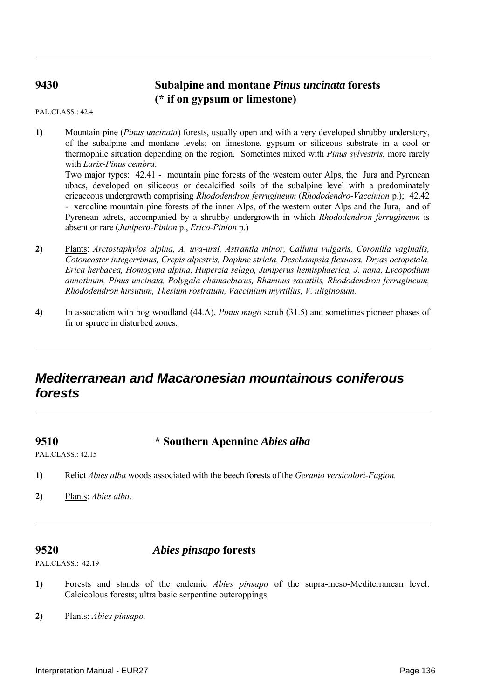# Interpretation Manual - EUR27 Page 136

### **9430 Subalpine and montane** *Pinus uncinata* **forests (\* if on gypsum or limestone)**

PAL.CLASS.: 42.4

**1)** Mountain pine (*Pinus uncinata*) forests, usually open and with a very developed shrubby understory, of the subalpine and montane levels; on limestone, gypsum or siliceous substrate in a cool or thermophile situation depending on the region. Sometimes mixed with *Pinus sylvestris*, more rarely with *Larix-Pinus cembra*. Two major types: 42.41 - mountain pine forests of the western outer Alps, the Jura and Pyrenean

ubacs, developed on siliceous or decalcified soils of the subalpine level with a predominately ericaceous undergrowth comprising *Rhododendron ferrugineum* (*Rhododendro-Vaccinion* p.); 42.42 - xerocline mountain pine forests of the inner Alps, of the western outer Alps and the Jura, and of Pyrenean adrets, accompanied by a shrubby undergrowth in which *Rhododendron ferrugineum* is absent or rare (*Junipero-Pinion* p., *Erico-Pinion* p.)

- **2)** Plants: *Arctostaphylos alpina, A. uva-ursi, Astrantia minor, Calluna vulgaris, Coronilla vaginalis, Cotoneaster integerrimus, Crepis alpestris, Daphne striata, Deschampsia flexuosa, Dryas octopetala, Erica herbacea, Homogyna alpina, Huperzia selago, Juniperus hemisphaerica, J. nana, Lycopodium annotinum, Pinus uncinata, Polygala chamaebuxus, Rhamnus saxatilis, Rhododendron ferrugineum, Rhododendron hirsutum, Thesium rostratum, Vaccinium myrtillus, V. uliginosum.*
- **4)** In association with bog woodland (44.A), *Pinus mugo* scrub (31.5) and sometimes pioneer phases of fir or spruce in disturbed zones.

# *Mediterranean and Macaronesian mountainous coniferous forests*

### **9510 \* Southern Apennine** *Abies alba*

PAL.CLASS.: 42.15

- **1)** Relict *Abies alba* woods associated with the beech forests of the *Geranio versicolori-Fagion.*
- **2)** Plants: *Abies alba*.

## **9520** *Abies pinsapo* **forests**

PAL.CLASS.: 42.19

- **1)** Forests and stands of the endemic *Abies pinsapo* of the supra-meso-Mediterranean level. Calcicolous forests; ultra basic serpentine outcroppings.
- **2)** Plants: *Abies pinsapo.*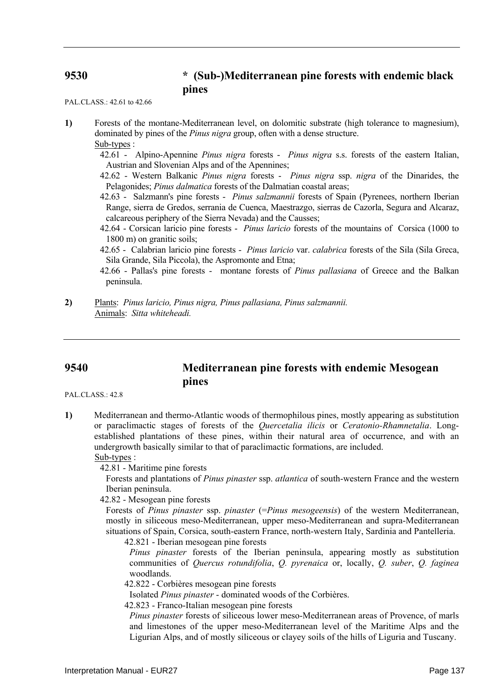### **9530 \* (Sub-)Mediterranean pine forests with endemic black pines**

PAL.CLASS.: 42.61 to 42.66

**1)** Forests of the montane-Mediterranean level, on dolomitic substrate (high tolerance to magnesium), dominated by pines of the *Pinus nigra* group, often with a dense structure. Sub-types :

42.61 - Alpino-Apennine *Pinus nigra* forests - *Pinus nigra* s.s. forests of the eastern Italian, Austrian and Slovenian Alps and of the Apennines;

42.62 - Western Balkanic *Pinus nigra* forests - *Pinus nigra* ssp. *nigra* of the Dinarides, the Pelagonides; *Pinus dalmatica* forests of the Dalmatian coastal areas;

42.63 - Salzmann's pine forests - *Pinus salzmannii* forests of Spain (Pyrenees, northern Iberian Range, sierra de Gredos, serrania de Cuenca, Maestrazgo, sierras de Cazorla, Segura and Alcaraz, calcareous periphery of the Sierra Nevada) and the Causses;

42.64 - Corsican laricio pine forests - *Pinus laricio* forests of the mountains of Corsica (1000 to 1800 m) on granitic soils;

42.65 - Calabrian laricio pine forests - *Pinus laricio* var. *calabrica* forests of the Sila (Sila Greca, Sila Grande, Sila Piccola), the Aspromonte and Etna;

42.66 - Pallas's pine forests - montane forests of *Pinus pallasiana* of Greece and the Balkan peninsula.

**2)** Plants: *Pinus laricio, Pinus nigra, Pinus pallasiana, Pinus salzmannii.* Animals: *Sitta whiteheadi.*

## **9540 Mediterranean pine forests with endemic Mesogean pines**

PAL.CLASS.: 42.8

**1)** Mediterranean and thermo-Atlantic woods of thermophilous pines, mostly appearing as substitution or paraclimactic stages of forests of the *Quercetalia ilicis* or *Ceratonio-Rhamnetalia*. Longestablished plantations of these pines, within their natural area of occurrence, and with an undergrowth basically similar to that of paraclimactic formations, are included. Sub-types :

42.81 - Maritime pine forests

Forests and plantations of *Pinus pinaster* ssp. *atlantica* of south-western France and the western Iberian peninsula.

42.82 - Mesogean pine forests

Forests of *Pinus pinaster* ssp. *pinaster* (=*Pinus mesogeensis*) of the western Mediterranean, mostly in siliceous meso-Mediterranean, upper meso-Mediterranean and supra-Mediterranean situations of Spain, Corsica, south-eastern France, north-western Italy, Sardinia and Pantelleria.

42.821 - Iberian mesogean pine forests

*Pinus pinaster* forests of the Iberian peninsula, appearing mostly as substitution communities of *Quercus rotundifolia*, *Q. pyrenaica* or, locally, *Q. suber*, *Q. faginea* woodlands.

42.822 - Corbières mesogean pine forests

Isolated *Pinus pinaster* - dominated woods of the Corbières.

42.823 - Franco-Italian mesogean pine forests

*Pinus pinaster* forests of siliceous lower meso-Mediterranean areas of Provence, of marls and limestones of the upper meso-Mediterranean level of the Maritime Alps and the Ligurian Alps, and of mostly siliceous or clayey soils of the hills of Liguria and Tuscany.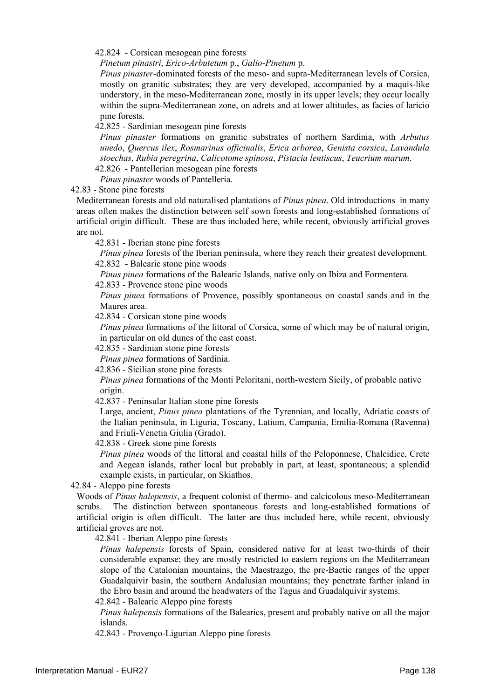42.824 - Corsican mesogean pine forests

*Pinetum pinastri*, *Erico-Arbutetum* p., *Galio-Pinetum* p.

*Pinus pinaster*-dominated forests of the meso- and supra-Mediterranean levels of Corsica, mostly on granitic substrates; they are very developed, accompanied by a maquis-like understory, in the meso-Mediterranean zone, mostly in its upper levels; they occur locally within the supra-Mediterranean zone, on adrets and at lower altitudes, as facies of laricio pine forests.

42.825 - Sardinian mesogean pine forests

*Pinus pinaster* formations on granitic substrates of northern Sardinia, with *Arbutus unedo*, *Quercus ilex*, *Rosmarinus officinalis*, *Erica arborea*, *Genista corsica*, *Lavandula stoechas*, *Rubia peregrina*, *Calicotome spinosa*, *Pistacia lentiscus*, *Teucrium marum*.

42.826 - Pantellerian mesogean pine forests

*Pinus pinaster* woods of Pantelleria.

#### 42.83 - Stone pine forests

Mediterranean forests and old naturalised plantations of *Pinus pinea*. Old introductions in many areas often makes the distinction between self sown forests and long-established formations of artificial origin difficult. These are thus included here, while recent, obviously artificial groves are not.

42.831 - Iberian stone pine forests

*Pinus pinea* forests of the Iberian peninsula, where they reach their greatest development. 42.832 - Balearic stone pine woods

*Pinus pinea* formations of the Balearic Islands, native only on Ibiza and Formentera.

42.833 - Provence stone pine woods

*Pinus pinea* formations of Provence, possibly spontaneous on coastal sands and in the Maures area.

42.834 - Corsican stone pine woods

*Pinus pinea* formations of the littoral of Corsica, some of which may be of natural origin, in particular on old dunes of the east coast.

42.835 - Sardinian stone pine forests

*Pinus pinea* formations of Sardinia.

42.836 - Sicilian stone pine forests

*Pinus pinea* formations of the Monti Peloritani, north-western Sicily, of probable native origin.

42.837 - Peninsular Italian stone pine forests

Large, ancient, *Pinus pinea* plantations of the Tyrennian, and locally, Adriatic coasts of the Italian peninsula, in Liguria, Toscany, Latium, Campania, Emilia-Romana (Ravenna) and Friuli-Venetia Giulia (Grado).

42.838 - Greek stone pine forests

*Pinus pinea* woods of the littoral and coastal hills of the Peloponnese, Chalcidice, Crete and Aegean islands, rather local but probably in part, at least, spontaneous; a splendid example exists, in particular, on Skiathos.

42.84 - Aleppo pine forests

Woods of *Pinus halepensis*, a frequent colonist of thermo- and calcicolous meso-Mediterranean scrubs. The distinction between spontaneous forests and long-established formations of artificial origin is often difficult. The latter are thus included here, while recent, obviously artificial groves are not.

42.841 - Iberian Aleppo pine forests

*Pinus halepensis* forests of Spain, considered native for at least two-thirds of their considerable expanse; they are mostly restricted to eastern regions on the Mediterranean slope of the Catalonian mountains, the Maestrazgo, the pre-Baetic ranges of the upper Guadalquivir basin, the southern Andalusian mountains; they penetrate farther inland in the Ebro basin and around the headwaters of the Tagus and Guadalquivir systems.

#### 42.842 - Balearic Aleppo pine forests

*Pinus halepensis* formations of the Balearics, present and probably native on all the major islands.

42.843 - Provenço-Ligurian Aleppo pine forests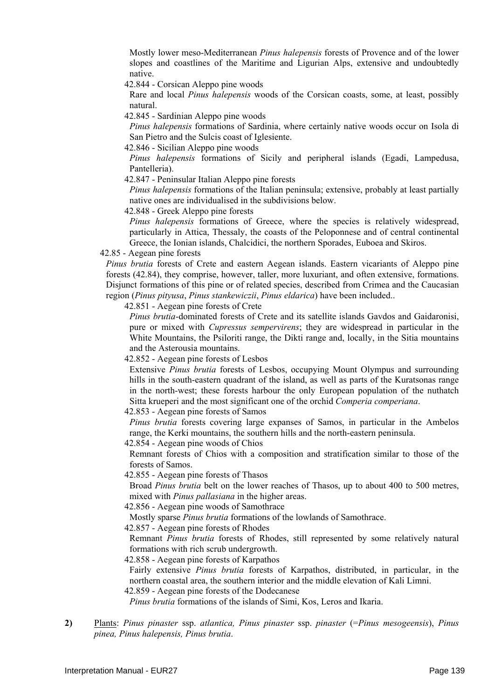Mostly lower meso-Mediterranean *Pinus halepensis* forests of Provence and of the lower slopes and coastlines of the Maritime and Ligurian Alps, extensive and undoubtedly native.

42.844 - Corsican Aleppo pine woods

Rare and local *Pinus halepensis* woods of the Corsican coasts, some, at least, possibly natural.

42.845 - Sardinian Aleppo pine woods

*Pinus halepensis* formations of Sardinia, where certainly native woods occur on Isola di San Pietro and the Sulcis coast of Iglesiente.

42.846 - Sicilian Aleppo pine woods

*Pinus halepensis* formations of Sicily and peripheral islands (Egadi, Lampedusa, Pantelleria).

42.847 - Peninsular Italian Aleppo pine forests

*Pinus halepensis* formations of the Italian peninsula; extensive, probably at least partially native ones are individualised in the subdivisions below.

42.848 - Greek Aleppo pine forests

*Pinus halepensis* formations of Greece, where the species is relatively widespread, particularly in Attica, Thessaly, the coasts of the Peloponnese and of central continental Greece, the Ionian islands, Chalcidici, the northern Sporades, Euboea and Skiros.

42.85 - Aegean pine forests

*Pinus brutia* forests of Crete and eastern Aegean islands. Eastern vicariants of Aleppo pine forests (42.84), they comprise, however, taller, more luxuriant, and often extensive, formations. Disjunct formations of this pine or of related species, described from Crimea and the Caucasian region (*Pinus pityusa*, *Pinus stankewiczii*, *Pinus eldarica*) have been included..

42.851 - Aegean pine forests of Crete

*Pinus brutia*-dominated forests of Crete and its satellite islands Gavdos and Gaidaronisi, pure or mixed with *Cupressus sempervirens*; they are widespread in particular in the White Mountains, the Psiloriti range, the Dikti range and, locally, in the Sitia mountains and the Asterousia mountains.

42.852 - Aegean pine forests of Lesbos

Extensive *Pinus brutia* forests of Lesbos, occupying Mount Olympus and surrounding hills in the south-eastern quadrant of the island, as well as parts of the Kuratsonas range in the north-west; these forests harbour the only European population of the nuthatch Sitta krueperi and the most significant one of the orchid *Comperia comperiana*.

42.853 - Aegean pine forests of Samos

*Pinus brutia* forests covering large expanses of Samos, in particular in the Ambelos range, the Kerki mountains, the southern hills and the north-eastern peninsula.

42.854 - Aegean pine woods of Chios

Remnant forests of Chios with a composition and stratification similar to those of the forests of Samos.

42.855 - Aegean pine forests of Thasos

Broad *Pinus brutia* belt on the lower reaches of Thasos, up to about 400 to 500 metres, mixed with *Pinus pallasiana* in the higher areas.

42.856 - Aegean pine woods of Samothrace

Mostly sparse *Pinus brutia* formations of the lowlands of Samothrace.

42.857 - Aegean pine forests of Rhodes

Remnant *Pinus brutia* forests of Rhodes, still represented by some relatively natural formations with rich scrub undergrowth.

42.858 - Aegean pine forests of Karpathos

Fairly extensive *Pinus brutia* forests of Karpathos, distributed, in particular, in the northern coastal area, the southern interior and the middle elevation of Kali Limni.

42.859 - Aegean pine forests of the Dodecanese

*Pinus brutia* formations of the islands of Simi, Kos, Leros and Ikaria.

**2)** Plants: *Pinus pinaster* ssp. *atlantica, Pinus pinaster* ssp. *pinaster* (=*Pinus mesogeensis*), *Pinus pinea, Pinus halepensis, Pinus brutia*.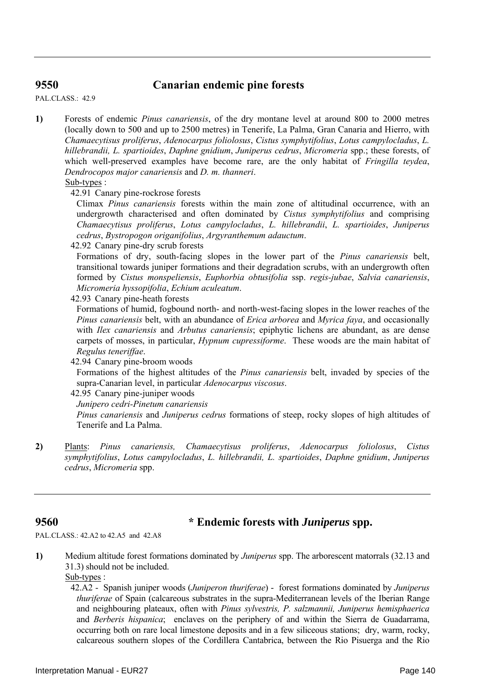#### **9550 Canarian endemic pine forests**

PAL.CLASS.: 42.9

**1)** Forests of endemic *Pinus canariensis*, of the dry montane level at around 800 to 2000 metres (locally down to 500 and up to 2500 metres) in Tenerife, La Palma, Gran Canaria and Hierro, with *Chamaecytisus proliferus*, *Adenocarpus foliolosus*, *Cistus symphytifolius*, *Lotus campylocladus*, *L. hillebrandii, L. spartioides*, *Daphne gnidium*, *Juniperus cedrus*, *Micromeria* spp.; these forests, of which well-preserved examples have become rare, are the only habitat of *Fringilla teydea*, *Dendrocopos major canariensis* and *D. m. thanneri*.

Sub-types :

42.91 Canary pine-rockrose forests

Climax *Pinus canariensis* forests within the main zone of altitudinal occurrence, with an undergrowth characterised and often dominated by *Cistus symphytifolius* and comprising *Chamaecytisus proliferus*, *Lotus campylocladus*, *L. hillebrandii*, *L. spartioides*, *Juniperus cedrus*, *Bystropogon origanifolius*, *Argyranthemum adauctum*.

42.92 Canary pine-dry scrub forests

Formations of dry, south-facing slopes in the lower part of the *Pinus canariensis* belt, transitional towards juniper formations and their degradation scrubs, with an undergrowth often formed by *Cistus monspeliensis*, *Euphorbia obtusifolia* ssp. *regis-jubae*, *Salvia canariensis*, *Micromeria hyssopifolia*, *Echium aculeatum*.

42.93 Canary pine-heath forests

Formations of humid, fogbound north- and north-west-facing slopes in the lower reaches of the *Pinus canariensis* belt, with an abundance of *Erica arborea* and *Myrica faya*, and occasionally with *Ilex canariensis* and *Arbutus canariensis*; epiphytic lichens are abundant, as are dense carpets of mosses, in particular, *Hypnum cupressiforme*. These woods are the main habitat of *Regulus teneriffae*.

42.94 Canary pine-broom woods

Formations of the highest altitudes of the *Pinus canariensis* belt, invaded by species of the supra-Canarian level, in particular *Adenocarpus viscosus*.

42.95 Canary pine-juniper woods

*Junipero cedri-Pinetum canariensis*

*Pinus canariensis* and *Juniperus cedrus* formations of steep, rocky slopes of high altitudes of Tenerife and La Palma.

**2)** Plants: *Pinus canariensis, Chamaecytisus proliferus*, *Adenocarpus foliolosus*, *Cistus symphytifolius*, *Lotus campylocladus*, *L. hillebrandii, L. spartioides*, *Daphne gnidium*, *Juniperus cedrus*, *Micromeria* spp.

#### **9560 \* Endemic forests with** *Juniperus* **spp.**

PAL.CLASS.: 42.A2 to 42.A5 and 42.A8

**1)** Medium altitude forest formations dominated by *Juniperus* spp. The arborescent matorrals (32.13 and 31.3) should not be included.

Sub-types :

42.A2 - Spanish juniper woods (*Juniperon thuriferae*) - forest formations dominated by *Juniperus thuriferae* of Spain (calcareous substrates in the supra-Mediterranean levels of the Iberian Range and neighbouring plateaux, often with *Pinus sylvestris, P. salzmannii, Juniperus hemisphaerica* and *Berberis hispanica*; enclaves on the periphery of and within the Sierra de Guadarrama, occurring both on rare local limestone deposits and in a few siliceous stations; dry, warm, rocky, calcareous southern slopes of the Cordillera Cantabrica, between the Rio Pisuerga and the Rio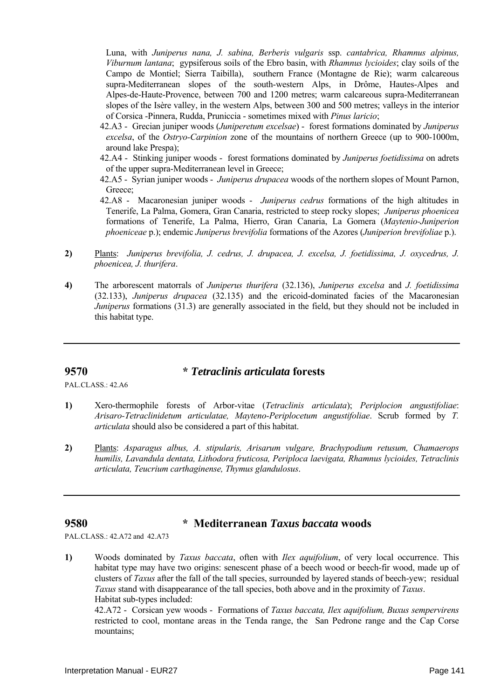Luna, with *Juniperus nana, J. sabina, Berberis vulgaris* ssp. *cantabrica, Rhamnus alpinus, Viburnum lantana*; gypsiferous soils of the Ebro basin, with *Rhamnus lycioides*; clay soils of the Campo de Montiel; Sierra Taibilla), southern France (Montagne de Rie); warm calcareous supra-Mediterranean slopes of the south-western Alps, in Drôme, Hautes-Alpes and Alpes-de-Haute-Provence, between 700 and 1200 metres; warm calcareous supra-Mediterranean slopes of the Isère valley, in the western Alps, between 300 and 500 metres; valleys in the interior of Corsica -Pinnera, Rudda, Pruniccia - sometimes mixed with *Pinus laricio*;

- 42.A3 Grecian juniper woods (*Juniperetum excelsae*) forest formations dominated by *Juniperus excelsa*, of the *Ostryo-Carpinion* zone of the mountains of northern Greece (up to 900-1000m, around lake Prespa);
- 42.A4 Stinking juniper woods forest formations dominated by *Juniperus foetidissima* on adrets of the upper supra-Mediterranean level in Greece;
- 42.A5 Syrian juniper woods *Juniperus drupacea* woods of the northern slopes of Mount Parnon, Greece;
- 42.A8 Macaronesian juniper woods *Juniperus cedrus* formations of the high altitudes in Tenerife, La Palma, Gomera, Gran Canaria, restricted to steep rocky slopes; *Juniperus phoenicea* formations of Tenerife, La Palma, Hierro, Gran Canaria, La Gomera (*Maytenio-Juniperion phoeniceae* p.); endemic *Juniperus brevifolia* formations of the Azores (*Juniperion brevifoliae* p.).
- **2)** Plants: *Juniperus brevifolia, J. cedrus, J. drupacea, J. excelsa, J. foetidissima, J. oxycedrus, J. phoenicea, J. thurifera*.
- **4)** The arborescent matorrals of *Juniperus thurifera* (32.136), *Juniperus excelsa* and *J. foetidissima* (32.133), *Juniperus drupacea* (32.135) and the ericoid-dominated facies of the Macaronesian *Juniperus* formations (31.3) are generally associated in the field, but they should not be included in this habitat type.

#### **9570 \*** *Tetraclinis articulata* **forests**

PAL.CLASS.: 42.A6

- **1)** Xero-thermophile forests of Arbor-vitae (*Tetraclinis articulata*); *Periplocion angustifoliae*: *Arisaro-Tetraclinidetum articulatae, Mayteno-Periplocetum angustifoliae*. Scrub formed by *T. articulata* should also be considered a part of this habitat.
- **2)** Plants: *Asparagus albus, A. stipularis, Arisarum vulgare, Brachypodium retusum, Chamaerops humilis, Lavandula dentata, Lithodora fruticosa, Periploca laevigata, Rhamnus lycioides, Tetraclinis articulata, Teucrium carthaginense, Thymus glandulosus*.

#### **9580 \* Mediterranean** *Taxus baccata* **woods**

PAL.CLASS.: 42.A72 and 42.A73

**1)** Woods dominated by *Taxus baccata*, often with *Ilex aquifolium*, of very local occurrence. This habitat type may have two origins: senescent phase of a beech wood or beech-fir wood, made up of clusters of *Taxus* after the fall of the tall species, surrounded by layered stands of beech-yew; residual *Taxus* stand with disappearance of the tall species, both above and in the proximity of *Taxus*. Habitat sub-types included:

 42.A72 - Corsican yew woods - Formations of *Taxus baccata, Ilex aquifolium, Buxus sempervirens*  restricted to cool, montane areas in the Tenda range, the San Pedrone range and the Cap Corse mountains;